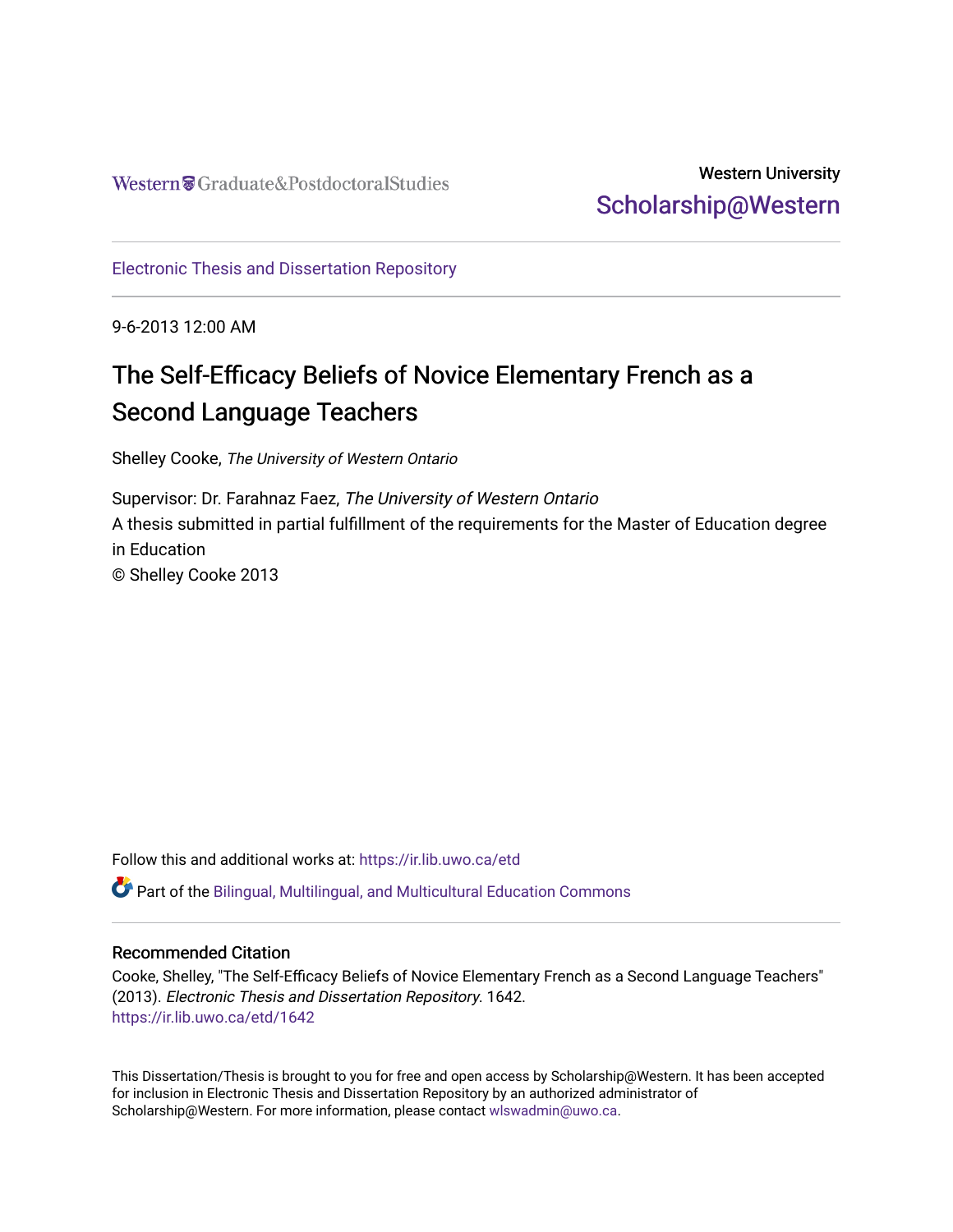### Western University [Scholarship@Western](https://ir.lib.uwo.ca/)

[Electronic Thesis and Dissertation Repository](https://ir.lib.uwo.ca/etd)

9-6-2013 12:00 AM

# The Self-Efficacy Beliefs of Novice Elementary French as a Second Language Teachers

Shelley Cooke, The University of Western Ontario

Supervisor: Dr. Farahnaz Faez, The University of Western Ontario A thesis submitted in partial fulfillment of the requirements for the Master of Education degree in Education © Shelley Cooke 2013

Follow this and additional works at: [https://ir.lib.uwo.ca/etd](https://ir.lib.uwo.ca/etd?utm_source=ir.lib.uwo.ca%2Fetd%2F1642&utm_medium=PDF&utm_campaign=PDFCoverPages) 

 $\bullet$  Part of the Bilingual, Multilingual, and Multicultural Education Commons

#### Recommended Citation

Cooke, Shelley, "The Self-Efficacy Beliefs of Novice Elementary French as a Second Language Teachers" (2013). Electronic Thesis and Dissertation Repository. 1642. [https://ir.lib.uwo.ca/etd/1642](https://ir.lib.uwo.ca/etd/1642?utm_source=ir.lib.uwo.ca%2Fetd%2F1642&utm_medium=PDF&utm_campaign=PDFCoverPages)

This Dissertation/Thesis is brought to you for free and open access by Scholarship@Western. It has been accepted for inclusion in Electronic Thesis and Dissertation Repository by an authorized administrator of Scholarship@Western. For more information, please contact [wlswadmin@uwo.ca.](mailto:wlswadmin@uwo.ca)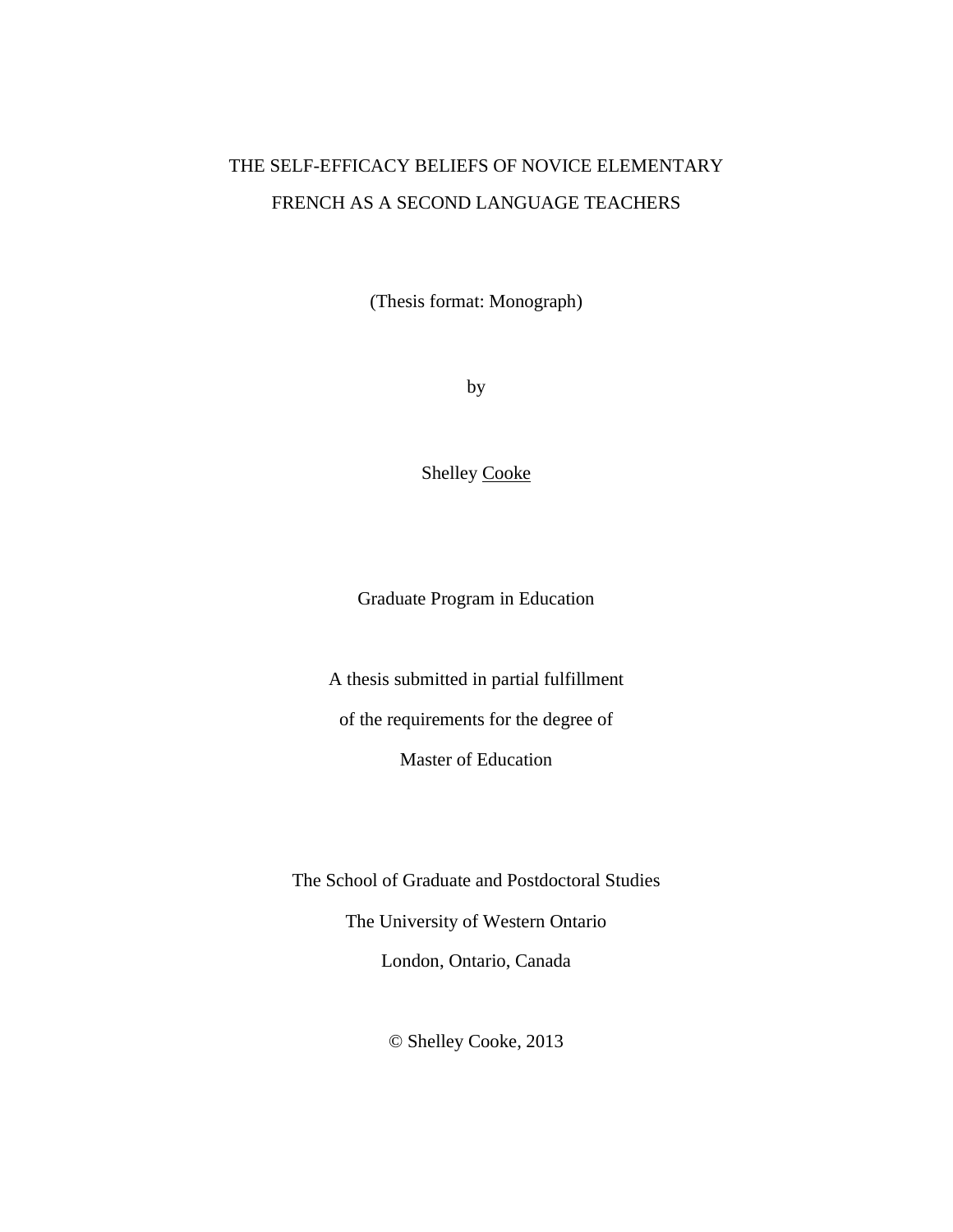## THE SELF-EFFICACY BELIEFS OF NOVICE ELEMENTARY FRENCH AS A SECOND LANGUAGE TEACHERS

(Thesis format: Monograph)

by

Shelley Cooke

Graduate Program in Education

A thesis submitted in partial fulfillment of the requirements for the degree of

Master of Education

The School of Graduate and Postdoctoral Studies The University of Western Ontario London, Ontario, Canada

© Shelley Cooke, 2013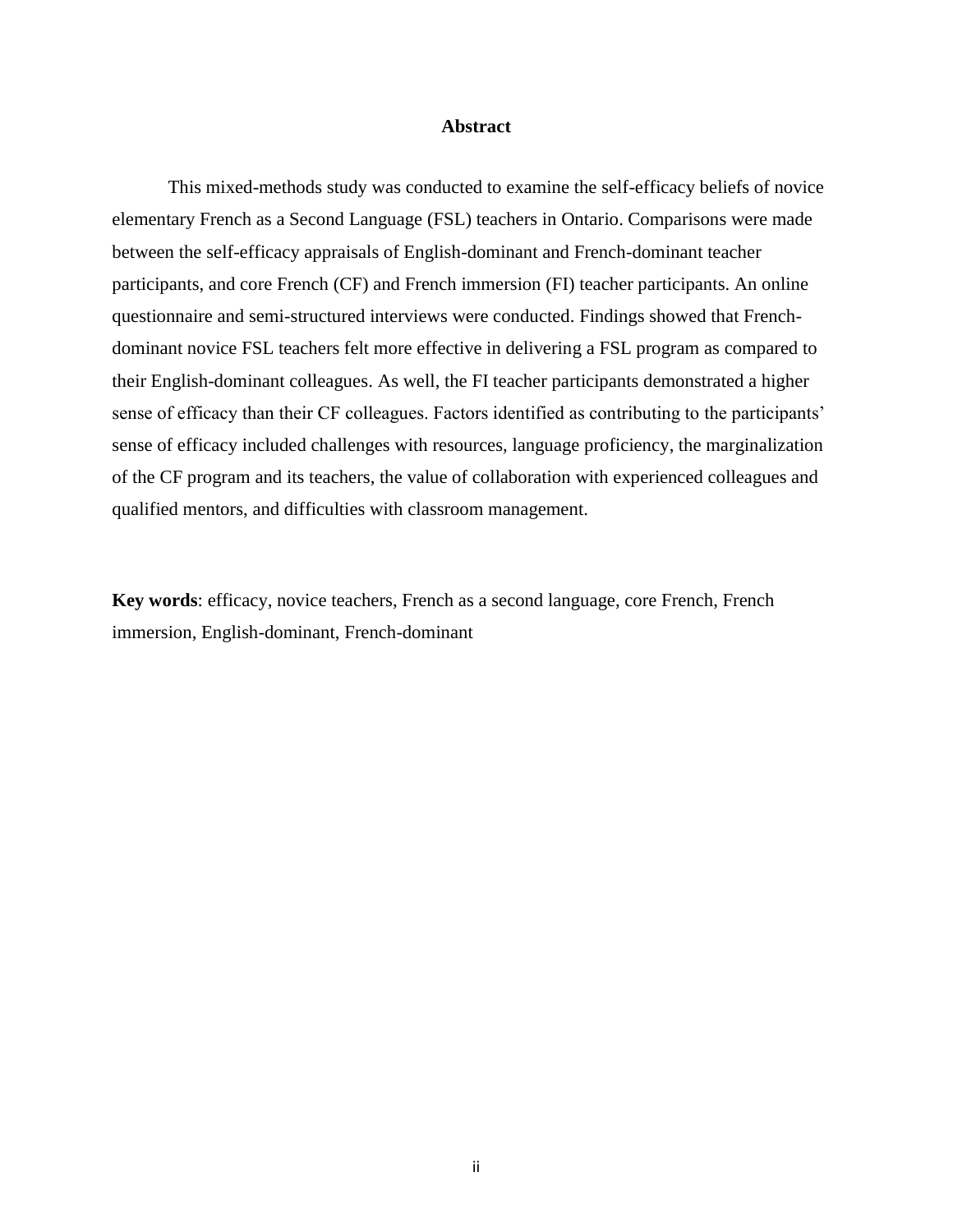#### **Abstract**

<span id="page-2-0"></span>This mixed-methods study was conducted to examine the self-efficacy beliefs of novice elementary French as a Second Language (FSL) teachers in Ontario. Comparisons were made between the self-efficacy appraisals of English-dominant and French-dominant teacher participants, and core French (CF) and French immersion (FI) teacher participants. An online questionnaire and semi-structured interviews were conducted. Findings showed that Frenchdominant novice FSL teachers felt more effective in delivering a FSL program as compared to their English-dominant colleagues. As well, the FI teacher participants demonstrated a higher sense of efficacy than their CF colleagues. Factors identified as contributing to the participants' sense of efficacy included challenges with resources, language proficiency, the marginalization of the CF program and its teachers, the value of collaboration with experienced colleagues and qualified mentors, and difficulties with classroom management.

**Key words**: efficacy, novice teachers, French as a second language, core French, French immersion, English-dominant, French-dominant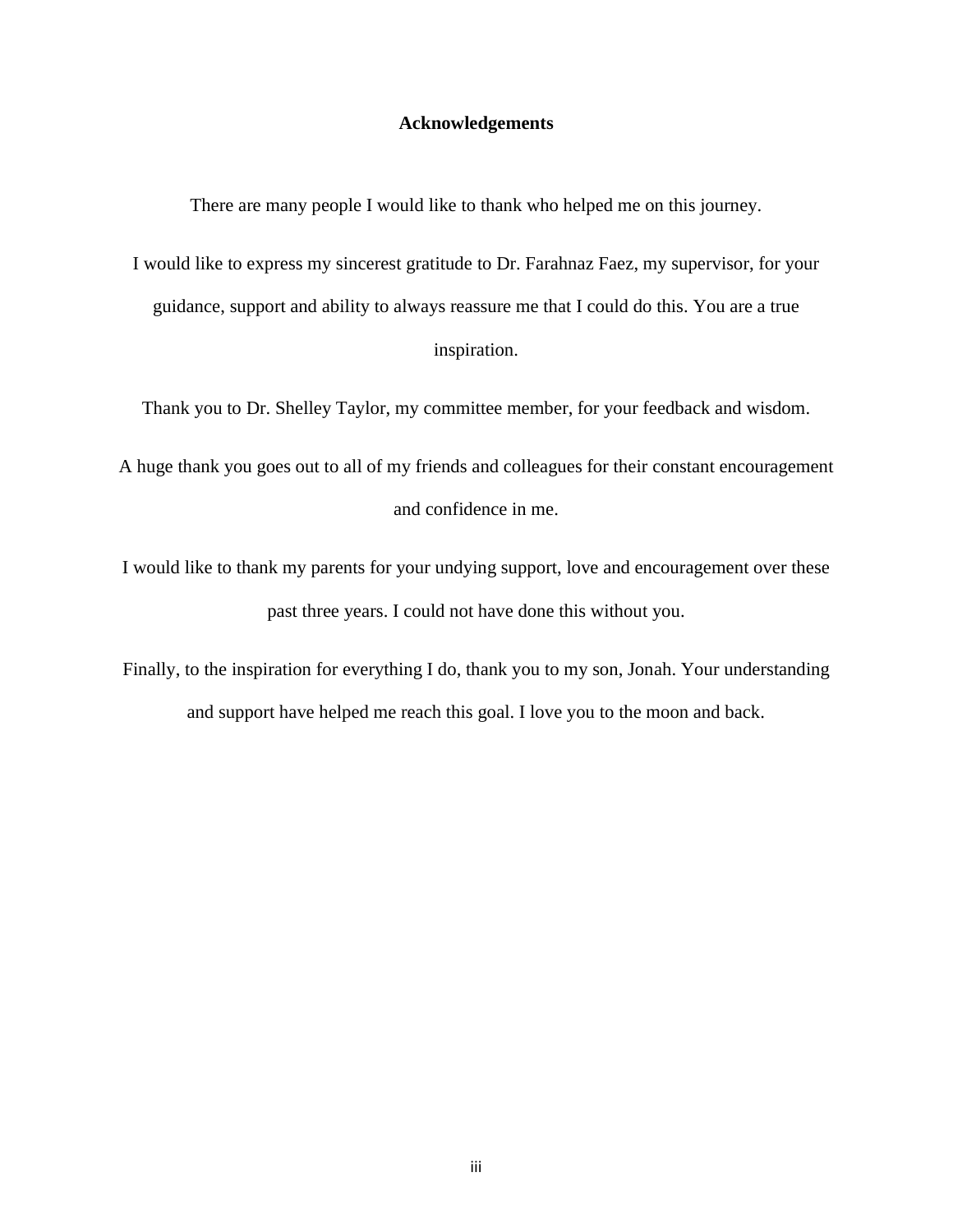#### **Acknowledgements**

<span id="page-3-0"></span>There are many people I would like to thank who helped me on this journey.

I would like to express my sincerest gratitude to Dr. Farahnaz Faez, my supervisor, for your guidance, support and ability to always reassure me that I could do this. You are a true inspiration.

Thank you to Dr. Shelley Taylor, my committee member, for your feedback and wisdom.

A huge thank you goes out to all of my friends and colleagues for their constant encouragement and confidence in me.

I would like to thank my parents for your undying support, love and encouragement over these past three years. I could not have done this without you.

Finally, to the inspiration for everything I do, thank you to my son, Jonah. Your understanding and support have helped me reach this goal. I love you to the moon and back.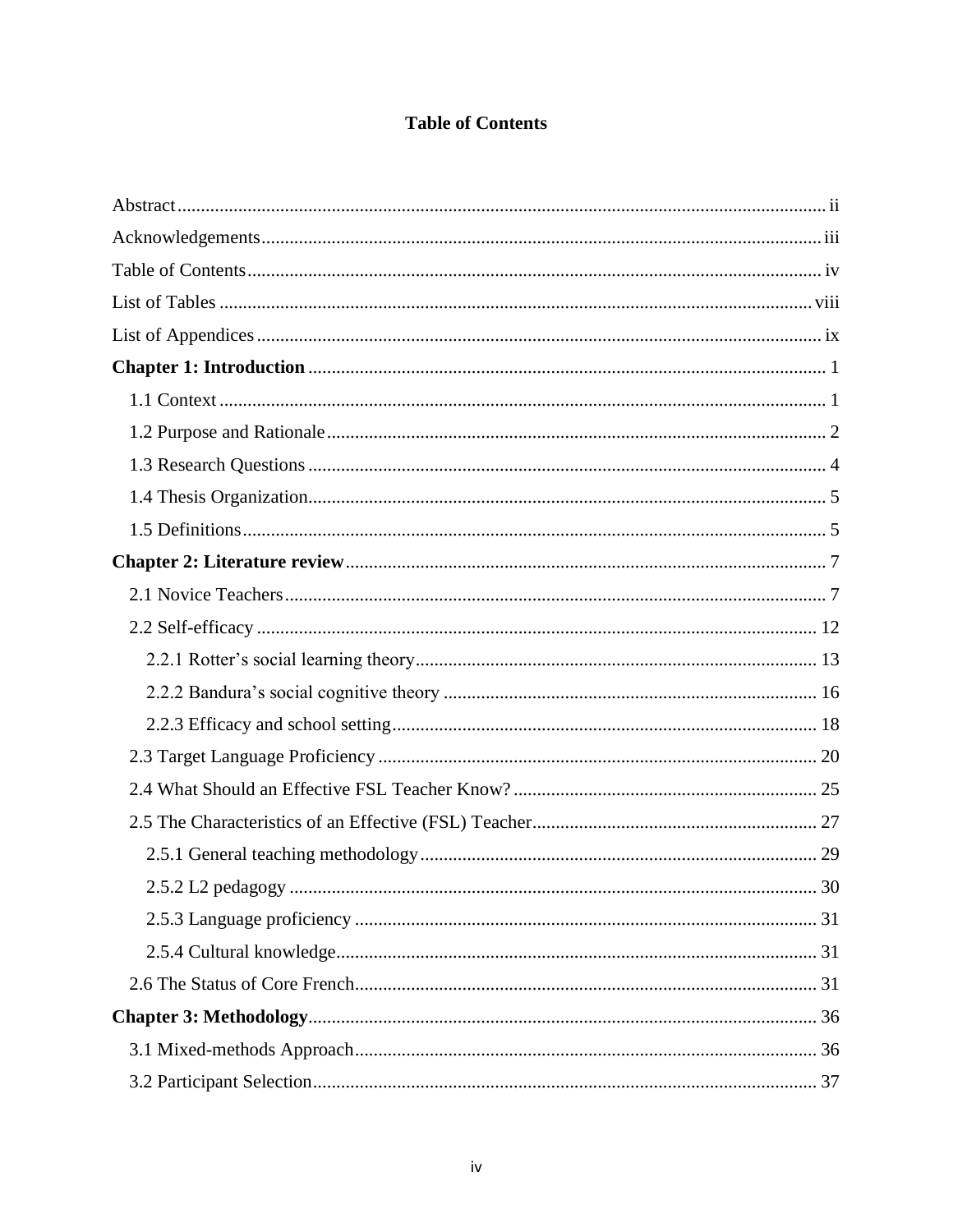### **Table of Contents**

<span id="page-4-0"></span>

| 2.5.2 L2 pedagogy<br>30 |
|-------------------------|
|                         |
|                         |
|                         |
|                         |
|                         |
|                         |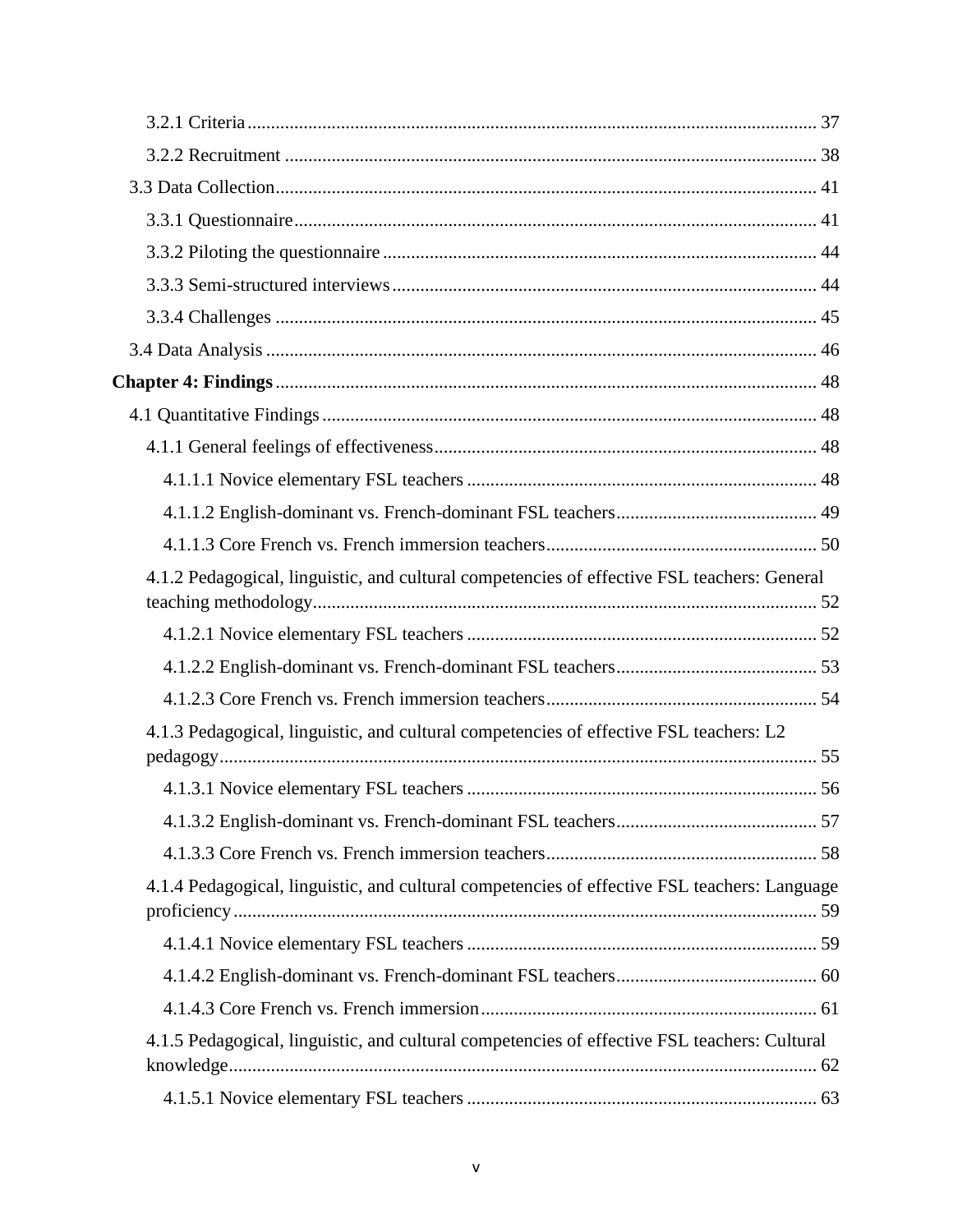| 4.1.2 Pedagogical, linguistic, and cultural competencies of effective FSL teachers: General  |  |
|----------------------------------------------------------------------------------------------|--|
|                                                                                              |  |
|                                                                                              |  |
|                                                                                              |  |
| 4.1.3 Pedagogical, linguistic, and cultural competencies of effective FSL teachers: L2       |  |
|                                                                                              |  |
|                                                                                              |  |
|                                                                                              |  |
| 4.1.4 Pedagogical, linguistic, and cultural competencies of effective FSL teachers: Language |  |
|                                                                                              |  |
|                                                                                              |  |
|                                                                                              |  |
| 4.1.5 Pedagogical, linguistic, and cultural competencies of effective FSL teachers: Cultural |  |
|                                                                                              |  |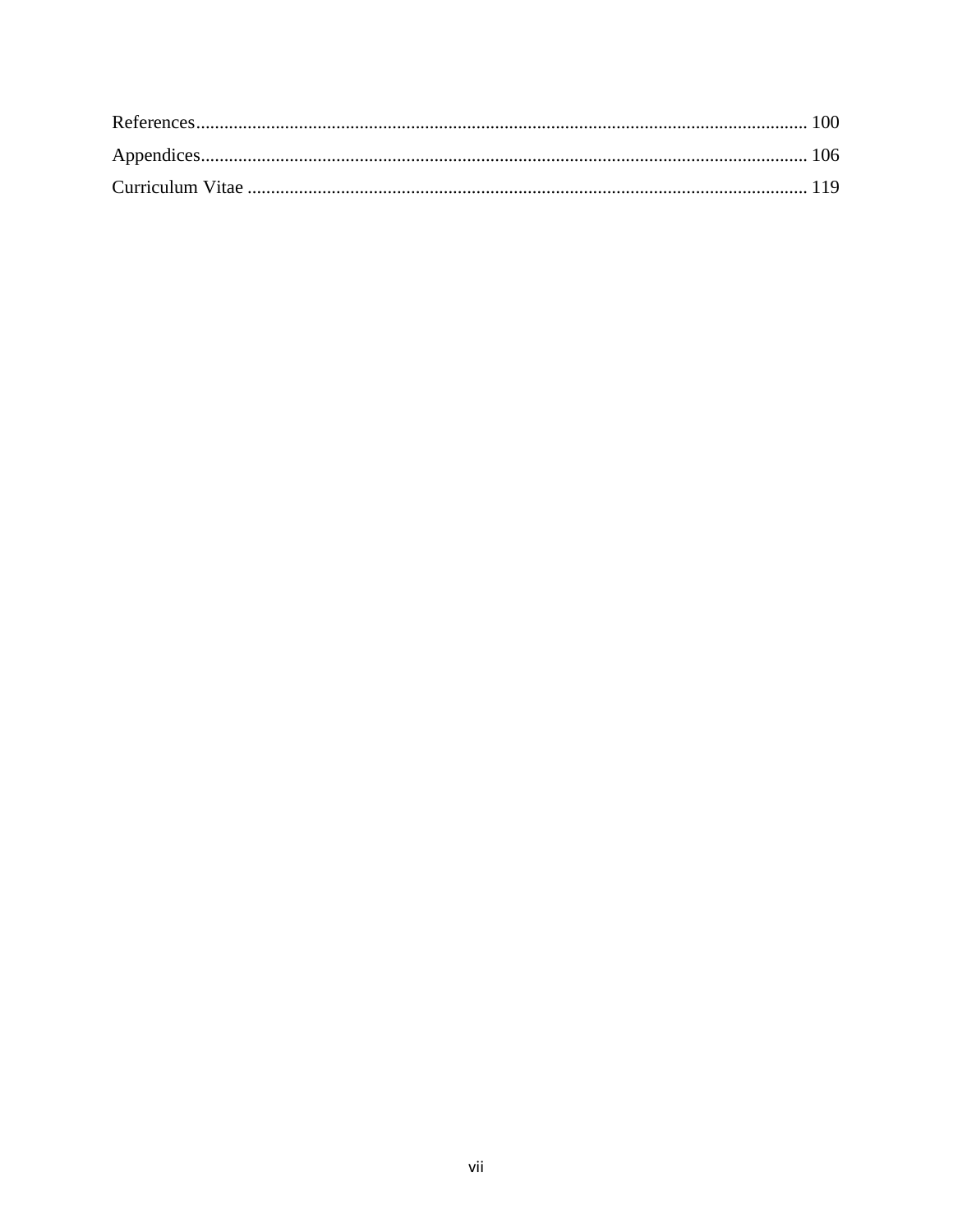<span id="page-7-0"></span>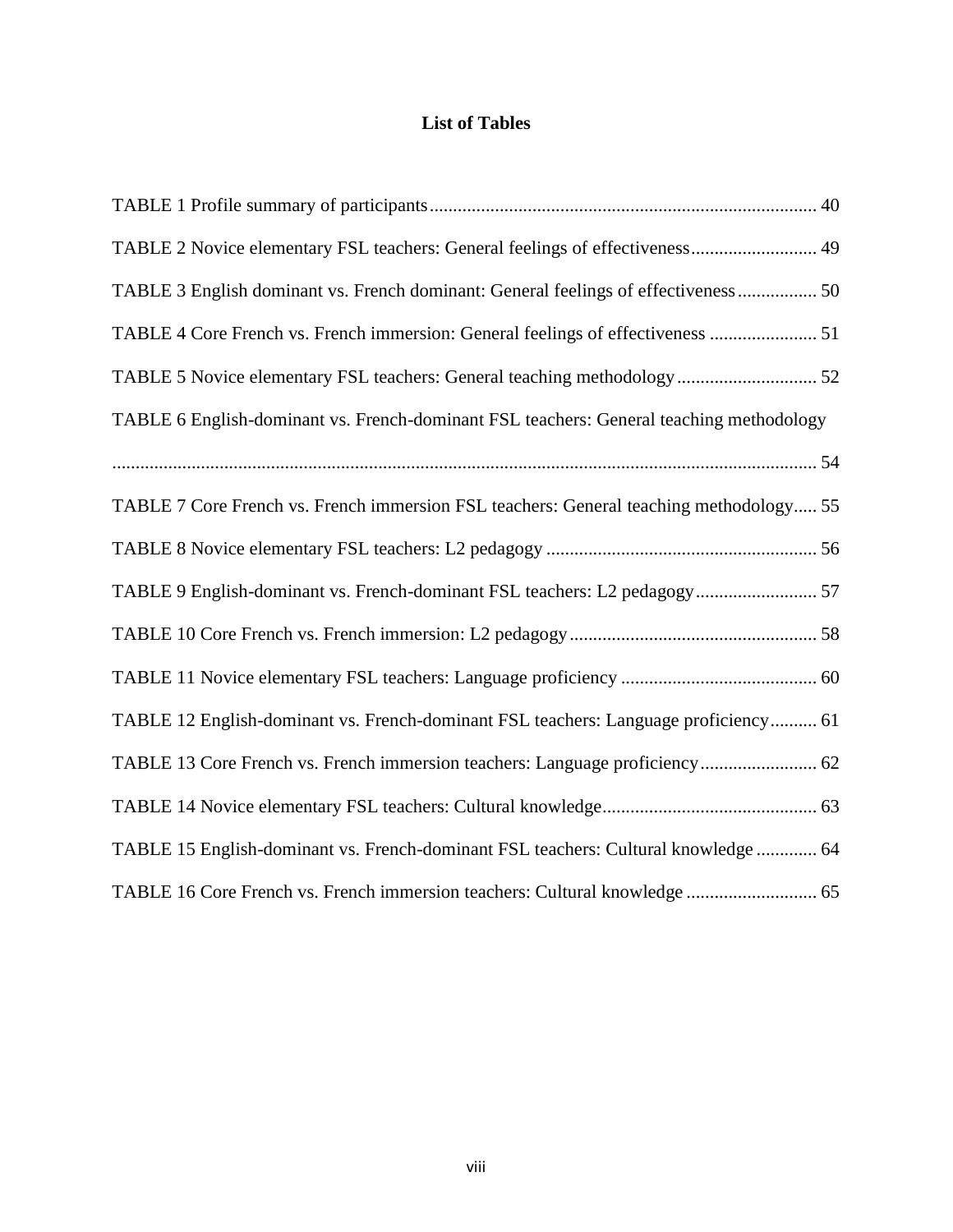### **List of Tables**

| TABLE 2 Novice elementary FSL teachers: General feelings of effectiveness 49            |
|-----------------------------------------------------------------------------------------|
| TABLE 3 English dominant vs. French dominant: General feelings of effectiveness 50      |
| TABLE 4 Core French vs. French immersion: General feelings of effectiveness  51         |
| TABLE 5 Novice elementary FSL teachers: General teaching methodology 52                 |
| TABLE 6 English-dominant vs. French-dominant FSL teachers: General teaching methodology |
|                                                                                         |
| TABLE 7 Core French vs. French immersion FSL teachers: General teaching methodology 55  |
|                                                                                         |
| TABLE 9 English-dominant vs. French-dominant FSL teachers: L2 pedagogy 57               |
|                                                                                         |
|                                                                                         |
| TABLE 12 English-dominant vs. French-dominant FSL teachers: Language proficiency 61     |
| TABLE 13 Core French vs. French immersion teachers: Language proficiency 62             |
|                                                                                         |
| TABLE 15 English-dominant vs. French-dominant FSL teachers: Cultural knowledge  64      |
| TABLE 16 Core French vs. French immersion teachers: Cultural knowledge  65              |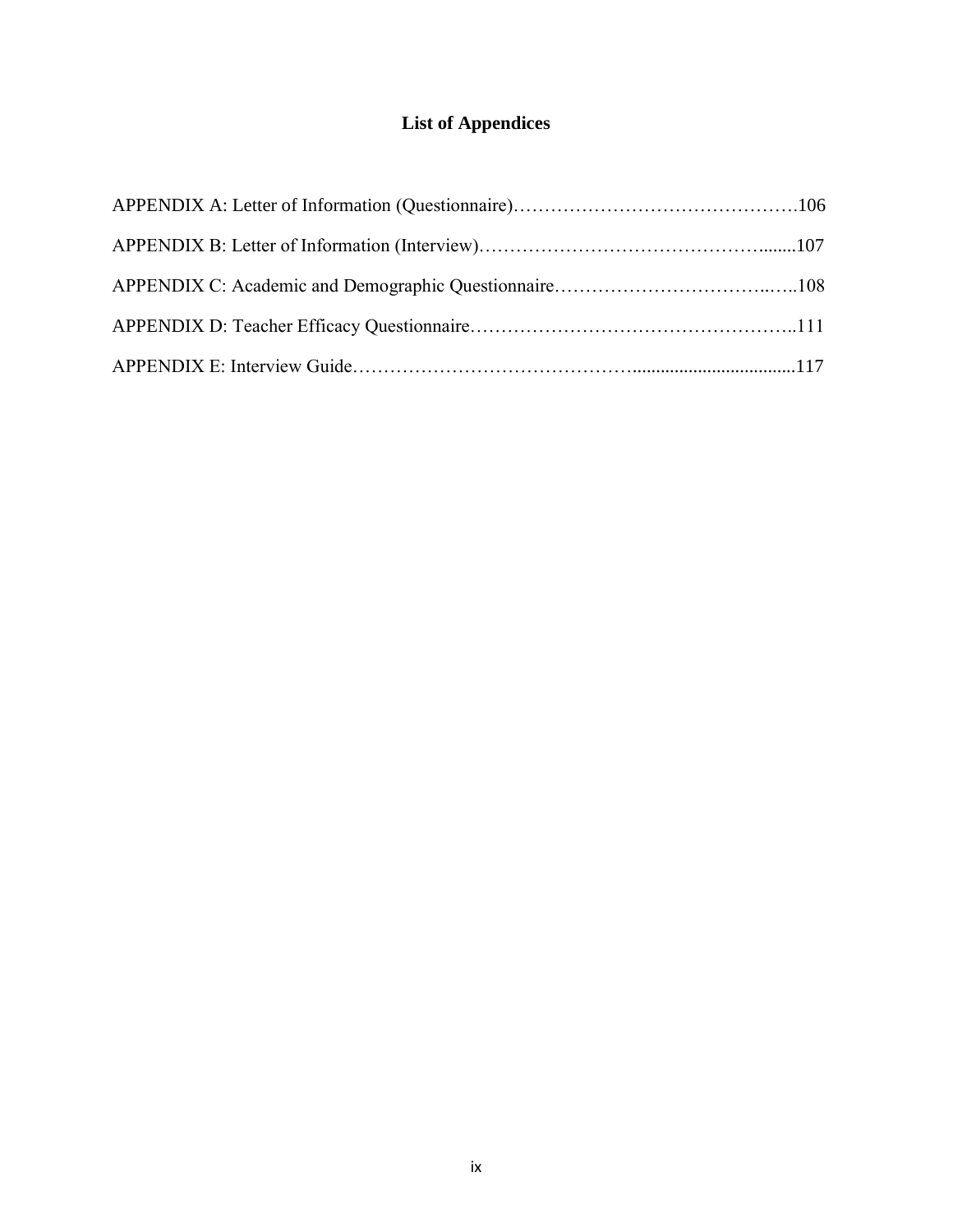## **List of Appendices**

<span id="page-9-0"></span>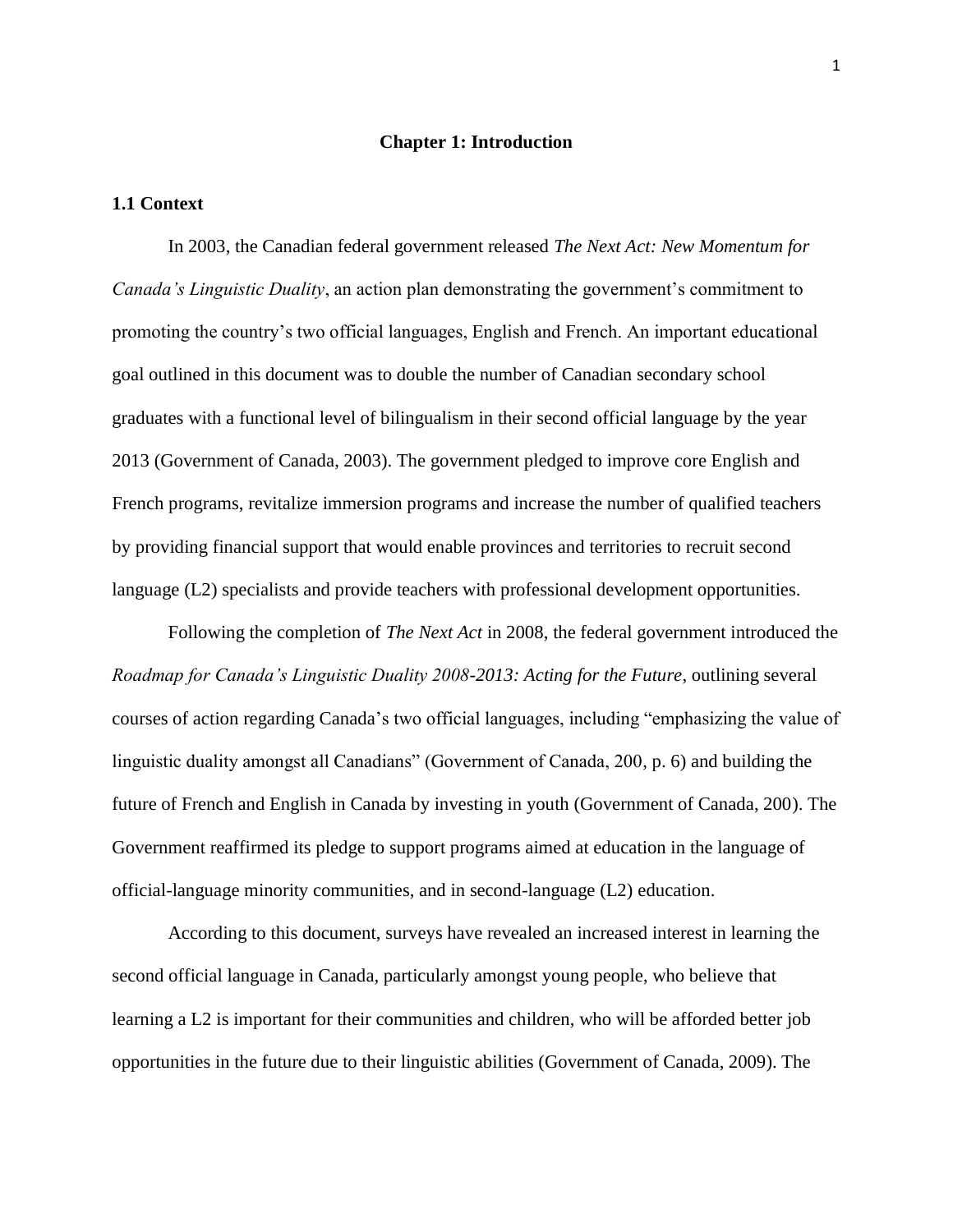#### **Chapter 1: Introduction**

#### <span id="page-10-1"></span><span id="page-10-0"></span>**1.1 Context**

In 2003, the Canadian federal government released *The Next Act: New Momentum for Canada's Linguistic Duality*, an action plan demonstrating the government's commitment to promoting the country"s two official languages, English and French. An important educational goal outlined in this document was to double the number of Canadian secondary school graduates with a functional level of bilingualism in their second official language by the year 2013 (Government of Canada, 2003). The government pledged to improve core English and French programs, revitalize immersion programs and increase the number of qualified teachers by providing financial support that would enable provinces and territories to recruit second language (L2) specialists and provide teachers with professional development opportunities.

Following the completion of *The Next Act* in 2008, the federal government introduced the *Roadmap for Canada's Linguistic Duality 2008-2013: Acting for the Future*, outlining several courses of action regarding Canada"s two official languages, including "emphasizing the value of linguistic duality amongst all Canadians" (Government of Canada, 200, p. 6) and building the future of French and English in Canada by investing in youth (Government of Canada, 200). The Government reaffirmed its pledge to support programs aimed at education in the language of official-language minority communities, and in second-language (L2) education.

According to this document, surveys have revealed an increased interest in learning the second official language in Canada, particularly amongst young people, who believe that learning a L2 is important for their communities and children, who will be afforded better job opportunities in the future due to their linguistic abilities (Government of Canada, 2009). The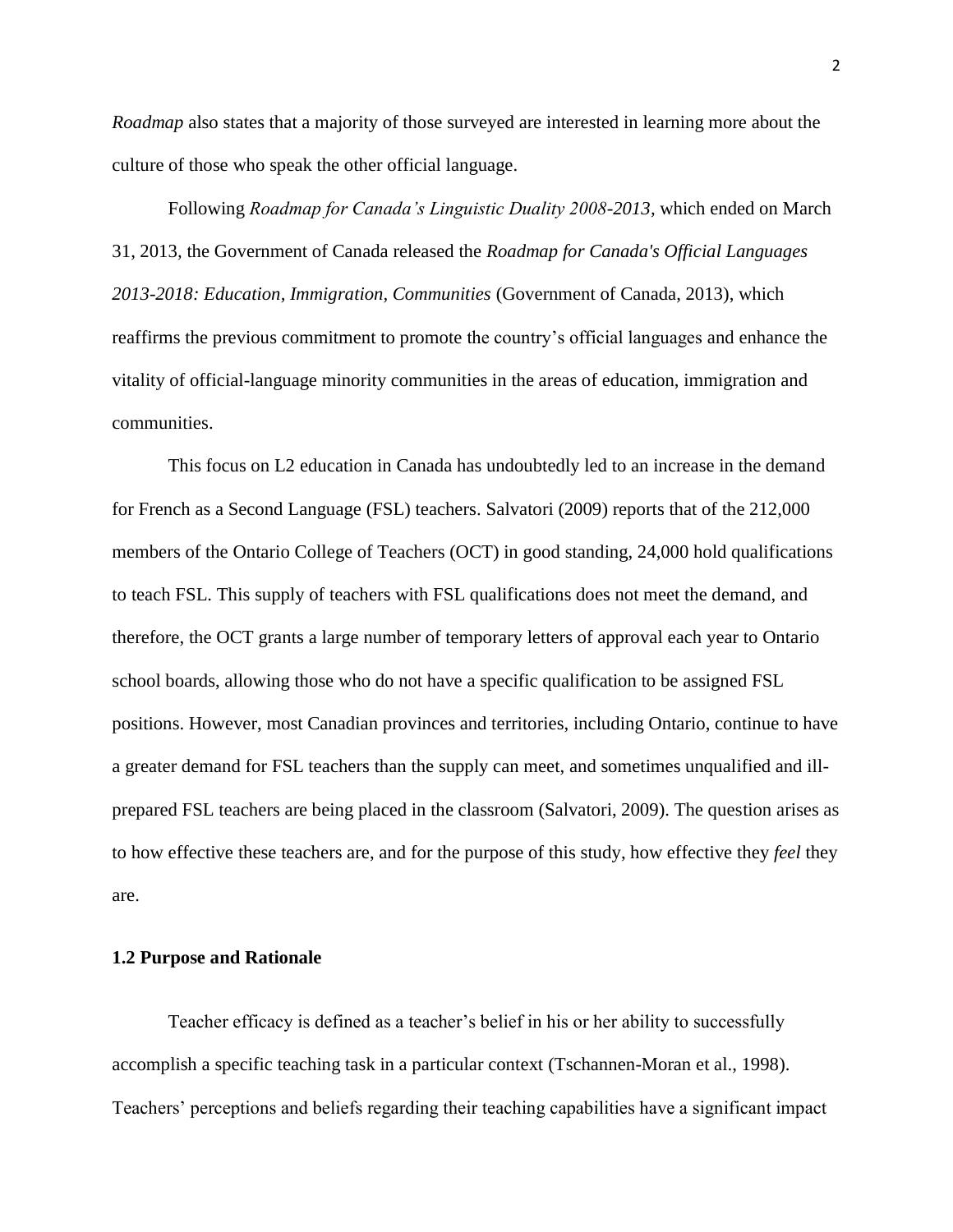*Roadmap* also states that a majority of those surveyed are interested in learning more about the culture of those who speak the other official language.

Following *Roadmap for Canada's Linguistic Duality 2008-2013,* which ended on March 31, 2013*,* the Government of Canada released the *Roadmap for Canada's Official Languages 2013-2018: Education, Immigration, Communities* (Government of Canada, 2013), which reaffirms the previous commitment to promote the country"s official languages and enhance the vitality of official-language minority communities in the areas of education, immigration and communities.

This focus on L2 education in Canada has undoubtedly led to an increase in the demand for French as a Second Language (FSL) teachers. Salvatori (2009) reports that of the 212,000 members of the Ontario College of Teachers (OCT) in good standing, 24,000 hold qualifications to teach FSL. This supply of teachers with FSL qualifications does not meet the demand, and therefore, the OCT grants a large number of temporary letters of approval each year to Ontario school boards, allowing those who do not have a specific qualification to be assigned FSL positions. However, most Canadian provinces and territories, including Ontario, continue to have a greater demand for FSL teachers than the supply can meet, and sometimes unqualified and illprepared FSL teachers are being placed in the classroom (Salvatori, 2009). The question arises as to how effective these teachers are, and for the purpose of this study, how effective they *feel* they are.

#### <span id="page-11-0"></span>**1.2 Purpose and Rationale**

Teacher efficacy is defined as a teacher"s belief in his or her ability to successfully accomplish a specific teaching task in a particular context (Tschannen-Moran et al., 1998). Teachers" perceptions and beliefs regarding their teaching capabilities have a significant impact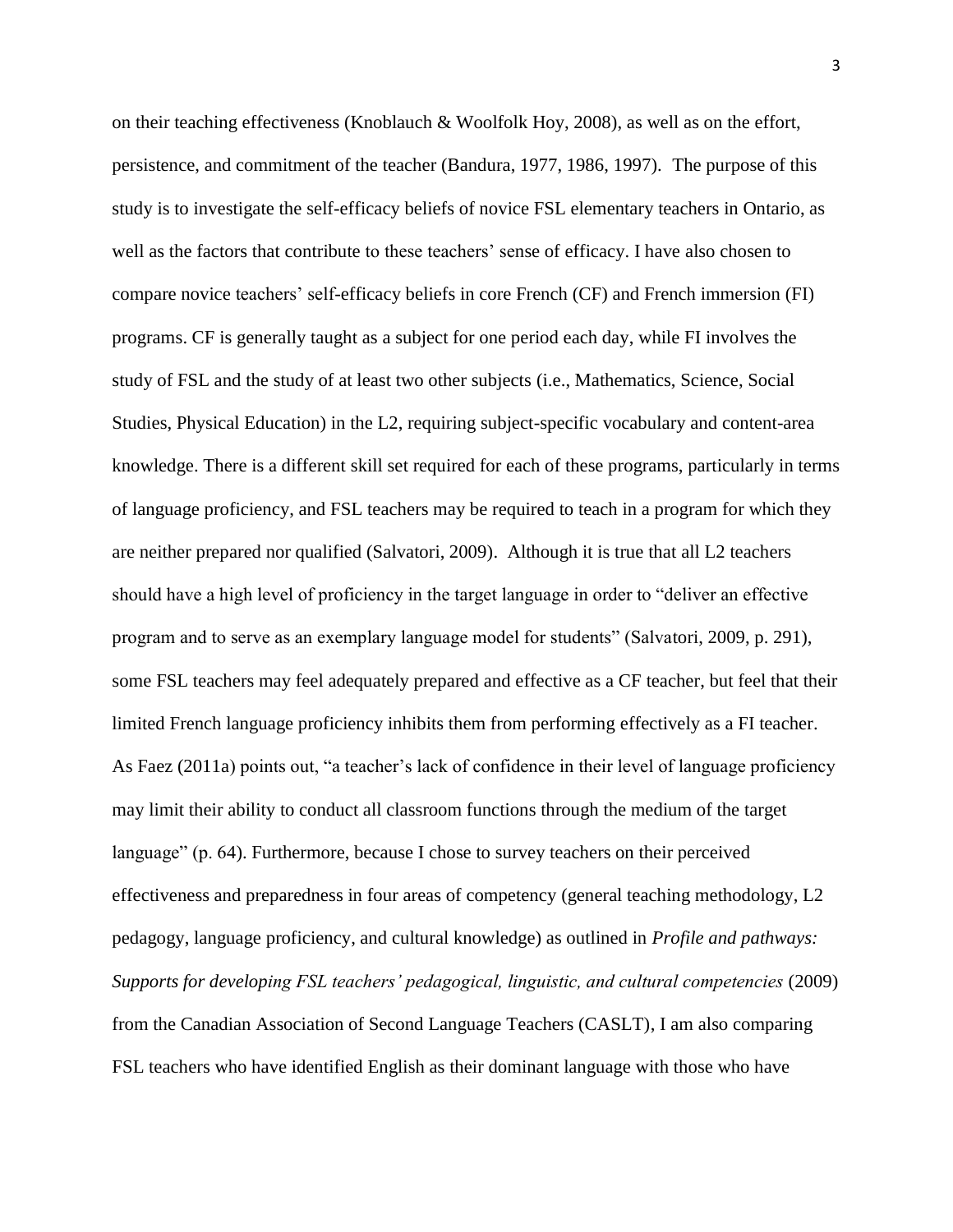on their teaching effectiveness (Knoblauch & Woolfolk Hoy, 2008), as well as on the effort, persistence, and commitment of the teacher (Bandura, 1977, 1986, 1997). The purpose of this study is to investigate the self-efficacy beliefs of novice FSL elementary teachers in Ontario, as well as the factors that contribute to these teachers" sense of efficacy. I have also chosen to compare novice teachers" self-efficacy beliefs in core French (CF) and French immersion (FI) programs. CF is generally taught as a subject for one period each day, while FI involves the study of FSL and the study of at least two other subjects (i.e., Mathematics, Science, Social Studies, Physical Education) in the L2, requiring subject-specific vocabulary and content-area knowledge. There is a different skill set required for each of these programs, particularly in terms of language proficiency, and FSL teachers may be required to teach in a program for which they are neither prepared nor qualified (Salvatori, 2009). Although it is true that all L2 teachers should have a high level of proficiency in the target language in order to "deliver an effective program and to serve as an exemplary language model for students" (Salvatori, 2009, p. 291), some FSL teachers may feel adequately prepared and effective as a CF teacher, but feel that their limited French language proficiency inhibits them from performing effectively as a FI teacher. As Faez (2011a) points out, "a teacher's lack of confidence in their level of language proficiency may limit their ability to conduct all classroom functions through the medium of the target language" (p. 64). Furthermore, because I chose to survey teachers on their perceived effectiveness and preparedness in four areas of competency (general teaching methodology, L2 pedagogy, language proficiency, and cultural knowledge) as outlined in *Profile and pathways: Supports for developing FSL teachers' pedagogical, linguistic, and cultural competencies* (2009) from the Canadian Association of Second Language Teachers (CASLT), I am also comparing FSL teachers who have identified English as their dominant language with those who have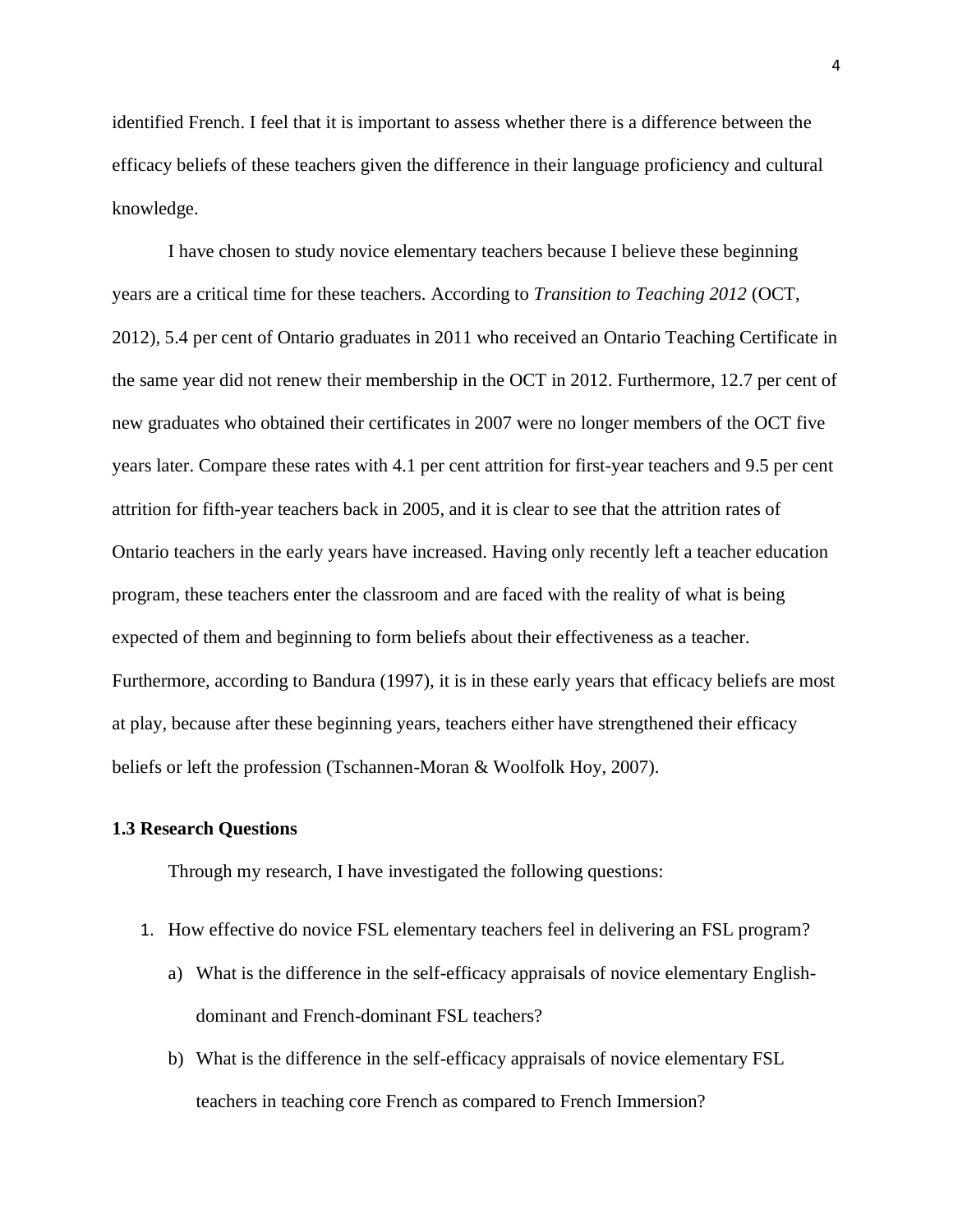identified French. I feel that it is important to assess whether there is a difference between the efficacy beliefs of these teachers given the difference in their language proficiency and cultural knowledge.

I have chosen to study novice elementary teachers because I believe these beginning years are a critical time for these teachers. According to *Transition to Teaching 2012* (OCT, 2012), 5.4 per cent of Ontario graduates in 2011 who received an Ontario Teaching Certificate in the same year did not renew their membership in the OCT in 2012. Furthermore, 12.7 per cent of new graduates who obtained their certificates in 2007 were no longer members of the OCT five years later. Compare these rates with 4.1 per cent attrition for first-year teachers and 9.5 per cent attrition for fifth-year teachers back in 2005, and it is clear to see that the attrition rates of Ontario teachers in the early years have increased. Having only recently left a teacher education program, these teachers enter the classroom and are faced with the reality of what is being expected of them and beginning to form beliefs about their effectiveness as a teacher. Furthermore, according to Bandura (1997), it is in these early years that efficacy beliefs are most at play, because after these beginning years, teachers either have strengthened their efficacy beliefs or left the profession (Tschannen-Moran & Woolfolk Hoy, 2007).

#### <span id="page-13-0"></span>**1.3 Research Questions**

Through my research, I have investigated the following questions:

- 1. How effective do novice FSL elementary teachers feel in delivering an FSL program?
	- a) What is the difference in the self-efficacy appraisals of novice elementary Englishdominant and French-dominant FSL teachers?
	- b) What is the difference in the self-efficacy appraisals of novice elementary FSL teachers in teaching core French as compared to French Immersion?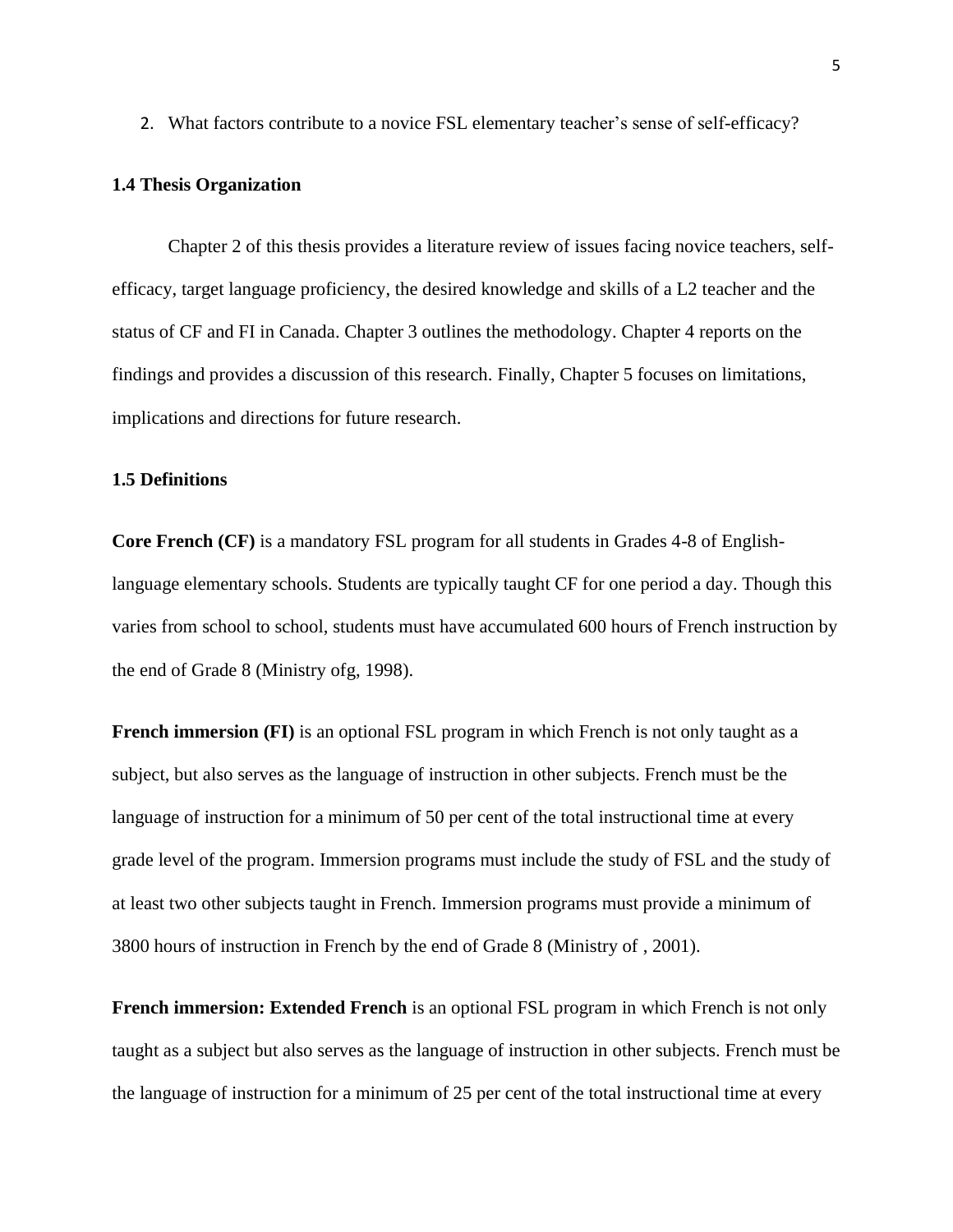2. What factors contribute to a novice FSL elementary teacher"s sense of self-efficacy?

#### <span id="page-14-0"></span>**1.4 Thesis Organization**

Chapter 2 of this thesis provides a literature review of issues facing novice teachers, selfefficacy, target language proficiency, the desired knowledge and skills of a L2 teacher and the status of CF and FI in Canada. Chapter 3 outlines the methodology. Chapter 4 reports on the findings and provides a discussion of this research. Finally, Chapter 5 focuses on limitations, implications and directions for future research.

#### <span id="page-14-1"></span>**1.5 Definitions**

**Core French (CF)** is a mandatory FSL program for all students in Grades 4-8 of Englishlanguage elementary schools. Students are typically taught CF for one period a day. Though this varies from school to school, students must have accumulated 600 hours of French instruction by the end of Grade 8 (Ministry ofg, 1998).

**French immersion (FI)** is an optional FSL program in which French is not only taught as a subject, but also serves as the language of instruction in other subjects. French must be the language of instruction for a minimum of 50 per cent of the total instructional time at every grade level of the program. Immersion programs must include the study of FSL and the study of at least two other subjects taught in French. Immersion programs must provide a minimum of 3800 hours of instruction in French by the end of Grade 8 (Ministry of , 2001).

**French immersion: Extended French** is an optional FSL program in which French is not only taught as a subject but also serves as the language of instruction in other subjects. French must be the language of instruction for a minimum of 25 per cent of the total instructional time at every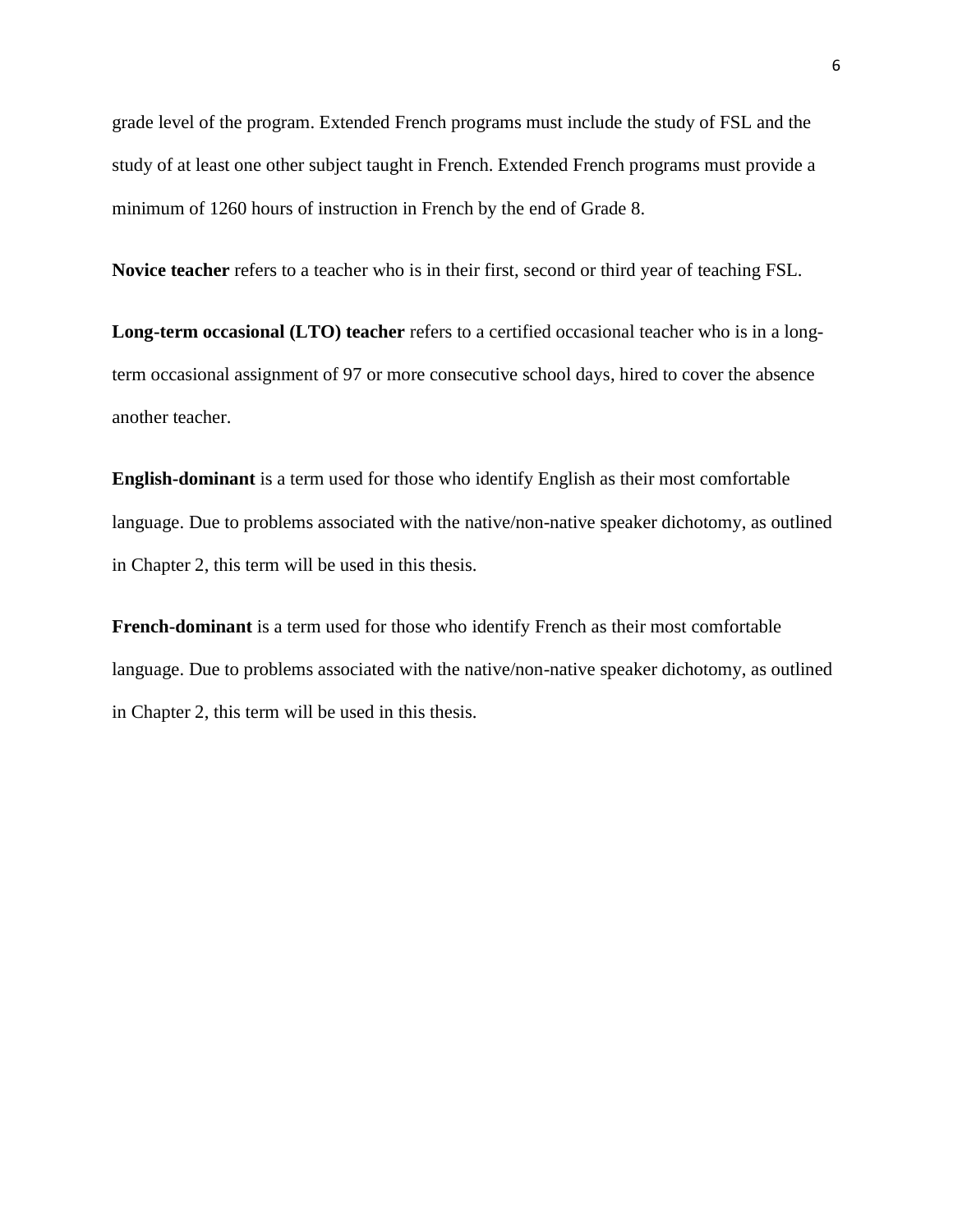grade level of the program. Extended French programs must include the study of FSL and the study of at least one other subject taught in French. Extended French programs must provide a minimum of 1260 hours of instruction in French by the end of Grade 8.

**Novice teacher** refers to a teacher who is in their first, second or third year of teaching FSL.

**Long-term occasional (LTO) teacher** refers to a certified occasional teacher who is in a longterm occasional assignment of 97 or more consecutive school days, hired to cover the absence another teacher.

**English-dominant** is a term used for those who identify English as their most comfortable language. Due to problems associated with the native/non-native speaker dichotomy, as outlined in Chapter 2, this term will be used in this thesis.

<span id="page-15-0"></span>**French-dominant** is a term used for those who identify French as their most comfortable language. Due to problems associated with the native/non-native speaker dichotomy, as outlined in Chapter 2, this term will be used in this thesis.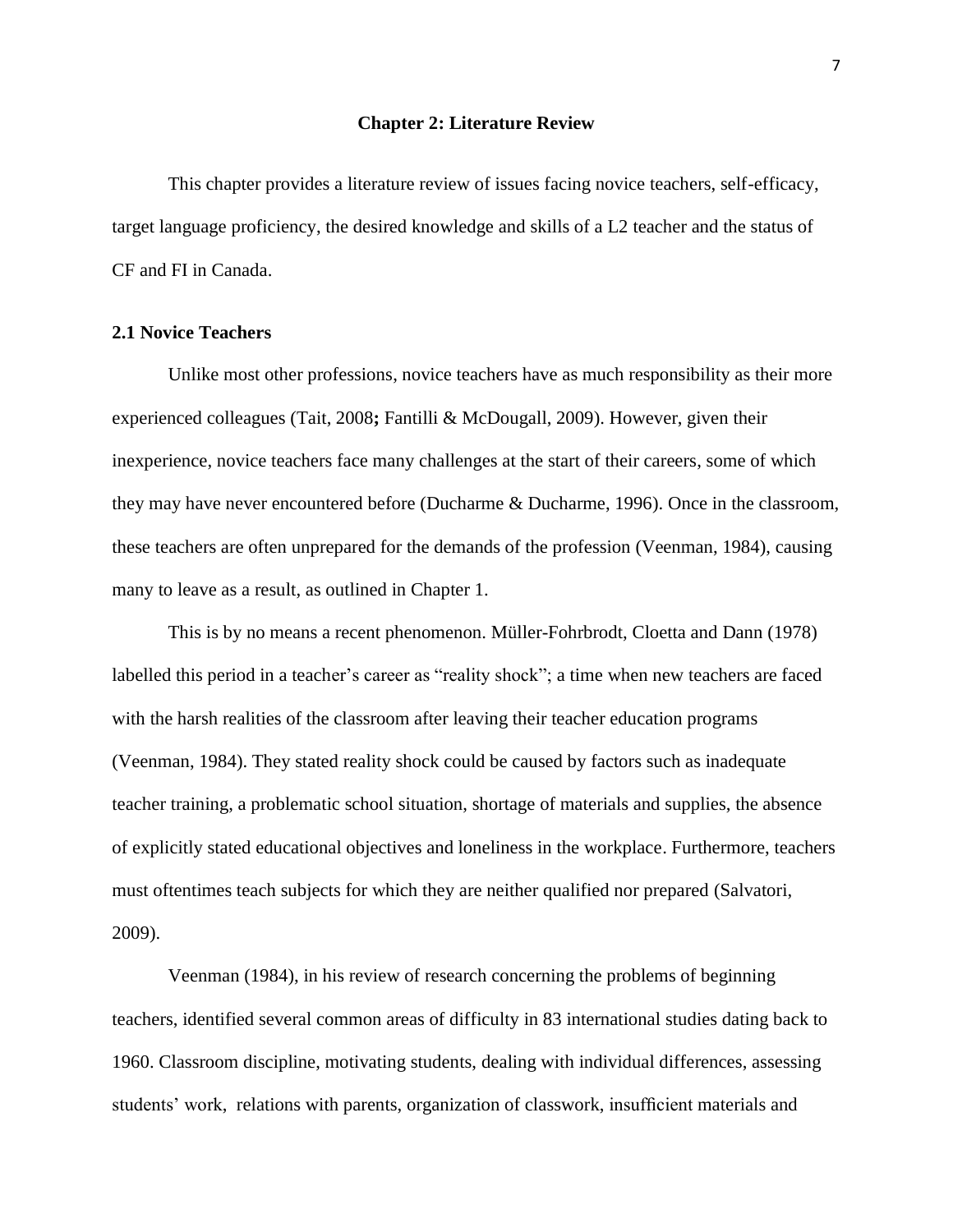#### **Chapter 2: Literature Review**

This chapter provides a literature review of issues facing novice teachers, self-efficacy, target language proficiency, the desired knowledge and skills of a L2 teacher and the status of CF and FI in Canada.

#### <span id="page-16-0"></span>**2.1 Novice Teachers**

Unlike most other professions, novice teachers have as much responsibility as their more experienced colleagues (Tait, 2008**;** Fantilli & McDougall, 2009). However, given their inexperience, novice teachers face many challenges at the start of their careers, some of which they may have never encountered before (Ducharme & Ducharme, 1996). Once in the classroom, these teachers are often unprepared for the demands of the profession (Veenman, 1984), causing many to leave as a result, as outlined in Chapter 1.

This is by no means a recent phenomenon. Müller-Fohrbrodt, Cloetta and Dann (1978) labelled this period in a teacher's career as "reality shock"; a time when new teachers are faced with the harsh realities of the classroom after leaving their teacher education programs (Veenman, 1984). They stated reality shock could be caused by factors such as inadequate teacher training, a problematic school situation, shortage of materials and supplies, the absence of explicitly stated educational objectives and loneliness in the workplace. Furthermore, teachers must oftentimes teach subjects for which they are neither qualified nor prepared (Salvatori, 2009).

Veenman (1984), in his review of research concerning the problems of beginning teachers, identified several common areas of difficulty in 83 international studies dating back to 1960. Classroom discipline, motivating students, dealing with individual differences, assessing students" work, relations with parents, organization of classwork, insufficient materials and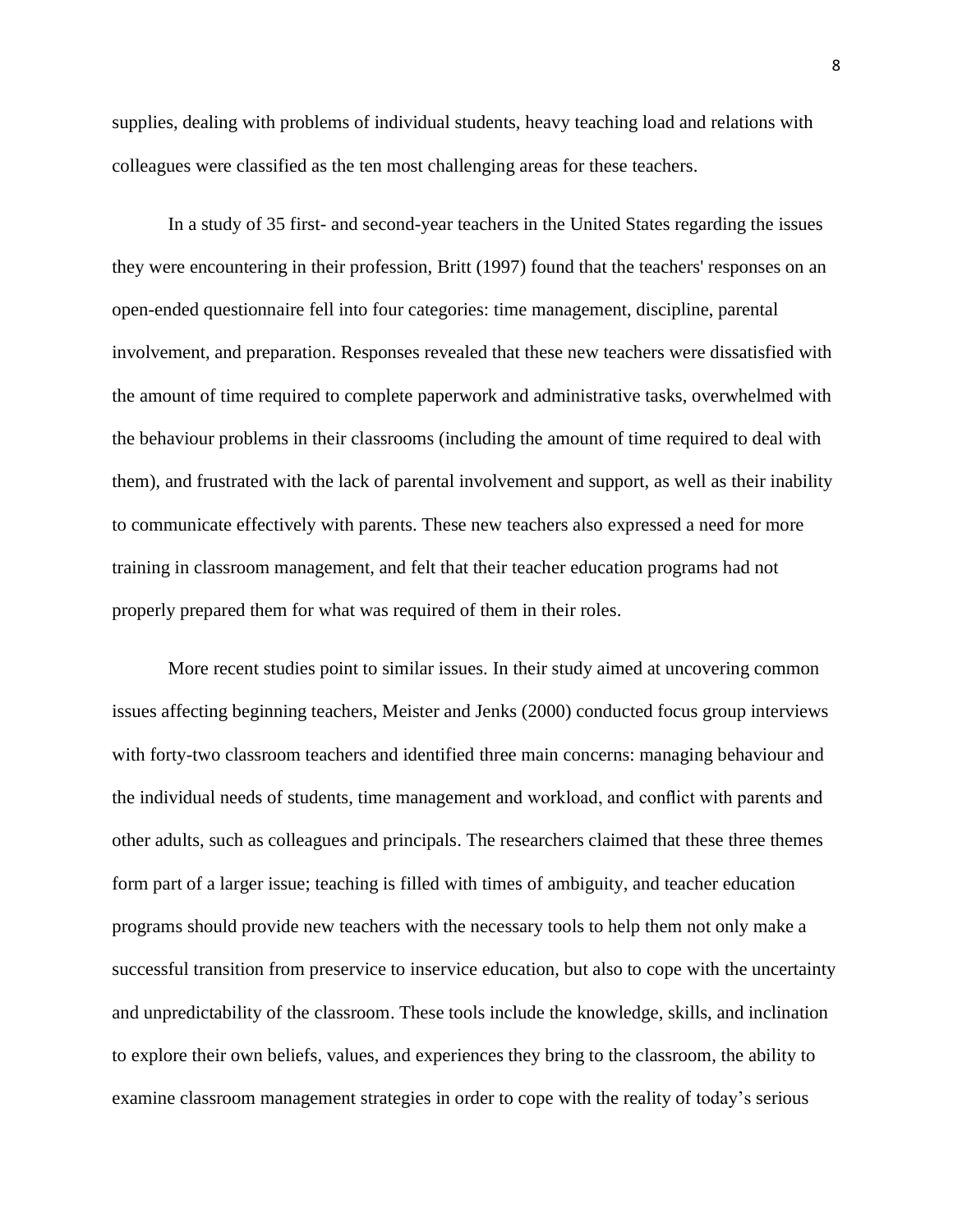supplies, dealing with problems of individual students, heavy teaching load and relations with colleagues were classified as the ten most challenging areas for these teachers.

In a study of 35 first- and second-year teachers in the United States regarding the issues they were encountering in their profession, Britt (1997) found that the teachers' responses on an open-ended questionnaire fell into four categories: time management, discipline, parental involvement, and preparation. Responses revealed that these new teachers were dissatisfied with the amount of time required to complete paperwork and administrative tasks, overwhelmed with the behaviour problems in their classrooms (including the amount of time required to deal with them), and frustrated with the lack of parental involvement and support, as well as their inability to communicate effectively with parents. These new teachers also expressed a need for more training in classroom management, and felt that their teacher education programs had not properly prepared them for what was required of them in their roles.

More recent studies point to similar issues. In their study aimed at uncovering common issues affecting beginning teachers, Meister and Jenks (2000) conducted focus group interviews with forty-two classroom teachers and identified three main concerns: managing behaviour and the individual needs of students, time management and workload, and conflict with parents and other adults, such as colleagues and principals. The researchers claimed that these three themes form part of a larger issue; teaching is filled with times of ambiguity, and teacher education programs should provide new teachers with the necessary tools to help them not only make a successful transition from preservice to inservice education, but also to cope with the uncertainty and unpredictability of the classroom. These tools include the knowledge, skills, and inclination to explore their own beliefs, values, and experiences they bring to the classroom, the ability to examine classroom management strategies in order to cope with the reality of today"s serious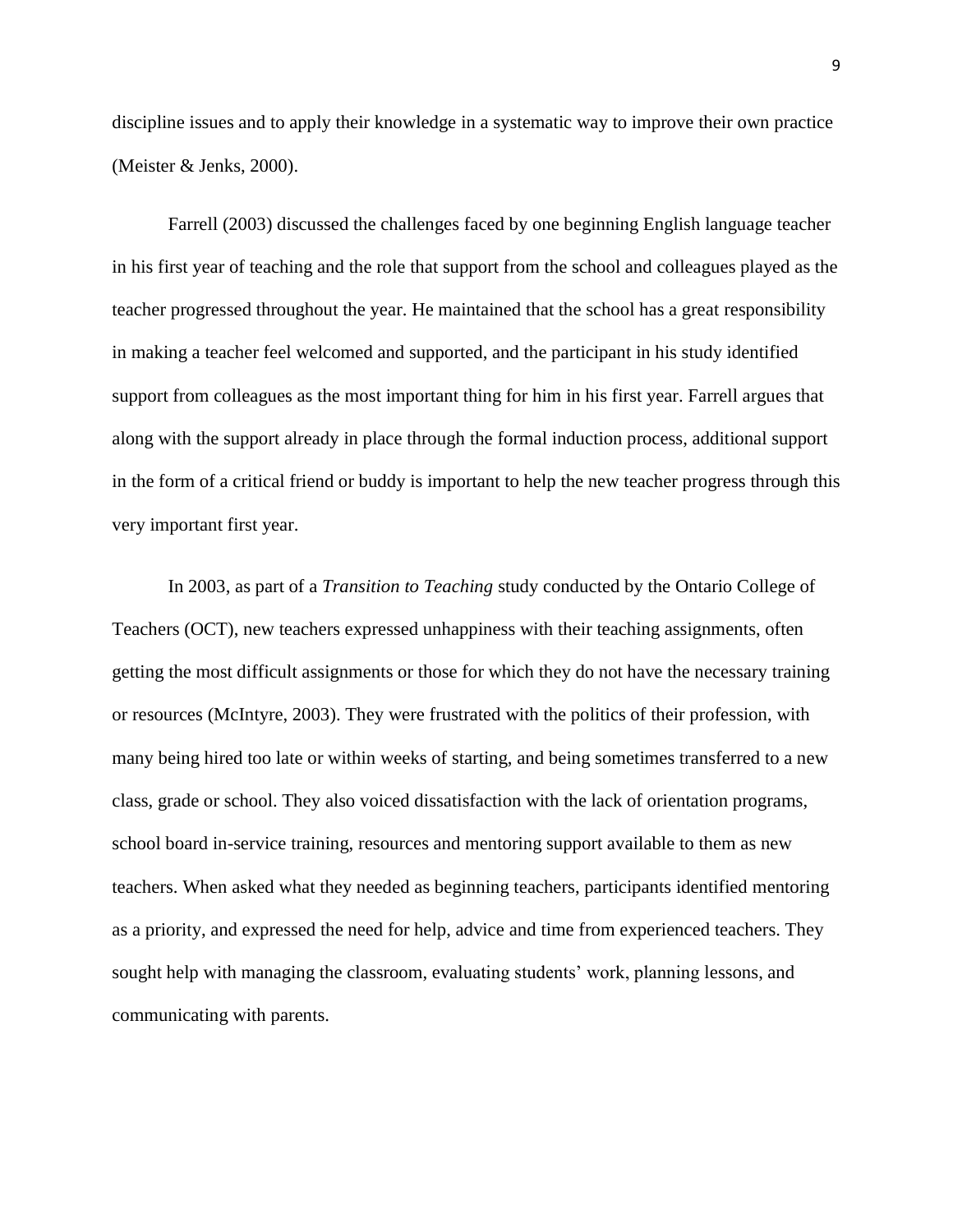discipline issues and to apply their knowledge in a systematic way to improve their own practice (Meister & Jenks, 2000).

Farrell (2003) discussed the challenges faced by one beginning English language teacher in his first year of teaching and the role that support from the school and colleagues played as the teacher progressed throughout the year. He maintained that the school has a great responsibility in making a teacher feel welcomed and supported, and the participant in his study identified support from colleagues as the most important thing for him in his first year. Farrell argues that along with the support already in place through the formal induction process, additional support in the form of a critical friend or buddy is important to help the new teacher progress through this very important first year.

In 2003, as part of a *Transition to Teaching* study conducted by the Ontario College of Teachers (OCT), new teachers expressed unhappiness with their teaching assignments, often getting the most difficult assignments or those for which they do not have the necessary training or resources (McIntyre, 2003). They were frustrated with the politics of their profession, with many being hired too late or within weeks of starting, and being sometimes transferred to a new class, grade or school. They also voiced dissatisfaction with the lack of orientation programs, school board in-service training, resources and mentoring support available to them as new teachers. When asked what they needed as beginning teachers, participants identified mentoring as a priority, and expressed the need for help, advice and time from experienced teachers. They sought help with managing the classroom, evaluating students" work, planning lessons, and communicating with parents.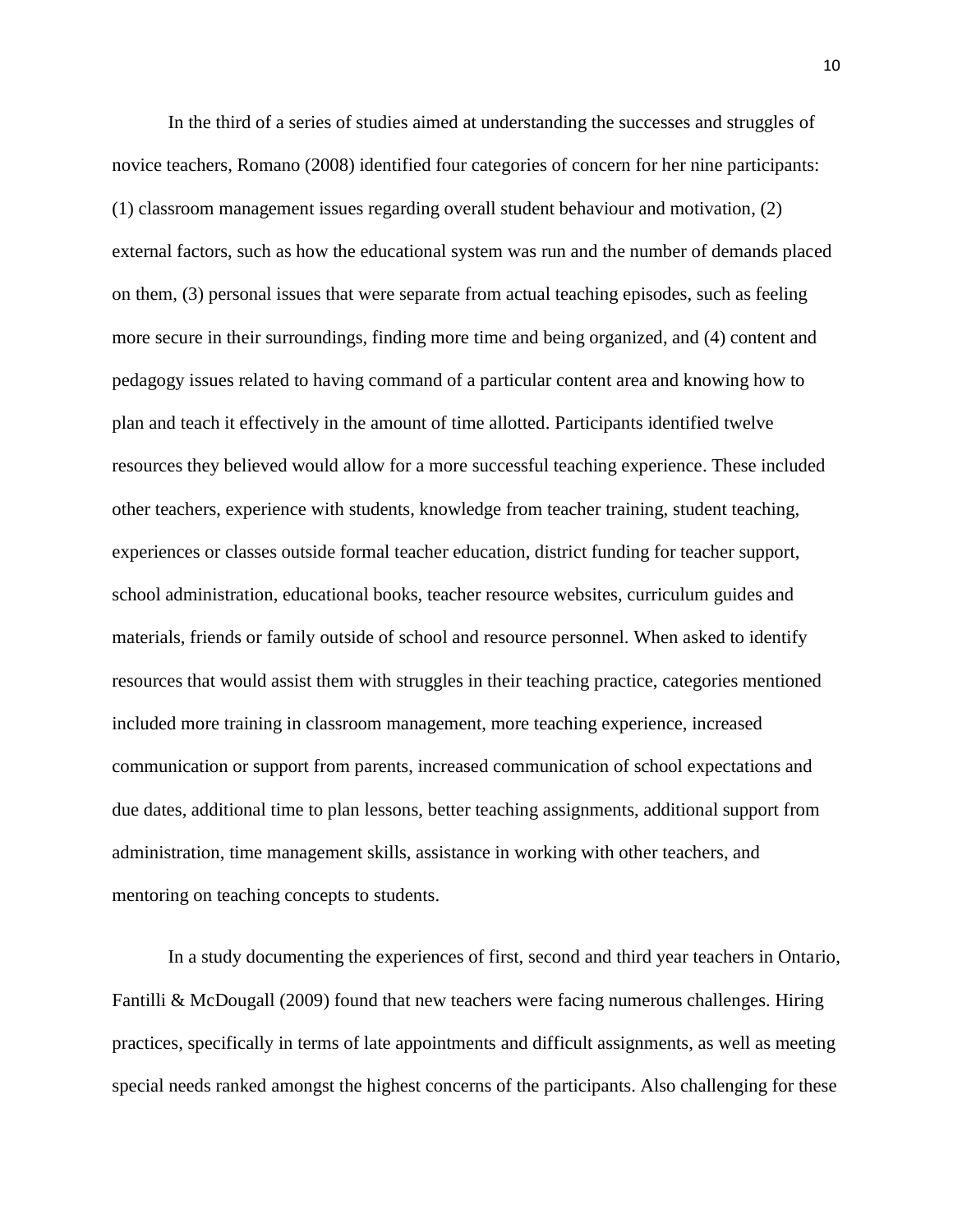In the third of a series of studies aimed at understanding the successes and struggles of novice teachers, Romano (2008) identified four categories of concern for her nine participants: (1) classroom management issues regarding overall student behaviour and motivation, (2) external factors, such as how the educational system was run and the number of demands placed on them, (3) personal issues that were separate from actual teaching episodes, such as feeling more secure in their surroundings, finding more time and being organized, and (4) content and pedagogy issues related to having command of a particular content area and knowing how to plan and teach it effectively in the amount of time allotted. Participants identified twelve resources they believed would allow for a more successful teaching experience. These included other teachers, experience with students, knowledge from teacher training, student teaching, experiences or classes outside formal teacher education, district funding for teacher support, school administration, educational books, teacher resource websites, curriculum guides and materials, friends or family outside of school and resource personnel. When asked to identify resources that would assist them with struggles in their teaching practice, categories mentioned included more training in classroom management, more teaching experience, increased communication or support from parents, increased communication of school expectations and due dates, additional time to plan lessons, better teaching assignments, additional support from administration, time management skills, assistance in working with other teachers, and mentoring on teaching concepts to students.

In a study documenting the experiences of first, second and third year teachers in Ontario, Fantilli & McDougall (2009) found that new teachers were facing numerous challenges. Hiring practices, specifically in terms of late appointments and difficult assignments, as well as meeting special needs ranked amongst the highest concerns of the participants. Also challenging for these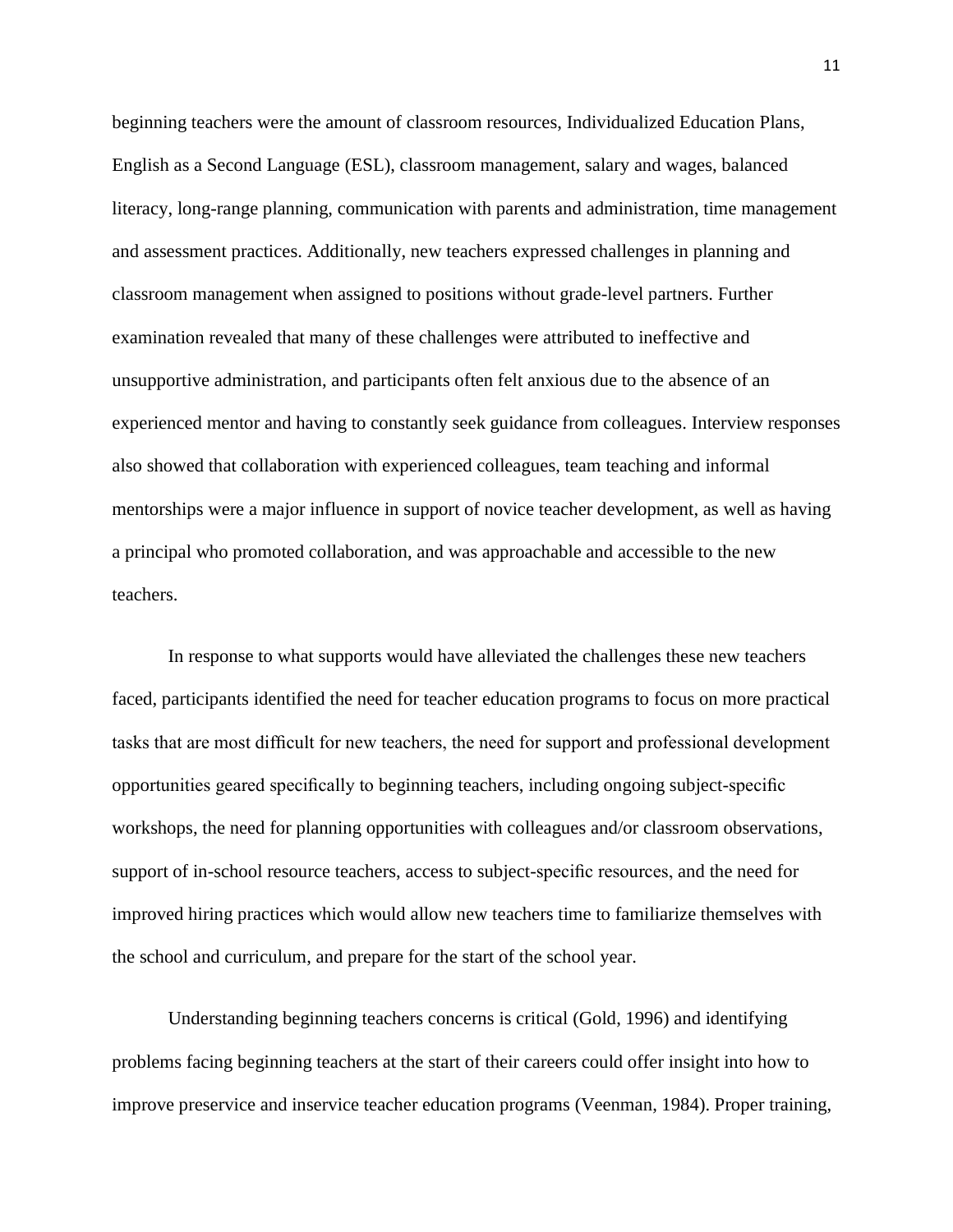beginning teachers were the amount of classroom resources, Individualized Education Plans, English as a Second Language (ESL), classroom management, salary and wages, balanced literacy, long-range planning, communication with parents and administration, time management and assessment practices. Additionally, new teachers expressed challenges in planning and classroom management when assigned to positions without grade-level partners. Further examination revealed that many of these challenges were attributed to ineffective and unsupportive administration, and participants often felt anxious due to the absence of an experienced mentor and having to constantly seek guidance from colleagues. Interview responses also showed that collaboration with experienced colleagues, team teaching and informal mentorships were a major influence in support of novice teacher development, as well as having a principal who promoted collaboration, and was approachable and accessible to the new teachers.

In response to what supports would have alleviated the challenges these new teachers faced, participants identified the need for teacher education programs to focus on more practical tasks that are most difficult for new teachers, the need for support and professional development opportunities geared specifically to beginning teachers, including ongoing subject-specific workshops, the need for planning opportunities with colleagues and/or classroom observations, support of in-school resource teachers, access to subject-specific resources, and the need for improved hiring practices which would allow new teachers time to familiarize themselves with the school and curriculum, and prepare for the start of the school year.

Understanding beginning teachers concerns is critical (Gold, 1996) and identifying problems facing beginning teachers at the start of their careers could offer insight into how to improve preservice and inservice teacher education programs (Veenman, 1984). Proper training,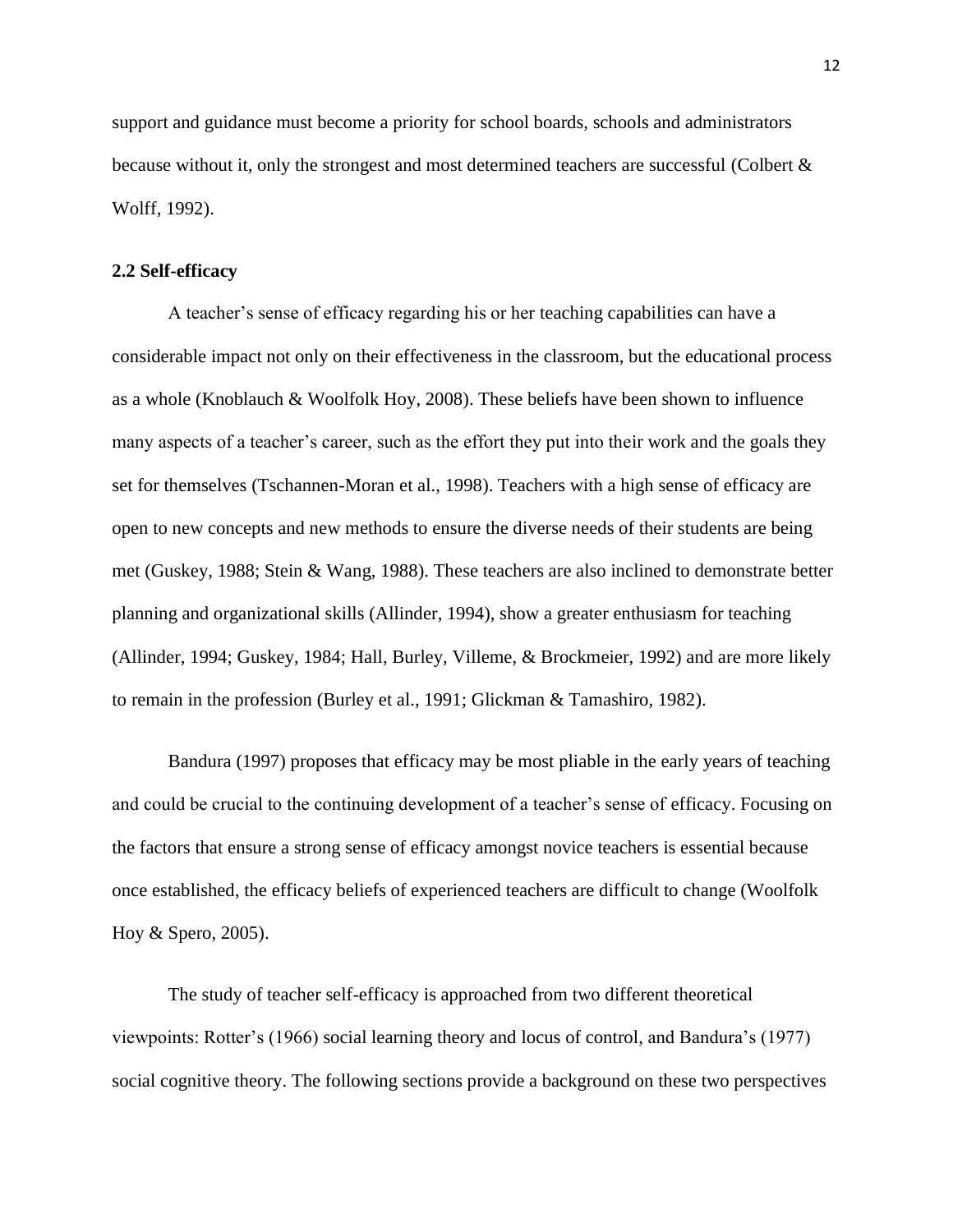support and guidance must become a priority for school boards, schools and administrators because without it, only the strongest and most determined teachers are successful (Colbert & Wolff, 1992).

#### <span id="page-21-0"></span>**2.2 Self-efficacy**

A teacher"s sense of efficacy regarding his or her teaching capabilities can have a considerable impact not only on their effectiveness in the classroom, but the educational process as a whole (Knoblauch & Woolfolk Hoy, 2008). These beliefs have been shown to influence many aspects of a teacher's career, such as the effort they put into their work and the goals they set for themselves (Tschannen-Moran et al., 1998). Teachers with a high sense of efficacy are open to new concepts and new methods to ensure the diverse needs of their students are being met (Guskey, 1988; Stein & Wang, 1988). These teachers are also inclined to demonstrate better planning and organizational skills (Allinder, 1994), show a greater enthusiasm for teaching (Allinder, 1994; Guskey, 1984; Hall, Burley, Villeme, & Brockmeier, 1992) and are more likely to remain in the profession (Burley et al., 1991; Glickman & Tamashiro, 1982).

Bandura (1997) proposes that efficacy may be most pliable in the early years of teaching and could be crucial to the continuing development of a teacher's sense of efficacy. Focusing on the factors that ensure a strong sense of efficacy amongst novice teachers is essential because once established, the efficacy beliefs of experienced teachers are difficult to change (Woolfolk Hoy & Spero, 2005).

The study of teacher self-efficacy is approached from two different theoretical viewpoints: Rotter"s (1966) social learning theory and locus of control, and Bandura"s (1977) social cognitive theory. The following sections provide a background on these two perspectives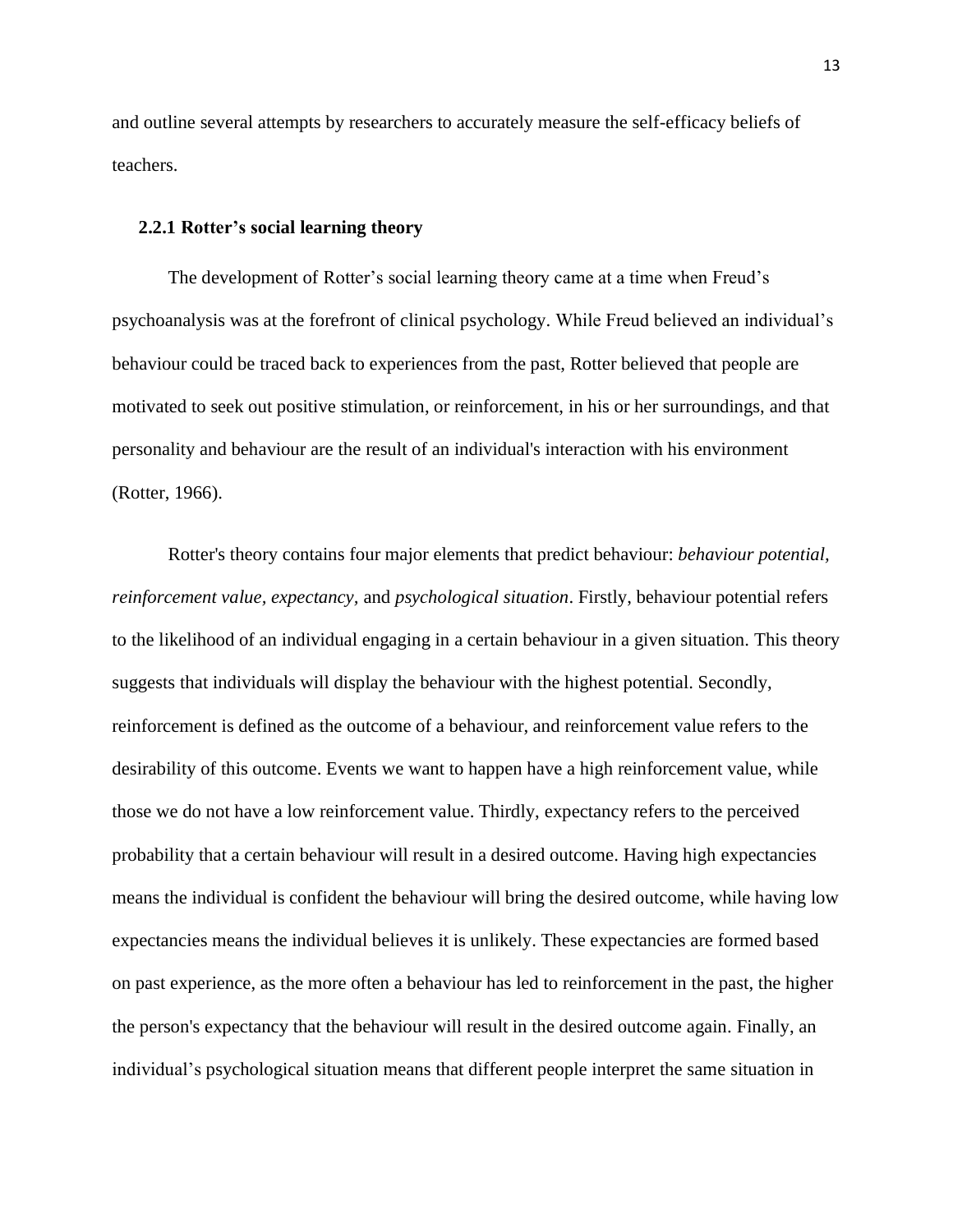and outline several attempts by researchers to accurately measure the self-efficacy beliefs of teachers.

#### <span id="page-22-0"></span>**2.2.1 Rotter's social learning theory**

The development of Rotter's social learning theory came at a time when Freud's psychoanalysis was at the forefront of clinical psychology. While Freud believed an individual"s behaviour could be traced back to experiences from the past, Rotter believed that people are motivated to seek out positive stimulation, or reinforcement, in his or her surroundings, and that personality and behaviour are the result of an individual's interaction with his environment (Rotter, 1966).

Rotter's theory contains four major elements that predict behaviour: *behaviour potential, reinforcement value, expectancy,* and *psychological situation*. Firstly, behaviour potential refers to the likelihood of an individual engaging in a certain behaviour in a given situation. This theory suggests that individuals will display the behaviour with the highest potential. Secondly, reinforcement is defined as the outcome of a behaviour, and reinforcement value refers to the desirability of this outcome. Events we want to happen have a high reinforcement value, while those we do not have a low reinforcement value. Thirdly, expectancy refers to the perceived probability that a certain behaviour will result in a desired outcome. Having high expectancies means the individual is confident the behaviour will bring the desired outcome, while having low expectancies means the individual believes it is unlikely. These expectancies are formed based on past experience, as the more often a behaviour has led to reinforcement in the past, the higher the person's expectancy that the behaviour will result in the desired outcome again. Finally, an individual"s psychological situation means that different people interpret the same situation in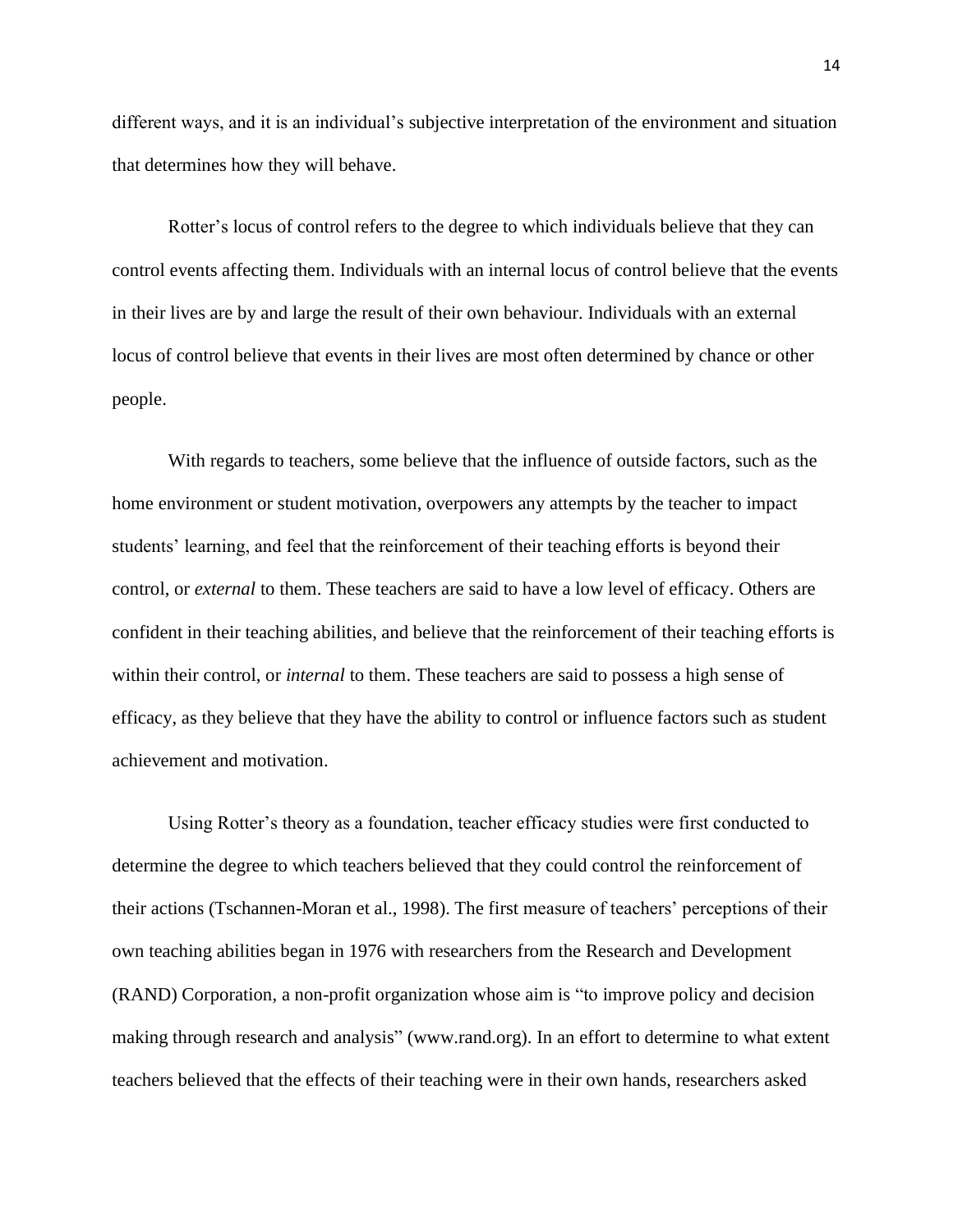different ways, and it is an individual"s subjective interpretation of the environment and situation that determines how they will behave.

Rotter"s locus of control refers to the degree to which individuals believe that they can control events affecting them. Individuals with an internal locus of control believe that the events in their lives are by and large the result of their own behaviour. Individuals with an external locus of control believe that events in their lives are most often determined by chance or other people.

With regards to teachers, some believe that the influence of outside factors, such as the home environment or student motivation, overpowers any attempts by the teacher to impact students' learning, and feel that the reinforcement of their teaching efforts is beyond their control, or *external* to them. These teachers are said to have a low level of efficacy. Others are confident in their teaching abilities, and believe that the reinforcement of their teaching efforts is within their control, or *internal* to them. These teachers are said to possess a high sense of efficacy, as they believe that they have the ability to control or influence factors such as student achievement and motivation.

Using Rotter"s theory as a foundation, teacher efficacy studies were first conducted to determine the degree to which teachers believed that they could control the reinforcement of their actions (Tschannen-Moran et al., 1998). The first measure of teachers" perceptions of their own teaching abilities began in 1976 with researchers from the Research and Development (RAND) Corporation, a non-profit organization whose aim is "to improve policy and decision making through research and analysis" (www.rand.org). In an effort to determine to what extent teachers believed that the effects of their teaching were in their own hands, researchers asked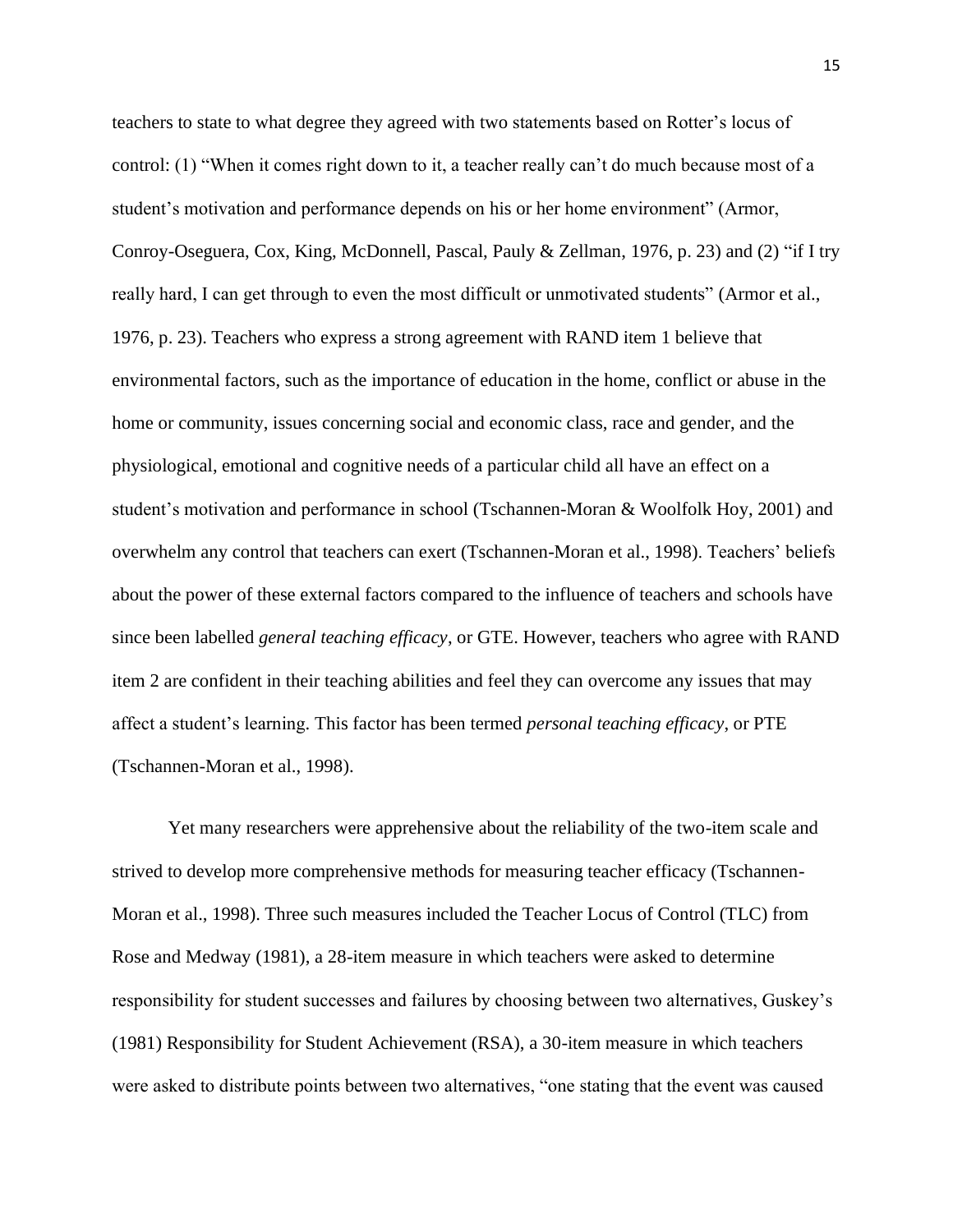teachers to state to what degree they agreed with two statements based on Rotter"s locus of control: (1) "When it comes right down to it, a teacher really can"t do much because most of a student"s motivation and performance depends on his or her home environment" (Armor, Conroy-Oseguera, Cox, King, McDonnell, Pascal, Pauly & Zellman, 1976, p. 23) and (2) "if I try really hard, I can get through to even the most difficult or unmotivated students" (Armor et al., 1976, p. 23). Teachers who express a strong agreement with RAND item 1 believe that environmental factors, such as the importance of education in the home, conflict or abuse in the home or community, issues concerning social and economic class, race and gender, and the physiological, emotional and cognitive needs of a particular child all have an effect on a student"s motivation and performance in school (Tschannen-Moran & Woolfolk Hoy, 2001) and overwhelm any control that teachers can exert (Tschannen-Moran et al., 1998). Teachers" beliefs about the power of these external factors compared to the influence of teachers and schools have since been labelled *general teaching efficacy*, or GTE. However, teachers who agree with RAND item 2 are confident in their teaching abilities and feel they can overcome any issues that may affect a student"s learning. This factor has been termed *personal teaching efficacy*, or PTE (Tschannen-Moran et al., 1998).

Yet many researchers were apprehensive about the reliability of the two-item scale and strived to develop more comprehensive methods for measuring teacher efficacy (Tschannen-Moran et al., 1998). Three such measures included the Teacher Locus of Control (TLC) from Rose and Medway (1981), a 28-item measure in which teachers were asked to determine responsibility for student successes and failures by choosing between two alternatives, Guskey"s (1981) Responsibility for Student Achievement (RSA), a 30-item measure in which teachers were asked to distribute points between two alternatives, "one stating that the event was caused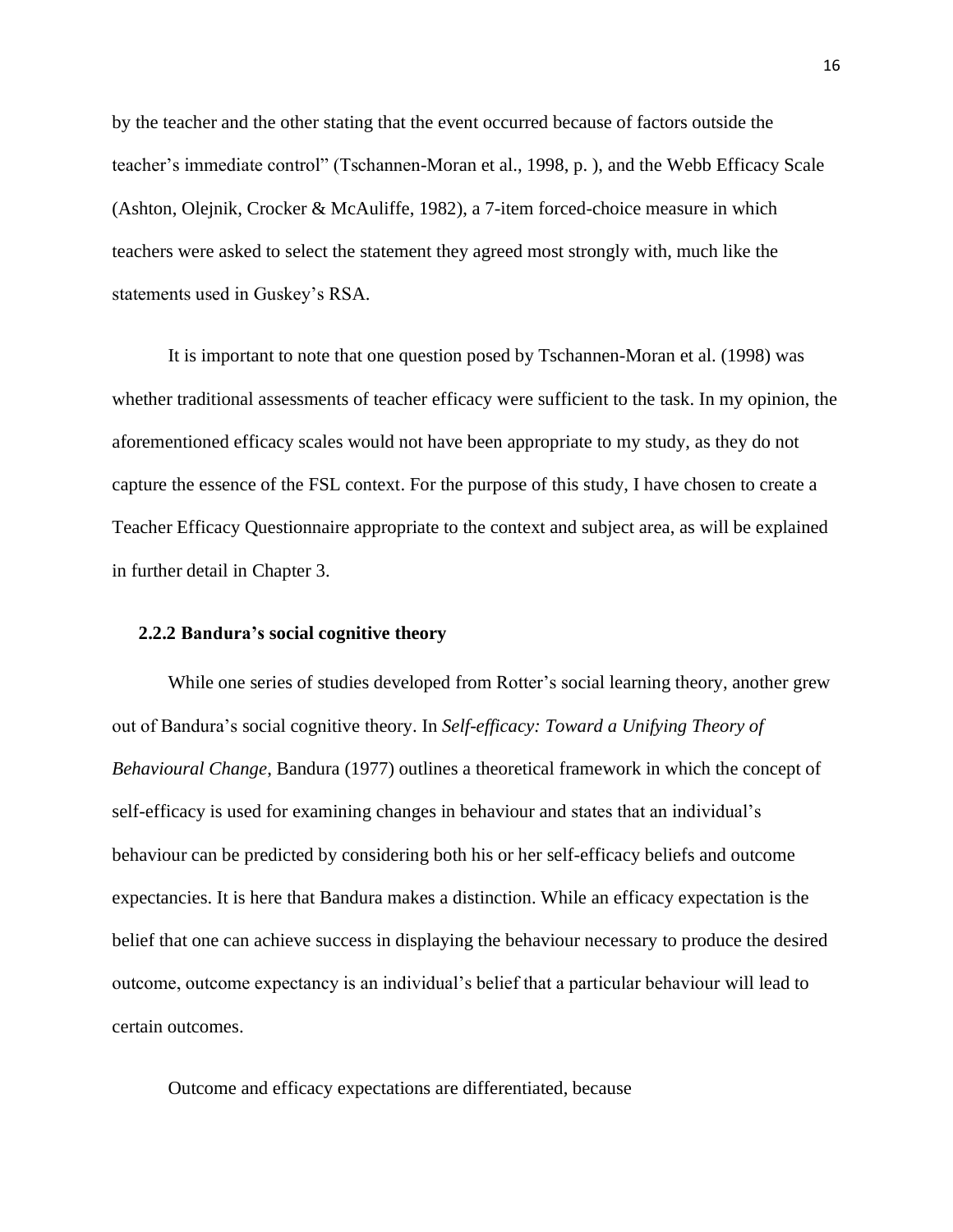by the teacher and the other stating that the event occurred because of factors outside the teacher"s immediate control" (Tschannen-Moran et al., 1998, p. ), and the Webb Efficacy Scale (Ashton, Olejnik, Crocker & McAuliffe, 1982), a 7-item forced-choice measure in which teachers were asked to select the statement they agreed most strongly with, much like the statements used in Guskey's RSA.

It is important to note that one question posed by Tschannen-Moran et al. (1998) was whether traditional assessments of teacher efficacy were sufficient to the task. In my opinion, the aforementioned efficacy scales would not have been appropriate to my study, as they do not capture the essence of the FSL context. For the purpose of this study, I have chosen to create a Teacher Efficacy Questionnaire appropriate to the context and subject area, as will be explained in further detail in Chapter 3.

#### <span id="page-25-0"></span>**2.2.2 Bandura's social cognitive theory**

While one series of studies developed from Rotter's social learning theory, another grew out of Bandura"s social cognitive theory. In *Self-efficacy: Toward a Unifying Theory of Behavioural Change*, Bandura (1977) outlines a theoretical framework in which the concept of self-efficacy is used for examining changes in behaviour and states that an individual"s behaviour can be predicted by considering both his or her self-efficacy beliefs and outcome expectancies. It is here that Bandura makes a distinction. While an efficacy expectation is the belief that one can achieve success in displaying the behaviour necessary to produce the desired outcome, outcome expectancy is an individual"s belief that a particular behaviour will lead to certain outcomes.

Outcome and efficacy expectations are differentiated, because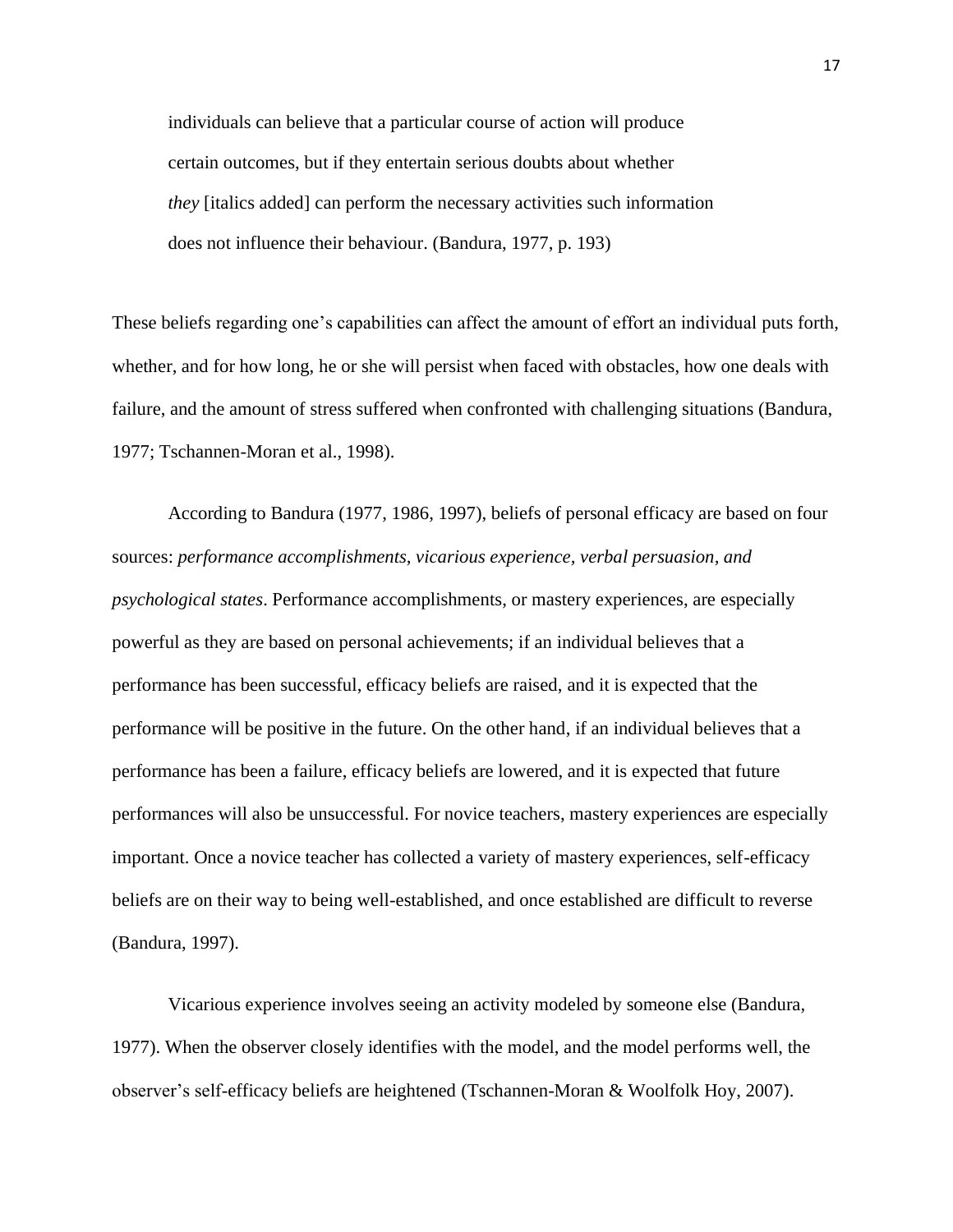individuals can believe that a particular course of action will produce certain outcomes, but if they entertain serious doubts about whether *they* [italics added] can perform the necessary activities such information does not influence their behaviour. (Bandura, 1977, p. 193)

These beliefs regarding one"s capabilities can affect the amount of effort an individual puts forth, whether, and for how long, he or she will persist when faced with obstacles, how one deals with failure, and the amount of stress suffered when confronted with challenging situations (Bandura, 1977; Tschannen-Moran et al., 1998).

According to Bandura (1977, 1986, 1997), beliefs of personal efficacy are based on four sources: *performance accomplishments, vicarious experience, verbal persuasion, and psychological states*. Performance accomplishments, or mastery experiences, are especially powerful as they are based on personal achievements; if an individual believes that a performance has been successful, efficacy beliefs are raised, and it is expected that the performance will be positive in the future. On the other hand, if an individual believes that a performance has been a failure, efficacy beliefs are lowered, and it is expected that future performances will also be unsuccessful. For novice teachers, mastery experiences are especially important. Once a novice teacher has collected a variety of mastery experiences, self-efficacy beliefs are on their way to being well-established, and once established are difficult to reverse (Bandura, 1997).

Vicarious experience involves seeing an activity modeled by someone else (Bandura, 1977). When the observer closely identifies with the model, and the model performs well, the observer"s self-efficacy beliefs are heightened (Tschannen-Moran & Woolfolk Hoy, 2007).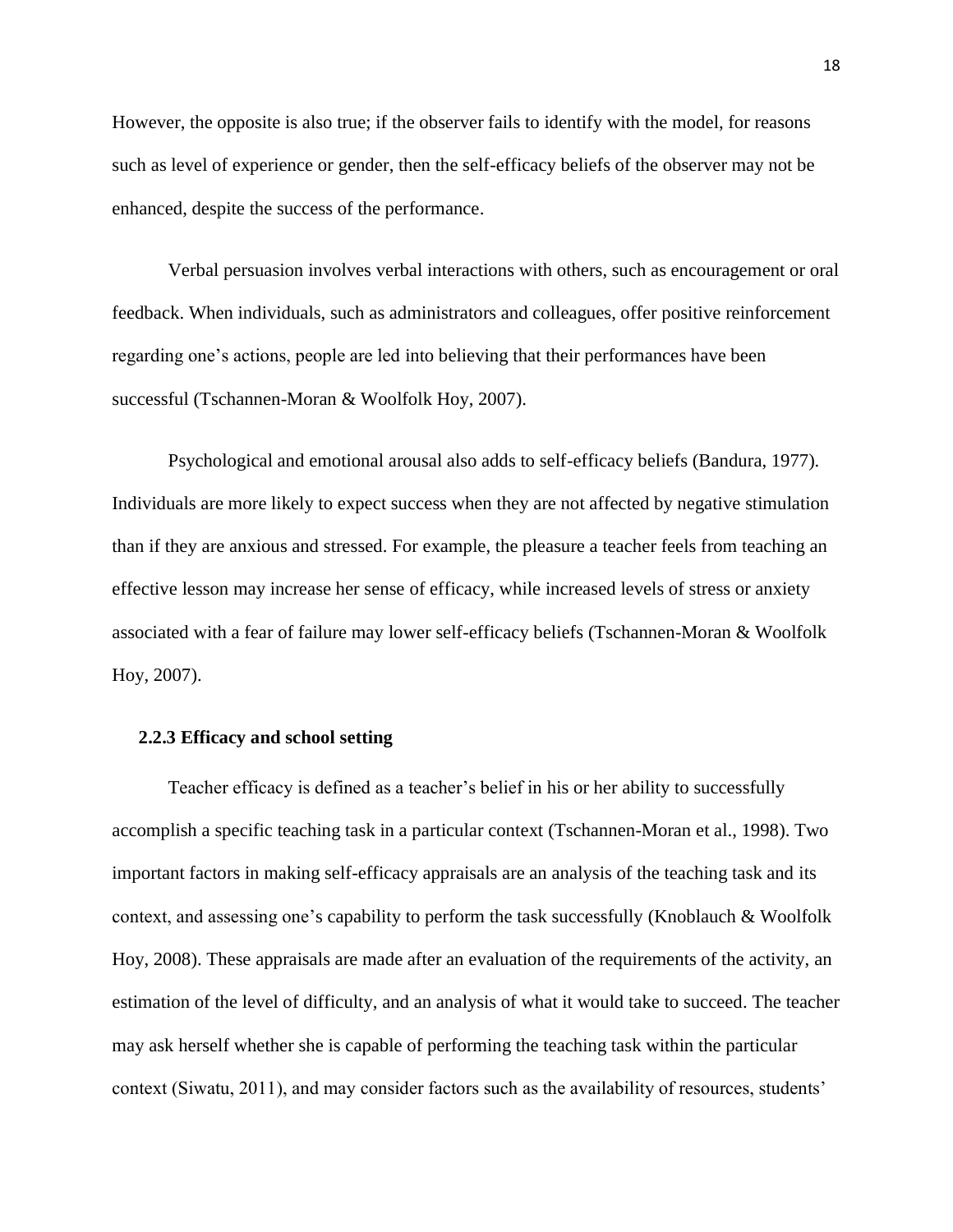However, the opposite is also true; if the observer fails to identify with the model, for reasons such as level of experience or gender, then the self-efficacy beliefs of the observer may not be enhanced, despite the success of the performance.

Verbal persuasion involves verbal interactions with others, such as encouragement or oral feedback. When individuals, such as administrators and colleagues, offer positive reinforcement regarding one"s actions, people are led into believing that their performances have been successful (Tschannen-Moran & Woolfolk Hoy, 2007).

Psychological and emotional arousal also adds to self-efficacy beliefs (Bandura, 1977)*.*  Individuals are more likely to expect success when they are not affected by negative stimulation than if they are anxious and stressed. For example, the pleasure a teacher feels from teaching an effective lesson may increase her sense of efficacy, while increased levels of stress or anxiety associated with a fear of failure may lower self-efficacy beliefs (Tschannen-Moran & Woolfolk Hoy, 2007).

#### <span id="page-27-0"></span>**2.2.3 Efficacy and school setting**

Teacher efficacy is defined as a teacher"s belief in his or her ability to successfully accomplish a specific teaching task in a particular context (Tschannen-Moran et al., 1998). Two important factors in making self-efficacy appraisals are an analysis of the teaching task and its context, and assessing one"s capability to perform the task successfully (Knoblauch & Woolfolk Hoy, 2008). These appraisals are made after an evaluation of the requirements of the activity, an estimation of the level of difficulty, and an analysis of what it would take to succeed. The teacher may ask herself whether she is capable of performing the teaching task within the particular context (Siwatu, 2011), and may consider factors such as the availability of resources, students"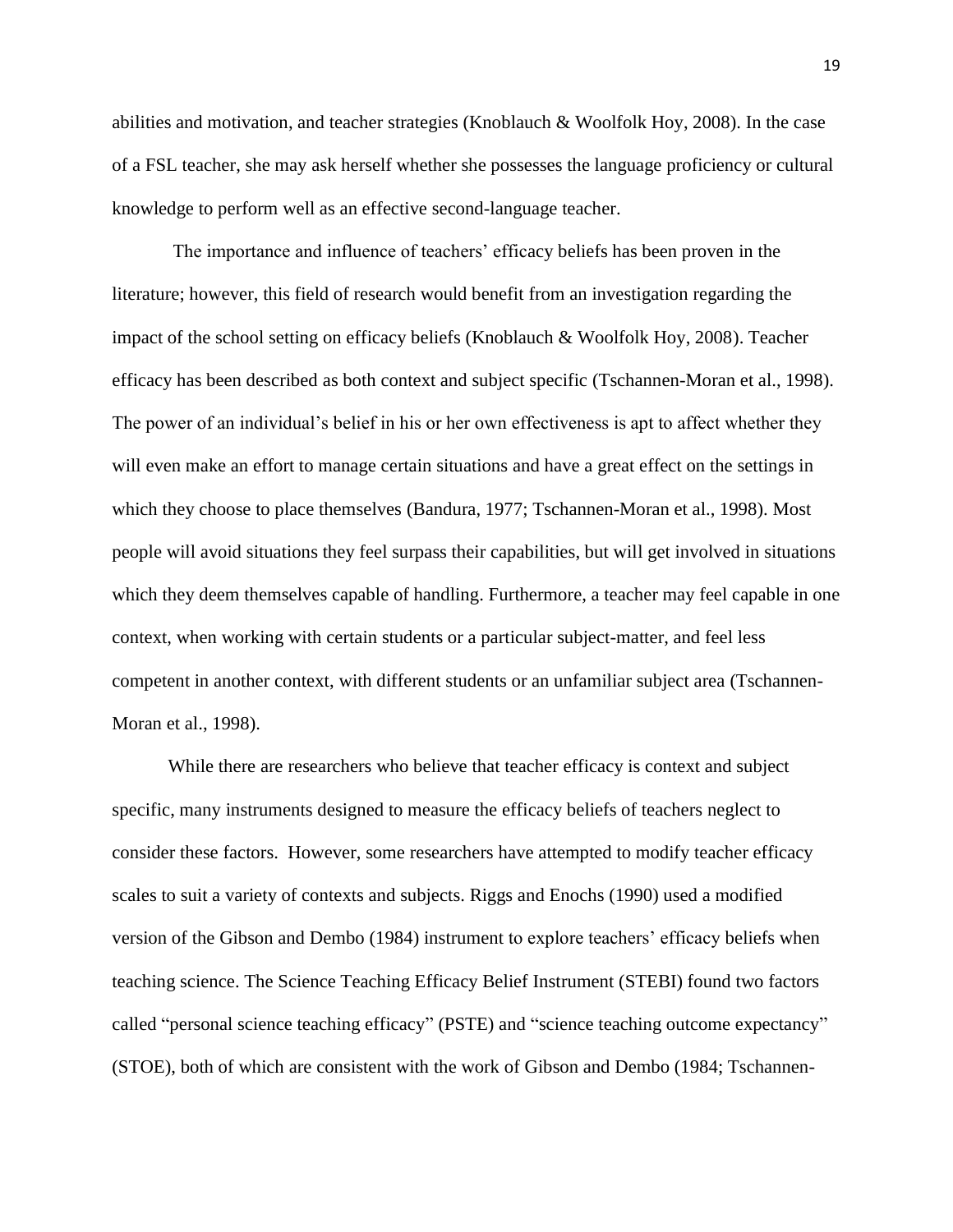abilities and motivation, and teacher strategies (Knoblauch & Woolfolk Hoy, 2008). In the case of a FSL teacher, she may ask herself whether she possesses the language proficiency or cultural knowledge to perform well as an effective second-language teacher.

The importance and influence of teachers" efficacy beliefs has been proven in the literature; however, this field of research would benefit from an investigation regarding the impact of the school setting on efficacy beliefs (Knoblauch & Woolfolk Hoy, 2008). Teacher efficacy has been described as both context and subject specific (Tschannen-Moran et al., 1998). The power of an individual's belief in his or her own effectiveness is apt to affect whether they will even make an effort to manage certain situations and have a great effect on the settings in which they choose to place themselves (Bandura, 1977; Tschannen-Moran et al., 1998). Most people will avoid situations they feel surpass their capabilities, but will get involved in situations which they deem themselves capable of handling. Furthermore, a teacher may feel capable in one context, when working with certain students or a particular subject-matter, and feel less competent in another context, with different students or an unfamiliar subject area (Tschannen-Moran et al., 1998).

While there are researchers who believe that teacher efficacy is context and subject specific, many instruments designed to measure the efficacy beliefs of teachers neglect to consider these factors. However, some researchers have attempted to modify teacher efficacy scales to suit a variety of contexts and subjects. Riggs and Enochs (1990) used a modified version of the Gibson and Dembo (1984) instrument to explore teachers" efficacy beliefs when teaching science. The Science Teaching Efficacy Belief Instrument (STEBI) found two factors called "personal science teaching efficacy" (PSTE) and "science teaching outcome expectancy" (STOE), both of which are consistent with the work of Gibson and Dembo (1984; Tschannen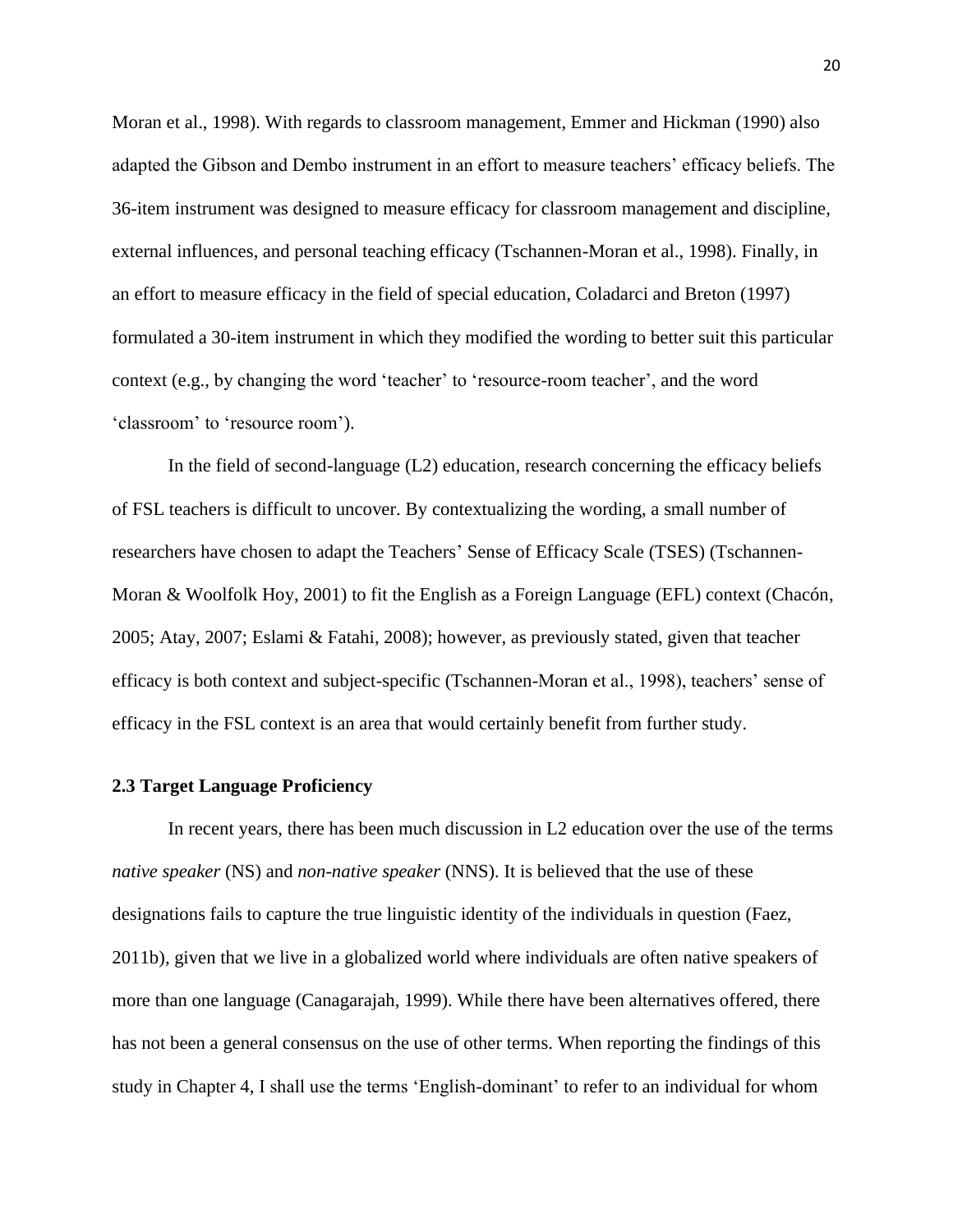Moran et al., 1998). With regards to classroom management, Emmer and Hickman (1990) also adapted the Gibson and Dembo instrument in an effort to measure teachers" efficacy beliefs. The 36-item instrument was designed to measure efficacy for classroom management and discipline, external influences, and personal teaching efficacy (Tschannen-Moran et al., 1998). Finally, in an effort to measure efficacy in the field of special education, Coladarci and Breton (1997) formulated a 30-item instrument in which they modified the wording to better suit this particular context (e.g., by changing the word "teacher" to "resource-room teacher", and the word 'classroom' to 'resource room').

In the field of second-language (L2) education, research concerning the efficacy beliefs of FSL teachers is difficult to uncover. By contextualizing the wording, a small number of researchers have chosen to adapt the Teachers' Sense of Efficacy Scale (TSES) (Tschannen-Moran & Woolfolk Hoy, 2001) to fit the English as a Foreign Language (EFL) context (Chacón, 2005; Atay, 2007; Eslami & Fatahi, 2008); however, as previously stated, given that teacher efficacy is both context and subject-specific (Tschannen-Moran et al., 1998), teachers" sense of efficacy in the FSL context is an area that would certainly benefit from further study.

#### <span id="page-29-0"></span>**2.3 Target Language Proficiency**

In recent years, there has been much discussion in L2 education over the use of the terms *native speaker* (NS) and *non-native speaker* (NNS). It is believed that the use of these designations fails to capture the true linguistic identity of the individuals in question (Faez, 2011b), given that we live in a globalized world where individuals are often native speakers of more than one language (Canagarajah, 1999). While there have been alternatives offered, there has not been a general consensus on the use of other terms. When reporting the findings of this study in Chapter 4, I shall use the terms "English-dominant" to refer to an individual for whom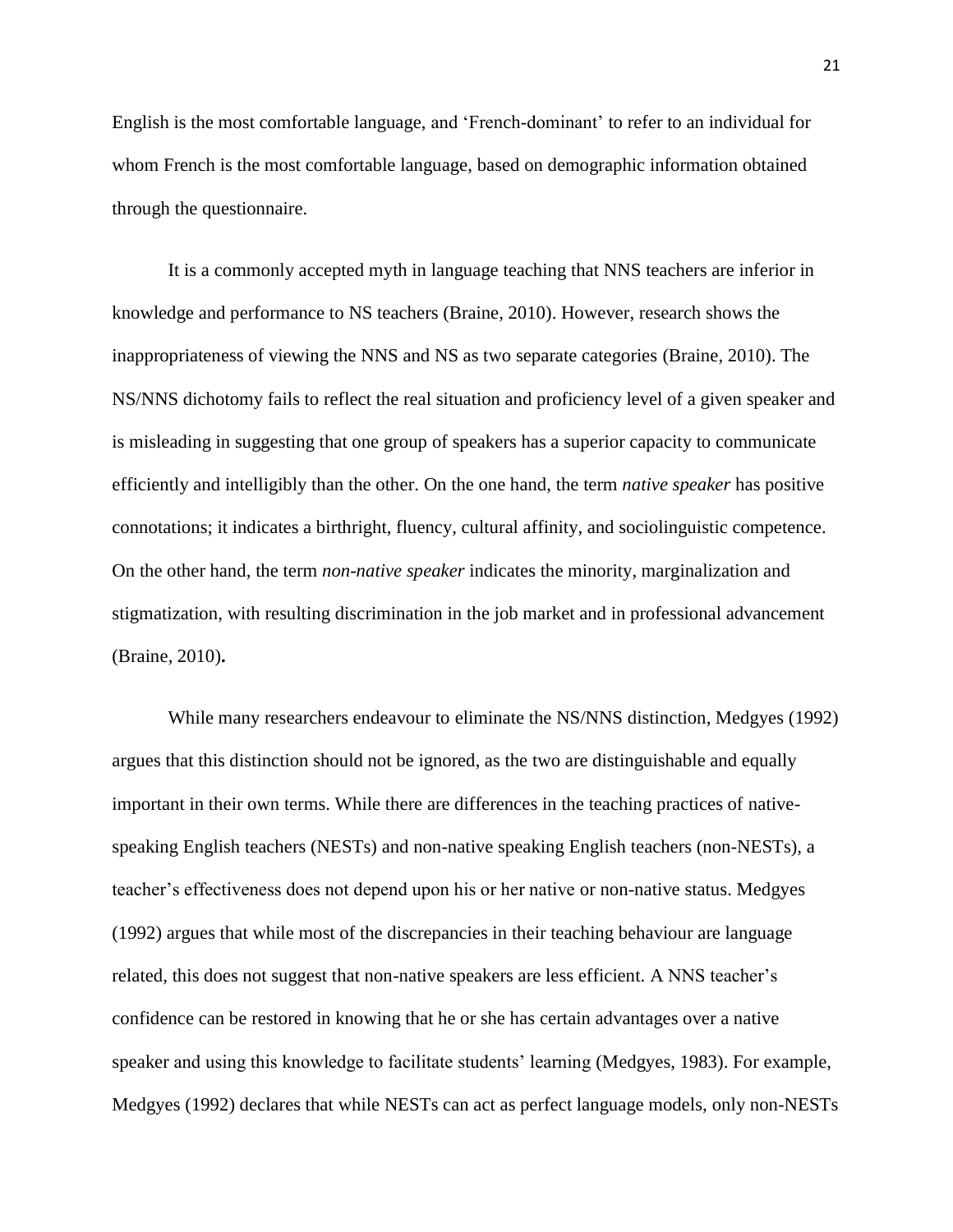English is the most comfortable language, and "French-dominant" to refer to an individual for whom French is the most comfortable language, based on demographic information obtained through the questionnaire.

It is a commonly accepted myth in language teaching that NNS teachers are inferior in knowledge and performance to NS teachers (Braine, 2010). However, research shows the inappropriateness of viewing the NNS and NS as two separate categories (Braine, 2010). The NS/NNS dichotomy fails to reflect the real situation and proficiency level of a given speaker and is misleading in suggesting that one group of speakers has a superior capacity to communicate efficiently and intelligibly than the other. On the one hand, the term *native speaker* has positive connotations; it indicates a birthright, fluency, cultural affinity, and sociolinguistic competence. On the other hand, the term *non-native speaker* indicates the minority, marginalization and stigmatization, with resulting discrimination in the job market and in professional advancement (Braine, 2010)**.**

While many researchers endeavour to eliminate the NS/NNS distinction, Medgyes (1992) argues that this distinction should not be ignored, as the two are distinguishable and equally important in their own terms. While there are differences in the teaching practices of nativespeaking English teachers (NESTs) and non-native speaking English teachers (non-NESTs), a teacher"s effectiveness does not depend upon his or her native or non-native status. Medgyes (1992) argues that while most of the discrepancies in their teaching behaviour are language related, this does not suggest that non-native speakers are less efficient. A NNS teacher"s confidence can be restored in knowing that he or she has certain advantages over a native speaker and using this knowledge to facilitate students' learning (Medgyes, 1983). For example, Medgyes (1992) declares that while NESTs can act as perfect language models, only non-NESTs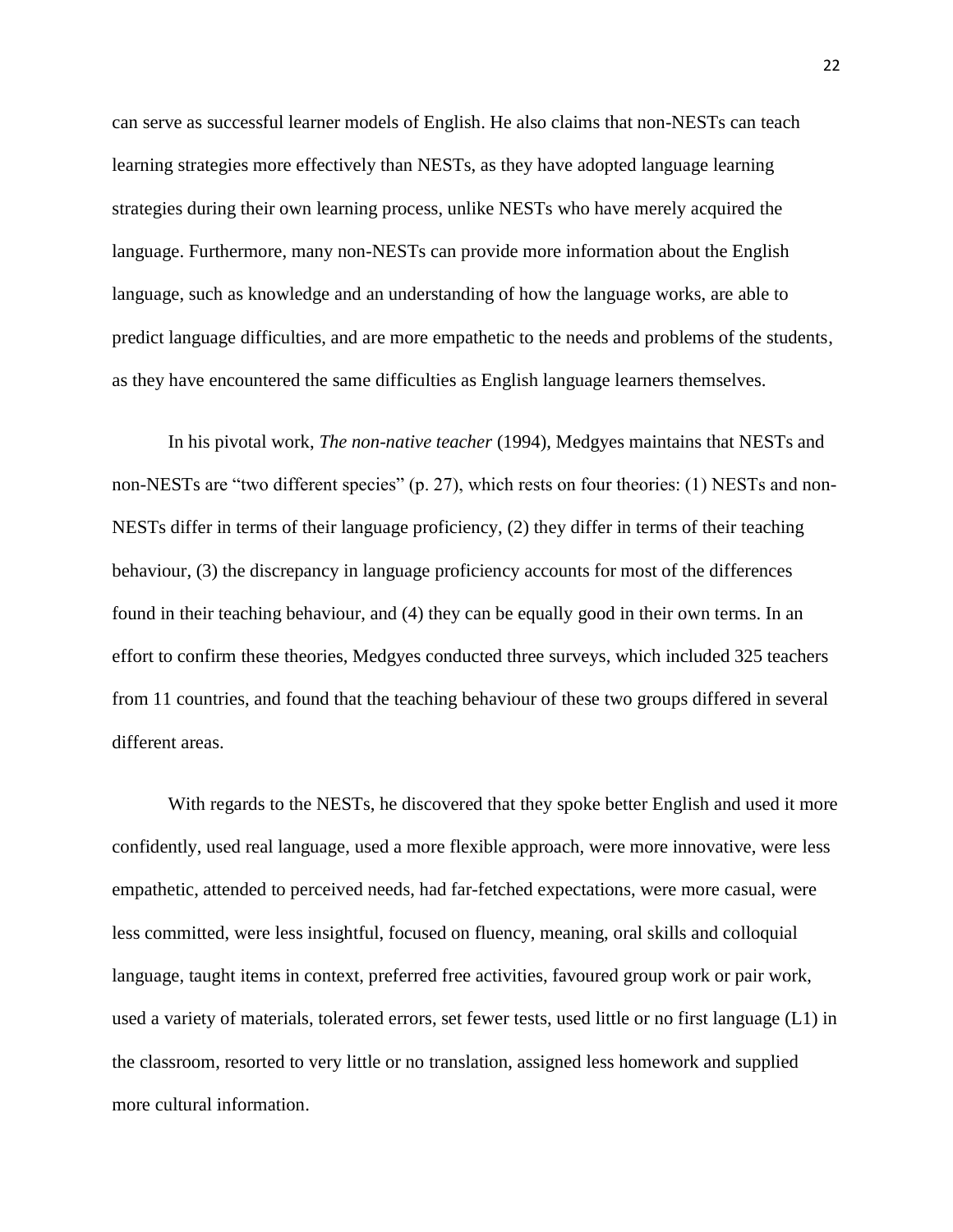can serve as successful learner models of English. He also claims that non-NESTs can teach learning strategies more effectively than NESTs, as they have adopted language learning strategies during their own learning process, unlike NESTs who have merely acquired the language. Furthermore, many non-NESTs can provide more information about the English language, such as knowledge and an understanding of how the language works, are able to predict language difficulties, and are more empathetic to the needs and problems of the students, as they have encountered the same difficulties as English language learners themselves.

In his pivotal work, *The non-native teacher* (1994), Medgyes maintains that NESTs and non-NESTs are "two different species" (p. 27), which rests on four theories: (1) NESTs and non-NESTs differ in terms of their language proficiency, (2) they differ in terms of their teaching behaviour, (3) the discrepancy in language proficiency accounts for most of the differences found in their teaching behaviour, and (4) they can be equally good in their own terms. In an effort to confirm these theories, Medgyes conducted three surveys, which included 325 teachers from 11 countries, and found that the teaching behaviour of these two groups differed in several different areas.

With regards to the NESTs, he discovered that they spoke better English and used it more confidently, used real language, used a more flexible approach, were more innovative, were less empathetic, attended to perceived needs, had far-fetched expectations, were more casual, were less committed, were less insightful, focused on fluency, meaning, oral skills and colloquial language, taught items in context, preferred free activities, favoured group work or pair work, used a variety of materials, tolerated errors, set fewer tests, used little or no first language (L1) in the classroom, resorted to very little or no translation, assigned less homework and supplied more cultural information.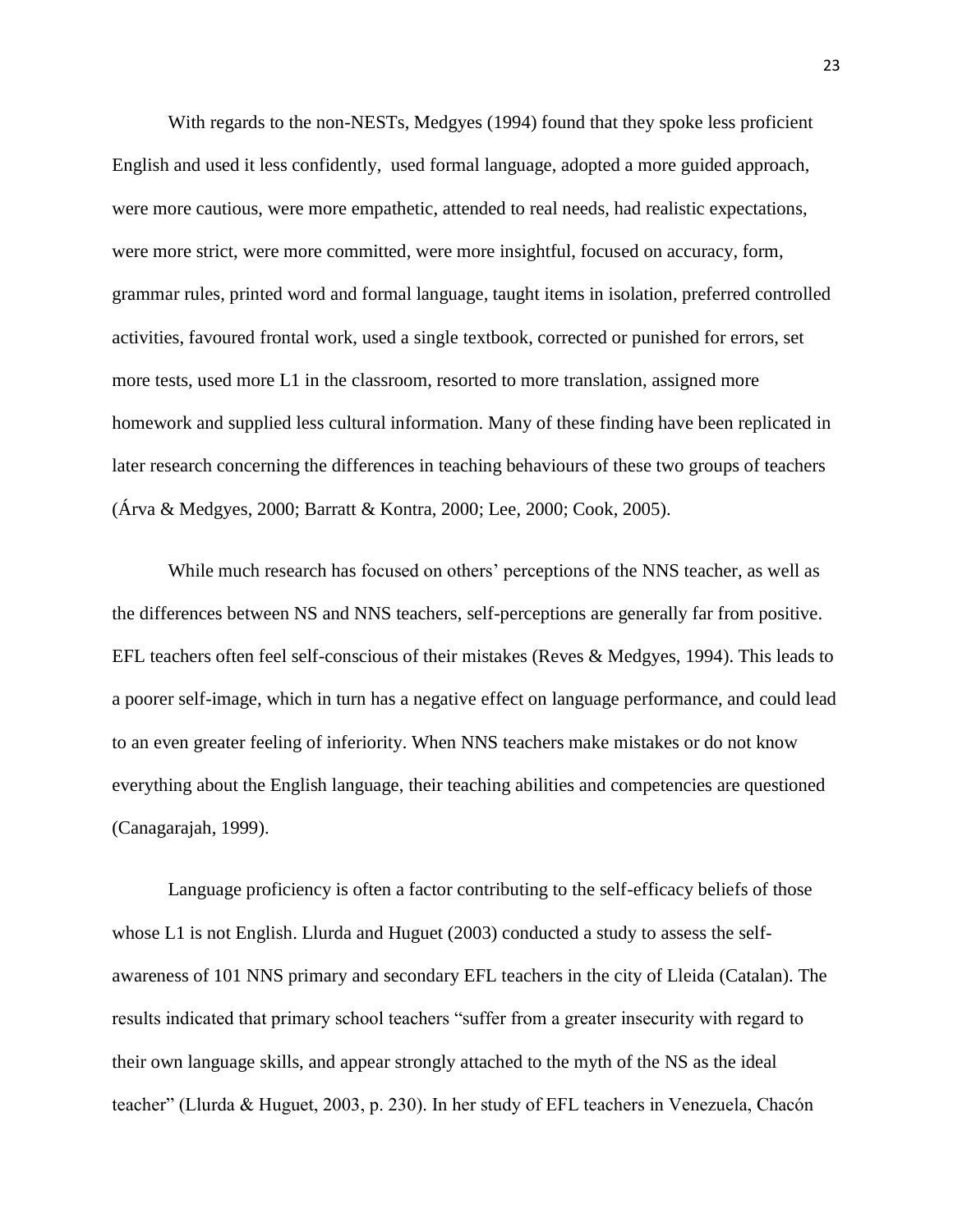With regards to the non-NESTs, Medgyes (1994) found that they spoke less proficient English and used it less confidently, used formal language, adopted a more guided approach, were more cautious, were more empathetic, attended to real needs, had realistic expectations, were more strict, were more committed, were more insightful, focused on accuracy, form, grammar rules, printed word and formal language, taught items in isolation, preferred controlled activities, favoured frontal work, used a single textbook, corrected or punished for errors, set more tests, used more L1 in the classroom, resorted to more translation, assigned more homework and supplied less cultural information. Many of these finding have been replicated in later research concerning the differences in teaching behaviours of these two groups of teachers (Árva & Medgyes, 2000; Barratt & Kontra, 2000; Lee, 2000; Cook, 2005).

While much research has focused on others" perceptions of the NNS teacher, as well as the differences between NS and NNS teachers, self-perceptions are generally far from positive. EFL teachers often feel self-conscious of their mistakes (Reves & Medgyes, 1994). This leads to a poorer self-image, which in turn has a negative effect on language performance, and could lead to an even greater feeling of inferiority. When NNS teachers make mistakes or do not know everything about the English language, their teaching abilities and competencies are questioned (Canagarajah, 1999).

Language proficiency is often a factor contributing to the self-efficacy beliefs of those whose L1 is not English. Llurda and Huguet (2003) conducted a study to assess the selfawareness of 101 NNS primary and secondary EFL teachers in the city of Lleida (Catalan). The results indicated that primary school teachers "suffer from a greater insecurity with regard to their own language skills, and appear strongly attached to the myth of the NS as the ideal teacher" (Llurda & Huguet, 2003, p. 230). In her study of EFL teachers in Venezuela, Chacón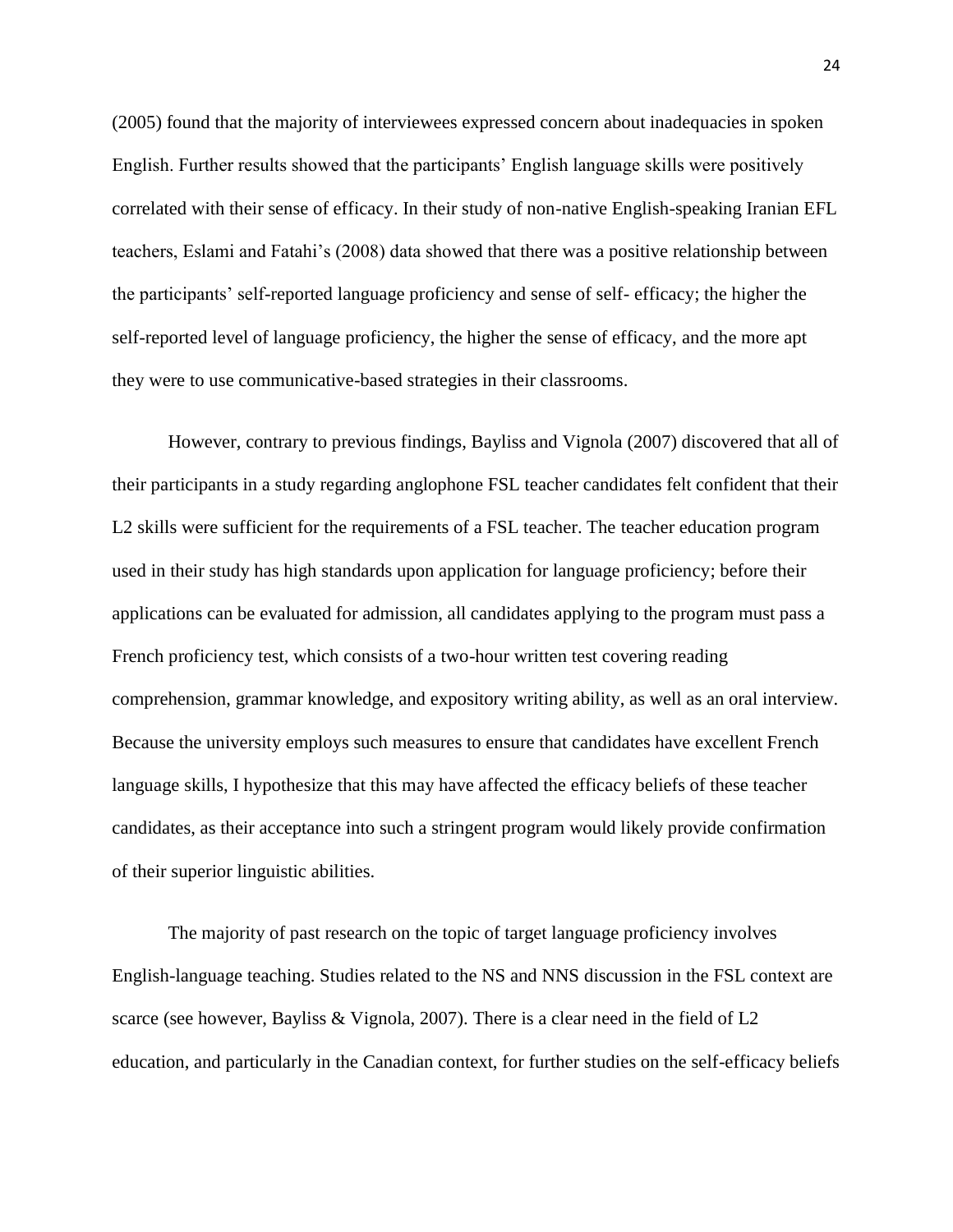(2005) found that the majority of interviewees expressed concern about inadequacies in spoken English. Further results showed that the participants' English language skills were positively correlated with their sense of efficacy. In their study of non-native English-speaking Iranian EFL teachers, Eslami and Fatahi"s (2008) data showed that there was a positive relationship between the participants" self-reported language proficiency and sense of self- efficacy; the higher the self-reported level of language proficiency, the higher the sense of efficacy, and the more apt they were to use communicative-based strategies in their classrooms.

However, contrary to previous findings, Bayliss and Vignola (2007) discovered that all of their participants in a study regarding anglophone FSL teacher candidates felt confident that their L2 skills were sufficient for the requirements of a FSL teacher. The teacher education program used in their study has high standards upon application for language proficiency; before their applications can be evaluated for admission, all candidates applying to the program must pass a French proficiency test, which consists of a two-hour written test covering reading comprehension, grammar knowledge, and expository writing ability, as well as an oral interview. Because the university employs such measures to ensure that candidates have excellent French language skills, I hypothesize that this may have affected the efficacy beliefs of these teacher candidates, as their acceptance into such a stringent program would likely provide confirmation of their superior linguistic abilities.

The majority of past research on the topic of target language proficiency involves English-language teaching. Studies related to the NS and NNS discussion in the FSL context are scarce (see however, Bayliss & Vignola, 2007). There is a clear need in the field of L2 education, and particularly in the Canadian context, for further studies on the self-efficacy beliefs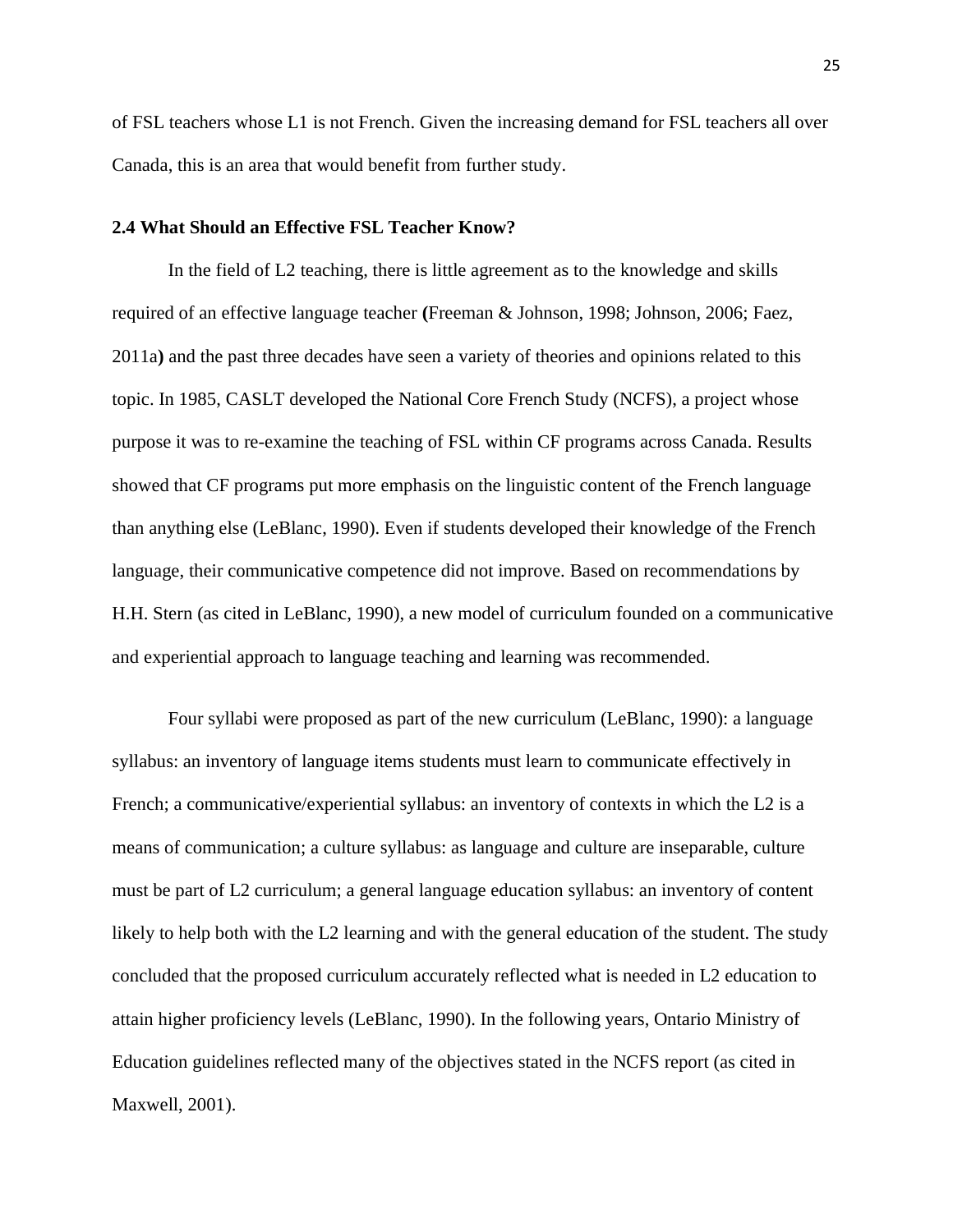of FSL teachers whose L1 is not French. Given the increasing demand for FSL teachers all over Canada, this is an area that would benefit from further study.

#### <span id="page-34-0"></span>**2.4 What Should an Effective FSL Teacher Know?**

In the field of L2 teaching, there is little agreement as to the knowledge and skills required of an effective language teacher **(**Freeman & Johnson, 1998; Johnson, 2006; Faez, 2011a**)** and the past three decades have seen a variety of theories and opinions related to this topic. In 1985, CASLT developed the National Core French Study (NCFS), a project whose purpose it was to re-examine the teaching of FSL within CF programs across Canada. Results showed that CF programs put more emphasis on the linguistic content of the French language than anything else (LeBlanc, 1990). Even if students developed their knowledge of the French language, their communicative competence did not improve. Based on recommendations by H.H. Stern (as cited in LeBlanc, 1990), a new model of curriculum founded on a communicative and experiential approach to language teaching and learning was recommended.

Four syllabi were proposed as part of the new curriculum (LeBlanc, 1990): a language syllabus: an inventory of language items students must learn to communicate effectively in French; a communicative/experiential syllabus: an inventory of contexts in which the L2 is a means of communication; a culture syllabus: as language and culture are inseparable, culture must be part of L2 curriculum; a general language education syllabus: an inventory of content likely to help both with the L2 learning and with the general education of the student. The study concluded that the proposed curriculum accurately reflected what is needed in L2 education to attain higher proficiency levels (LeBlanc, 1990). In the following years, Ontario Ministry of Education guidelines reflected many of the objectives stated in the NCFS report (as cited in Maxwell, 2001).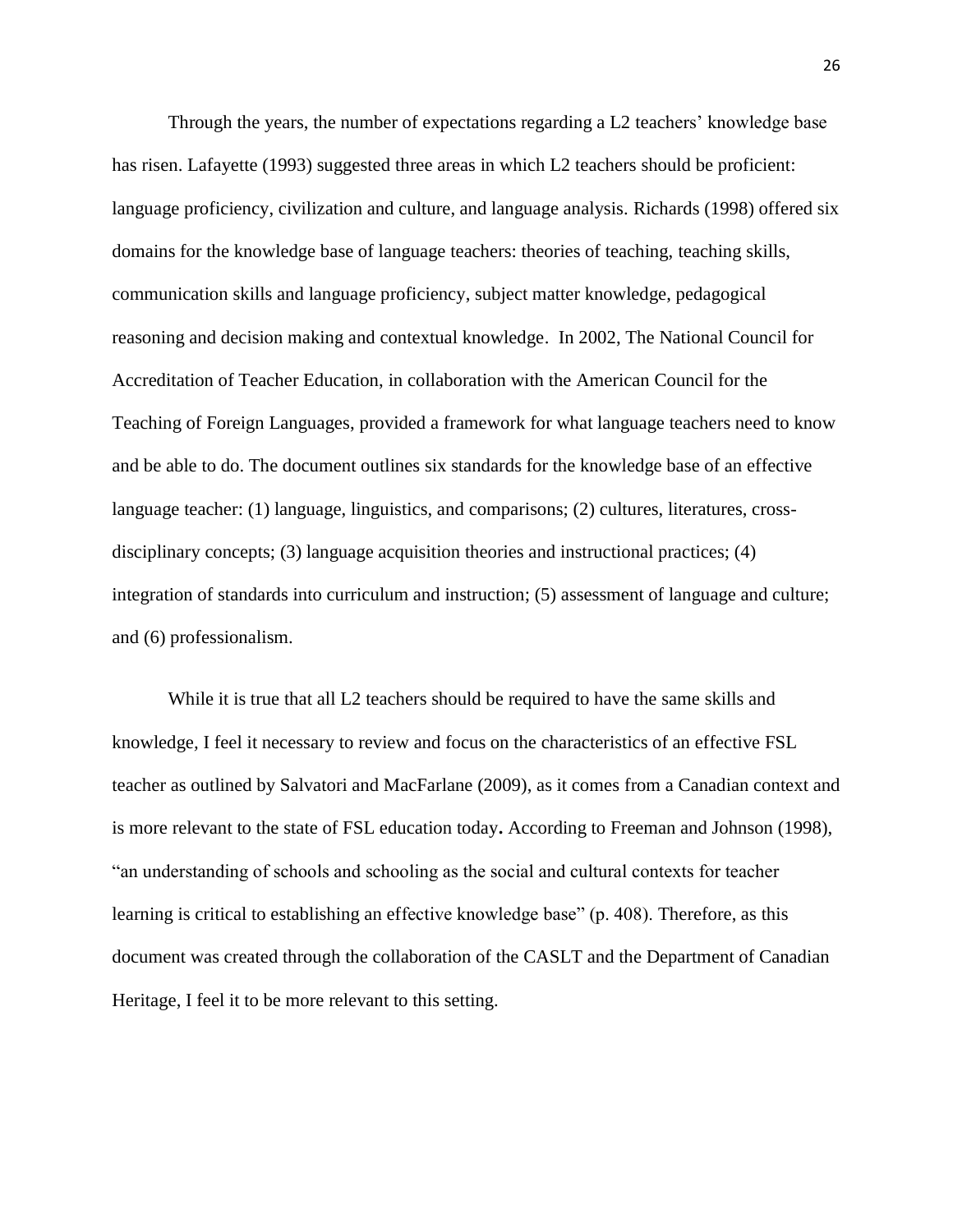Through the years, the number of expectations regarding a L2 teachers' knowledge base has risen. Lafayette (1993) suggested three areas in which L2 teachers should be proficient: language proficiency, civilization and culture, and language analysis. Richards (1998) offered six domains for the knowledge base of language teachers: theories of teaching, teaching skills, communication skills and language proficiency, subject matter knowledge, pedagogical reasoning and decision making and contextual knowledge. In 2002, The National Council for Accreditation of Teacher Education, in collaboration with the American Council for the Teaching of Foreign Languages, provided a framework for what language teachers need to know and be able to do. The document outlines six standards for the knowledge base of an effective language teacher: (1) language, linguistics, and comparisons; (2) cultures, literatures, crossdisciplinary concepts; (3) language acquisition theories and instructional practices; (4) integration of standards into curriculum and instruction; (5) assessment of language and culture; and (6) professionalism.

While it is true that all L2 teachers should be required to have the same skills and knowledge*,* I feel it necessary to review and focus on the characteristics of an effective FSL teacher as outlined by Salvatori and MacFarlane (2009), as it comes from a Canadian context and is more relevant to the state of FSL education today**.** According to Freeman and Johnson (1998), "an understanding of schools and schooling as the social and cultural contexts for teacher learning is critical to establishing an effective knowledge base" (p. 408). Therefore, as this document was created through the collaboration of the CASLT and the Department of Canadian Heritage, I feel it to be more relevant to this setting.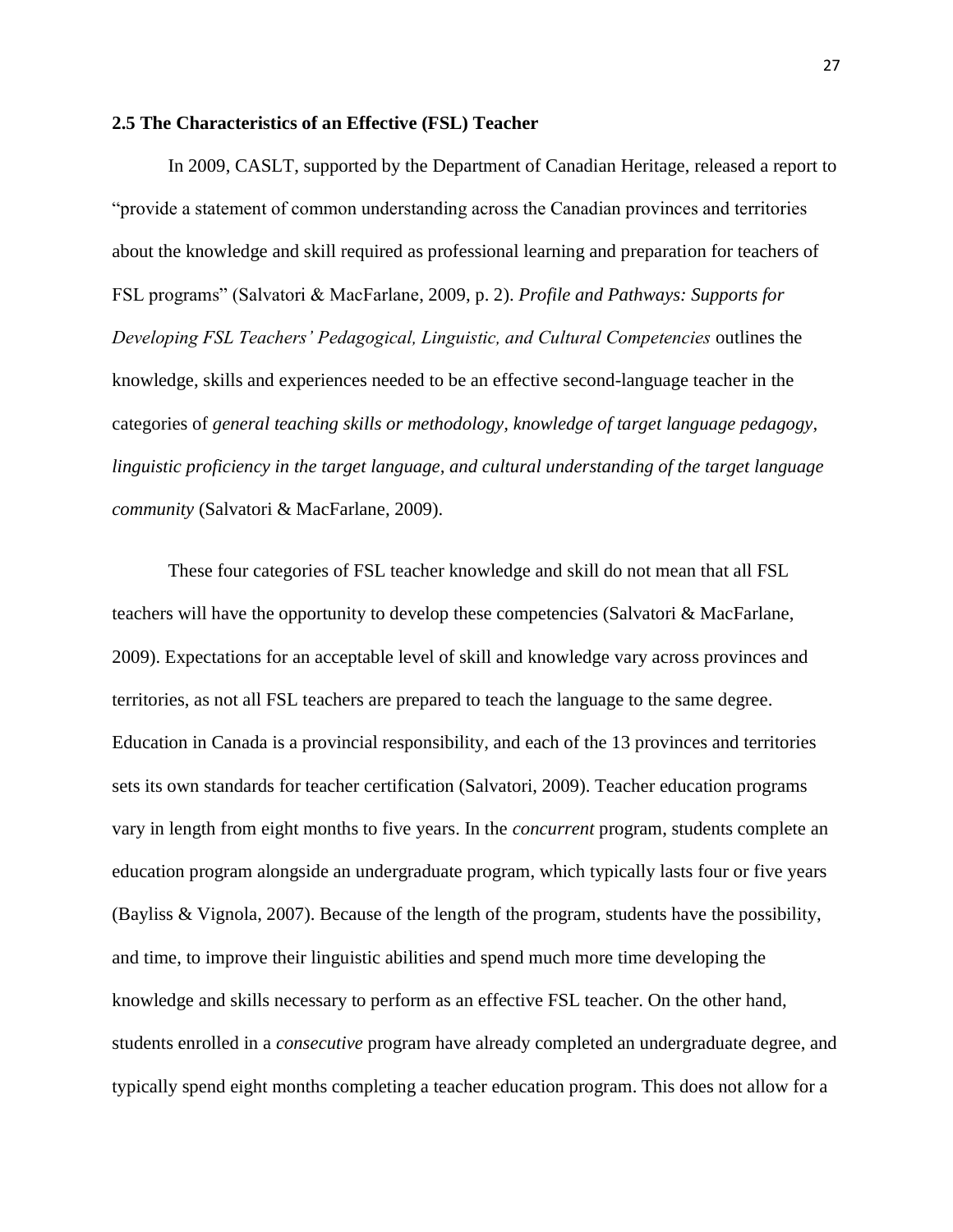#### **2.5 The Characteristics of an Effective (FSL) Teacher**

In 2009, CASLT, supported by the Department of Canadian Heritage, released a report to "provide a statement of common understanding across the Canadian provinces and territories about the knowledge and skill required as professional learning and preparation for teachers of FSL programs" (Salvatori & MacFarlane, 2009, p. 2). *Profile and Pathways: Supports for Developing FSL Teachers' Pedagogical, Linguistic, and Cultural Competencies* outlines the knowledge, skills and experiences needed to be an effective second-language teacher in the categories of *general teaching skills or methodology, knowledge of target language pedagogy, linguistic proficiency in the target language, and cultural understanding of the target language community* (Salvatori & MacFarlane, 2009).

These four categories of FSL teacher knowledge and skill do not mean that all FSL teachers will have the opportunity to develop these competencies (Salvatori & MacFarlane, 2009). Expectations for an acceptable level of skill and knowledge vary across provinces and territories, as not all FSL teachers are prepared to teach the language to the same degree. Education in Canada is a provincial responsibility, and each of the 13 provinces and territories sets its own standards for teacher certification (Salvatori, 2009). Teacher education programs vary in length from eight months to five years. In the *concurrent* program, students complete an education program alongside an undergraduate program, which typically lasts four or five years (Bayliss & Vignola, 2007). Because of the length of the program, students have the possibility, and time, to improve their linguistic abilities and spend much more time developing the knowledge and skills necessary to perform as an effective FSL teacher. On the other hand, students enrolled in a *consecutive* program have already completed an undergraduate degree, and typically spend eight months completing a teacher education program. This does not allow for a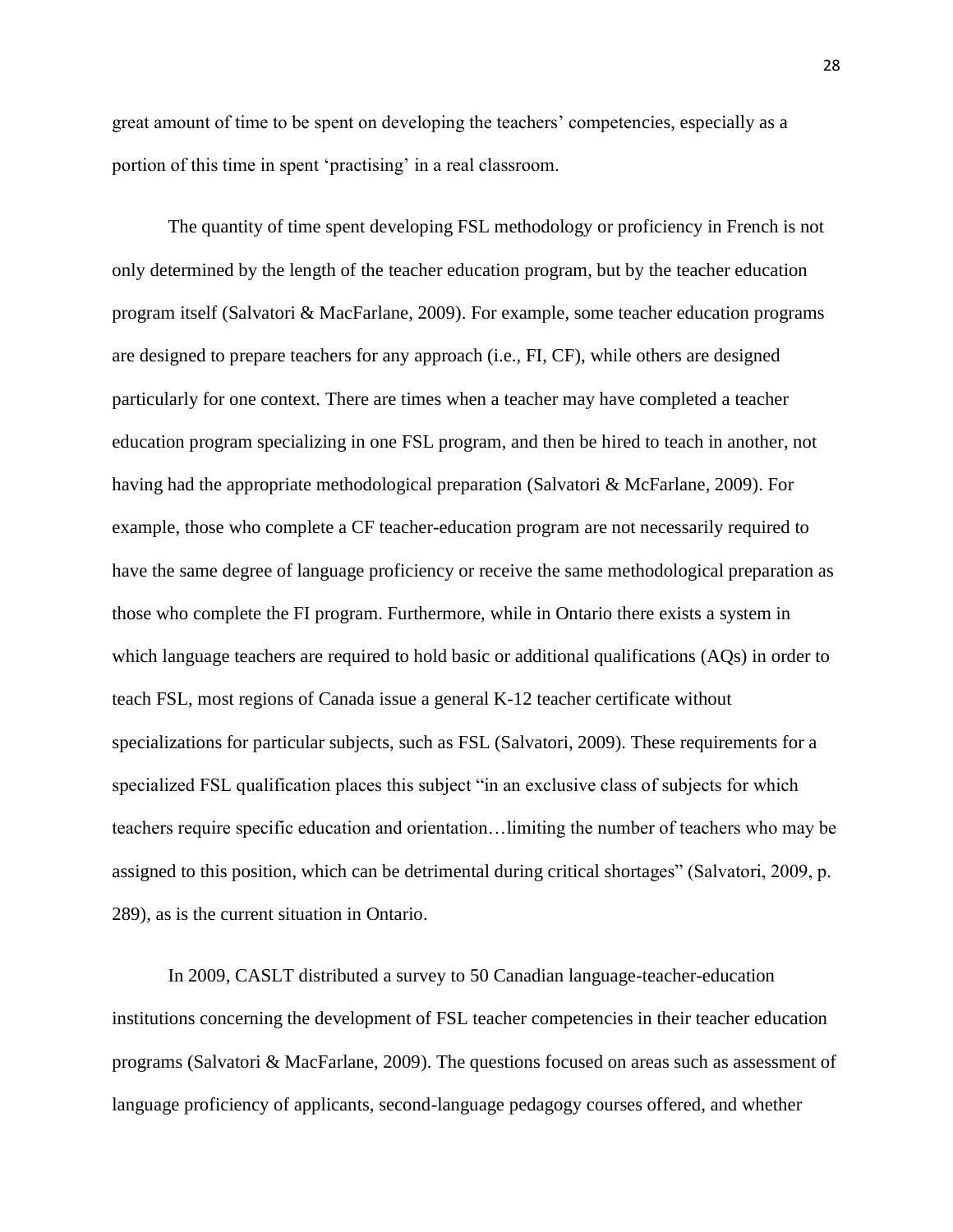great amount of time to be spent on developing the teachers" competencies, especially as a portion of this time in spent 'practising' in a real classroom.

The quantity of time spent developing FSL methodology or proficiency in French is not only determined by the length of the teacher education program, but by the teacher education program itself (Salvatori & MacFarlane, 2009). For example, some teacher education programs are designed to prepare teachers for any approach (i.e., FI, CF), while others are designed particularly for one context. There are times when a teacher may have completed a teacher education program specializing in one FSL program, and then be hired to teach in another, not having had the appropriate methodological preparation (Salvatori & McFarlane, 2009). For example, those who complete a CF teacher-education program are not necessarily required to have the same degree of language proficiency or receive the same methodological preparation as those who complete the FI program. Furthermore, while in Ontario there exists a system in which language teachers are required to hold basic or additional qualifications (AQs) in order to teach FSL, most regions of Canada issue a general K-12 teacher certificate without specializations for particular subjects, such as FSL (Salvatori, 2009). These requirements for a specialized FSL qualification places this subject "in an exclusive class of subjects for which teachers require specific education and orientation…limiting the number of teachers who may be assigned to this position, which can be detrimental during critical shortages" (Salvatori, 2009, p. 289), as is the current situation in Ontario.

In 2009, CASLT distributed a survey to 50 Canadian language-teacher-education institutions concerning the development of FSL teacher competencies in their teacher education programs (Salvatori & MacFarlane, 2009). The questions focused on areas such as assessment of language proficiency of applicants, second-language pedagogy courses offered, and whether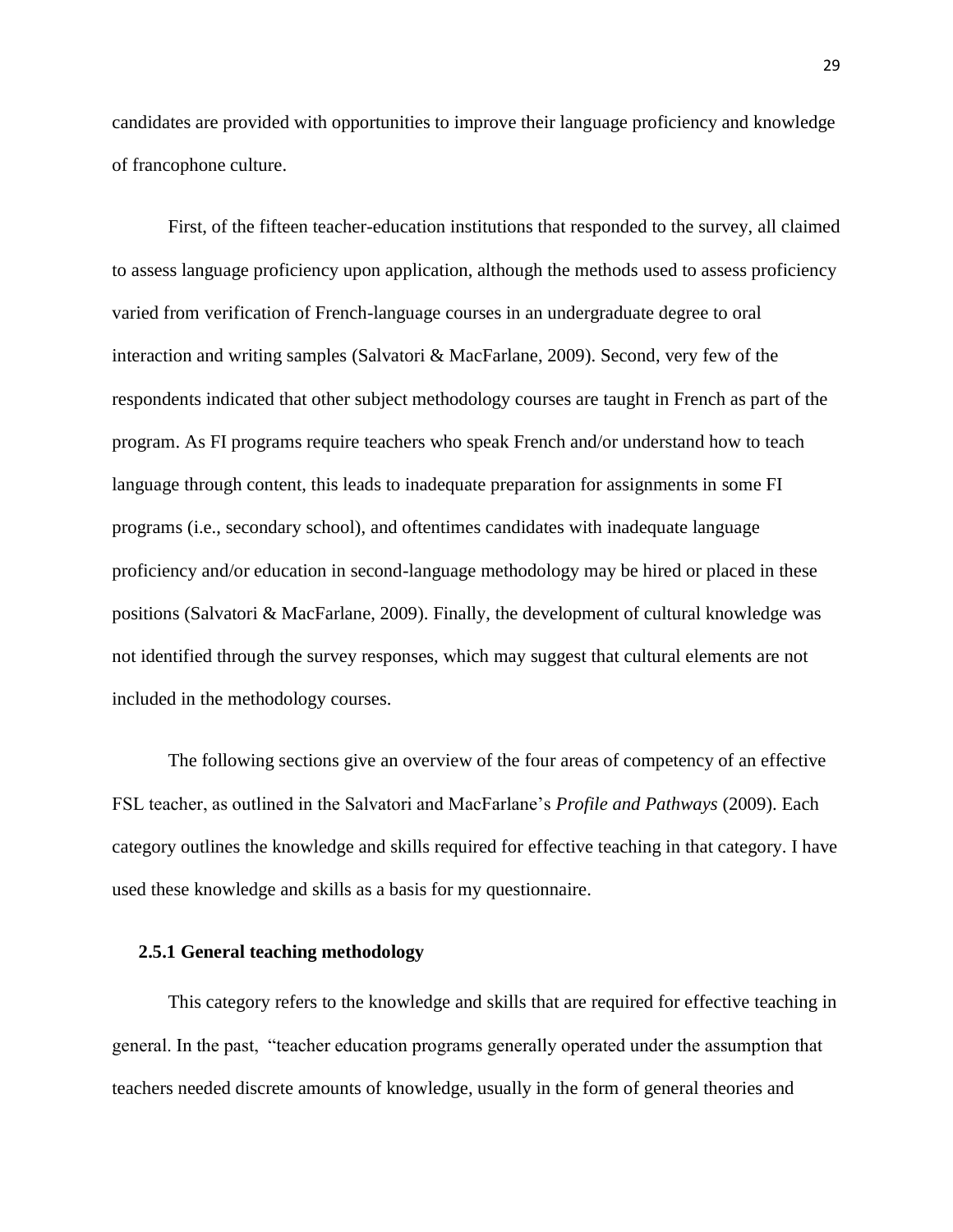candidates are provided with opportunities to improve their language proficiency and knowledge of francophone culture.

First, of the fifteen teacher-education institutions that responded to the survey, all claimed to assess language proficiency upon application, although the methods used to assess proficiency varied from verification of French-language courses in an undergraduate degree to oral interaction and writing samples (Salvatori & MacFarlane, 2009). Second, very few of the respondents indicated that other subject methodology courses are taught in French as part of the program. As FI programs require teachers who speak French and/or understand how to teach language through content, this leads to inadequate preparation for assignments in some FI programs (i.e., secondary school), and oftentimes candidates with inadequate language proficiency and/or education in second-language methodology may be hired or placed in these positions (Salvatori & MacFarlane, 2009). Finally, the development of cultural knowledge was not identified through the survey responses, which may suggest that cultural elements are not included in the methodology courses.

The following sections give an overview of the four areas of competency of an effective FSL teacher, as outlined in the Salvatori and MacFarlane"s *Profile and Pathways* (2009). Each category outlines the knowledge and skills required for effective teaching in that category. I have used these knowledge and skills as a basis for my questionnaire.

### **2.5.1 General teaching methodology**

This category refers to the knowledge and skills that are required for effective teaching in general. In the past, "teacher education programs generally operated under the assumption that teachers needed discrete amounts of knowledge, usually in the form of general theories and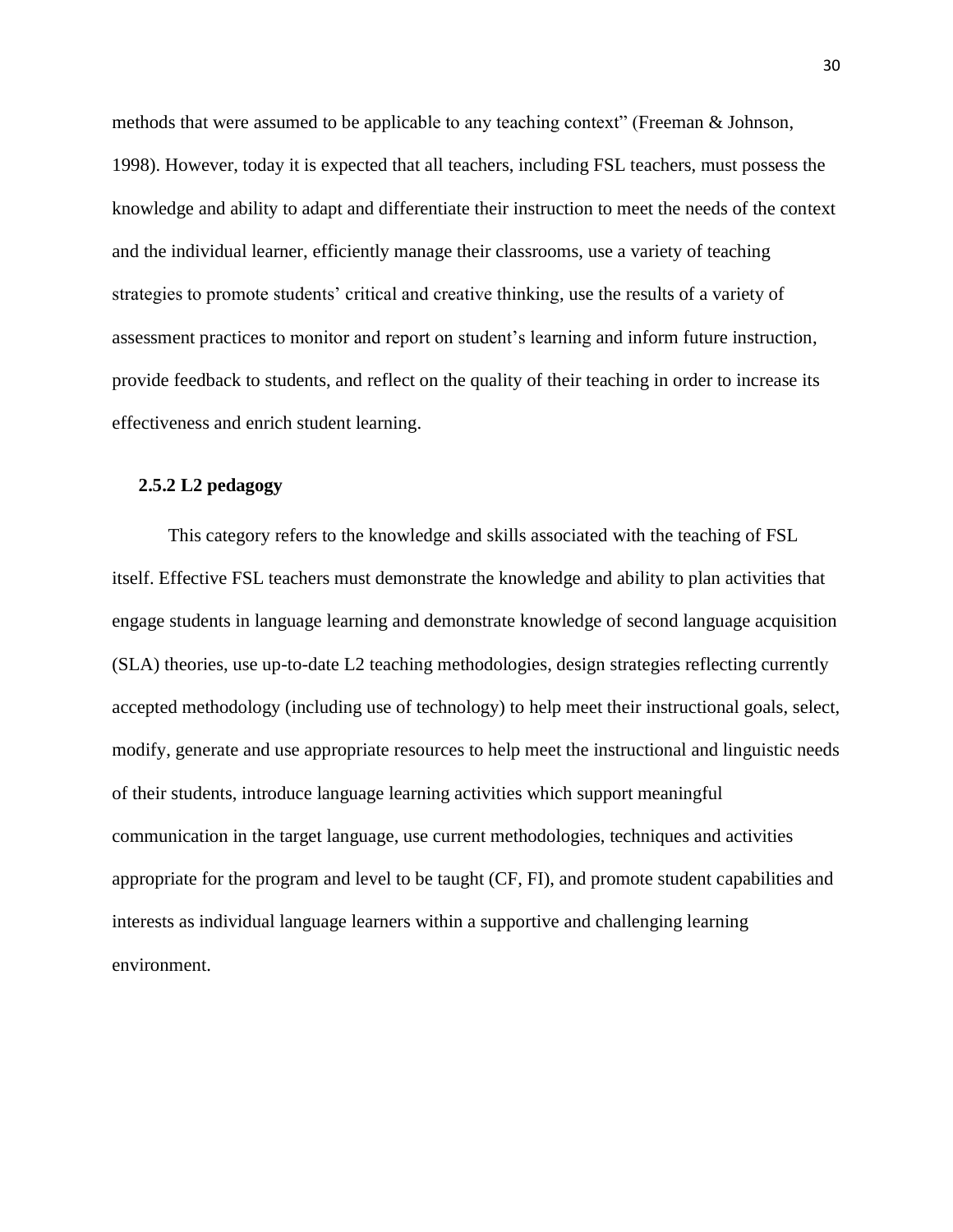methods that were assumed to be applicable to any teaching context" (Freeman & Johnson, 1998). However, today it is expected that all teachers, including FSL teachers, must possess the knowledge and ability to adapt and differentiate their instruction to meet the needs of the context and the individual learner, efficiently manage their classrooms, use a variety of teaching strategies to promote students' critical and creative thinking, use the results of a variety of assessment practices to monitor and report on student"s learning and inform future instruction, provide feedback to students, and reflect on the quality of their teaching in order to increase its effectiveness and enrich student learning.

#### **2.5.2 L2 pedagogy**

This category refers to the knowledge and skills associated with the teaching of FSL itself. Effective FSL teachers must demonstrate the knowledge and ability to plan activities that engage students in language learning and demonstrate knowledge of second language acquisition (SLA) theories, use up-to-date L2 teaching methodologies, design strategies reflecting currently accepted methodology (including use of technology) to help meet their instructional goals, select, modify, generate and use appropriate resources to help meet the instructional and linguistic needs of their students, introduce language learning activities which support meaningful communication in the target language, use current methodologies, techniques and activities appropriate for the program and level to be taught (CF, FI), and promote student capabilities and interests as individual language learners within a supportive and challenging learning environment.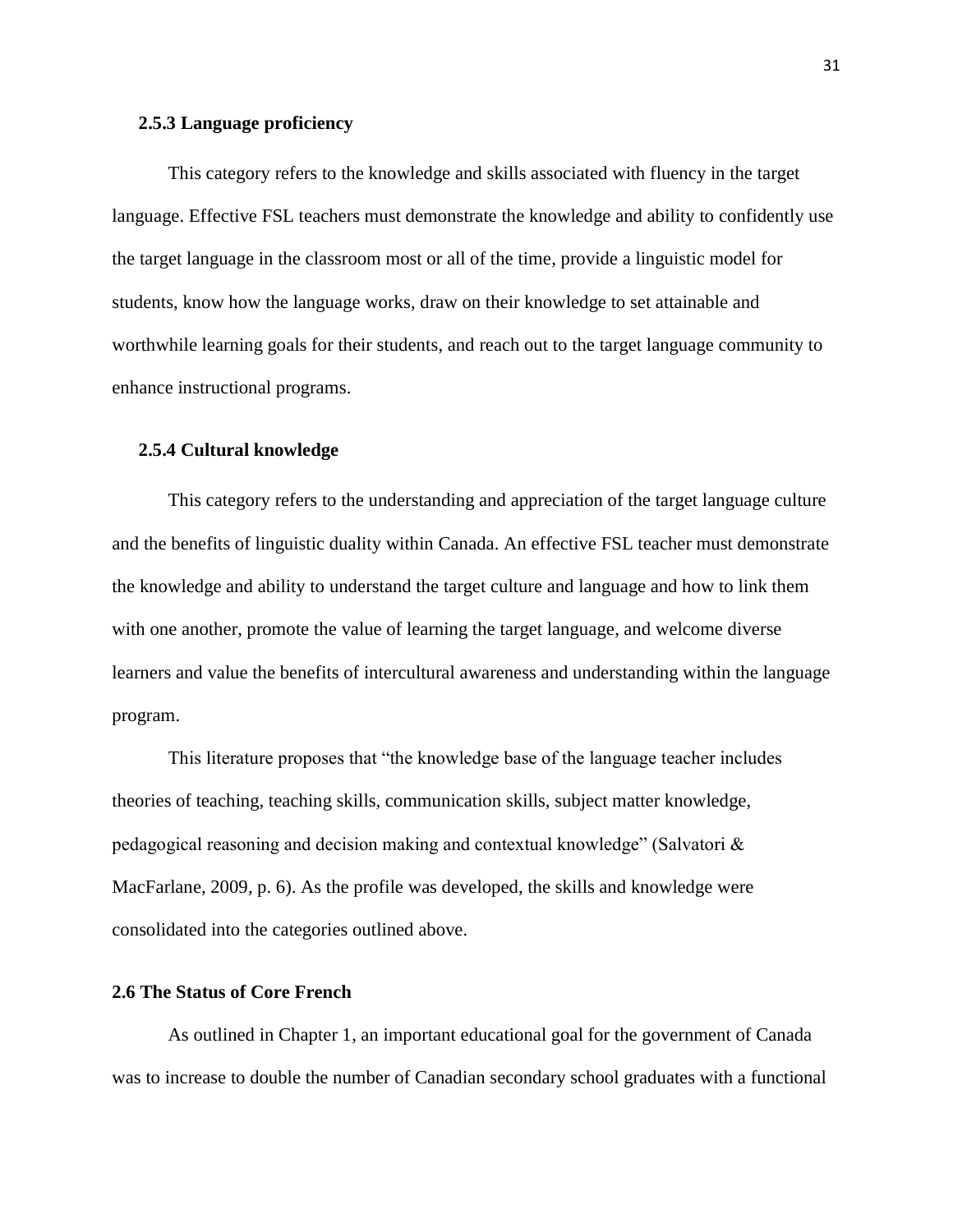## **2.5.3 Language proficiency**

This category refers to the knowledge and skills associated with fluency in the target language. Effective FSL teachers must demonstrate the knowledge and ability to confidently use the target language in the classroom most or all of the time, provide a linguistic model for students, know how the language works, draw on their knowledge to set attainable and worthwhile learning goals for their students, and reach out to the target language community to enhance instructional programs.

### **2.5.4 Cultural knowledge**

This category refers to the understanding and appreciation of the target language culture and the benefits of linguistic duality within Canada. An effective FSL teacher must demonstrate the knowledge and ability to understand the target culture and language and how to link them with one another, promote the value of learning the target language, and welcome diverse learners and value the benefits of intercultural awareness and understanding within the language program.

This literature proposes that "the knowledge base of the language teacher includes theories of teaching, teaching skills, communication skills, subject matter knowledge, pedagogical reasoning and decision making and contextual knowledge" (Salvatori & MacFarlane, 2009, p. 6). As the profile was developed, the skills and knowledge were consolidated into the categories outlined above.

# **2.6 The Status of Core French**

As outlined in Chapter 1, an important educational goal for the government of Canada was to increase to double the number of Canadian secondary school graduates with a functional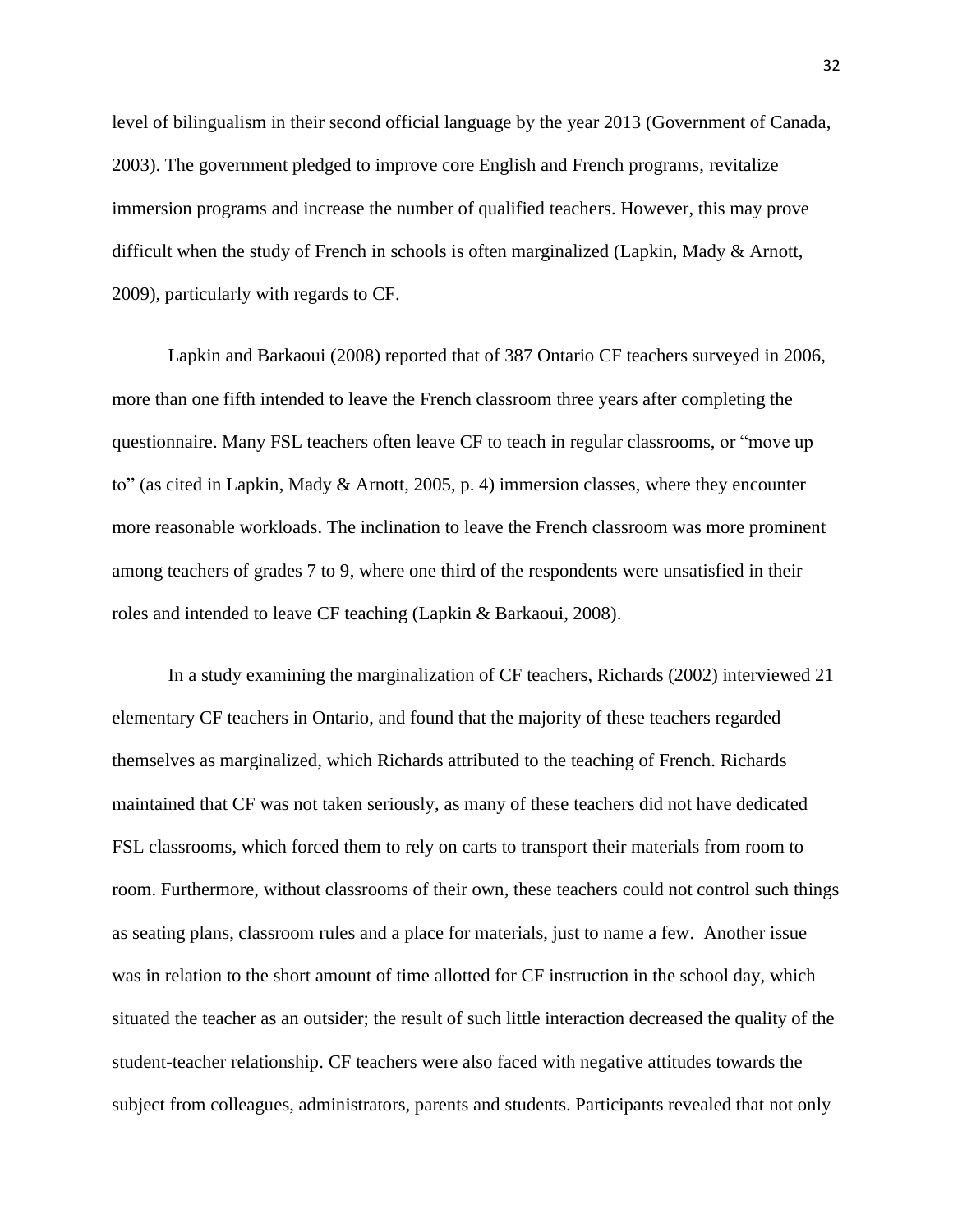level of bilingualism in their second official language by the year 2013 (Government of Canada, 2003). The government pledged to improve core English and French programs, revitalize immersion programs and increase the number of qualified teachers. However, this may prove difficult when the study of French in schools is often marginalized (Lapkin, Mady & Arnott, 2009), particularly with regards to CF.

Lapkin and Barkaoui (2008) reported that of 387 Ontario CF teachers surveyed in 2006, more than one fifth intended to leave the French classroom three years after completing the questionnaire. Many FSL teachers often leave CF to teach in regular classrooms, or "move up to" (as cited in Lapkin, Mady & Arnott, 2005, p. 4) immersion classes, where they encounter more reasonable workloads. The inclination to leave the French classroom was more prominent among teachers of grades 7 to 9, where one third of the respondents were unsatisfied in their roles and intended to leave CF teaching (Lapkin & Barkaoui, 2008).

In a study examining the marginalization of CF teachers, Richards (2002) interviewed 21 elementary CF teachers in Ontario, and found that the majority of these teachers regarded themselves as marginalized, which Richards attributed to the teaching of French. Richards maintained that CF was not taken seriously, as many of these teachers did not have dedicated FSL classrooms, which forced them to rely on carts to transport their materials from room to room. Furthermore, without classrooms of their own, these teachers could not control such things as seating plans, classroom rules and a place for materials, just to name a few. Another issue was in relation to the short amount of time allotted for CF instruction in the school day, which situated the teacher as an outsider; the result of such little interaction decreased the quality of the student-teacher relationship. CF teachers were also faced with negative attitudes towards the subject from colleagues, administrators, parents and students. Participants revealed that not only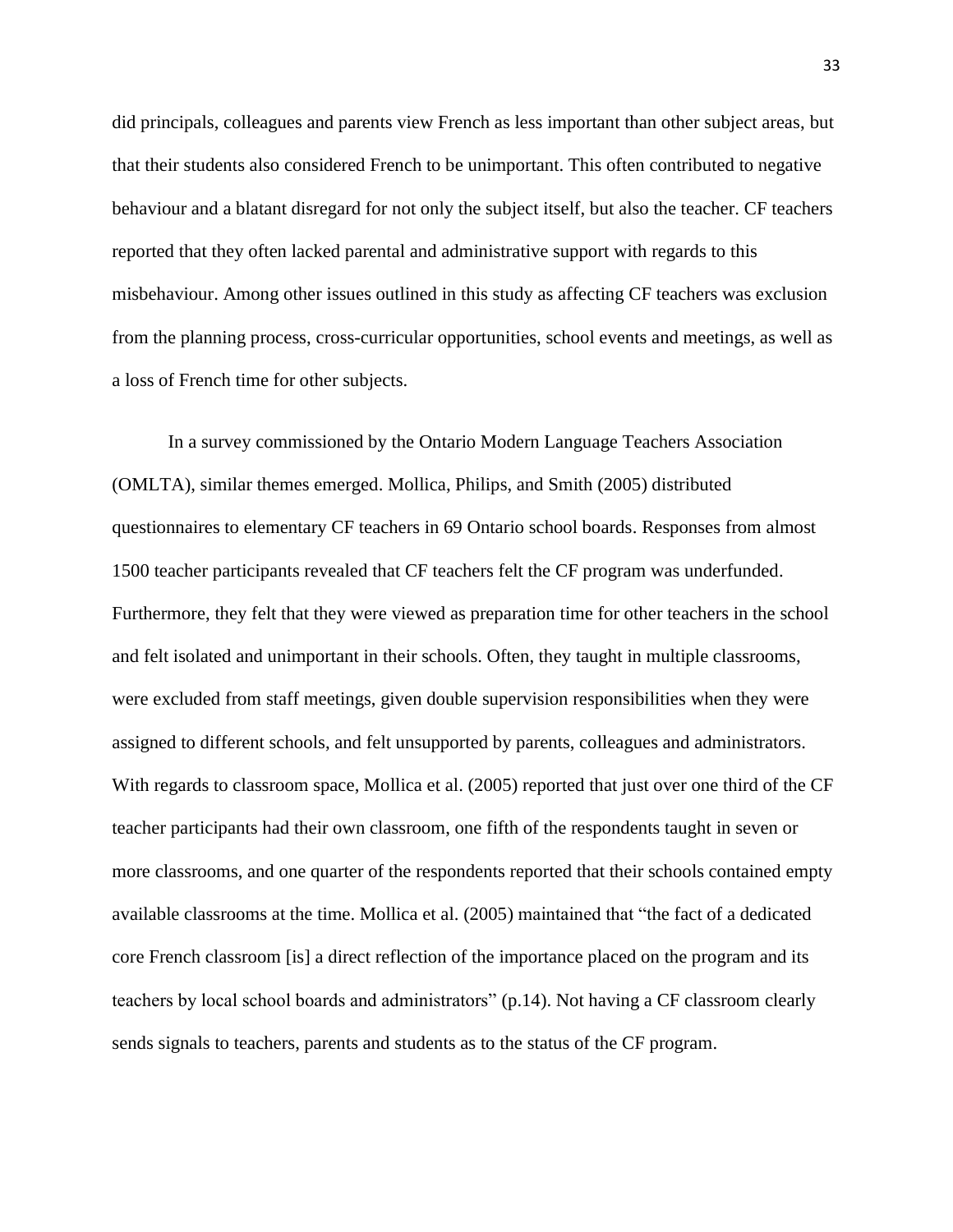did principals, colleagues and parents view French as less important than other subject areas, but that their students also considered French to be unimportant. This often contributed to negative behaviour and a blatant disregard for not only the subject itself, but also the teacher. CF teachers reported that they often lacked parental and administrative support with regards to this misbehaviour. Among other issues outlined in this study as affecting CF teachers was exclusion from the planning process, cross-curricular opportunities, school events and meetings, as well as a loss of French time for other subjects.

In a survey commissioned by the Ontario Modern Language Teachers Association (OMLTA), similar themes emerged. Mollica, Philips, and Smith (2005) distributed questionnaires to elementary CF teachers in 69 Ontario school boards. Responses from almost 1500 teacher participants revealed that CF teachers felt the CF program was underfunded. Furthermore, they felt that they were viewed as preparation time for other teachers in the school and felt isolated and unimportant in their schools. Often, they taught in multiple classrooms, were excluded from staff meetings, given double supervision responsibilities when they were assigned to different schools, and felt unsupported by parents, colleagues and administrators. With regards to classroom space, Mollica et al. (2005) reported that just over one third of the CF teacher participants had their own classroom, one fifth of the respondents taught in seven or more classrooms, and one quarter of the respondents reported that their schools contained empty available classrooms at the time. Mollica et al. (2005) maintained that "the fact of a dedicated core French classroom [is] a direct reflection of the importance placed on the program and its teachers by local school boards and administrators" (p.14). Not having a CF classroom clearly sends signals to teachers, parents and students as to the status of the CF program.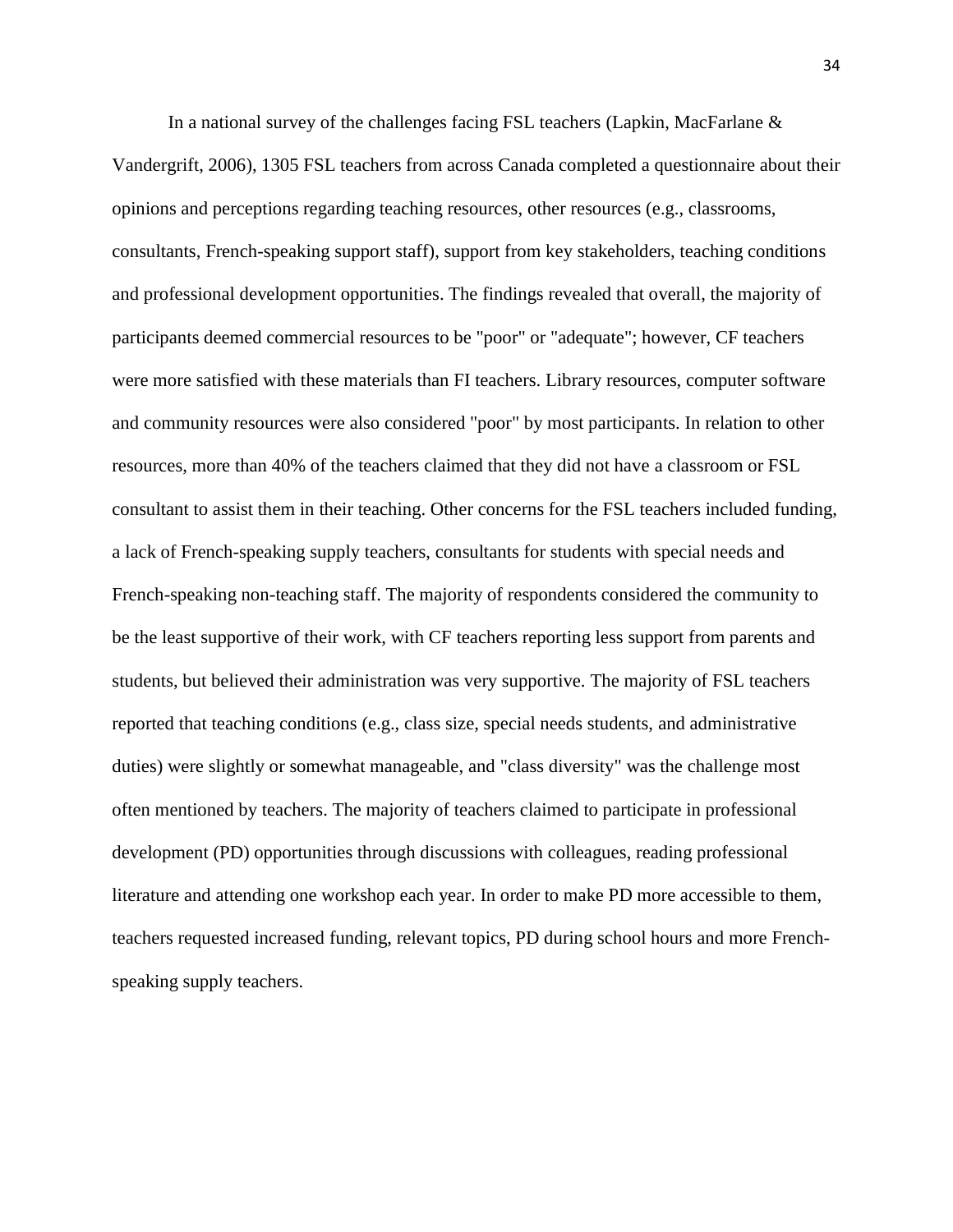In a national survey of the challenges facing FSL teachers (Lapkin, MacFarlane  $\&$ Vandergrift, 2006), 1305 FSL teachers from across Canada completed a questionnaire about their opinions and perceptions regarding teaching resources, other resources (e.g., classrooms, consultants, French-speaking support staff), support from key stakeholders, teaching conditions and professional development opportunities. The findings revealed that overall, the majority of participants deemed commercial resources to be "poor" or "adequate"; however, CF teachers were more satisfied with these materials than FI teachers. Library resources, computer software and community resources were also considered "poor" by most participants. In relation to other resources, more than 40% of the teachers claimed that they did not have a classroom or FSL consultant to assist them in their teaching. Other concerns for the FSL teachers included funding, a lack of French-speaking supply teachers, consultants for students with special needs and French-speaking non-teaching staff. The majority of respondents considered the community to be the least supportive of their work, with CF teachers reporting less support from parents and students, but believed their administration was very supportive. The majority of FSL teachers reported that teaching conditions (e.g., class size, special needs students, and administrative duties) were slightly or somewhat manageable, and "class diversity" was the challenge most often mentioned by teachers. The majority of teachers claimed to participate in professional development (PD) opportunities through discussions with colleagues, reading professional literature and attending one workshop each year. In order to make PD more accessible to them, teachers requested increased funding, relevant topics, PD during school hours and more Frenchspeaking supply teachers.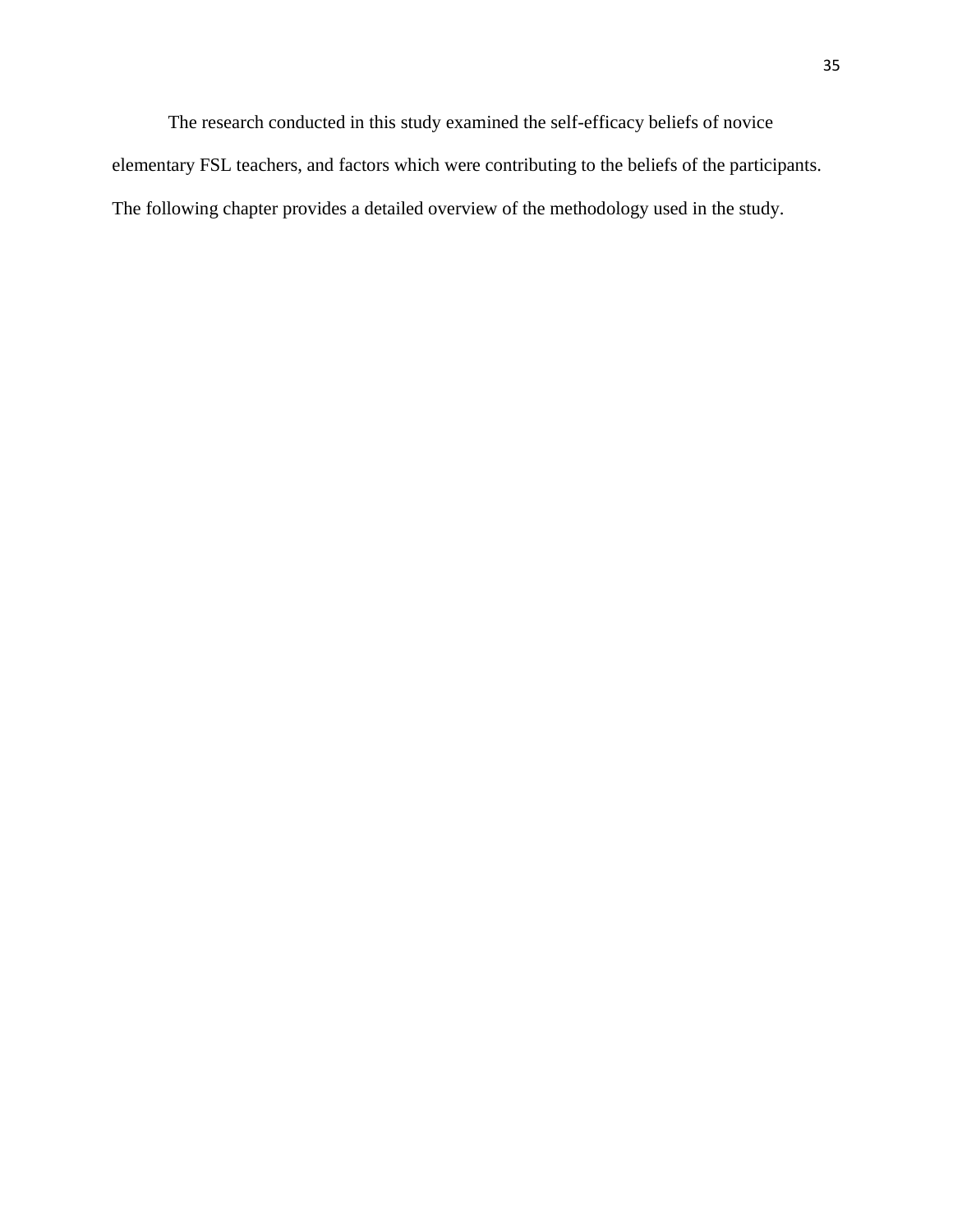The research conducted in this study examined the self-efficacy beliefs of novice elementary FSL teachers, and factors which were contributing to the beliefs of the participants. The following chapter provides a detailed overview of the methodology used in the study.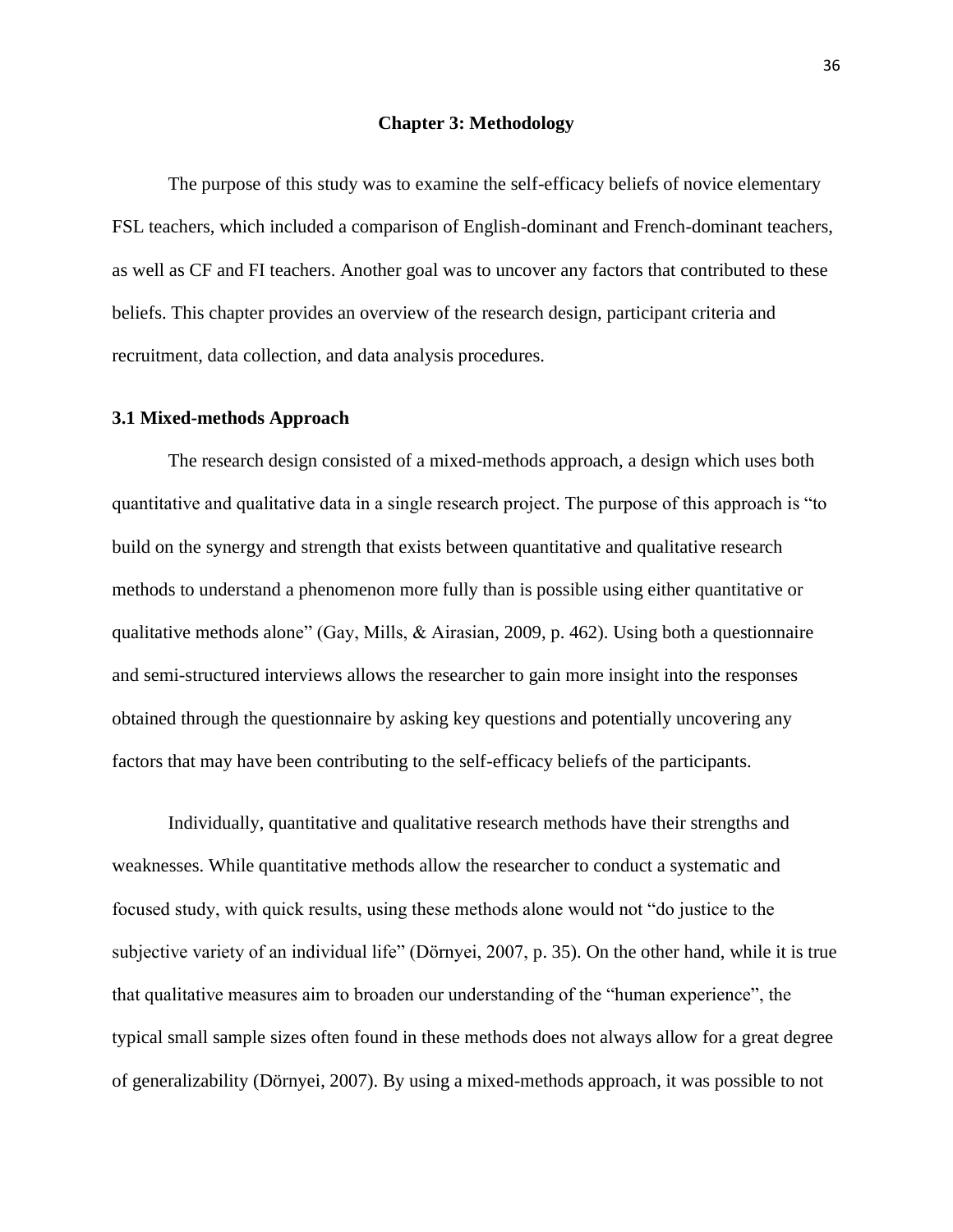#### **Chapter 3: Methodology**

The purpose of this study was to examine the self-efficacy beliefs of novice elementary FSL teachers, which included a comparison of English-dominant and French-dominant teachers, as well as CF and FI teachers. Another goal was to uncover any factors that contributed to these beliefs. This chapter provides an overview of the research design, participant criteria and recruitment, data collection, and data analysis procedures.

## **3.1 Mixed-methods Approach**

The research design consisted of a mixed-methods approach, a design which uses both quantitative and qualitative data in a single research project. The purpose of this approach is "to build on the synergy and strength that exists between quantitative and qualitative research methods to understand a phenomenon more fully than is possible using either quantitative or qualitative methods alone" (Gay, Mills, & Airasian, 2009, p. 462). Using both a questionnaire and semi-structured interviews allows the researcher to gain more insight into the responses obtained through the questionnaire by asking key questions and potentially uncovering any factors that may have been contributing to the self-efficacy beliefs of the participants.

Individually, quantitative and qualitative research methods have their strengths and weaknesses. While quantitative methods allow the researcher to conduct a systematic and focused study, with quick results, using these methods alone would not "do justice to the subjective variety of an individual life" (Dörnyei, 2007, p. 35). On the other hand, while it is true that qualitative measures aim to broaden our understanding of the "human experience", the typical small sample sizes often found in these methods does not always allow for a great degree of generalizability (Dörnyei, 2007). By using a mixed-methods approach, it was possible to not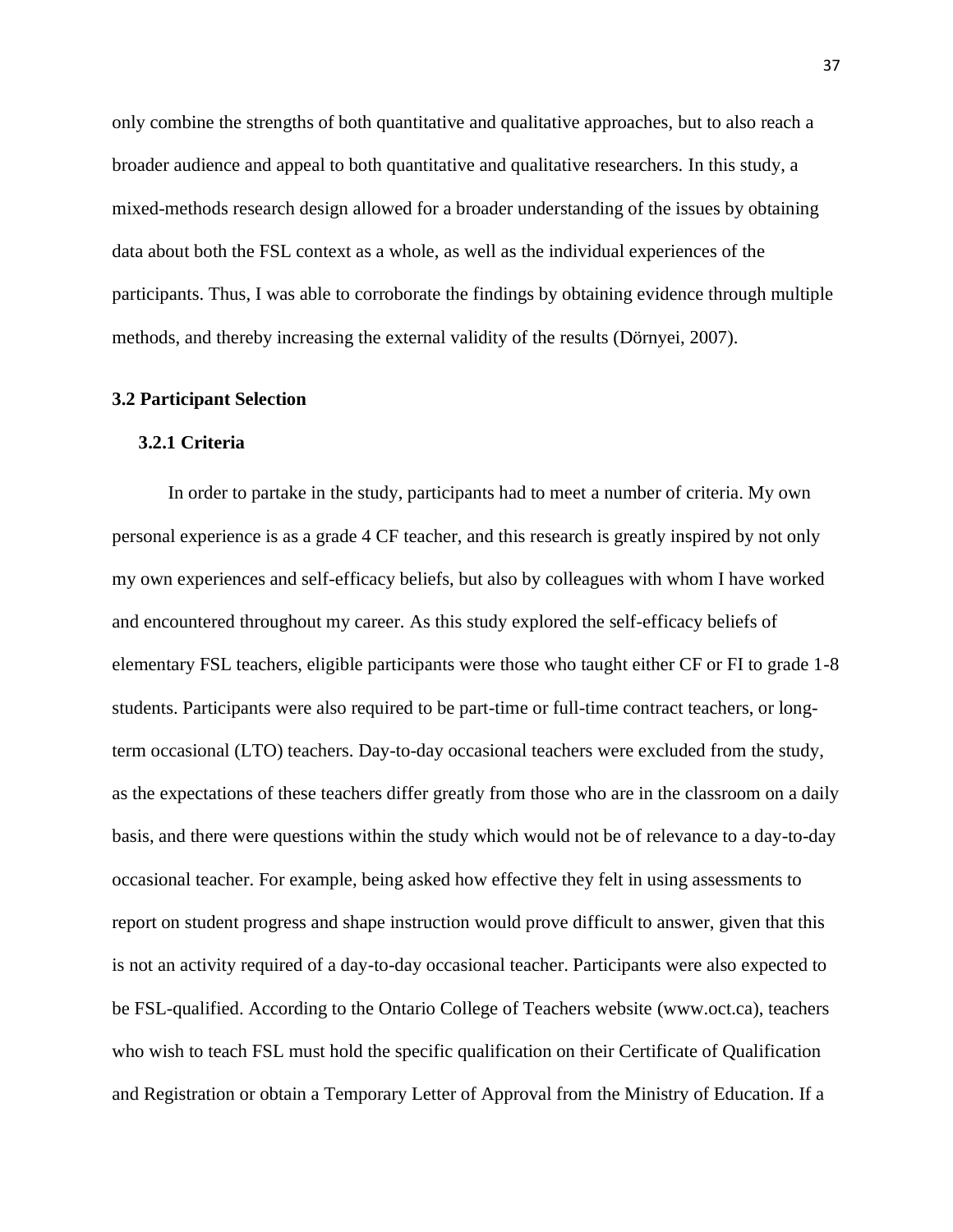only combine the strengths of both quantitative and qualitative approaches, but to also reach a broader audience and appeal to both quantitative and qualitative researchers. In this study, a mixed-methods research design allowed for a broader understanding of the issues by obtaining data about both the FSL context as a whole, as well as the individual experiences of the participants. Thus, I was able to corroborate the findings by obtaining evidence through multiple methods, and thereby increasing the external validity of the results (Dörnyei, 2007).

#### **3.2 Participant Selection**

#### **3.2.1 Criteria**

In order to partake in the study, participants had to meet a number of criteria. My own personal experience is as a grade 4 CF teacher, and this research is greatly inspired by not only my own experiences and self-efficacy beliefs, but also by colleagues with whom I have worked and encountered throughout my career*.* As this study explored the self-efficacy beliefs of elementary FSL teachers, eligible participants were those who taught either CF or FI to grade 1-8 students. Participants were also required to be part-time or full-time contract teachers, or longterm occasional (LTO) teachers. Day-to-day occasional teachers were excluded from the study, as the expectations of these teachers differ greatly from those who are in the classroom on a daily basis, and there were questions within the study which would not be of relevance to a day-to-day occasional teacher. For example, being asked how effective they felt in using assessments to report on student progress and shape instruction would prove difficult to answer, given that this is not an activity required of a day-to-day occasional teacher. Participants were also expected to be FSL-qualified. According to the Ontario College of Teachers website (www.oct.ca), teachers who wish to teach FSL must hold the specific qualification on their Certificate of Qualification and Registration or obtain a Temporary Letter of Approval from the Ministry of Education. If a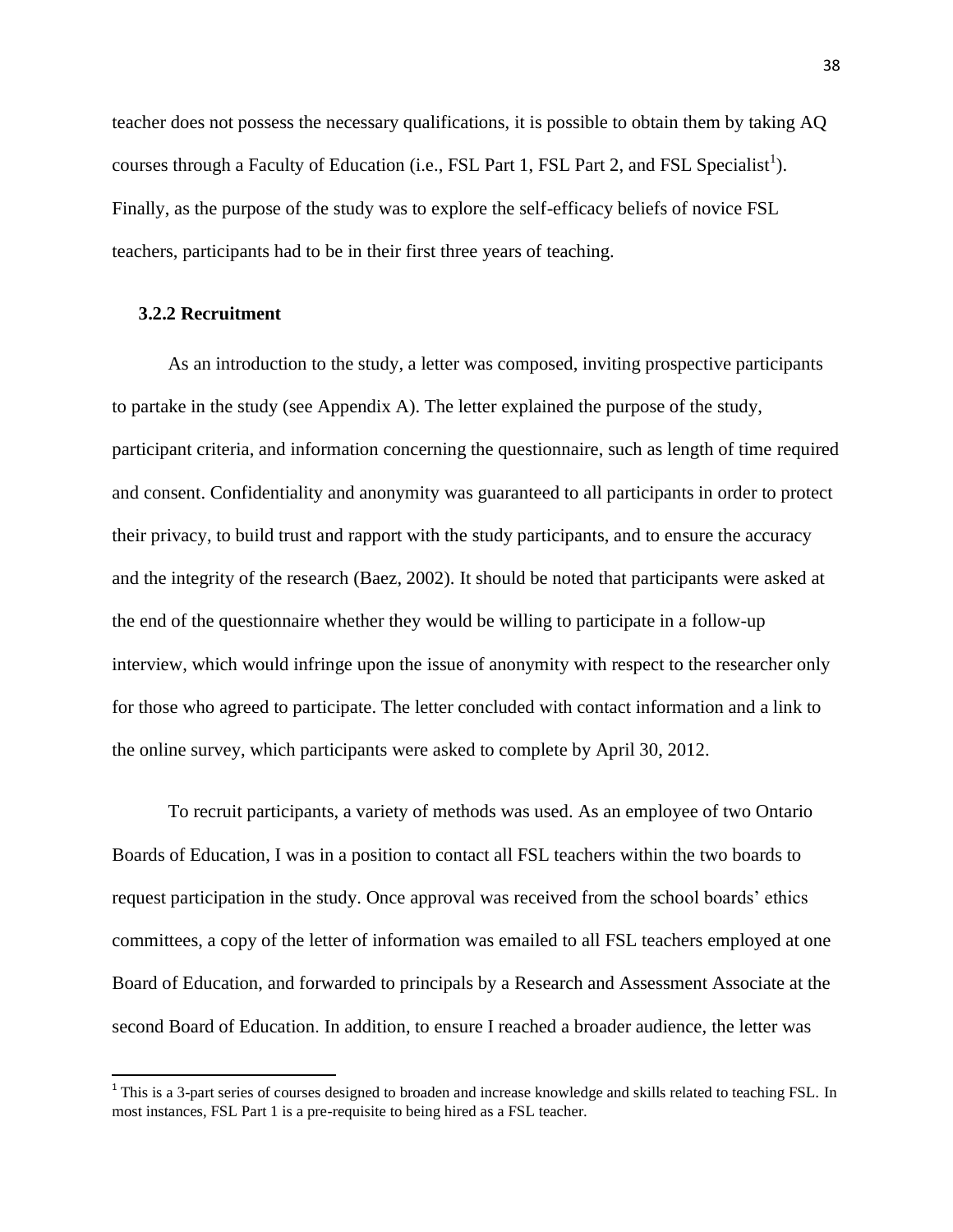teacher does not possess the necessary qualifications, it is possible to obtain them by taking AQ courses through a Faculty of Education (i.e., FSL Part 1, FSL Part 2, and FSL Specialist<sup>1</sup>). Finally, as the purpose of the study was to explore the self-efficacy beliefs of novice FSL teachers, participants had to be in their first three years of teaching.

## **3.2.2 Recruitment**

As an introduction to the study, a letter was composed, inviting prospective participants to partake in the study (see Appendix A). The letter explained the purpose of the study, participant criteria, and information concerning the questionnaire, such as length of time required and consent. Confidentiality and anonymity was guaranteed to all participants in order to protect their privacy, to build trust and rapport with the study participants, and to ensure the accuracy and the integrity of the research (Baez, 2002). It should be noted that participants were asked at the end of the questionnaire whether they would be willing to participate in a follow-up interview, which would infringe upon the issue of anonymity with respect to the researcher only for those who agreed to participate. The letter concluded with contact information and a link to the online survey, which participants were asked to complete by April 30, 2012.

To recruit participants, a variety of methods was used. As an employee of two Ontario Boards of Education, I was in a position to contact all FSL teachers within the two boards to request participation in the study. Once approval was received from the school boards' ethics committees, a copy of the letter of information was emailed to all FSL teachers employed at one Board of Education, and forwarded to principals by a Research and Assessment Associate at the second Board of Education. In addition, to ensure I reached a broader audience, the letter was

<sup>&</sup>lt;sup>1</sup>This is a 3-part series of courses designed to broaden and increase knowledge and skills related to teaching FSL. In most instances, FSL Part 1 is a pre-requisite to being hired as a FSL teacher.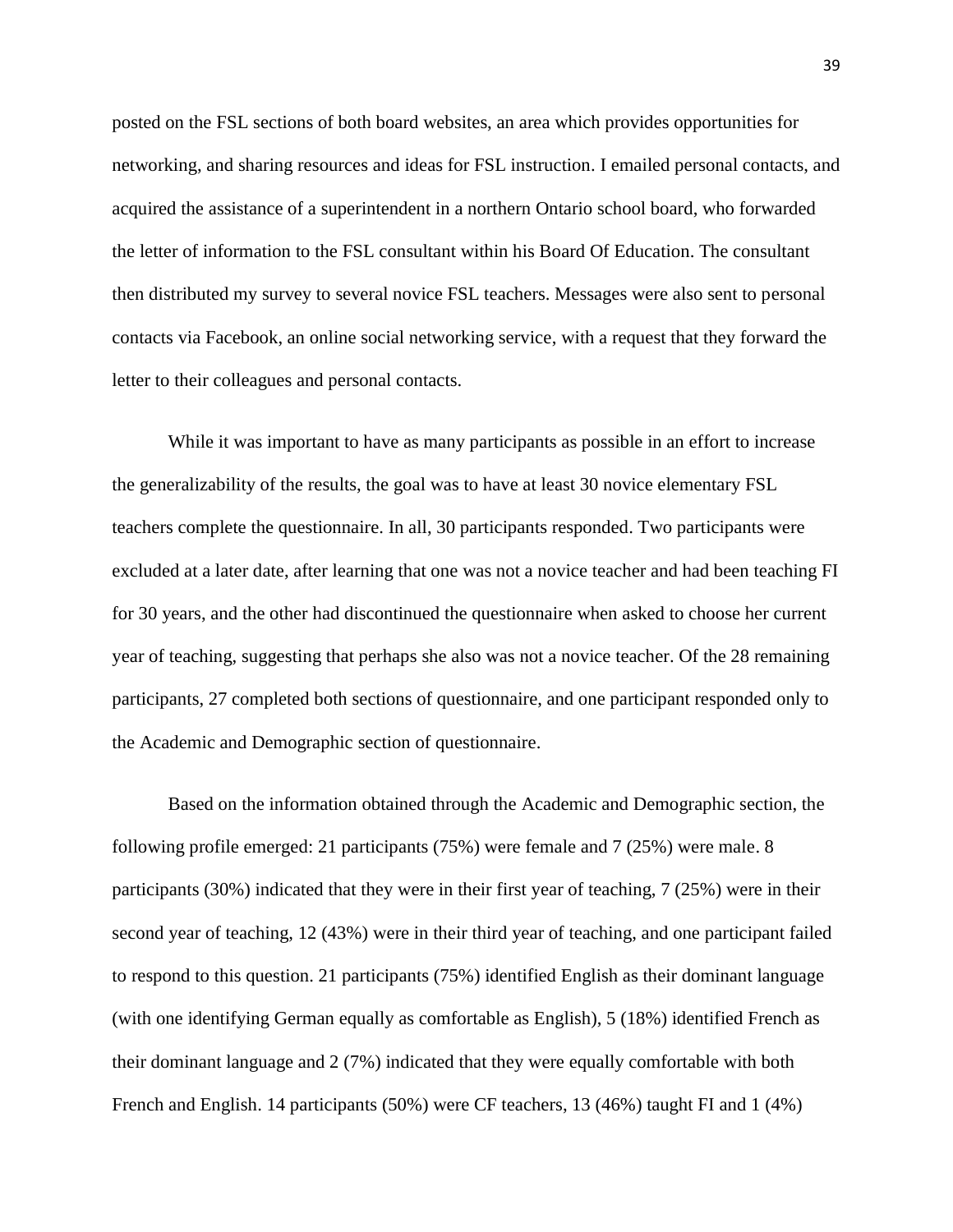posted on the FSL sections of both board websites, an area which provides opportunities for networking, and sharing resources and ideas for FSL instruction. I emailed personal contacts, and acquired the assistance of a superintendent in a northern Ontario school board, who forwarded the letter of information to the FSL consultant within his Board Of Education. The consultant then distributed my survey to several novice FSL teachers. Messages were also sent to personal contacts via Facebook, an online social networking service, with a request that they forward the letter to their colleagues and personal contacts.

While it was important to have as many participants as possible in an effort to increase the generalizability of the results, the goal was to have at least 30 novice elementary FSL teachers complete the questionnaire. In all, 30 participants responded. Two participants were excluded at a later date, after learning that one was not a novice teacher and had been teaching FI for 30 years, and the other had discontinued the questionnaire when asked to choose her current year of teaching, suggesting that perhaps she also was not a novice teacher. Of the 28 remaining participants, 27 completed both sections of questionnaire, and one participant responded only to the Academic and Demographic section of questionnaire.

Based on the information obtained through the Academic and Demographic section, the following profile emerged: 21 participants (75%) were female and 7 (25%) were male. 8 participants (30%) indicated that they were in their first year of teaching, 7 (25%) were in their second year of teaching, 12 (43%) were in their third year of teaching, and one participant failed to respond to this question. 21 participants (75%) identified English as their dominant language (with one identifying German equally as comfortable as English), 5 (18%) identified French as their dominant language and 2 (7%) indicated that they were equally comfortable with both French and English. 14 participants (50%) were CF teachers, 13 (46%) taught FI and 1 (4%)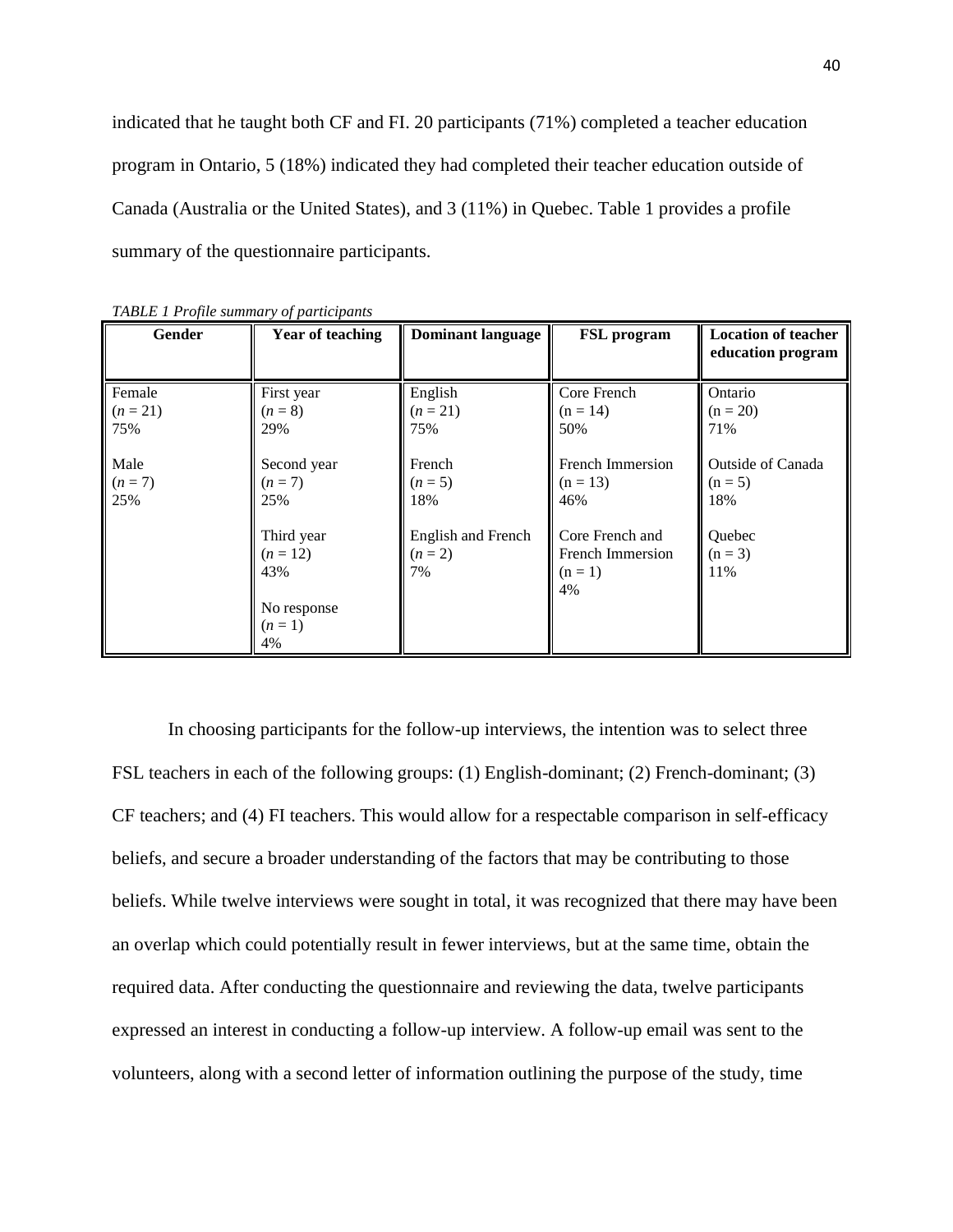indicated that he taught both CF and FI. 20 participants (71%) completed a teacher education program in Ontario, 5 (18%) indicated they had completed their teacher education outside of Canada (Australia or the United States), and 3 (11%) in Quebec. Table 1 provides a profile summary of the questionnaire participants.

| Gender     | <b>Year of teaching</b> | <b>Dominant language</b> | <b>FSL</b> program | <b>Location of teacher</b><br>education program |
|------------|-------------------------|--------------------------|--------------------|-------------------------------------------------|
| Female     | First year              | English                  | Core French        | Ontario                                         |
| $(n = 21)$ | $(n=8)$                 | $(n = 21)$               | $(n = 14)$         | $(n = 20)$                                      |
| 75%        | 29%                     | 75%                      | 50%                | 71%                                             |
| Male       | Second year             | French                   | French Immersion   | Outside of Canada                               |
| $(n=7)$    | $(n=7)$                 | $(n=5)$                  | $(n = 13)$         | $(n = 5)$                                       |
| 25%        | 25%                     | 18%                      | 46%                | 18%                                             |
|            | Third year              | English and French       | Core French and    | Quebec                                          |
|            | $(n = 12)$              | $(n = 2)$                | French Immersion   | $(n = 3)$                                       |
|            | 43%                     | 7%                       | $(n = 1)$<br>4%    | 11%                                             |
|            | No response             |                          |                    |                                                 |
|            | $(n=1)$                 |                          |                    |                                                 |
|            | 4%                      |                          |                    |                                                 |

*TABLE 1 Profile summary of participants*

In choosing participants for the follow-up interviews, the intention was to select three FSL teachers in each of the following groups: (1) English-dominant; (2) French-dominant; (3) CF teachers; and (4) FI teachers. This would allow for a respectable comparison in self-efficacy beliefs, and secure a broader understanding of the factors that may be contributing to those beliefs. While twelve interviews were sought in total, it was recognized that there may have been an overlap which could potentially result in fewer interviews, but at the same time, obtain the required data. After conducting the questionnaire and reviewing the data, twelve participants expressed an interest in conducting a follow-up interview. A follow-up email was sent to the volunteers, along with a second letter of information outlining the purpose of the study, time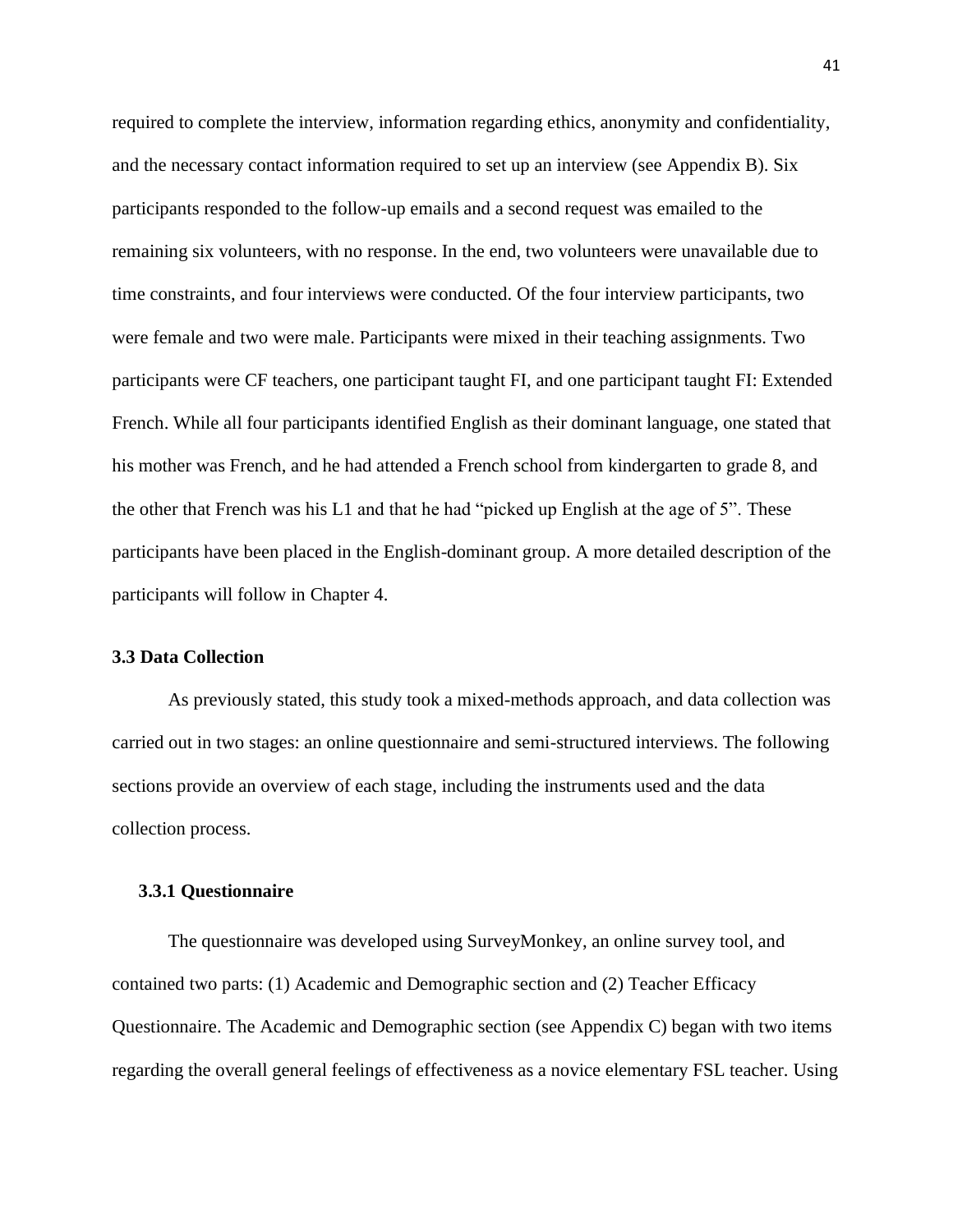required to complete the interview, information regarding ethics, anonymity and confidentiality, and the necessary contact information required to set up an interview (see Appendix B). Six participants responded to the follow-up emails and a second request was emailed to the remaining six volunteers, with no response. In the end, two volunteers were unavailable due to time constraints, and four interviews were conducted. Of the four interview participants, two were female and two were male. Participants were mixed in their teaching assignments. Two participants were CF teachers, one participant taught FI, and one participant taught FI: Extended French. While all four participants identified English as their dominant language, one stated that his mother was French, and he had attended a French school from kindergarten to grade 8, and the other that French was his L1 and that he had "picked up English at the age of 5". These participants have been placed in the English-dominant group. A more detailed description of the participants will follow in Chapter 4.

#### **3.3 Data Collection**

As previously stated, this study took a mixed-methods approach, and data collection was carried out in two stages: an online questionnaire and semi-structured interviews. The following sections provide an overview of each stage, including the instruments used and the data collection process.

### **3.3.1 Questionnaire**

The questionnaire was developed using SurveyMonkey, an online survey tool, and contained two parts: (1) Academic and Demographic section and (2) Teacher Efficacy Questionnaire. The Academic and Demographic section (see Appendix C) began with two items regarding the overall general feelings of effectiveness as a novice elementary FSL teacher. Using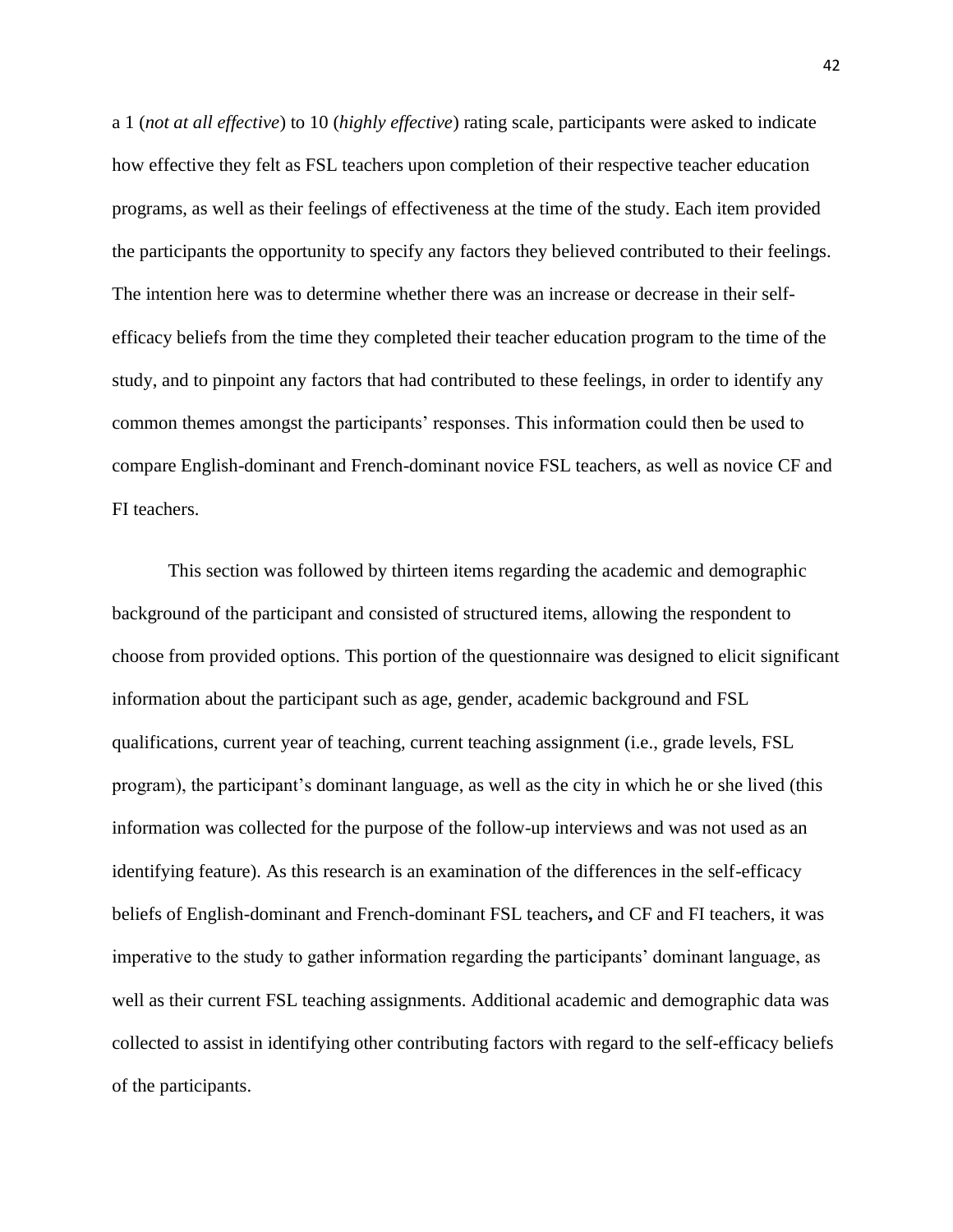a 1 (*not at all effective*) to 10 (*highly effective*) rating scale, participants were asked to indicate how effective they felt as FSL teachers upon completion of their respective teacher education programs, as well as their feelings of effectiveness at the time of the study. Each item provided the participants the opportunity to specify any factors they believed contributed to their feelings. The intention here was to determine whether there was an increase or decrease in their selfefficacy beliefs from the time they completed their teacher education program to the time of the study, and to pinpoint any factors that had contributed to these feelings, in order to identify any common themes amongst the participants' responses. This information could then be used to compare English-dominant and French-dominant novice FSL teachers, as well as novice CF and FI teachers.

This section was followed by thirteen items regarding the academic and demographic background of the participant and consisted of structured items, allowing the respondent to choose from provided options. This portion of the questionnaire was designed to elicit significant information about the participant such as age, gender, academic background and FSL qualifications, current year of teaching, current teaching assignment (i.e., grade levels, FSL program), the participant"s dominant language, as well as the city in which he or she lived (this information was collected for the purpose of the follow-up interviews and was not used as an identifying feature). As this research is an examination of the differences in the self-efficacy beliefs of English-dominant and French-dominant FSL teachers**,** and CF and FI teachers, it was imperative to the study to gather information regarding the participants" dominant language, as well as their current FSL teaching assignments. Additional academic and demographic data was collected to assist in identifying other contributing factors with regard to the self-efficacy beliefs of the participants.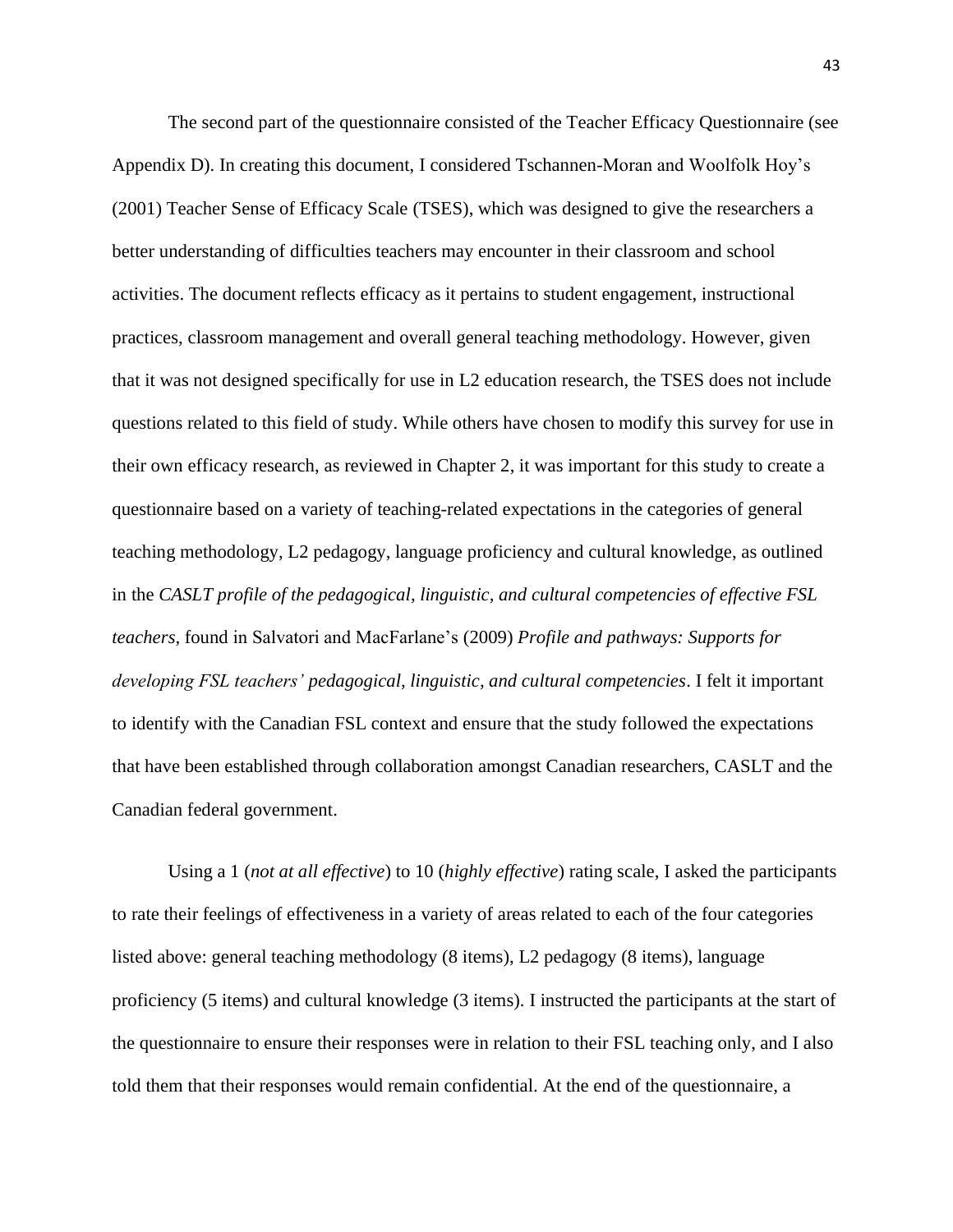The second part of the questionnaire consisted of the Teacher Efficacy Questionnaire (see Appendix D). In creating this document, I considered Tschannen-Moran and Woolfolk Hoy"s (2001) Teacher Sense of Efficacy Scale (TSES), which was designed to give the researchers a better understanding of difficulties teachers may encounter in their classroom and school activities. The document reflects efficacy as it pertains to student engagement, instructional practices, classroom management and overall general teaching methodology. However, given that it was not designed specifically for use in L2 education research, the TSES does not include questions related to this field of study. While others have chosen to modify this survey for use in their own efficacy research, as reviewed in Chapter 2, it was important for this study to create a questionnaire based on a variety of teaching-related expectations in the categories of general teaching methodology, L2 pedagogy, language proficiency and cultural knowledge, as outlined in the *CASLT profile of the pedagogical, linguistic, and cultural competencies of effective FSL teachers*, found in Salvatori and MacFarlane"s (2009) *Profile and pathways: Supports for developing FSL teachers' pedagogical, linguistic, and cultural competencies*. I felt it important to identify with the Canadian FSL context and ensure that the study followed the expectations that have been established through collaboration amongst Canadian researchers, CASLT and the Canadian federal government.

Using a 1 (*not at all effective*) to 10 (*highly effective*) rating scale, I asked the participants to rate their feelings of effectiveness in a variety of areas related to each of the four categories listed above: general teaching methodology (8 items), L2 pedagogy (8 items), language proficiency (5 items) and cultural knowledge (3 items). I instructed the participants at the start of the questionnaire to ensure their responses were in relation to their FSL teaching only, and I also told them that their responses would remain confidential. At the end of the questionnaire, a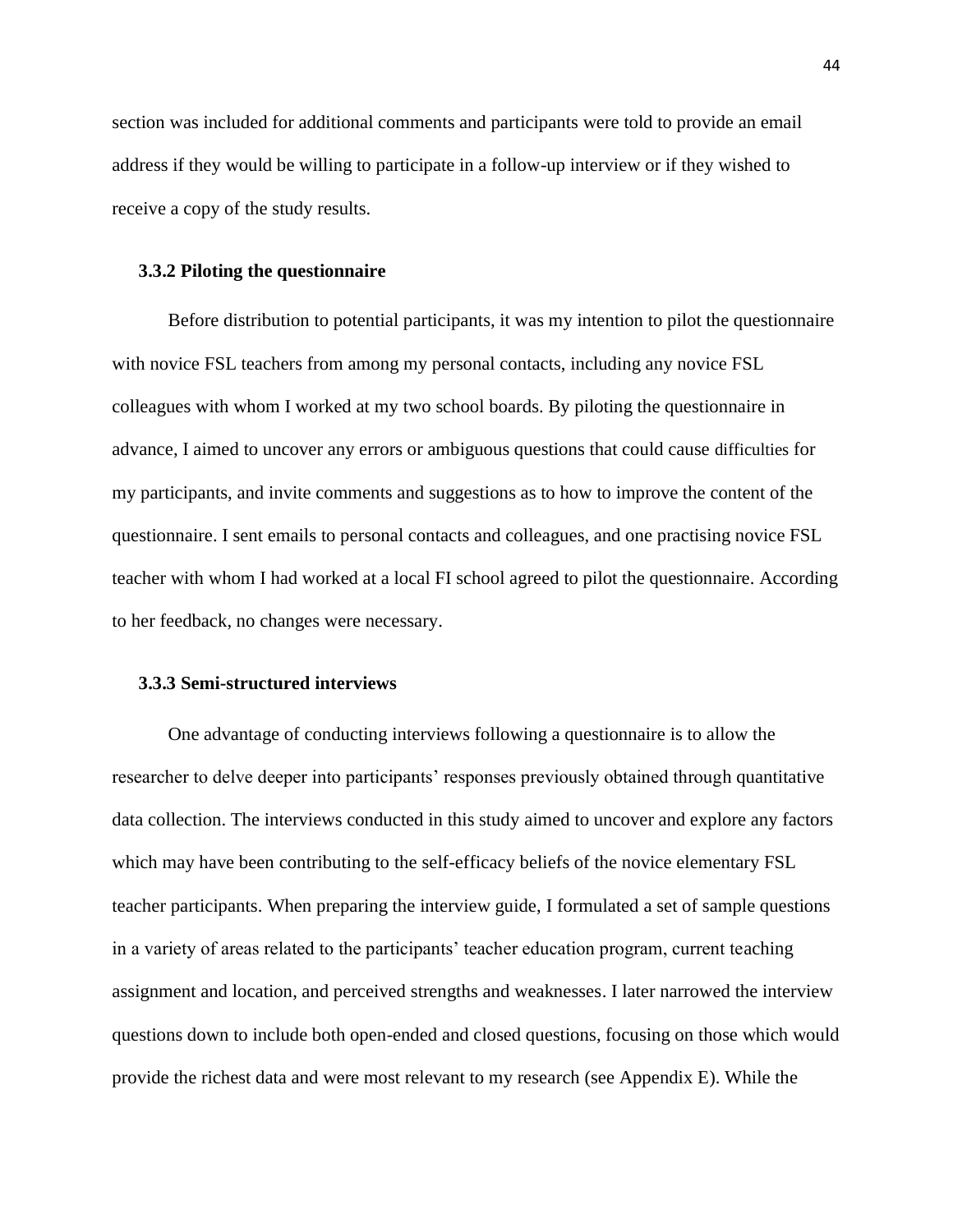section was included for additional comments and participants were told to provide an email address if they would be willing to participate in a follow-up interview or if they wished to receive a copy of the study results.

#### **3.3.2 Piloting the questionnaire**

Before distribution to potential participants, it was my intention to pilot the questionnaire with novice FSL teachers from among my personal contacts, including any novice FSL colleagues with whom I worked at my two school boards. By piloting the questionnaire in advance, I aimed to uncover any errors or ambiguous questions that could cause difficulties for my participants, and invite comments and suggestions as to how to improve the content of the questionnaire. I sent emails to personal contacts and colleagues, and one practising novice FSL teacher with whom I had worked at a local FI school agreed to pilot the questionnaire. According to her feedback, no changes were necessary.

## **3.3.3 Semi-structured interviews**

One advantage of conducting interviews following a questionnaire is to allow the researcher to delve deeper into participants' responses previously obtained through quantitative data collection. The interviews conducted in this study aimed to uncover and explore any factors which may have been contributing to the self-efficacy beliefs of the novice elementary FSL teacher participants. When preparing the interview guide, I formulated a set of sample questions in a variety of areas related to the participants" teacher education program, current teaching assignment and location, and perceived strengths and weaknesses. I later narrowed the interview questions down to include both open-ended and closed questions, focusing on those which would provide the richest data and were most relevant to my research (see Appendix E). While the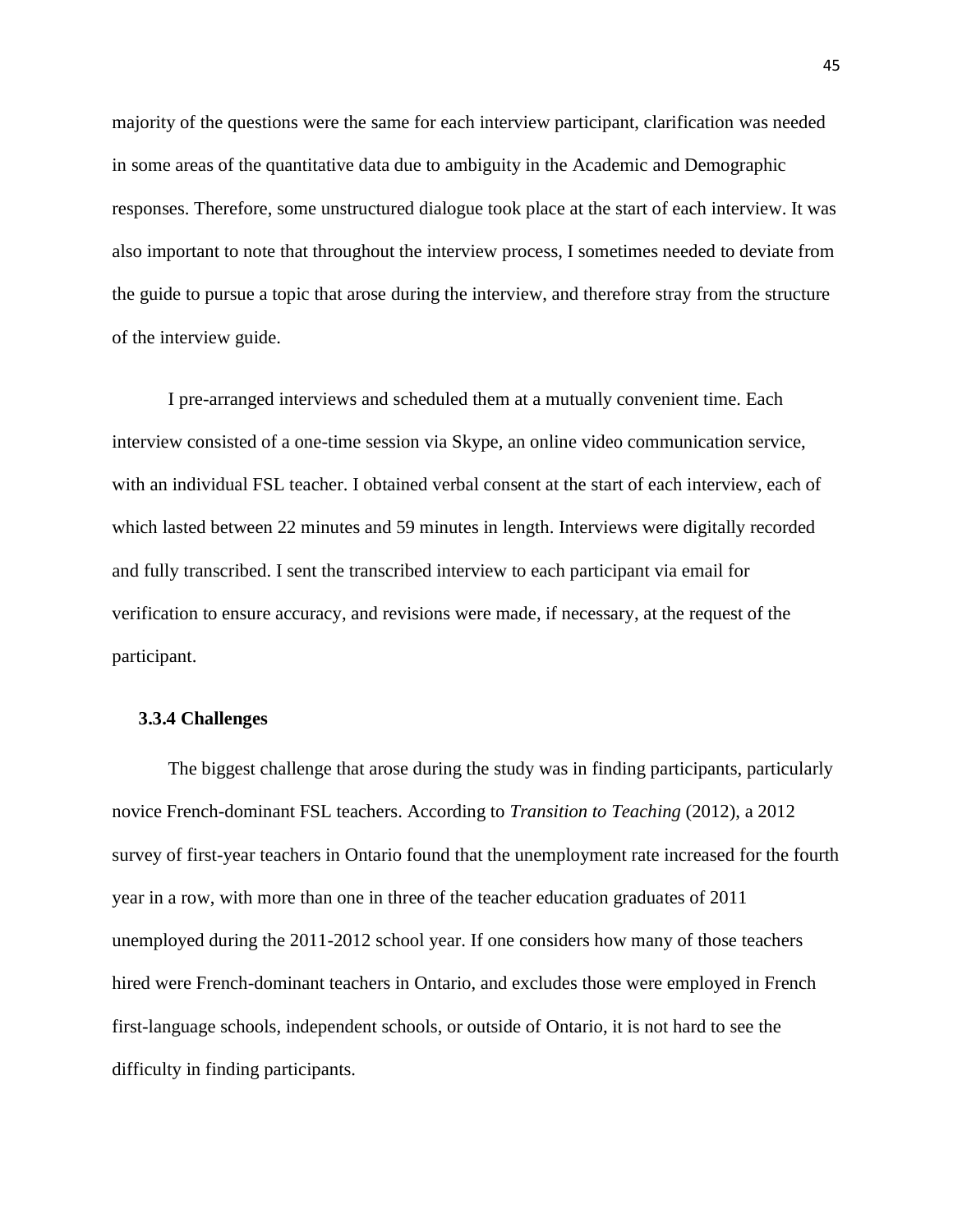majority of the questions were the same for each interview participant, clarification was needed in some areas of the quantitative data due to ambiguity in the Academic and Demographic responses. Therefore, some unstructured dialogue took place at the start of each interview. It was also important to note that throughout the interview process, I sometimes needed to deviate from the guide to pursue a topic that arose during the interview, and therefore stray from the structure of the interview guide.

I pre-arranged interviews and scheduled them at a mutually convenient time. Each interview consisted of a one-time session via Skype, an online video communication service, with an individual FSL teacher. I obtained verbal consent at the start of each interview, each of which lasted between 22 minutes and 59 minutes in length. Interviews were digitally recorded and fully transcribed. I sent the transcribed interview to each participant via email for verification to ensure accuracy, and revisions were made, if necessary, at the request of the participant.

# **3.3.4 Challenges**

The biggest challenge that arose during the study was in finding participants, particularly novice French-dominant FSL teachers. According to *Transition to Teaching* (2012), a 2012 survey of first-year teachers in Ontario found that the unemployment rate increased for the fourth year in a row, with more than one in three of the teacher education graduates of 2011 unemployed during the 2011-2012 school year. If one considers how many of those teachers hired were French-dominant teachers in Ontario, and excludes those were employed in French first-language schools, independent schools, or outside of Ontario, it is not hard to see the difficulty in finding participants.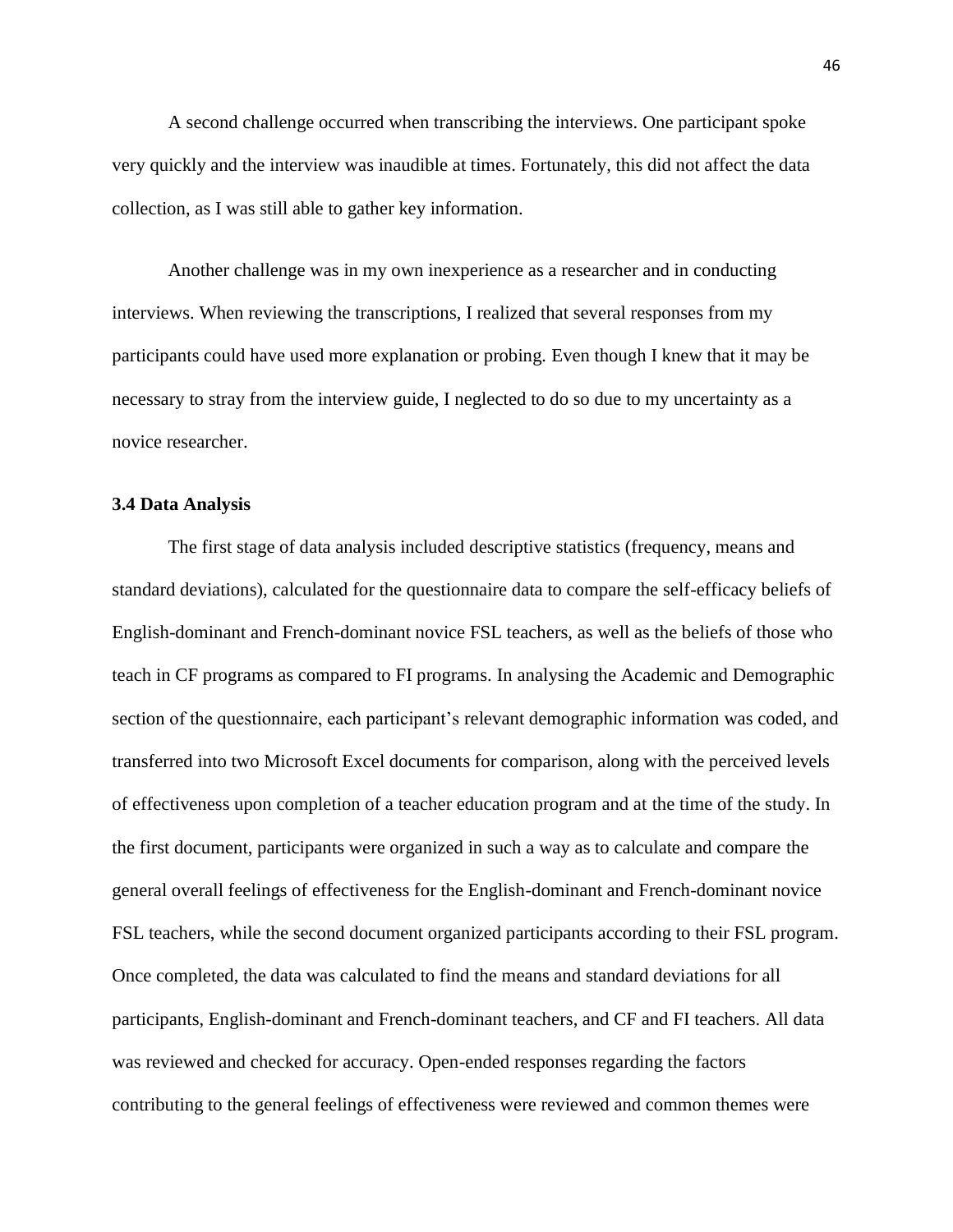A second challenge occurred when transcribing the interviews. One participant spoke very quickly and the interview was inaudible at times. Fortunately, this did not affect the data collection, as I was still able to gather key information.

Another challenge was in my own inexperience as a researcher and in conducting interviews. When reviewing the transcriptions, I realized that several responses from my participants could have used more explanation or probing*.* Even though I knew that it may be necessary to stray from the interview guide, I neglected to do so due to my uncertainty as a novice researcher.

## **3.4 Data Analysis**

The first stage of data analysis included descriptive statistics (frequency, means and standard deviations), calculated for the questionnaire data to compare the self-efficacy beliefs of English-dominant and French-dominant novice FSL teachers, as well as the beliefs of those who teach in CF programs as compared to FI programs. In analysing the Academic and Demographic section of the questionnaire, each participant's relevant demographic information was coded, and transferred into two Microsoft Excel documents for comparison, along with the perceived levels of effectiveness upon completion of a teacher education program and at the time of the study. In the first document, participants were organized in such a way as to calculate and compare the general overall feelings of effectiveness for the English-dominant and French-dominant novice FSL teachers, while the second document organized participants according to their FSL program. Once completed, the data was calculated to find the means and standard deviations for all participants, English-dominant and French-dominant teachers, and CF and FI teachers. All data was reviewed and checked for accuracy. Open-ended responses regarding the factors contributing to the general feelings of effectiveness were reviewed and common themes were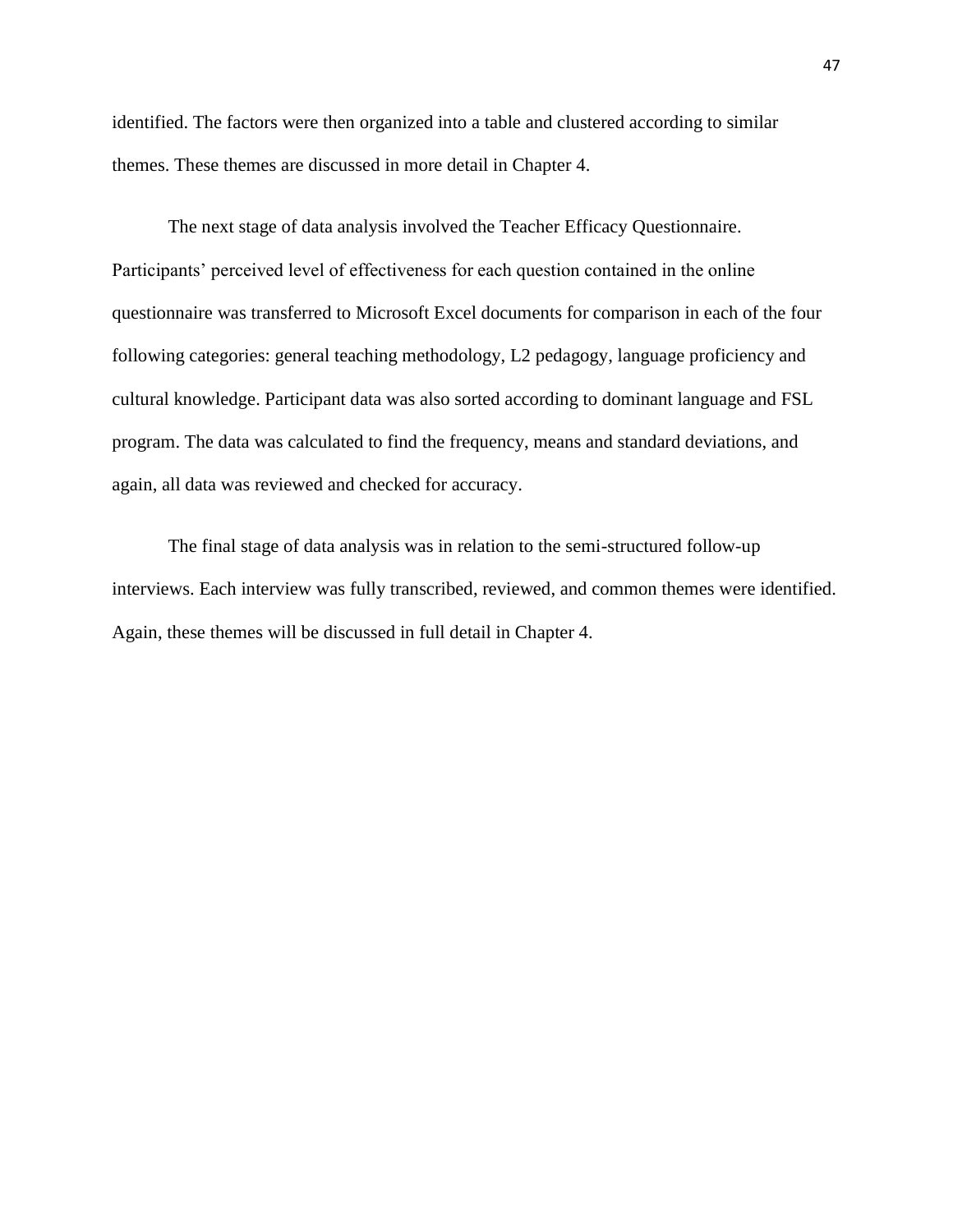identified. The factors were then organized into a table and clustered according to similar themes. These themes are discussed in more detail in Chapter 4.

The next stage of data analysis involved the Teacher Efficacy Questionnaire. Participants' perceived level of effectiveness for each question contained in the online questionnaire was transferred to Microsoft Excel documents for comparison in each of the four following categories: general teaching methodology, L2 pedagogy, language proficiency and cultural knowledge. Participant data was also sorted according to dominant language and FSL program. The data was calculated to find the frequency, means and standard deviations, and again, all data was reviewed and checked for accuracy.

The final stage of data analysis was in relation to the semi-structured follow-up interviews. Each interview was fully transcribed, reviewed, and common themes were identified. Again, these themes will be discussed in full detail in Chapter 4.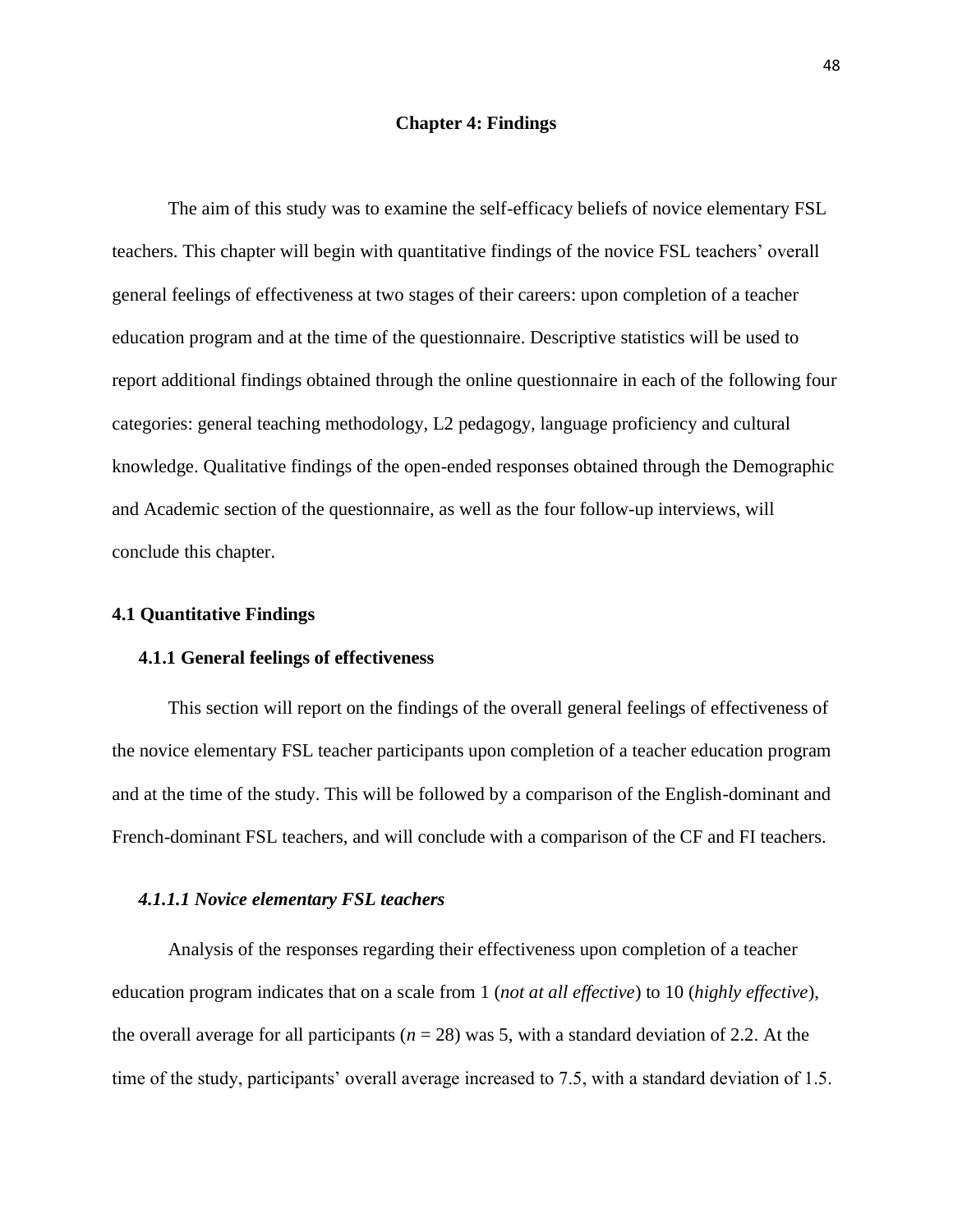#### **Chapter 4: Findings**

The aim of this study was to examine the self-efficacy beliefs of novice elementary FSL teachers. This chapter will begin with quantitative findings of the novice FSL teachers" overall general feelings of effectiveness at two stages of their careers: upon completion of a teacher education program and at the time of the questionnaire. Descriptive statistics will be used to report additional findings obtained through the online questionnaire in each of the following four categories: general teaching methodology, L2 pedagogy, language proficiency and cultural knowledge. Qualitative findings of the open-ended responses obtained through the Demographic and Academic section of the questionnaire, as well as the four follow-up interviews, will conclude this chapter.

## **4.1 Quantitative Findings**

#### **4.1.1 General feelings of effectiveness**

This section will report on the findings of the overall general feelings of effectiveness of the novice elementary FSL teacher participants upon completion of a teacher education program and at the time of the study. This will be followed by a comparison of the English-dominant and French-dominant FSL teachers, and will conclude with a comparison of the CF and FI teachers.

## *4.1.1.1 Novice elementary FSL teachers*

Analysis of the responses regarding their effectiveness upon completion of a teacher education program indicates that on a scale from 1 (*not at all effective*) to 10 (*highly effective*), the overall average for all participants (*n* = 28) was 5, with a standard deviation of 2.2. At the time of the study, participants' overall average increased to 7.5, with a standard deviation of 1.5.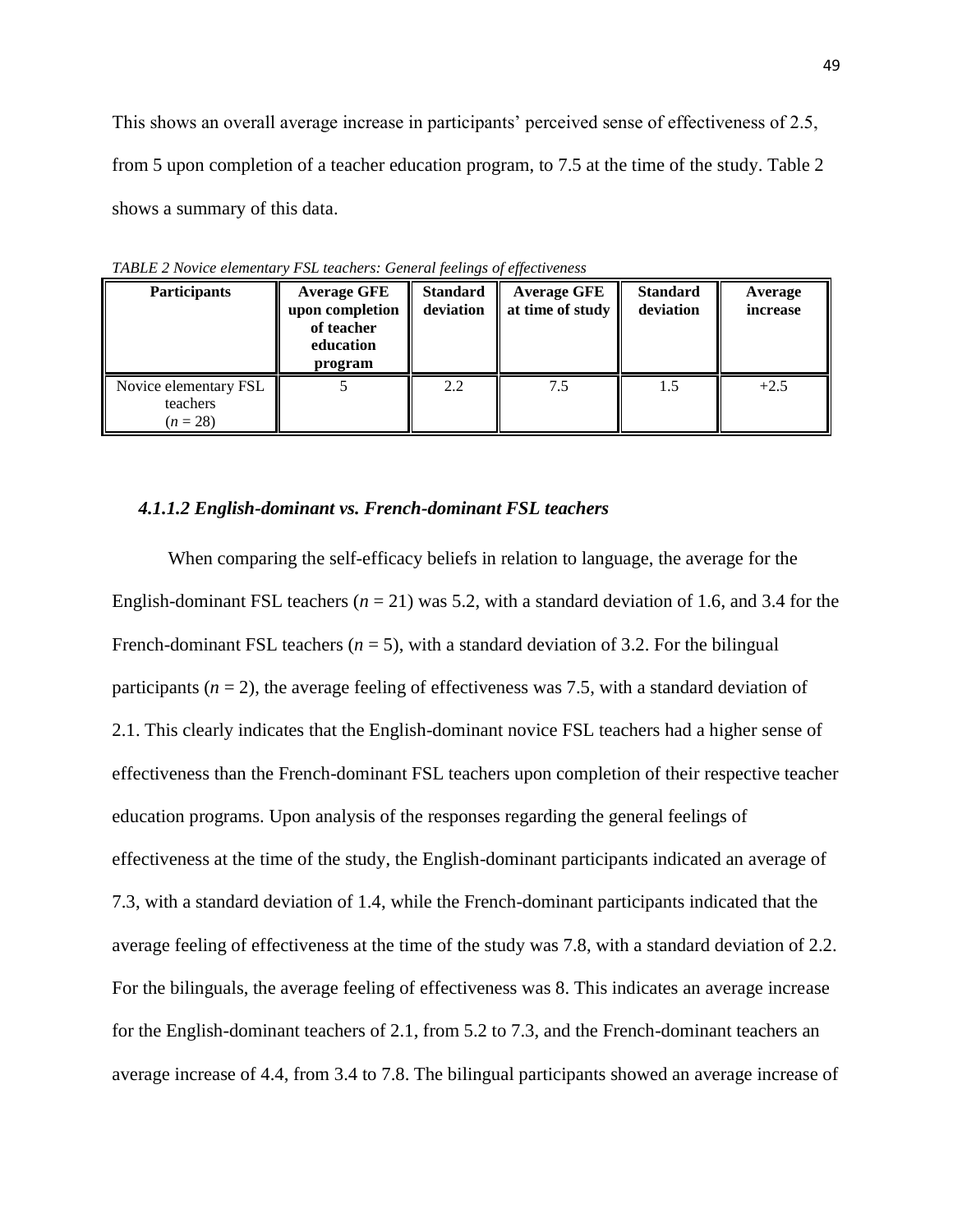This shows an overall average increase in participants' perceived sense of effectiveness of 2.5, from 5 upon completion of a teacher education program, to 7.5 at the time of the study. Table 2 shows a summary of this data.

| <b>Participants</b>                             | <b>Average GFE</b><br>upon completion<br>of teacher<br>education<br>program | <b>Standard</b><br>deviation | <b>Average GFE</b><br>at time of study | <b>Standard</b><br>deviation | Average<br>increase |
|-------------------------------------------------|-----------------------------------------------------------------------------|------------------------------|----------------------------------------|------------------------------|---------------------|
| Novice elementary FSL<br>teachers<br>$(n = 28)$ |                                                                             | 2.2                          | 7.5                                    | 1.5                          | $+2.5$              |

*TABLE 2 Novice elementary FSL teachers: General feelings of effectiveness*

## *4.1.1.2 English-dominant vs. French-dominant FSL teachers*

When comparing the self-efficacy beliefs in relation to language, the average for the English-dominant FSL teachers  $(n = 21)$  was 5.2, with a standard deviation of 1.6, and 3.4 for the French-dominant FSL teachers  $(n = 5)$ , with a standard deviation of 3.2. For the bilingual participants  $(n = 2)$ , the average feeling of effectiveness was 7.5, with a standard deviation of 2.1. This clearly indicates that the English-dominant novice FSL teachers had a higher sense of effectiveness than the French-dominant FSL teachers upon completion of their respective teacher education programs. Upon analysis of the responses regarding the general feelings of effectiveness at the time of the study, the English-dominant participants indicated an average of 7.3, with a standard deviation of 1.4, while the French-dominant participants indicated that the average feeling of effectiveness at the time of the study was 7.8, with a standard deviation of 2.2. For the bilinguals, the average feeling of effectiveness was 8. This indicates an average increase for the English-dominant teachers of 2.1, from 5.2 to 7.3, and the French-dominant teachers an average increase of 4.4, from 3.4 to 7.8. The bilingual participants showed an average increase of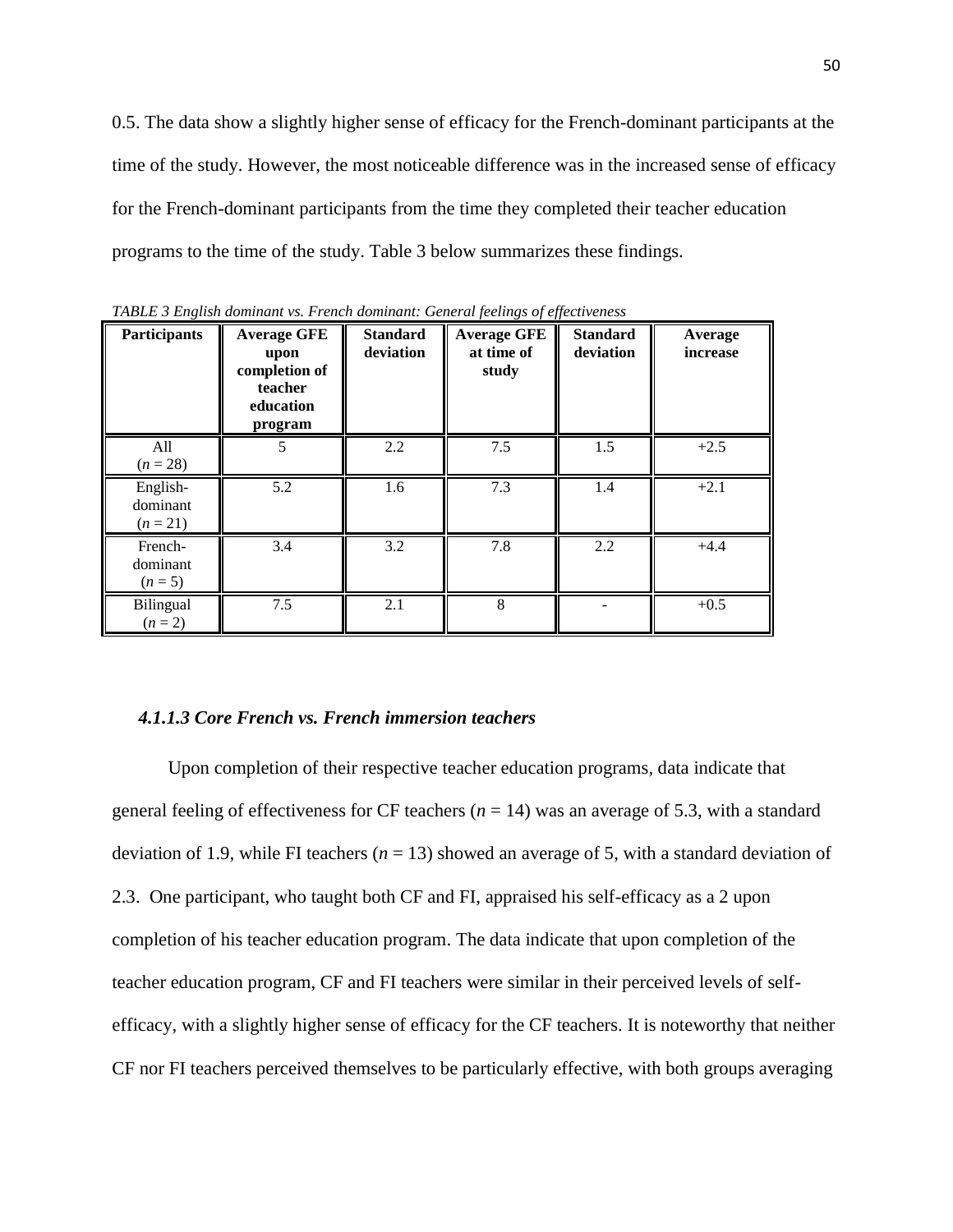0.5. The data show a slightly higher sense of efficacy for the French-dominant participants at the time of the study. However, the most noticeable difference was in the increased sense of efficacy for the French-dominant participants from the time they completed their teacher education programs to the time of the study. Table 3 below summarizes these findings.

| <b>Participants</b>                | <b>Average GFE</b><br>upon<br>completion of<br>teacher<br>education<br>program | <b>Standard</b><br>deviation | <b>Average GFE</b><br>at time of<br>study | <b>Standard</b><br>deviation | Average<br>increase |
|------------------------------------|--------------------------------------------------------------------------------|------------------------------|-------------------------------------------|------------------------------|---------------------|
| All<br>$(n = 28)$                  |                                                                                | 2.2                          | 7.5                                       | 1.5                          | $+2.5$              |
| English-<br>dominant<br>$(n = 21)$ | 5.2                                                                            | 1.6                          | 7.3                                       | 1.4                          | $+2.1$              |
| French-<br>dominant<br>$(n=5)$     | 3.4                                                                            | 3.2                          | 7.8                                       | 2.2                          | $+4.4$              |
| Bilingual<br>$(n = 2)$             | 7.5                                                                            | 2.1                          | 8                                         |                              | $+0.5$              |

*TABLE 3 English dominant vs. French dominant: General feelings of effectiveness*

#### *4.1.1.3 Core French vs. French immersion teachers*

Upon completion of their respective teacher education programs, data indicate that general feeling of effectiveness for CF teachers  $(n = 14)$  was an average of 5.3, with a standard deviation of 1.9, while FI teachers  $(n = 13)$  showed an average of 5, with a standard deviation of 2.3. One participant, who taught both CF and FI, appraised his self-efficacy as a 2 upon completion of his teacher education program. The data indicate that upon completion of the teacher education program, CF and FI teachers were similar in their perceived levels of selfefficacy, with a slightly higher sense of efficacy for the CF teachers. It is noteworthy that neither CF nor FI teachers perceived themselves to be particularly effective, with both groups averaging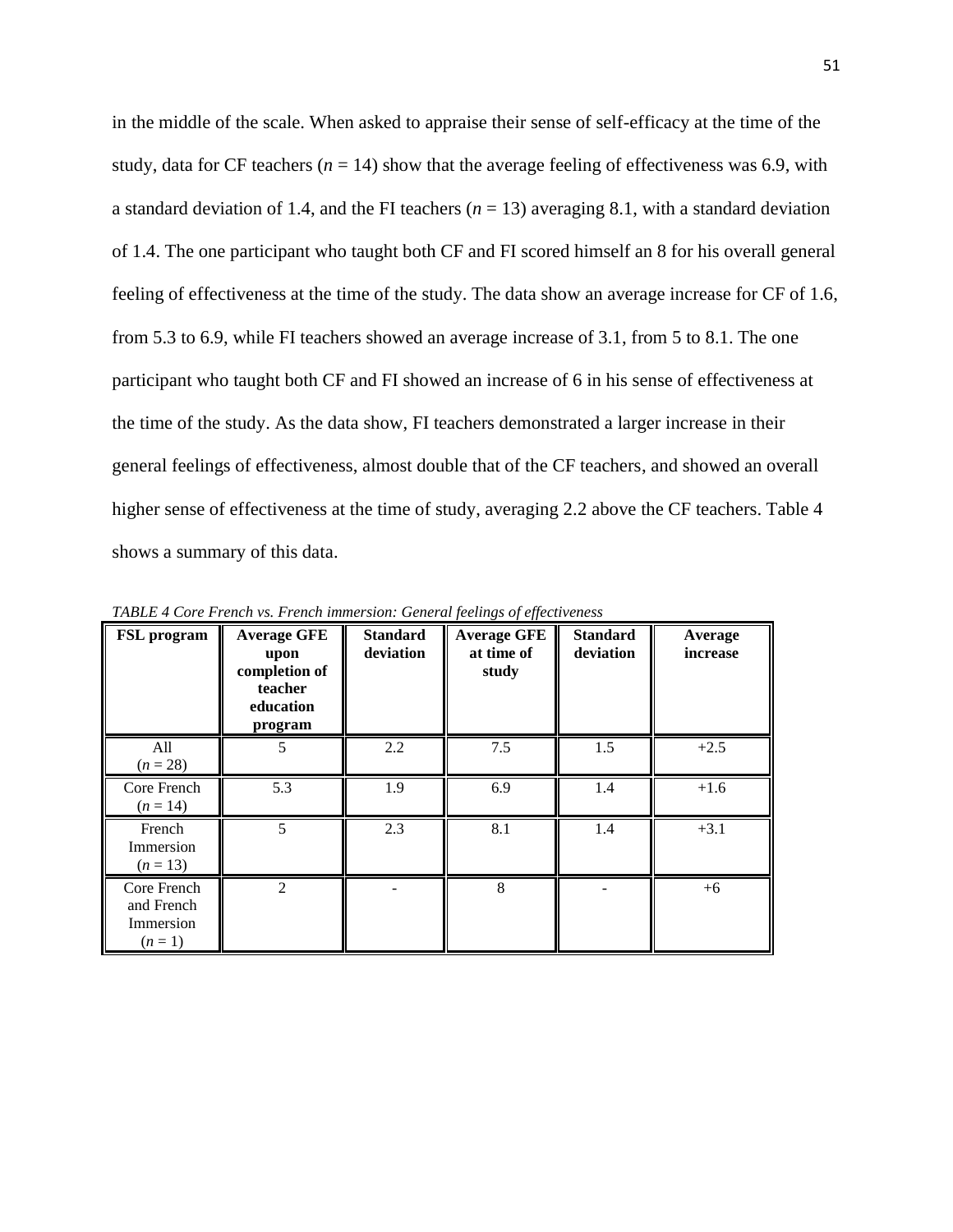in the middle of the scale. When asked to appraise their sense of self-efficacy at the time of the study, data for CF teachers ( $n = 14$ ) show that the average feeling of effectiveness was 6.9, with a standard deviation of 1.4, and the FI teachers  $(n = 13)$  averaging 8.1, with a standard deviation of 1.4. The one participant who taught both CF and FI scored himself an 8 for his overall general feeling of effectiveness at the time of the study. The data show an average increase for CF of 1.6, from 5.3 to 6.9, while FI teachers showed an average increase of 3.1, from 5 to 8.1. The one participant who taught both CF and FI showed an increase of 6 in his sense of effectiveness at the time of the study. As the data show, FI teachers demonstrated a larger increase in their general feelings of effectiveness, almost double that of the CF teachers, and showed an overall higher sense of effectiveness at the time of study, averaging 2.2 above the CF teachers. Table 4 shows a summary of this data.

| FSL program                                       | <b>Average GFE</b><br>upon<br>completion of<br>teacher<br>education<br>program | <b>Standard</b><br>deviation | <b>Average GFE</b><br>at time of<br>study | <b>Standard</b><br>deviation | Average<br>increase |
|---------------------------------------------------|--------------------------------------------------------------------------------|------------------------------|-------------------------------------------|------------------------------|---------------------|
| All<br>$(n = 28)$                                 | 5                                                                              | 2.2                          | 7.5                                       | 1.5                          | $+2.5$              |
| Core French<br>$(n = 14)$                         | 5.3                                                                            | 1.9                          | 6.9                                       | 1.4                          | $+1.6$              |
| French<br>Immersion<br>$(n=13)$                   | 5                                                                              | 2.3                          | 8.1                                       | 1.4                          | $+3.1$              |
| Core French<br>and French<br>Immersion<br>$(n=1)$ | $\mathfrak{D}$                                                                 |                              | 8                                         |                              | $+6$                |

*TABLE 4 Core French vs. French immersion: General feelings of effectiveness*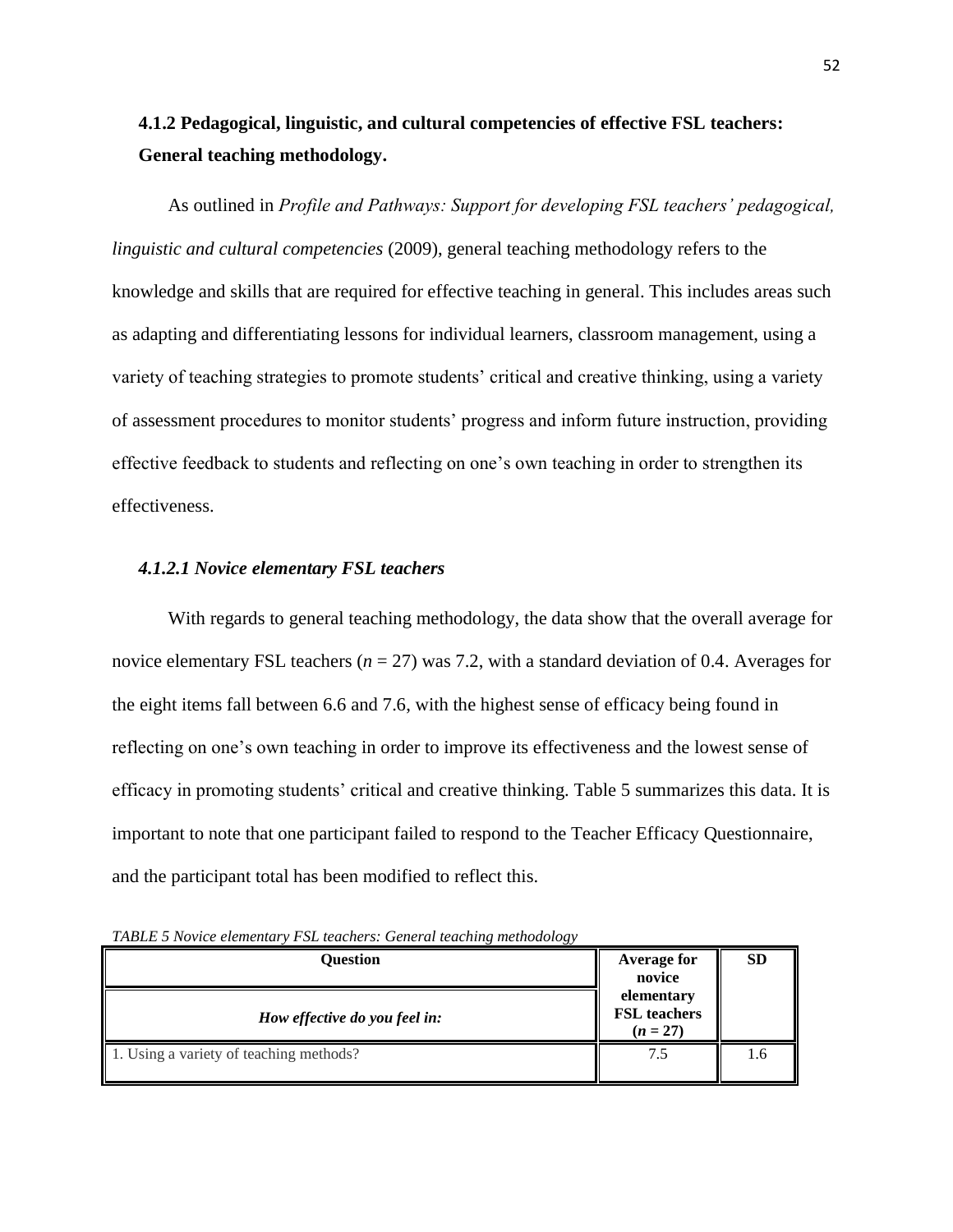# **4.1.2 Pedagogical, linguistic, and cultural competencies of effective FSL teachers: General teaching methodology.**

As outlined in *Profile and Pathways: Support for developing FSL teachers' pedagogical, linguistic and cultural competencies* (2009), general teaching methodology refers to the knowledge and skills that are required for effective teaching in general. This includes areas such as adapting and differentiating lessons for individual learners, classroom management, using a variety of teaching strategies to promote students" critical and creative thinking, using a variety of assessment procedures to monitor students" progress and inform future instruction, providing effective feedback to students and reflecting on one"s own teaching in order to strengthen its effectiveness.

## *4.1.2.1 Novice elementary FSL teachers*

With regards to general teaching methodology, the data show that the overall average for novice elementary FSL teachers (*n* = 27) was 7.2, with a standard deviation of 0.4. Averages for the eight items fall between 6.6 and 7.6, with the highest sense of efficacy being found in reflecting on one"s own teaching in order to improve its effectiveness and the lowest sense of efficacy in promoting students' critical and creative thinking. Table 5 summarizes this data. It is important to note that one participant failed to respond to the Teacher Efficacy Questionnaire, and the participant total has been modified to reflect this.

*TABLE 5 Novice elementary FSL teachers: General teaching methodology*

| Ouestion                                | <b>Average for</b><br>novice                    | <b>SD</b> |
|-----------------------------------------|-------------------------------------------------|-----------|
| How effective do you feel in:           | elementary<br><b>FSL</b> teachers<br>$(n = 27)$ |           |
| 1. Using a variety of teaching methods? | 7.5                                             | 1.6       |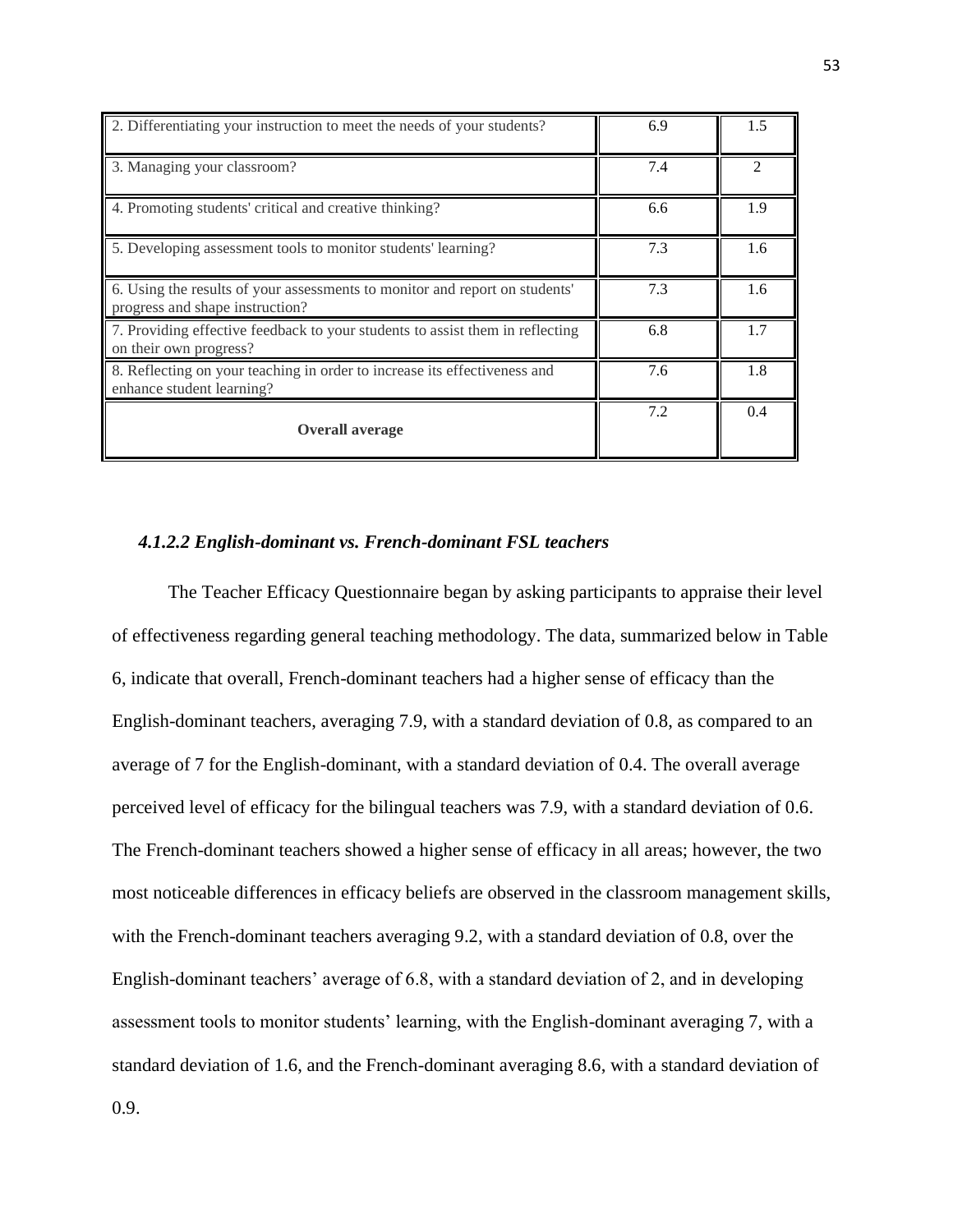| 2. Differentiating your instruction to meet the needs of your students?                                        | 6.9 | 1.5           |
|----------------------------------------------------------------------------------------------------------------|-----|---------------|
| 3. Managing your classroom?                                                                                    | 7.4 | $\mathcal{D}$ |
| 4. Promoting students' critical and creative thinking?                                                         | 6.6 | 1.9           |
| 5. Developing assessment tools to monitor students' learning?                                                  | 7.3 | 1.6           |
| 6. Using the results of your assessments to monitor and report on students'<br>progress and shape instruction? | 7.3 | 1.6           |
| 7. Providing effective feedback to your students to assist them in reflecting<br>on their own progress?        | 6.8 | 1.7           |
| 8. Reflecting on your teaching in order to increase its effectiveness and<br>enhance student learning?         | 7.6 | 1.8           |
| <b>Overall average</b>                                                                                         | 7.2 | 0.4           |

## *4.1.2.2 English-dominant vs. French-dominant FSL teachers*

The Teacher Efficacy Questionnaire began by asking participants to appraise their level of effectiveness regarding general teaching methodology. The data, summarized below in Table 6, indicate that overall, French-dominant teachers had a higher sense of efficacy than the English-dominant teachers, averaging 7.9, with a standard deviation of 0.8, as compared to an average of 7 for the English-dominant, with a standard deviation of 0.4. The overall average perceived level of efficacy for the bilingual teachers was 7.9, with a standard deviation of 0.6. The French-dominant teachers showed a higher sense of efficacy in all areas; however, the two most noticeable differences in efficacy beliefs are observed in the classroom management skills, with the French-dominant teachers averaging 9.2, with a standard deviation of 0.8, over the English-dominant teachers' average of 6.8, with a standard deviation of 2, and in developing assessment tools to monitor students' learning, with the English-dominant averaging 7, with a standard deviation of 1.6, and the French-dominant averaging 8.6, with a standard deviation of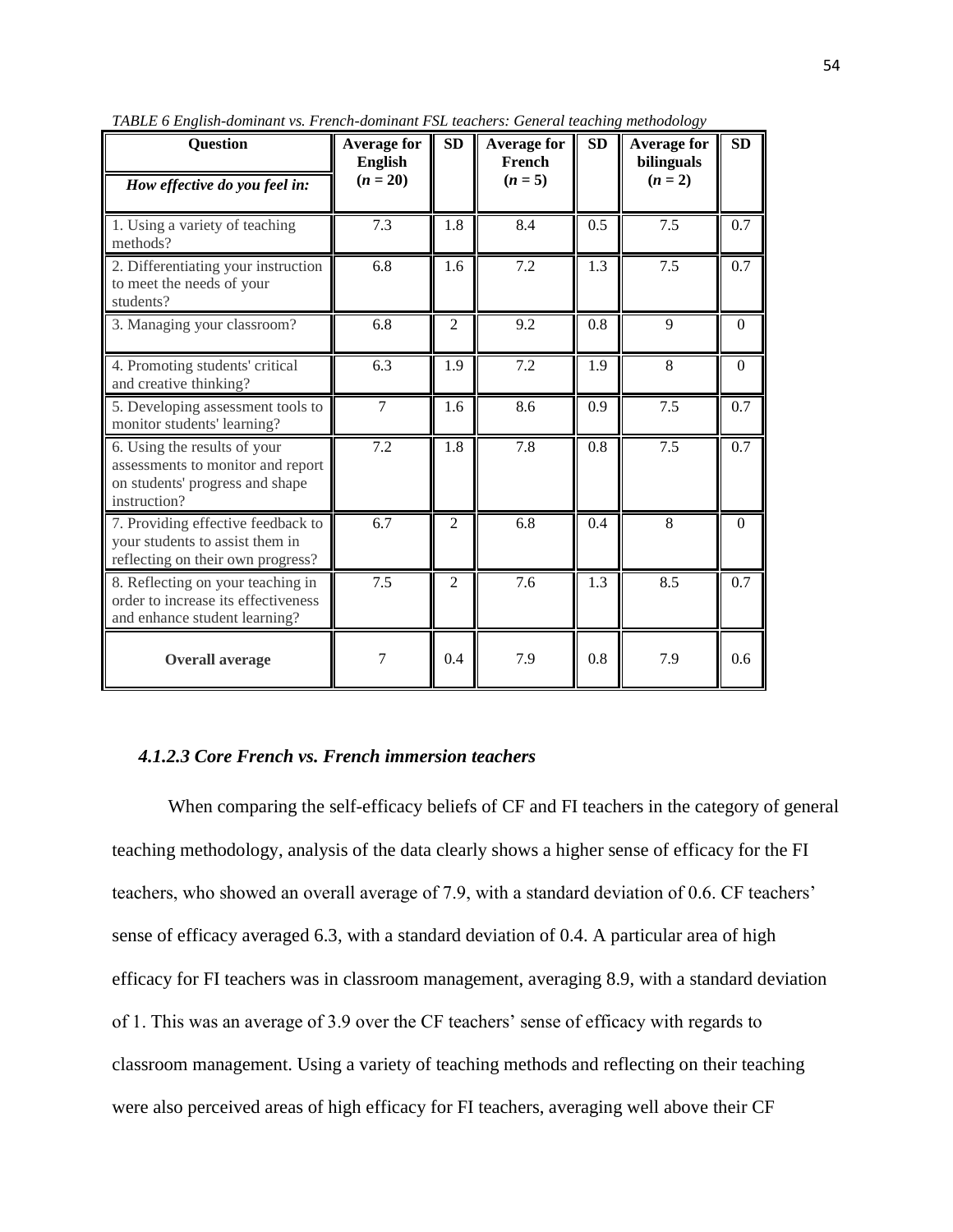| <b>Question</b>                                                                                                      | <b>Average for</b><br><b>English</b> | <b>SD</b>        | <b>Average for</b><br>French | <b>SD</b>        | <b>Average for</b><br>bilinguals | <b>SD</b>        |
|----------------------------------------------------------------------------------------------------------------------|--------------------------------------|------------------|------------------------------|------------------|----------------------------------|------------------|
| How effective do you feel in:                                                                                        | $(n = 20)$                           |                  | $(n = 5)$                    |                  | $(n = 2)$                        |                  |
| 1. Using a variety of teaching<br>methods?                                                                           | 7.3                                  | 1.8              | 8.4                          | 0.5              | 7.5                              | 0.7              |
| 2. Differentiating your instruction<br>to meet the needs of your<br>students?                                        | 6.8                                  | 1.6              | 7.2                          | 1.3              | 7.5                              | 0.7              |
| 3. Managing your classroom?                                                                                          | 6.8                                  | $\overline{2}$   | 9.2                          | 0.8              | 9                                | $\mathbf{0}$     |
| 4. Promoting students' critical<br>and creative thinking?                                                            | 6.3                                  | 1.9              | 7.2                          | 1.9              | 8                                | $\Omega$         |
| 5. Developing assessment tools to<br>monitor students' learning?                                                     | $\overline{7}$                       | 1.6              | 8.6                          | 0.9              | 7.5                              | 0.7              |
| 6. Using the results of your<br>assessments to monitor and report<br>on students' progress and shape<br>instruction? | 7.2                                  | $\overline{1.8}$ | 7.8                          | $\overline{0.8}$ | $\overline{7.5}$                 | $\overline{0.7}$ |
| 7. Providing effective feedback to<br>your students to assist them in<br>reflecting on their own progress?           | 6.7                                  | $\overline{2}$   | 6.8                          | 0.4              | 8                                | $\theta$         |
| 8. Reflecting on your teaching in<br>order to increase its effectiveness<br>and enhance student learning?            | 7.5                                  | $\overline{2}$   | 7.6                          | 1.3              | 8.5                              | 0.7              |
| <b>Overall average</b>                                                                                               | 7                                    | 0.4              | 7.9                          | 0.8              | 7.9                              | 0.6              |

*TABLE 6 English-dominant vs. French-dominant FSL teachers: General teaching methodology*

# *4.1.2.3 Core French vs. French immersion teachers*

When comparing the self-efficacy beliefs of CF and FI teachers in the category of general teaching methodology, analysis of the data clearly shows a higher sense of efficacy for the FI teachers, who showed an overall average of 7.9, with a standard deviation of 0.6. CF teachers" sense of efficacy averaged 6.3, with a standard deviation of 0.4. A particular area of high efficacy for FI teachers was in classroom management, averaging 8.9, with a standard deviation of 1. This was an average of 3.9 over the CF teachers" sense of efficacy with regards to classroom management. Using a variety of teaching methods and reflecting on their teaching were also perceived areas of high efficacy for FI teachers, averaging well above their CF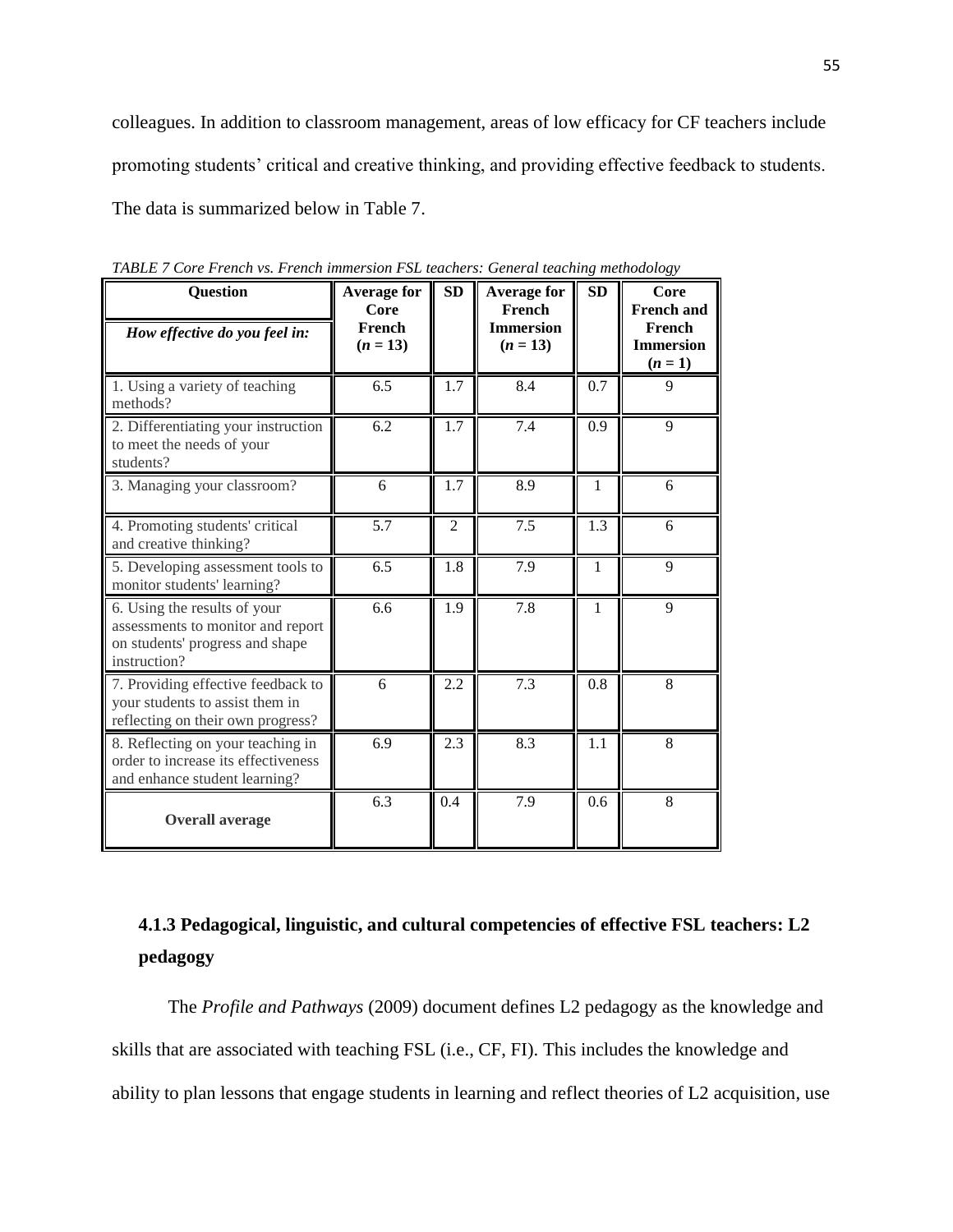colleagues. In addition to classroom management, areas of low efficacy for CF teachers include promoting students' critical and creative thinking, and providing effective feedback to students. The data is summarized below in Table 7.

| <b>Question</b>                                                                                                      | <b>Average for</b><br>Core | SD  | <b>Average for</b><br>French   | SD           | Core<br><b>French and</b>               |
|----------------------------------------------------------------------------------------------------------------------|----------------------------|-----|--------------------------------|--------------|-----------------------------------------|
| How effective do you feel in:                                                                                        | French<br>$(n = 13)$       |     | <b>Immersion</b><br>$(n = 13)$ |              | French<br><b>Immersion</b><br>$(n = 1)$ |
| 1. Using a variety of teaching<br>methods?                                                                           | 6.5                        | 1.7 | 8.4                            | 0.7          | 9                                       |
| 2. Differentiating your instruction<br>to meet the needs of your<br>students?                                        | 6.2                        | 1.7 | 7.4                            | 0.9          | 9                                       |
| 3. Managing your classroom?                                                                                          | 6                          | 1.7 | 8.9                            | $\mathbf{1}$ | 6                                       |
| 4. Promoting students' critical<br>and creative thinking?                                                            | 5.7                        | 2   | 7.5                            | 1.3          | 6                                       |
| 5. Developing assessment tools to<br>monitor students' learning?                                                     | 6.5                        | 1.8 | 7.9                            | $\mathbf{1}$ | 9                                       |
| 6. Using the results of your<br>assessments to monitor and report<br>on students' progress and shape<br>instruction? | 6.6                        | 1.9 | 7.8                            | $\mathbf{1}$ | 9                                       |
| 7. Providing effective feedback to<br>your students to assist them in<br>reflecting on their own progress?           | 6                          | 2.2 | 7.3                            | 0.8          | 8                                       |
| 8. Reflecting on your teaching in<br>order to increase its effectiveness<br>and enhance student learning?            | 6.9                        | 2.3 | 8.3                            | 1.1          | 8                                       |
| <b>Overall average</b>                                                                                               | 6.3                        | 0.4 | 7.9                            | 0.6          | 8                                       |

*TABLE 7 Core French vs. French immersion FSL teachers: General teaching methodology*

# **4.1.3 Pedagogical, linguistic, and cultural competencies of effective FSL teachers: L2 pedagogy**

The *Profile and Pathways* (2009) document defines L2 pedagogy as the knowledge and skills that are associated with teaching FSL (i.e., CF, FI). This includes the knowledge and ability to plan lessons that engage students in learning and reflect theories of L2 acquisition, use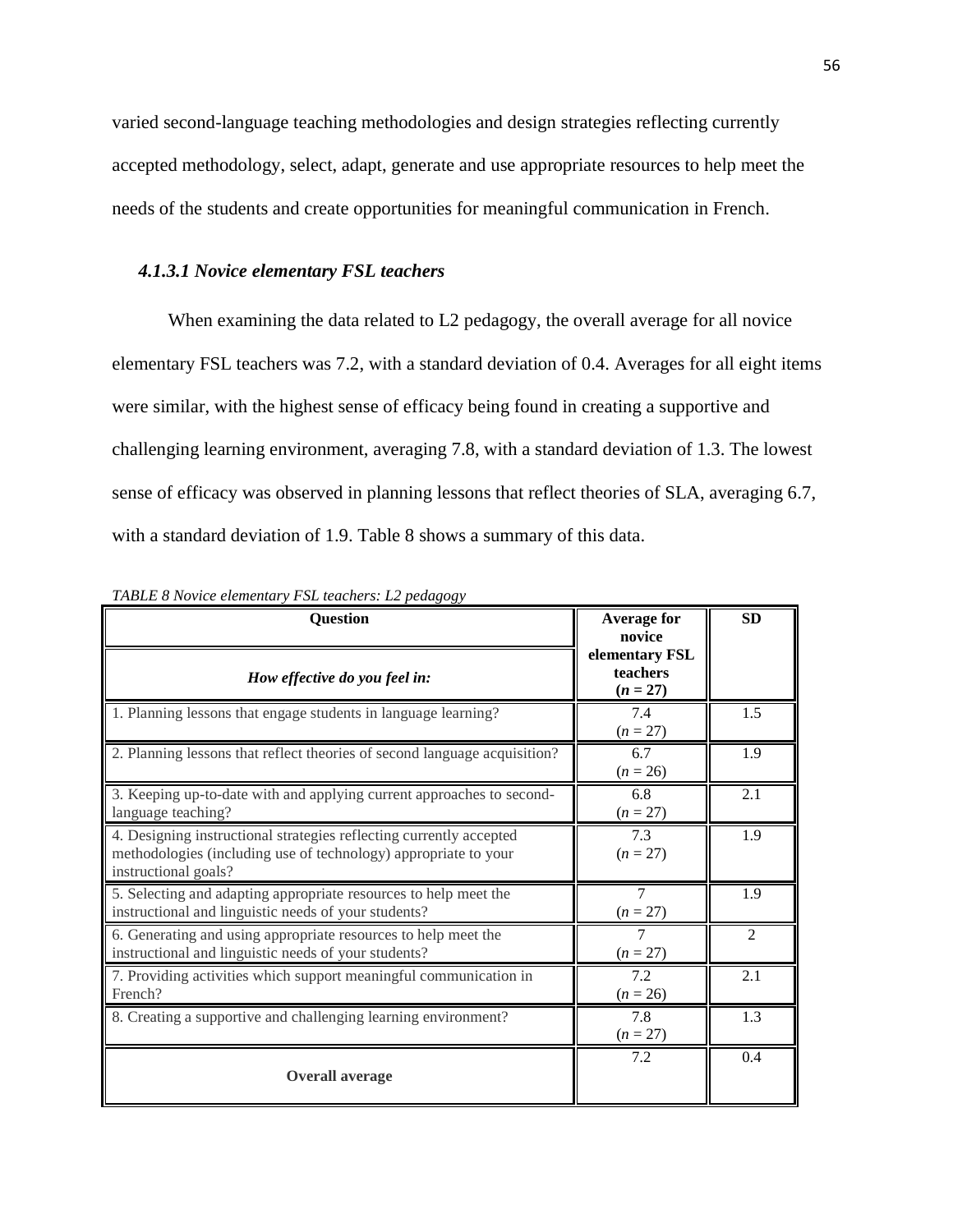varied second-language teaching methodologies and design strategies reflecting currently accepted methodology, select, adapt, generate and use appropriate resources to help meet the needs of the students and create opportunities for meaningful communication in French.

## *4.1.3.1 Novice elementary FSL teachers*

When examining the data related to L2 pedagogy, the overall average for all novice elementary FSL teachers was 7.2, with a standard deviation of 0.4. Averages for all eight items were similar, with the highest sense of efficacy being found in creating a supportive and challenging learning environment, averaging 7.8, with a standard deviation of 1.3. The lowest sense of efficacy was observed in planning lessons that reflect theories of SLA, averaging 6.7, with a standard deviation of 1.9. Table 8 shows a summary of this data.

| <b>Question</b>                                                                                                                                                | <b>Average for</b><br>novice             | <b>SD</b>      |
|----------------------------------------------------------------------------------------------------------------------------------------------------------------|------------------------------------------|----------------|
| How effective do you feel in:                                                                                                                                  | elementary FSL<br>teachers<br>$(n = 27)$ |                |
| 1. Planning lessons that engage students in language learning?                                                                                                 | 7.4<br>$(n = 27)$                        | 1.5            |
| 2. Planning lessons that reflect theories of second language acquisition?                                                                                      | 6.7<br>$(n = 26)$                        | 1.9            |
| 3. Keeping up-to-date with and applying current approaches to second-<br>language teaching?                                                                    | 6.8<br>$(n = 27)$                        | 2.1            |
| 4. Designing instructional strategies reflecting currently accepted<br>methodologies (including use of technology) appropriate to your<br>instructional goals? | 7.3<br>$(n = 27)$                        | 1.9            |
| 5. Selecting and adapting appropriate resources to help meet the<br>instructional and linguistic needs of your students?                                       | $\overline{7}$<br>$(n = 27)$             | 1.9            |
| 6. Generating and using appropriate resources to help meet the<br>instructional and linguistic needs of your students?                                         | $\tau$<br>$(n = 27)$                     | $\mathfrak{D}$ |
| 7. Providing activities which support meaningful communication in<br>French?                                                                                   | 7.2<br>$(n = 26)$                        | 2.1            |
| 8. Creating a supportive and challenging learning environment?                                                                                                 | 7.8<br>$(n = 27)$                        | 1.3            |
| <b>Overall average</b>                                                                                                                                         | 7.2                                      | 0.4            |

*TABLE 8 Novice elementary FSL teachers: L2 pedagogy*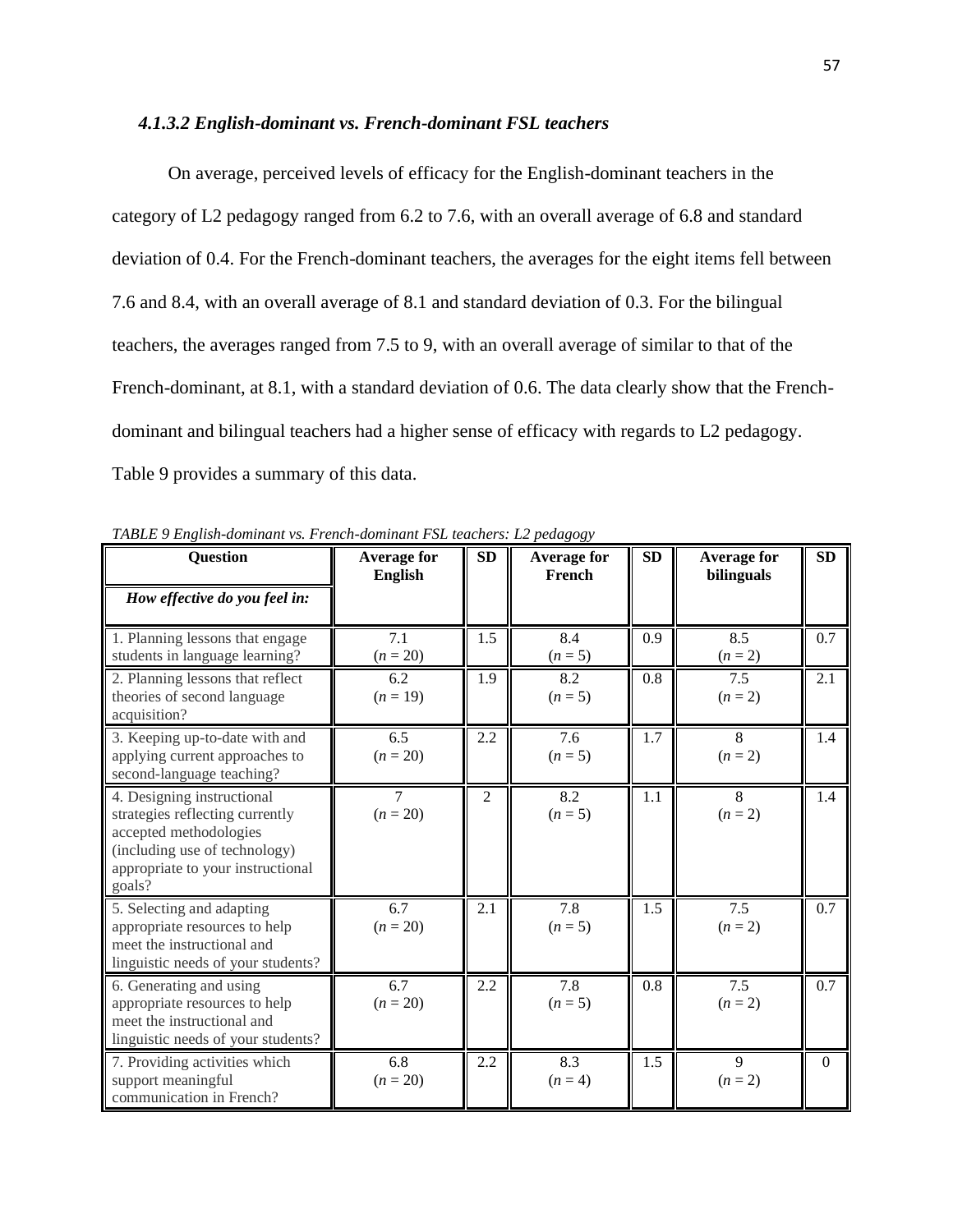#### *4.1.3.2 English-dominant vs. French-dominant FSL teachers*

On average, perceived levels of efficacy for the English-dominant teachers in the category of L2 pedagogy ranged from 6.2 to 7.6, with an overall average of 6.8 and standard deviation of 0.4. For the French-dominant teachers, the averages for the eight items fell between 7.6 and 8.4, with an overall average of 8.1 and standard deviation of 0.3. For the bilingual teachers, the averages ranged from 7.5 to 9, with an overall average of similar to that of the French-dominant, at 8.1, with a standard deviation of 0.6. The data clearly show that the Frenchdominant and bilingual teachers had a higher sense of efficacy with regards to L2 pedagogy. Table 9 provides a summary of this data.

| <b>Question</b>                                                                                                                                                         | <b>Average for</b><br><b>English</b> | SD             | <b>Average for</b><br>French | SD  | <b>Average for</b><br>bilinguals | <b>SD</b> |
|-------------------------------------------------------------------------------------------------------------------------------------------------------------------------|--------------------------------------|----------------|------------------------------|-----|----------------------------------|-----------|
| How effective do you feel in:                                                                                                                                           |                                      |                |                              |     |                                  |           |
| 1. Planning lessons that engage<br>students in language learning?                                                                                                       | 7.1<br>$(n = 20)$                    | 1.5            | 8.4<br>$(n = 5)$             | 0.9 | 8.5<br>$(n = 2)$                 | 0.7       |
| 2. Planning lessons that reflect<br>theories of second language<br>acquisition?                                                                                         | 6.2<br>$(n = 19)$                    | 1.9            | 8.2<br>$(n=5)$               | 0.8 | 7.5<br>$(n = 2)$                 | 2.1       |
| 3. Keeping up-to-date with and<br>applying current approaches to<br>second-language teaching?                                                                           | 6.5<br>$(n = 20)$                    | 2.2            | 7.6<br>$(n=5)$               | 1.7 | 8<br>$(n = 2)$                   | 1.4       |
| 4. Designing instructional<br>strategies reflecting currently<br>accepted methodologies<br>(including use of technology)<br>appropriate to your instructional<br>goals? | 7<br>$(n = 20)$                      | $\overline{2}$ | 8.2<br>$(n=5)$               | 1.1 | 8<br>$(n = 2)$                   | 1.4       |
| 5. Selecting and adapting<br>appropriate resources to help<br>meet the instructional and<br>linguistic needs of your students?                                          | 6.7<br>$(n = 20)$                    | 2.1            | 7.8<br>$(n=5)$               | 1.5 | 7.5<br>$(n = 2)$                 | 0.7       |
| 6. Generating and using<br>appropriate resources to help<br>meet the instructional and<br>linguistic needs of your students?                                            | 6.7<br>$(n = 20)$                    | 2.2            | 7.8<br>$(n=5)$               | 0.8 | 7.5<br>$(n = 2)$                 | 0.7       |
| 7. Providing activities which<br>support meaningful<br>communication in French?                                                                                         | 6.8<br>$(n = 20)$                    | 2.2            | 8.3<br>$(n = 4)$             | 1.5 | 9<br>$(n = 2)$                   | $\Omega$  |

*TABLE 9 English-dominant vs. French-dominant FSL teachers: L2 pedagogy*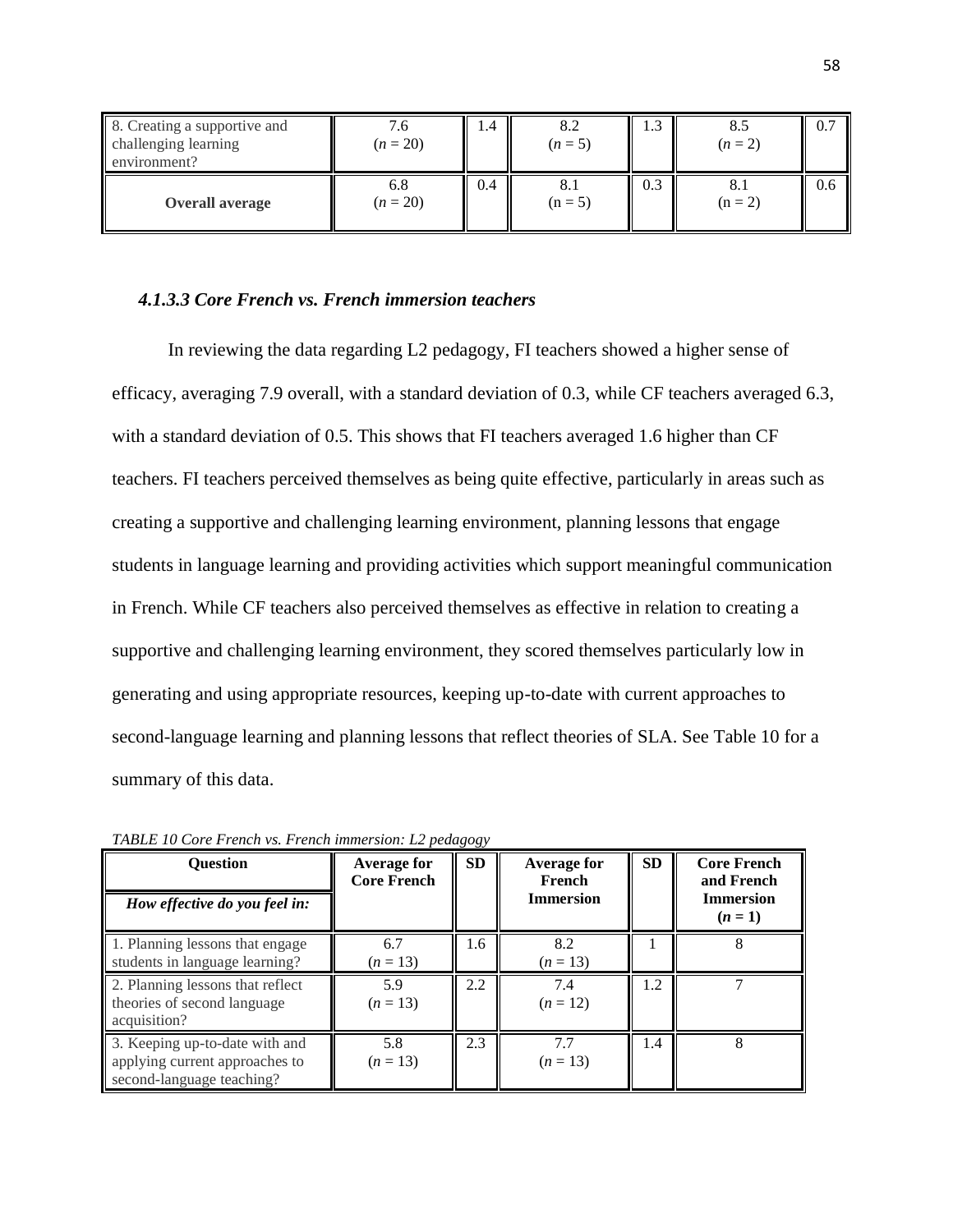| 8. Creating a supportive and<br>challenging learning<br>environment? | . v<br>$(n = 20)$ | 1.4 | 8.2<br>$(n=5)$   | 1.9 | $(n=2)$ | 0.7 |
|----------------------------------------------------------------------|-------------------|-----|------------------|-----|---------|-----|
| <b>Overall average</b>                                               | 6.8<br>$(n = 20)$ | 0.4 | O.1<br>$(n = 5)$ | 0.3 | $(n=2)$ | 0.6 |

## *4.1.3.3 Core French vs. French immersion teachers*

In reviewing the data regarding L2 pedagogy, FI teachers showed a higher sense of efficacy, averaging 7.9 overall, with a standard deviation of 0.3, while CF teachers averaged 6.3, with a standard deviation of 0.5. This shows that FI teachers averaged 1.6 higher than CF teachers. FI teachers perceived themselves as being quite effective, particularly in areas such as creating a supportive and challenging learning environment, planning lessons that engage students in language learning and providing activities which support meaningful communication in French. While CF teachers also perceived themselves as effective in relation to creating a supportive and challenging learning environment, they scored themselves particularly low in generating and using appropriate resources, keeping up-to-date with current approaches to second-language learning and planning lessons that reflect theories of SLA. See Table 10 for a summary of this data.

| <b>Ouestion</b><br>How effective do you feel in:                                              | <b>Average for</b><br><b>Core French</b> | <b>SD</b> | <b>Average for</b><br>French<br><b>Immersion</b> | <b>SD</b> | <b>Core French</b><br>and French<br><b>Immersion</b><br>$(n=1)$ |
|-----------------------------------------------------------------------------------------------|------------------------------------------|-----------|--------------------------------------------------|-----------|-----------------------------------------------------------------|
| 1. Planning lessons that engage<br>students in language learning?                             | 6.7<br>$(n = 13)$                        | 1.6       | 8.2<br>$(n=13)$                                  |           | 8                                                               |
| 2. Planning lessons that reflect<br>theories of second language<br>acquisition?               | 5.9<br>$(n=13)$                          | 2.2       | 7.4<br>$(n=12)$                                  |           |                                                                 |
| 3. Keeping up-to-date with and<br>applying current approaches to<br>second-language teaching? | 5.8<br>$(n=13)$                          | 2.3       | $(n = 13)$                                       | 1.4       | 8                                                               |

*TABLE 10 Core French vs. French immersion: L2 pedagogy*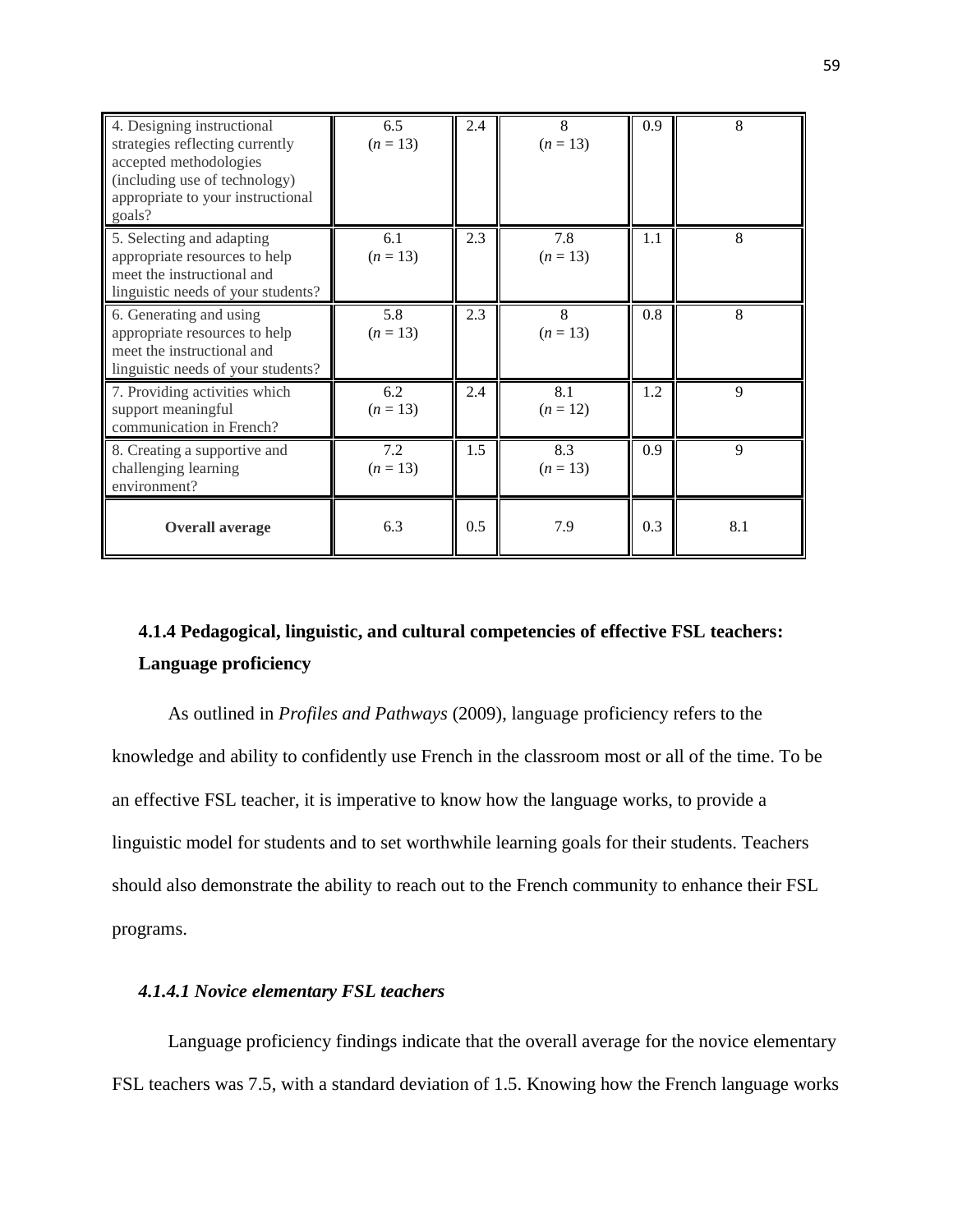| 4. Designing instructional<br>strategies reflecting currently<br>accepted methodologies<br>(including use of technology)<br>appropriate to your instructional<br>goals? | 6.5<br>$(n = 13)$ | 2.4 | 8<br>$(n = 13)$   | 0.9 | 8   |
|-------------------------------------------------------------------------------------------------------------------------------------------------------------------------|-------------------|-----|-------------------|-----|-----|
| 5. Selecting and adapting<br>appropriate resources to help<br>meet the instructional and<br>linguistic needs of your students?                                          | 6.1<br>$(n = 13)$ | 2.3 | 7.8<br>$(n = 13)$ | 1.1 | 8   |
| 6. Generating and using<br>appropriate resources to help<br>meet the instructional and<br>linguistic needs of your students?                                            | 5.8<br>$(n = 13)$ | 2.3 | 8<br>$(n = 13)$   | 0.8 | 8   |
| 7. Providing activities which<br>support meaningful<br>communication in French?                                                                                         | 6.2<br>$(n = 13)$ | 2.4 | 8.1<br>$(n = 12)$ | 1.2 | 9   |
| 8. Creating a supportive and<br>challenging learning<br>environment?                                                                                                    | 7.2<br>$(n=13)$   | 1.5 | 8.3<br>$(n=13)$   | 0.9 | 9   |
| <b>Overall average</b>                                                                                                                                                  | 6.3               | 0.5 | 7.9               | 0.3 | 8.1 |

# **4.1.4 Pedagogical, linguistic, and cultural competencies of effective FSL teachers: Language proficiency**

As outlined in *Profiles and Pathways* (2009), language proficiency refers to the knowledge and ability to confidently use French in the classroom most or all of the time. To be an effective FSL teacher, it is imperative to know how the language works, to provide a linguistic model for students and to set worthwhile learning goals for their students. Teachers should also demonstrate the ability to reach out to the French community to enhance their FSL programs.

# *4.1.4.1 Novice elementary FSL teachers*

Language proficiency findings indicate that the overall average for the novice elementary FSL teachers was 7.5, with a standard deviation of 1.5. Knowing how the French language works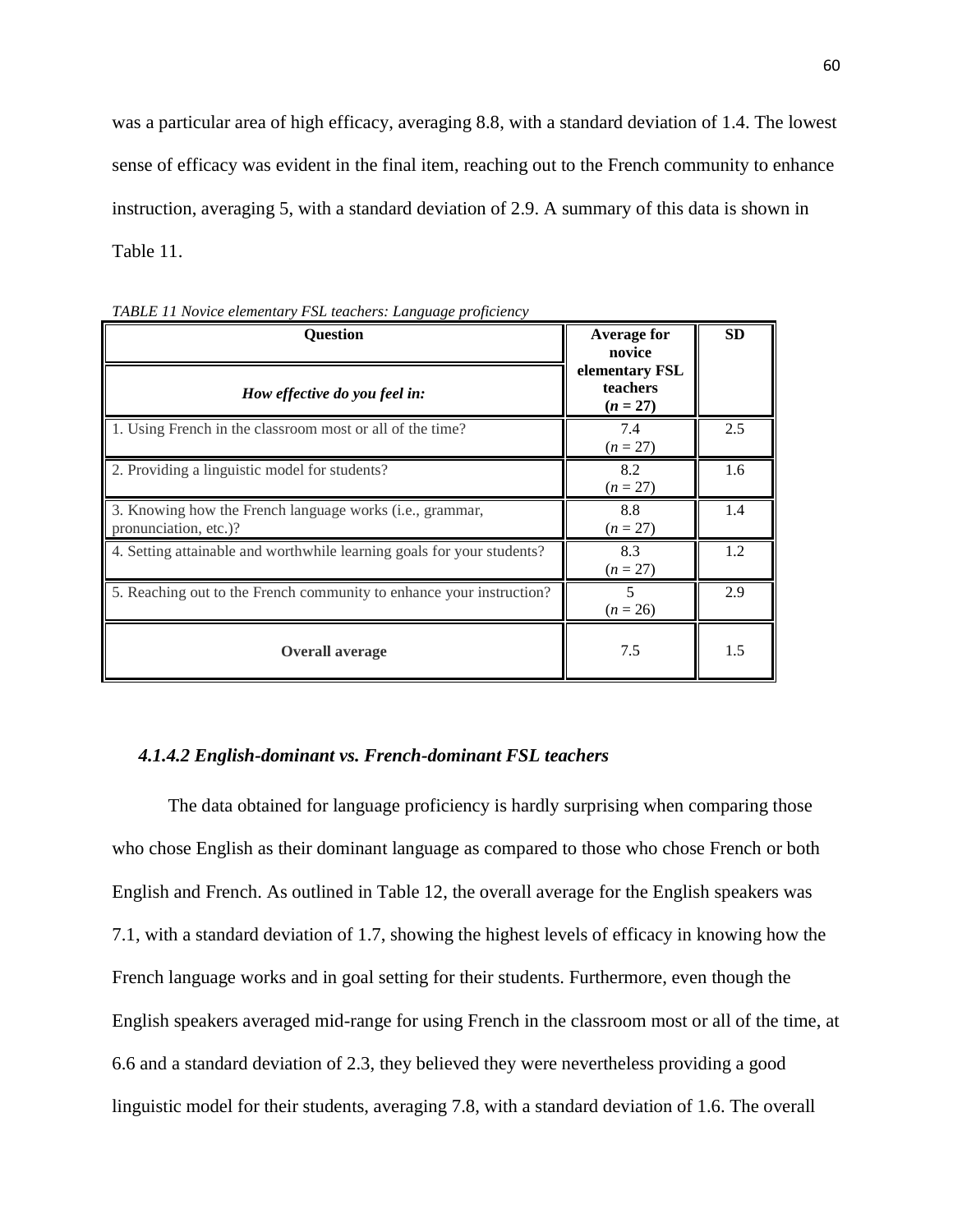was a particular area of high efficacy, averaging 8.8, with a standard deviation of 1.4. The lowest sense of efficacy was evident in the final item, reaching out to the French community to enhance instruction, averaging 5, with a standard deviation of 2.9. A summary of this data is shown in Table 11.

| <b>Question</b><br>How effective do you feel in:                                           | <b>Average for</b><br>novice<br>elementary FSL<br>teachers<br>$(n = 27)$ | <b>SD</b> |
|--------------------------------------------------------------------------------------------|--------------------------------------------------------------------------|-----------|
| 1. Using French in the classroom most or all of the time?                                  | 7.4<br>$(n = 27)$                                                        | 2.5       |
| 2. Providing a linguistic model for students?                                              | 8.2<br>$(n = 27)$                                                        | 1.6       |
| 3. Knowing how the French language works ( <i>i.e.</i> , grammar,<br>pronunciation, etc.)? | 8.8<br>$(n = 27)$                                                        | 1.4       |
| 4. Setting attainable and worthwhile learning goals for your students?                     | 8.3<br>$(n = 27)$                                                        | 1.2       |
| 5. Reaching out to the French community to enhance your instruction?                       | 5<br>$(n = 26)$                                                          | 2.9       |
| <b>Overall average</b>                                                                     | 7.5                                                                      | 1.5       |

*TABLE 11 Novice elementary FSL teachers: Language proficiency*

#### *4.1.4.2 English-dominant vs. French-dominant FSL teachers*

The data obtained for language proficiency is hardly surprising when comparing those who chose English as their dominant language as compared to those who chose French or both English and French. As outlined in Table 12, the overall average for the English speakers was 7.1, with a standard deviation of 1.7, showing the highest levels of efficacy in knowing how the French language works and in goal setting for their students. Furthermore, even though the English speakers averaged mid-range for using French in the classroom most or all of the time, at 6.6 and a standard deviation of 2.3, they believed they were nevertheless providing a good linguistic model for their students, averaging 7.8, with a standard deviation of 1.6. The overall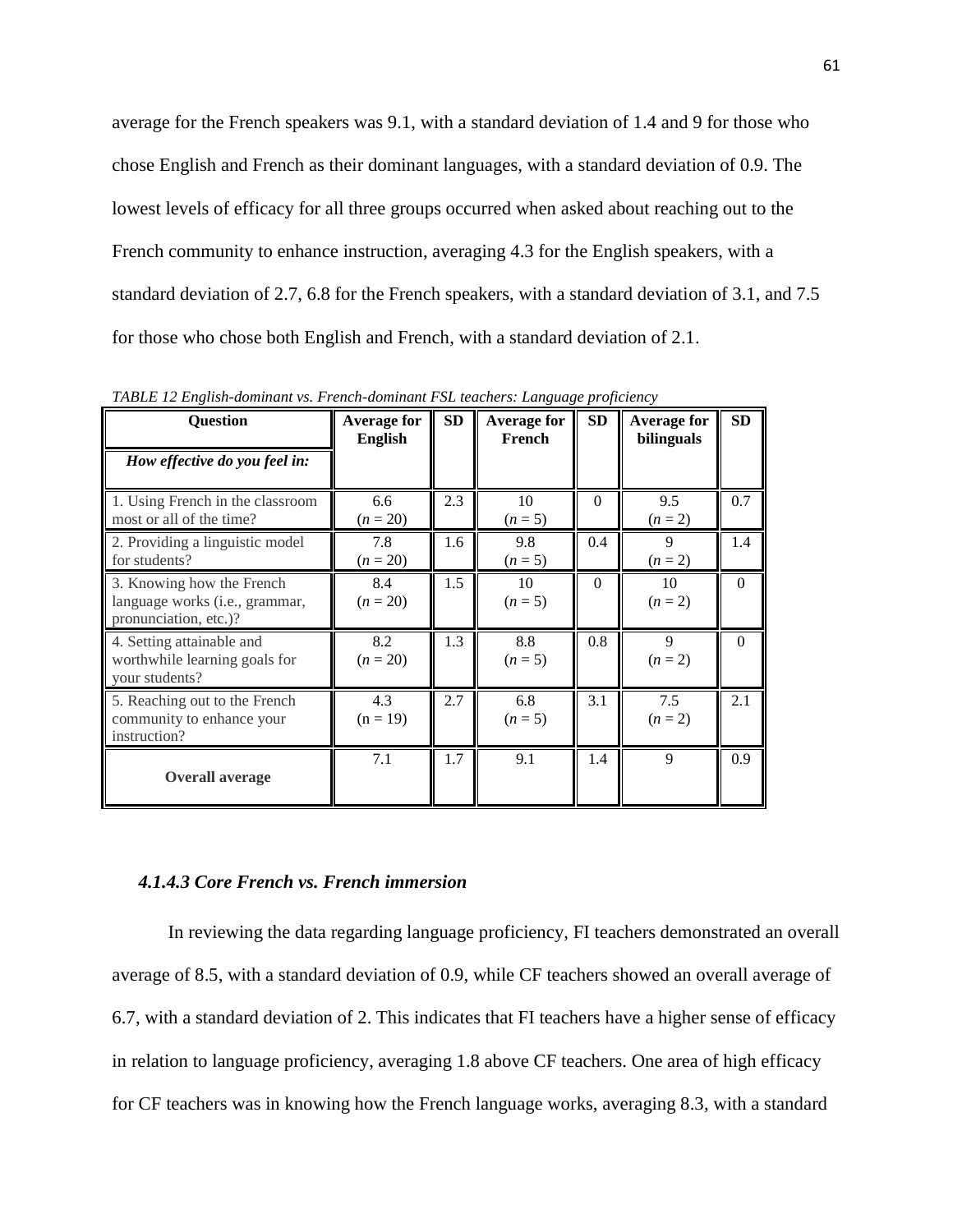average for the French speakers was 9.1, with a standard deviation of 1.4 and 9 for those who chose English and French as their dominant languages, with a standard deviation of 0.9. The lowest levels of efficacy for all three groups occurred when asked about reaching out to the French community to enhance instruction, averaging 4.3 for the English speakers, with a standard deviation of 2.7, 6.8 for the French speakers, with a standard deviation of 3.1, and 7.5 for those who chose both English and French, with a standard deviation of 2.1.

| <b>Question</b>                                                                               | <b>Average for</b><br><b>English</b> | <b>SD</b> | <b>Average for</b><br>French | <b>SD</b> | <b>Average for</b><br>bilinguals | SD       |
|-----------------------------------------------------------------------------------------------|--------------------------------------|-----------|------------------------------|-----------|----------------------------------|----------|
| How effective do you feel in:                                                                 |                                      |           |                              |           |                                  |          |
| 1. Using French in the classroom<br>most or all of the time?                                  | 6.6<br>$(n = 20)$                    | 2.3       | 10<br>$(n=5)$                | $\Omega$  | 9.5<br>$(n = 2)$                 | 0.7      |
| 2. Providing a linguistic model<br>for students?                                              | 7.8<br>$(n=20)$                      | 1.6       | 9.8<br>$(n=5)$               | 0.4       | 9<br>$(n = 2)$                   | 1.4      |
| 3. Knowing how the French<br>language works ( <i>i.e.</i> , grammar,<br>pronunciation, etc.)? | 8.4<br>$(n = 20)$                    | 1.5       | 10<br>$(n = 5)$              | $\Omega$  | 10<br>$(n = 2)$                  | $\Omega$ |
| 4. Setting attainable and<br>worthwhile learning goals for<br>your students?                  | 8.2<br>$(n = 20)$                    | 1.3       | 8.8<br>$(n = 5)$             | 0.8       | 9<br>$(n = 2)$                   | $\Omega$ |
| 5. Reaching out to the French<br>community to enhance your<br>instruction?                    | 4.3<br>$(n = 19)$                    | 2.7       | 6.8<br>$(n=5)$               | 3.1       | 7.5<br>$(n=2)$                   | 2.1      |
| <b>Overall average</b>                                                                        | 7.1                                  | 1.7       | 9.1                          | 1.4       | 9                                | 0.9      |

*TABLE 12 English-dominant vs. French-dominant FSL teachers: Language proficiency*

# *4.1.4.3 Core French vs. French immersion*

In reviewing the data regarding language proficiency, FI teachers demonstrated an overall average of 8.5, with a standard deviation of 0.9, while CF teachers showed an overall average of 6.7, with a standard deviation of 2. This indicates that FI teachers have a higher sense of efficacy in relation to language proficiency, averaging 1.8 above CF teachers. One area of high efficacy for CF teachers was in knowing how the French language works, averaging 8.3, with a standard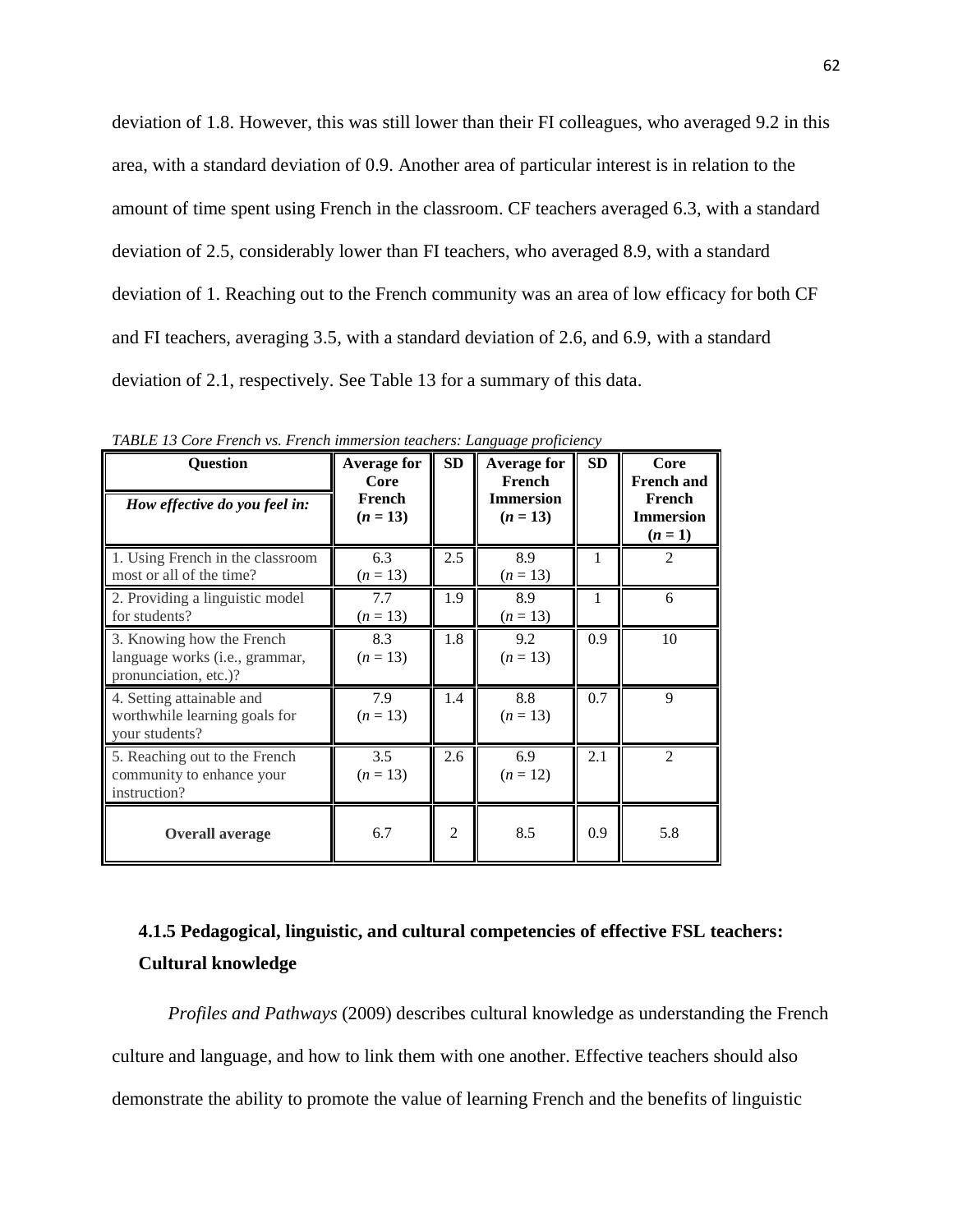deviation of 1.8. However, this was still lower than their FI colleagues, who averaged 9.2 in this area, with a standard deviation of 0.9. Another area of particular interest is in relation to the amount of time spent using French in the classroom. CF teachers averaged 6.3, with a standard deviation of 2.5, considerably lower than FI teachers, who averaged 8.9, with a standard deviation of 1. Reaching out to the French community was an area of low efficacy for both CF and FI teachers, averaging 3.5, with a standard deviation of 2.6, and 6.9, with a standard deviation of 2.1, respectively. See Table 13 for a summary of this data.

| <b>Question</b><br>How effective do you feel in:                                              | <b>Average for</b><br>Core<br>French<br>$(n = 13)$ | SD             | <b>Average for</b><br>French<br><b>Immersion</b><br>$(n = 13)$ | <b>SD</b>    | Core<br><b>French and</b><br>French<br><b>Immersion</b><br>$(n = 1)$ |
|-----------------------------------------------------------------------------------------------|----------------------------------------------------|----------------|----------------------------------------------------------------|--------------|----------------------------------------------------------------------|
| 1. Using French in the classroom<br>most or all of the time?                                  | 6.3<br>$(n = 13)$                                  | 2.5            | 8.9<br>$(n = 13)$                                              | $\mathbf{1}$ | $\mathfrak{D}$                                                       |
| 2. Providing a linguistic model<br>for students?                                              | 7.7<br>$(n = 13)$                                  | 1.9            | 8.9<br>$(n = 13)$                                              | 1            | 6                                                                    |
| 3. Knowing how the French<br>language works ( <i>i.e.</i> , grammar,<br>pronunciation, etc.)? | 8.3<br>$(n = 13)$                                  | 1.8            | 9.2<br>$(n=13)$                                                | 0.9          | 10                                                                   |
| 4. Setting attainable and<br>worthwhile learning goals for<br>your students?                  | 7.9<br>$(n = 13)$                                  | 1.4            | 8.8<br>$(n = 13)$                                              | 0.7          | 9                                                                    |
| 5. Reaching out to the French<br>community to enhance your<br>instruction?                    | 3.5<br>$(n = 13)$                                  | 2.6            | 6.9<br>$(n = 12)$                                              | 2.1          | $\mathfrak{D}$                                                       |
| <b>Overall average</b>                                                                        | 6.7                                                | $\overline{2}$ | 8.5                                                            | 0.9          | 5.8                                                                  |

*TABLE 13 Core French vs. French immersion teachers: Language proficiency*

# **4.1.5 Pedagogical, linguistic, and cultural competencies of effective FSL teachers: Cultural knowledge**

*Profiles and Pathways* (2009) describes cultural knowledge as understanding the French culture and language, and how to link them with one another. Effective teachers should also demonstrate the ability to promote the value of learning French and the benefits of linguistic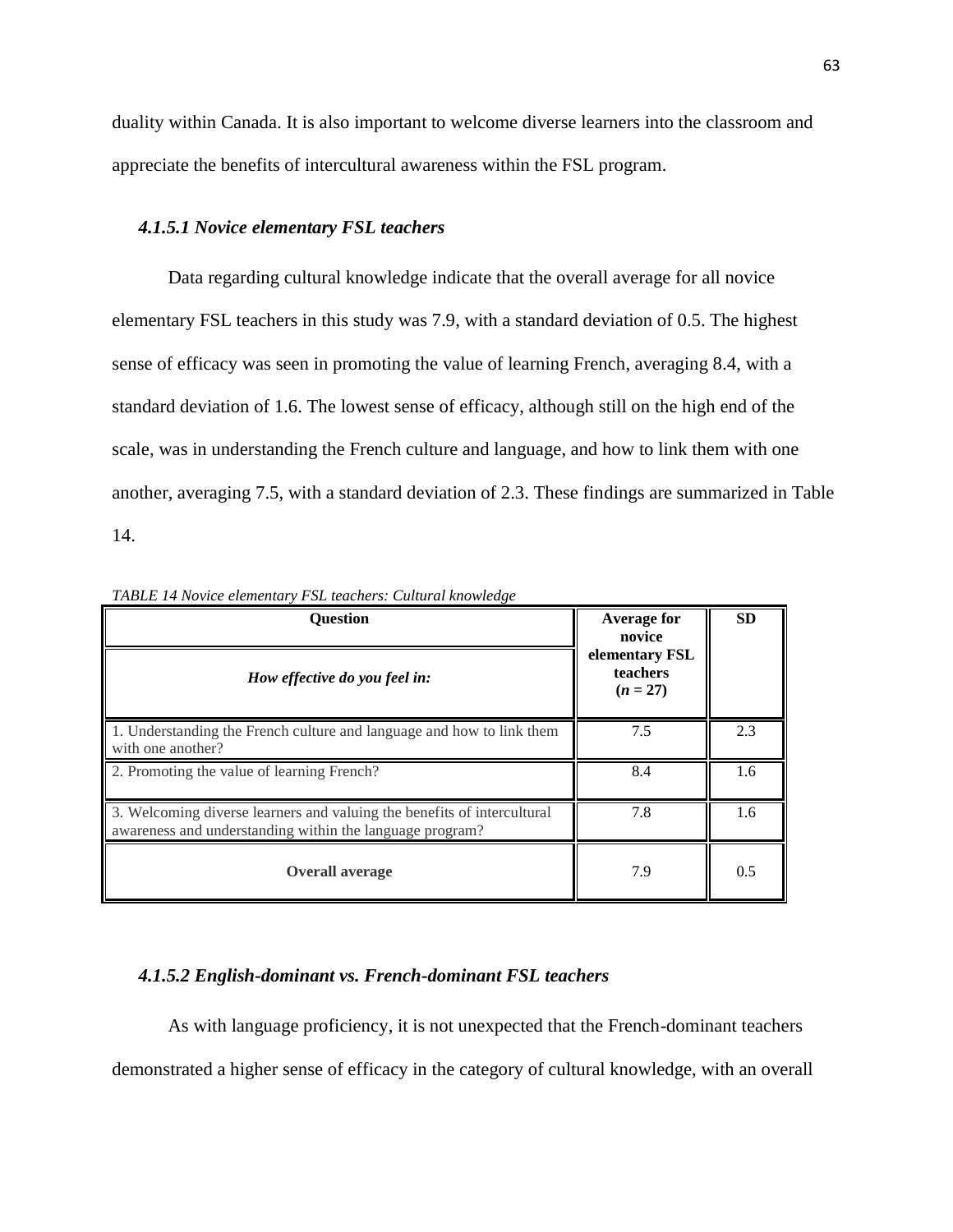duality within Canada. It is also important to welcome diverse learners into the classroom and appreciate the benefits of intercultural awareness within the FSL program.

#### *4.1.5.1 Novice elementary FSL teachers*

Data regarding cultural knowledge indicate that the overall average for all novice elementary FSL teachers in this study was 7.9, with a standard deviation of 0.5. The highest sense of efficacy was seen in promoting the value of learning French, averaging 8.4, with a standard deviation of 1.6. The lowest sense of efficacy, although still on the high end of the scale, was in understanding the French culture and language, and how to link them with one another, averaging 7.5, with a standard deviation of 2.3. These findings are summarized in Table 14.

| <b>Ouestion</b>                                                                                                                     | Average for<br>novice                    | <b>SD</b> |
|-------------------------------------------------------------------------------------------------------------------------------------|------------------------------------------|-----------|
| How effective do you feel in:                                                                                                       | elementary FSL<br>teachers<br>$(n = 27)$ |           |
| 1. Understanding the French culture and language and how to link them<br>with one another?                                          | 7.5                                      | 2.3       |
| 2. Promoting the value of learning French?                                                                                          | 8.4                                      | 1.6       |
| 3. Welcoming diverse learners and valuing the benefits of intercultural<br>awareness and understanding within the language program? | 7.8                                      | 1.6       |
| <b>Overall average</b>                                                                                                              | 7.9                                      | 0.5       |

*TABLE 14 Novice elementary FSL teachers: Cultural knowledge*

# *4.1.5.2 English-dominant vs. French-dominant FSL teachers*

As with language proficiency, it is not unexpected that the French-dominant teachers demonstrated a higher sense of efficacy in the category of cultural knowledge, with an overall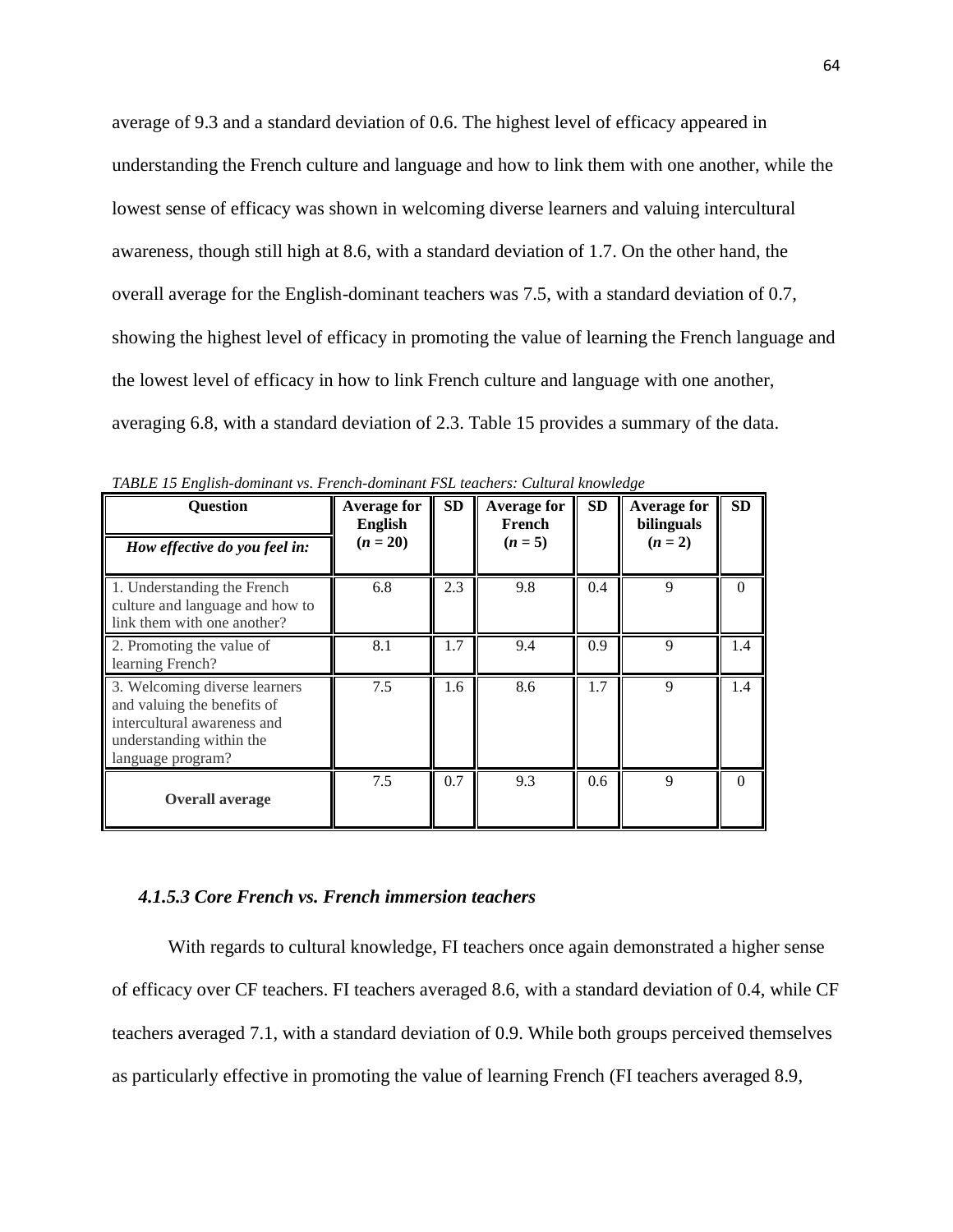average of 9.3 and a standard deviation of 0.6. The highest level of efficacy appeared in understanding the French culture and language and how to link them with one another, while the lowest sense of efficacy was shown in welcoming diverse learners and valuing intercultural awareness, though still high at 8.6, with a standard deviation of 1.7. On the other hand, the overall average for the English-dominant teachers was 7.5, with a standard deviation of 0.7, showing the highest level of efficacy in promoting the value of learning the French language and the lowest level of efficacy in how to link French culture and language with one another, averaging 6.8, with a standard deviation of 2.3. Table 15 provides a summary of the data.

| <b>Question</b><br>How effective do you feel in:                                                                                             | <b>Average for</b><br>English<br>$(n = 20)$ | <b>SD</b> | <b>Average for</b><br>French<br>$(n = 5)$ | <b>SD</b> | <b>Average for</b><br>bilinguals<br>$(n = 2)$ | <b>SD</b> |
|----------------------------------------------------------------------------------------------------------------------------------------------|---------------------------------------------|-----------|-------------------------------------------|-----------|-----------------------------------------------|-----------|
| 1. Understanding the French<br>culture and language and how to<br>link them with one another?                                                | 6.8                                         | 2.3       | 9.8                                       | 0.4       | 9                                             | $\Omega$  |
| 2. Promoting the value of<br>learning French?                                                                                                | 8.1                                         | 1.7       | 9.4                                       | 0.9       | 9                                             | 1.4       |
| 3. Welcoming diverse learners<br>and valuing the benefits of<br>intercultural awareness and<br>understanding within the<br>language program? | 7.5                                         | 1.6       | 8.6                                       | 1.7       | 9                                             | 1.4       |
| <b>Overall average</b>                                                                                                                       | 7.5                                         | 0.7       | 9.3                                       | 0.6       | 9                                             | $\Omega$  |

*TABLE 15 English-dominant vs. French-dominant FSL teachers: Cultural knowledge*

#### *4.1.5.3 Core French vs. French immersion teachers*

With regards to cultural knowledge, FI teachers once again demonstrated a higher sense of efficacy over CF teachers. FI teachers averaged 8.6, with a standard deviation of 0.4, while CF teachers averaged 7.1, with a standard deviation of 0.9. While both groups perceived themselves as particularly effective in promoting the value of learning French (FI teachers averaged 8.9,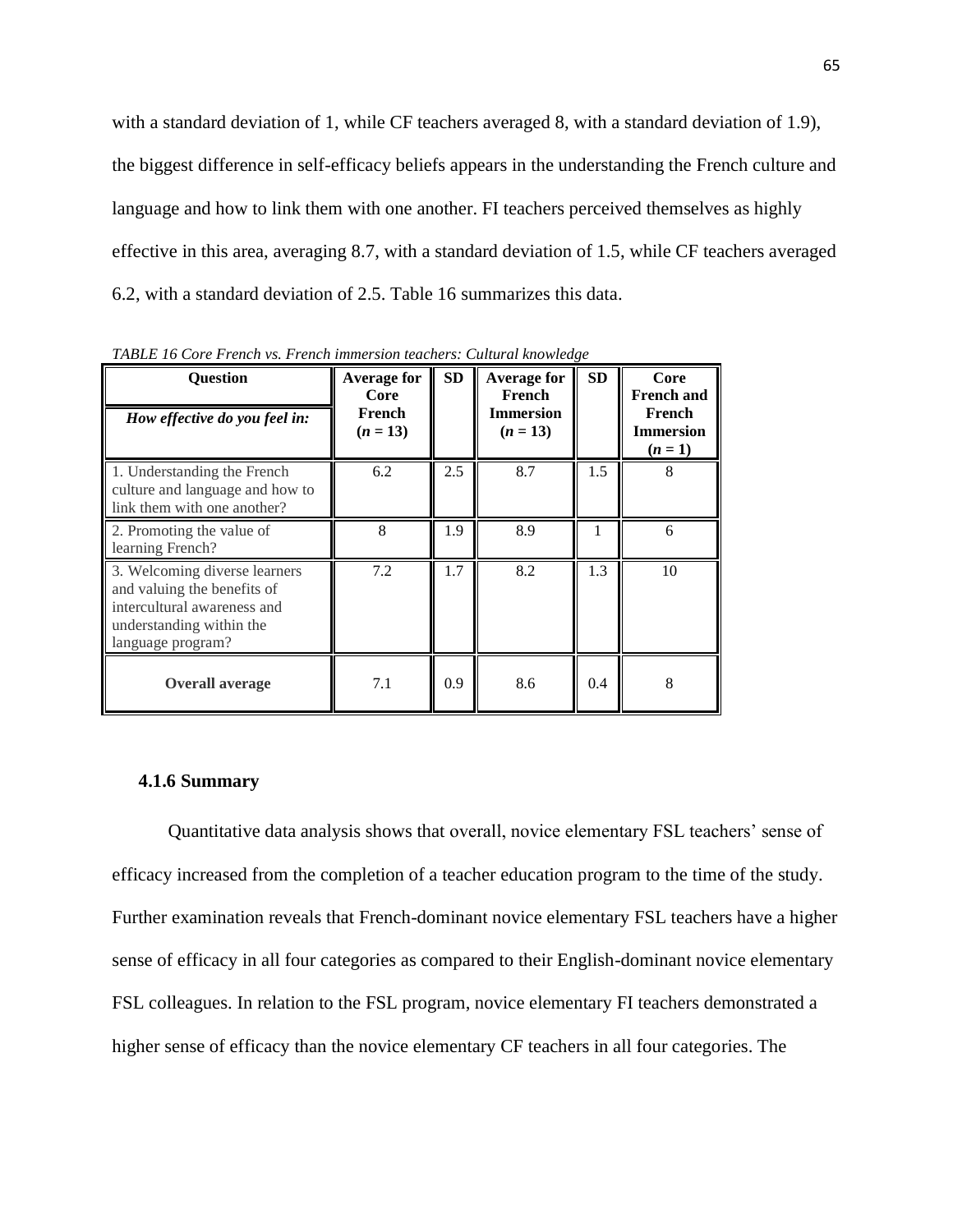with a standard deviation of 1, while CF teachers averaged 8, with a standard deviation of 1.9), the biggest difference in self-efficacy beliefs appears in the understanding the French culture and language and how to link them with one another. FI teachers perceived themselves as highly effective in this area, averaging 8.7, with a standard deviation of 1.5, while CF teachers averaged 6.2, with a standard deviation of 2.5. Table 16 summarizes this data.

| Question<br>How effective do you feel in:                                                                                                    | <b>Average for</b><br>Core<br>French<br>$(n = 13)$ | SD  | <b>Average for</b><br>French<br><b>Immersion</b><br>$(n = 13)$ | SD  | Core<br><b>French and</b><br>French<br><b>Immersion</b><br>$(n = 1)$ |
|----------------------------------------------------------------------------------------------------------------------------------------------|----------------------------------------------------|-----|----------------------------------------------------------------|-----|----------------------------------------------------------------------|
| 1. Understanding the French<br>culture and language and how to<br>link them with one another?                                                | 6.2                                                | 2.5 | 8.7                                                            | 1.5 | 8                                                                    |
| 2. Promoting the value of<br>learning French?                                                                                                | 8                                                  | 1.9 | 8.9                                                            |     | 6                                                                    |
| 3. Welcoming diverse learners<br>and valuing the benefits of<br>intercultural awareness and<br>understanding within the<br>language program? | 7.2                                                | 1.7 | 8.2                                                            | 1.3 | 10                                                                   |
| <b>Overall average</b>                                                                                                                       | 7.1                                                | 0.9 | 8.6                                                            | 0.4 | 8                                                                    |

*TABLE 16 Core French vs. French immersion teachers: Cultural knowledge*

## **4.1.6 Summary**

Quantitative data analysis shows that overall, novice elementary FSL teachers' sense of efficacy increased from the completion of a teacher education program to the time of the study. Further examination reveals that French-dominant novice elementary FSL teachers have a higher sense of efficacy in all four categories as compared to their English-dominant novice elementary FSL colleagues. In relation to the FSL program, novice elementary FI teachers demonstrated a higher sense of efficacy than the novice elementary CF teachers in all four categories. The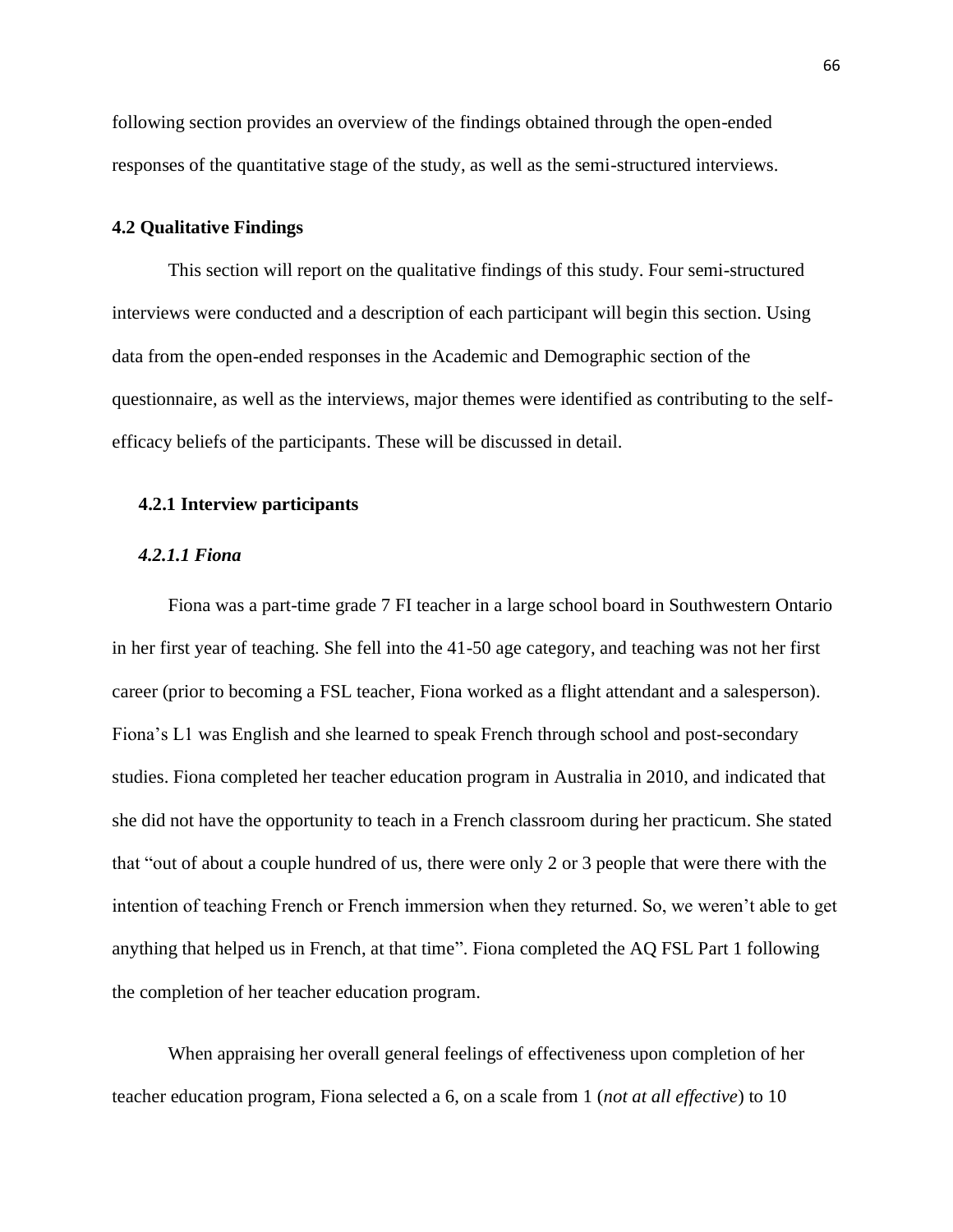following section provides an overview of the findings obtained through the open-ended responses of the quantitative stage of the study, as well as the semi-structured interviews.

#### **4.2 Qualitative Findings**

This section will report on the qualitative findings of this study. Four semi-structured interviews were conducted and a description of each participant will begin this section. Using data from the open-ended responses in the Academic and Demographic section of the questionnaire, as well as the interviews, major themes were identified as contributing to the selfefficacy beliefs of the participants. These will be discussed in detail.

## **4.2.1 Interview participants**

## *4.2.1.1 Fiona*

Fiona was a part-time grade 7 FI teacher in a large school board in Southwestern Ontario in her first year of teaching. She fell into the 41-50 age category, and teaching was not her first career (prior to becoming a FSL teacher, Fiona worked as a flight attendant and a salesperson). Fiona"s L1 was English and she learned to speak French through school and post-secondary studies. Fiona completed her teacher education program in Australia in 2010, and indicated that she did not have the opportunity to teach in a French classroom during her practicum. She stated that "out of about a couple hundred of us, there were only 2 or 3 people that were there with the intention of teaching French or French immersion when they returned. So, we weren"t able to get anything that helped us in French, at that time". Fiona completed the AQ FSL Part 1 following the completion of her teacher education program.

When appraising her overall general feelings of effectiveness upon completion of her teacher education program, Fiona selected a 6, on a scale from 1 (*not at all effective*) to 10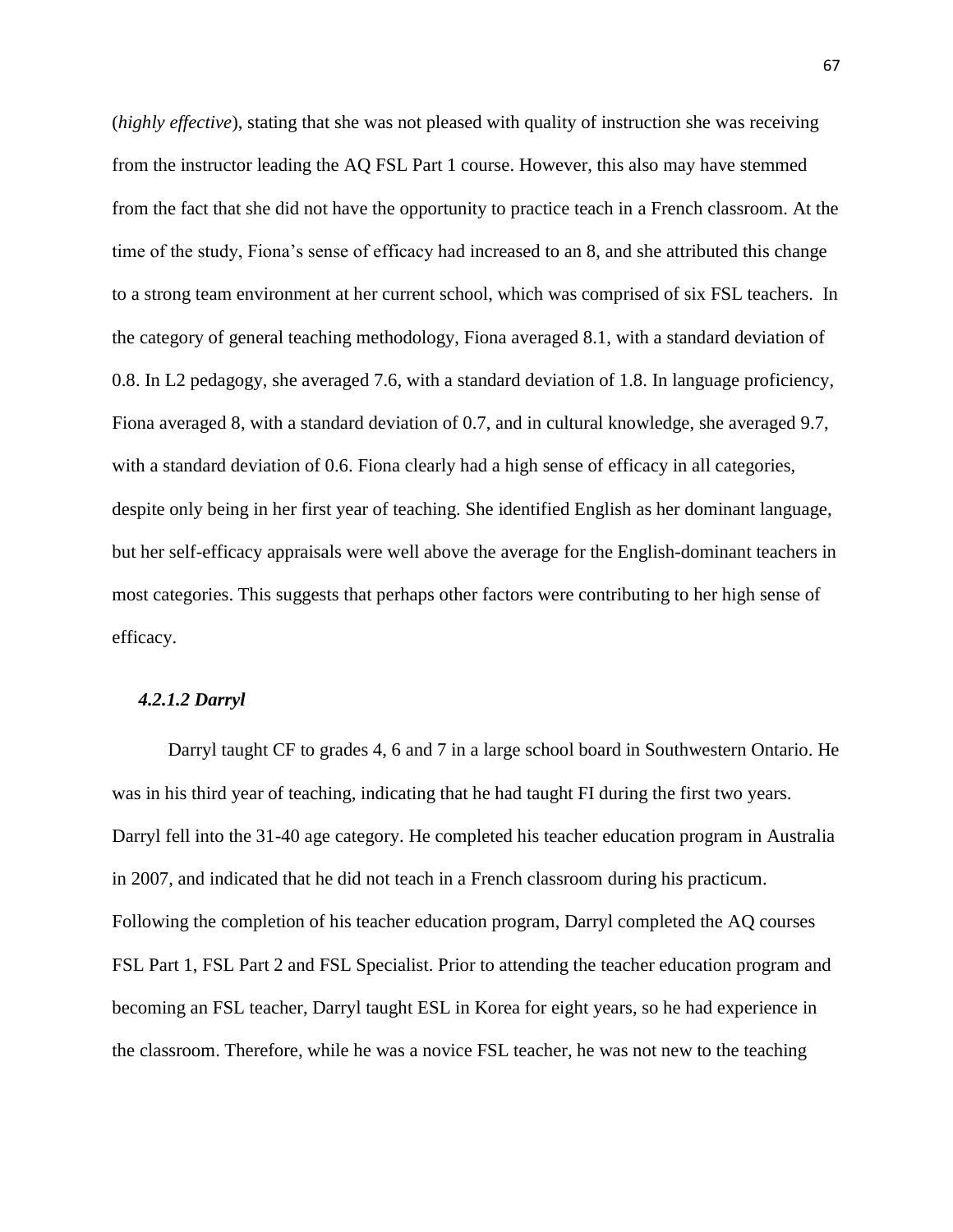(*highly effective*), stating that she was not pleased with quality of instruction she was receiving from the instructor leading the AQ FSL Part 1 course. However, this also may have stemmed from the fact that she did not have the opportunity to practice teach in a French classroom. At the time of the study, Fiona"s sense of efficacy had increased to an 8, and she attributed this change to a strong team environment at her current school, which was comprised of six FSL teachers. In the category of general teaching methodology, Fiona averaged 8.1, with a standard deviation of 0.8. In L2 pedagogy, she averaged 7.6, with a standard deviation of 1.8. In language proficiency, Fiona averaged 8, with a standard deviation of 0.7, and in cultural knowledge, she averaged 9.7, with a standard deviation of 0.6. Fiona clearly had a high sense of efficacy in all categories, despite only being in her first year of teaching. She identified English as her dominant language, but her self-efficacy appraisals were well above the average for the English-dominant teachers in most categories. This suggests that perhaps other factors were contributing to her high sense of efficacy.

## *4.2.1.2 Darryl*

Darryl taught CF to grades 4, 6 and 7 in a large school board in Southwestern Ontario. He was in his third year of teaching, indicating that he had taught FI during the first two years. Darryl fell into the 31-40 age category. He completed his teacher education program in Australia in 2007, and indicated that he did not teach in a French classroom during his practicum. Following the completion of his teacher education program, Darryl completed the AQ courses FSL Part 1, FSL Part 2 and FSL Specialist. Prior to attending the teacher education program and becoming an FSL teacher, Darryl taught ESL in Korea for eight years, so he had experience in the classroom. Therefore, while he was a novice FSL teacher, he was not new to the teaching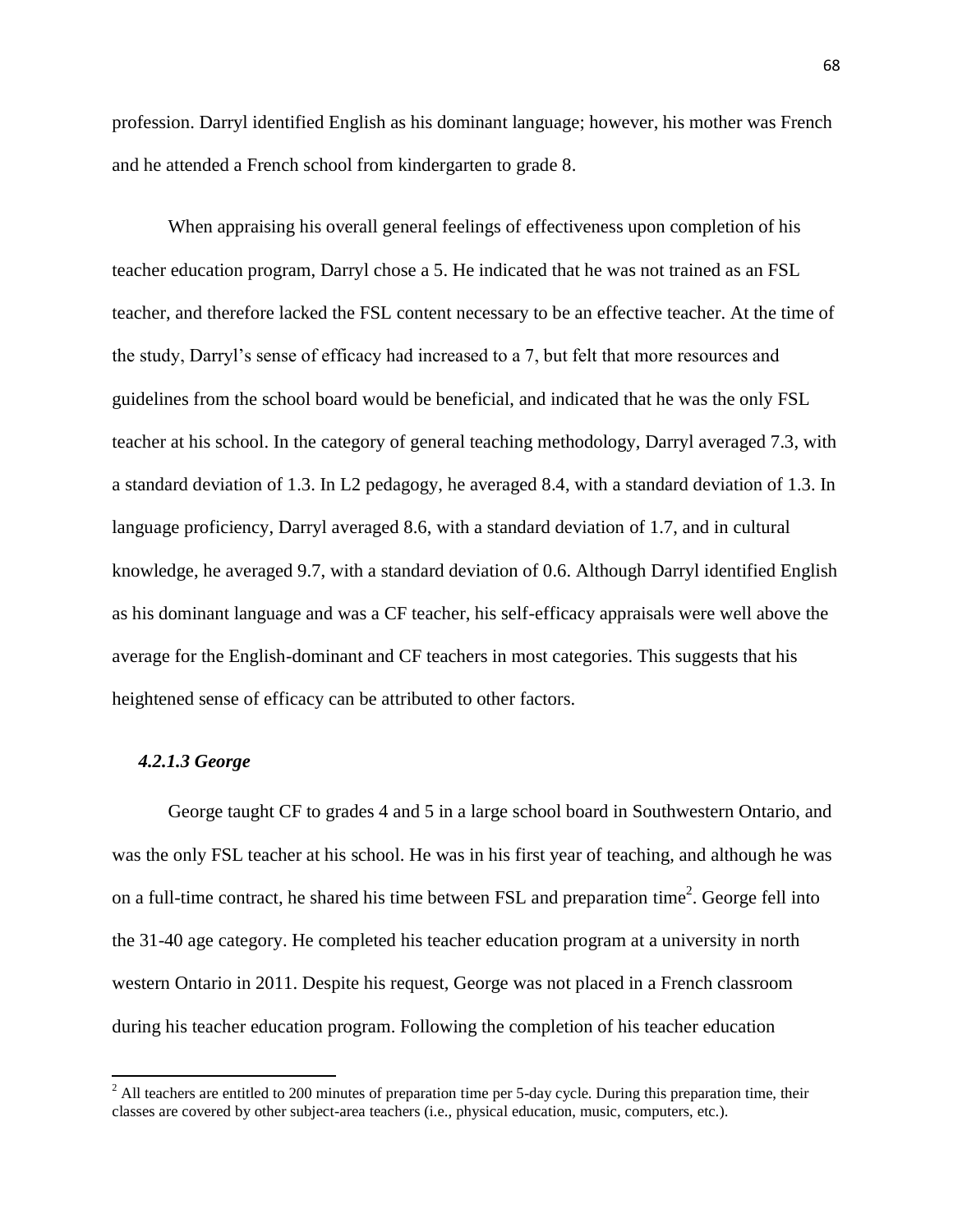profession. Darryl identified English as his dominant language; however, his mother was French and he attended a French school from kindergarten to grade 8.

When appraising his overall general feelings of effectiveness upon completion of his teacher education program, Darryl chose a 5. He indicated that he was not trained as an FSL teacher, and therefore lacked the FSL content necessary to be an effective teacher. At the time of the study, Darryl"s sense of efficacy had increased to a 7, but felt that more resources and guidelines from the school board would be beneficial, and indicated that he was the only FSL teacher at his school. In the category of general teaching methodology, Darryl averaged 7.3, with a standard deviation of 1.3. In L2 pedagogy, he averaged 8.4, with a standard deviation of 1.3. In language proficiency, Darryl averaged 8.6, with a standard deviation of 1.7, and in cultural knowledge, he averaged 9.7, with a standard deviation of 0.6. Although Darryl identified English as his dominant language and was a CF teacher, his self-efficacy appraisals were well above the average for the English-dominant and CF teachers in most categories. This suggests that his heightened sense of efficacy can be attributed to other factors.

## *4.2.1.3 George*

 $\overline{a}$ 

George taught CF to grades 4 and 5 in a large school board in Southwestern Ontario, and was the only FSL teacher at his school. He was in his first year of teaching, and although he was on a full-time contract, he shared his time between FSL and preparation time<sup>2</sup>. George fell into the 31-40 age category. He completed his teacher education program at a university in north western Ontario in 2011. Despite his request, George was not placed in a French classroom during his teacher education program. Following the completion of his teacher education

 $2$  All teachers are entitled to 200 minutes of preparation time per 5-day cycle. During this preparation time, their classes are covered by other subject-area teachers (i.e., physical education, music, computers, etc.).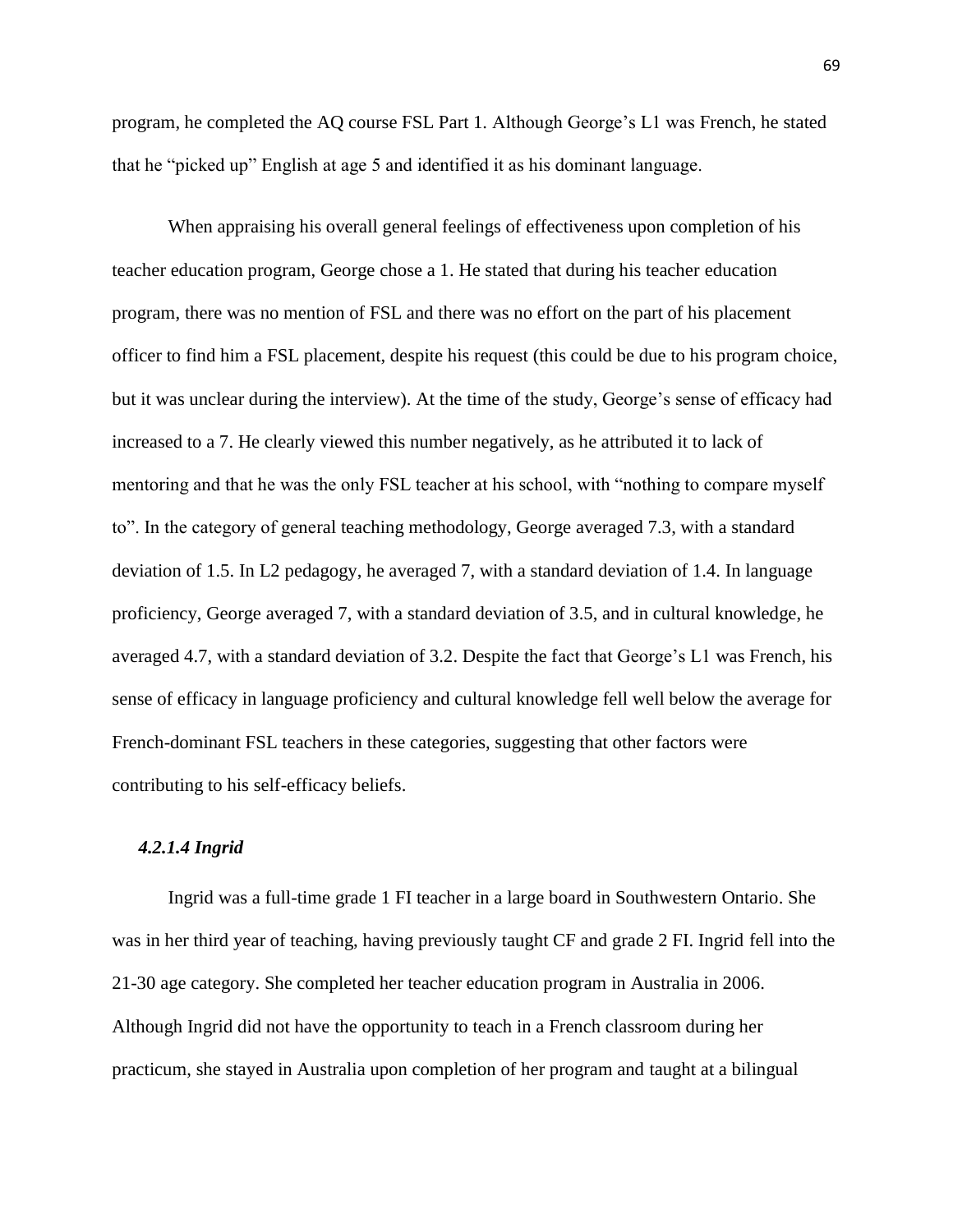program, he completed the AQ course FSL Part 1. Although George"s L1 was French, he stated that he "picked up" English at age 5 and identified it as his dominant language.

When appraising his overall general feelings of effectiveness upon completion of his teacher education program, George chose a 1. He stated that during his teacher education program, there was no mention of FSL and there was no effort on the part of his placement officer to find him a FSL placement, despite his request (this could be due to his program choice, but it was unclear during the interview). At the time of the study, George"s sense of efficacy had increased to a 7. He clearly viewed this number negatively, as he attributed it to lack of mentoring and that he was the only FSL teacher at his school, with "nothing to compare myself to". In the category of general teaching methodology, George averaged 7.3, with a standard deviation of 1.5. In L2 pedagogy, he averaged 7, with a standard deviation of 1.4. In language proficiency, George averaged 7, with a standard deviation of 3.5, and in cultural knowledge, he averaged 4.7, with a standard deviation of 3.2. Despite the fact that George"s L1 was French, his sense of efficacy in language proficiency and cultural knowledge fell well below the average for French-dominant FSL teachers in these categories, suggesting that other factors were contributing to his self-efficacy beliefs.

## *4.2.1.4 Ingrid*

Ingrid was a full-time grade 1 FI teacher in a large board in Southwestern Ontario. She was in her third year of teaching, having previously taught CF and grade 2 FI. Ingrid fell into the 21-30 age category. She completed her teacher education program in Australia in 2006. Although Ingrid did not have the opportunity to teach in a French classroom during her practicum, she stayed in Australia upon completion of her program and taught at a bilingual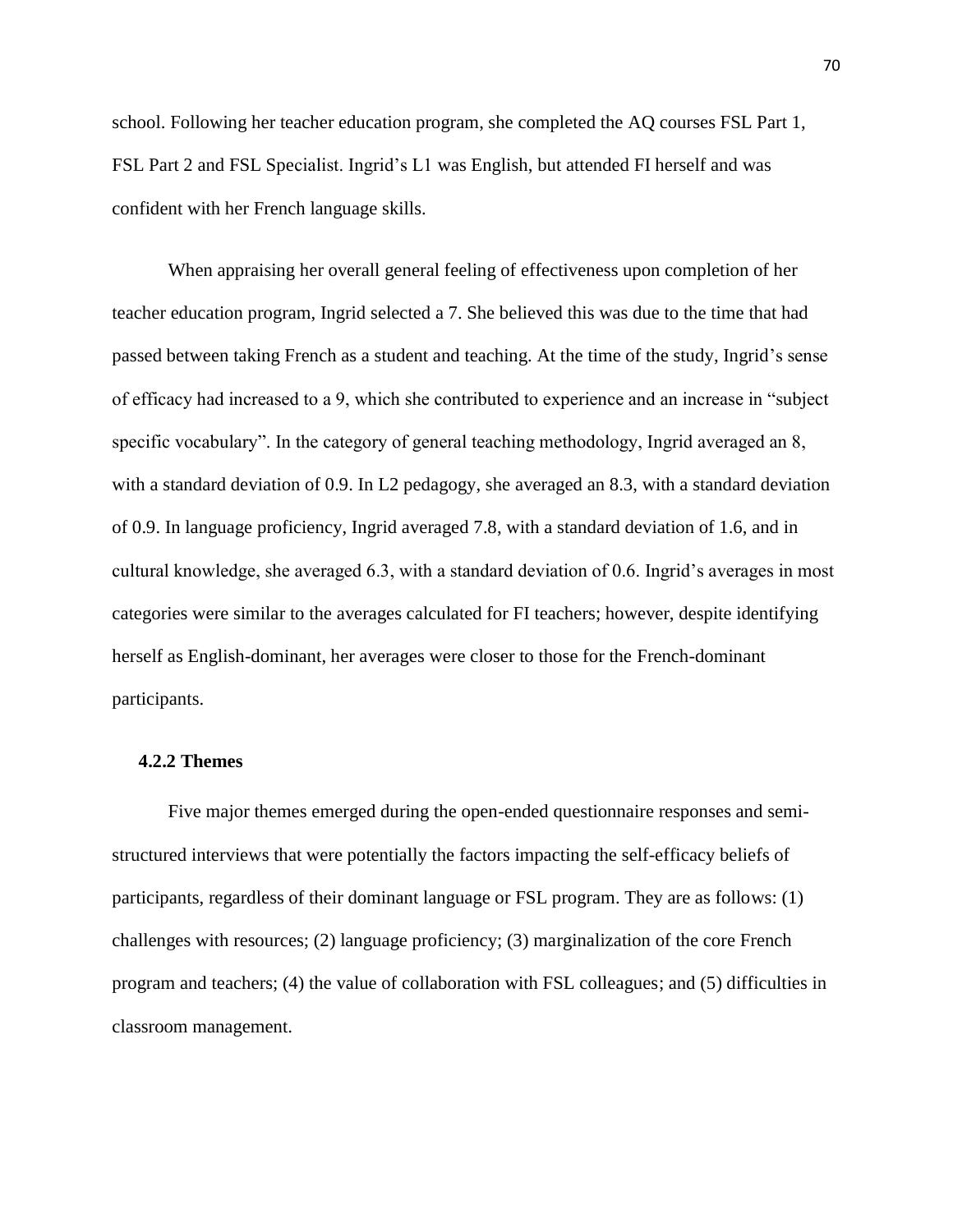school. Following her teacher education program, she completed the AQ courses FSL Part 1, FSL Part 2 and FSL Specialist. Ingrid"s L1 was English, but attended FI herself and was confident with her French language skills.

When appraising her overall general feeling of effectiveness upon completion of her teacher education program, Ingrid selected a 7. She believed this was due to the time that had passed between taking French as a student and teaching. At the time of the study, Ingrid"s sense of efficacy had increased to a 9, which she contributed to experience and an increase in "subject specific vocabulary". In the category of general teaching methodology, Ingrid averaged an 8, with a standard deviation of 0.9. In L2 pedagogy, she averaged an 8.3, with a standard deviation of 0.9. In language proficiency, Ingrid averaged 7.8, with a standard deviation of 1.6, and in cultural knowledge, she averaged 6.3, with a standard deviation of 0.6. Ingrid"s averages in most categories were similar to the averages calculated for FI teachers; however, despite identifying herself as English-dominant, her averages were closer to those for the French-dominant participants.

# **4.2.2 Themes**

Five major themes emerged during the open-ended questionnaire responses and semistructured interviews that were potentially the factors impacting the self-efficacy beliefs of participants, regardless of their dominant language or FSL program. They are as follows: (1) challenges with resources; (2) language proficiency; (3) marginalization of the core French program and teachers; (4) the value of collaboration with FSL colleagues; and (5) difficulties in classroom management.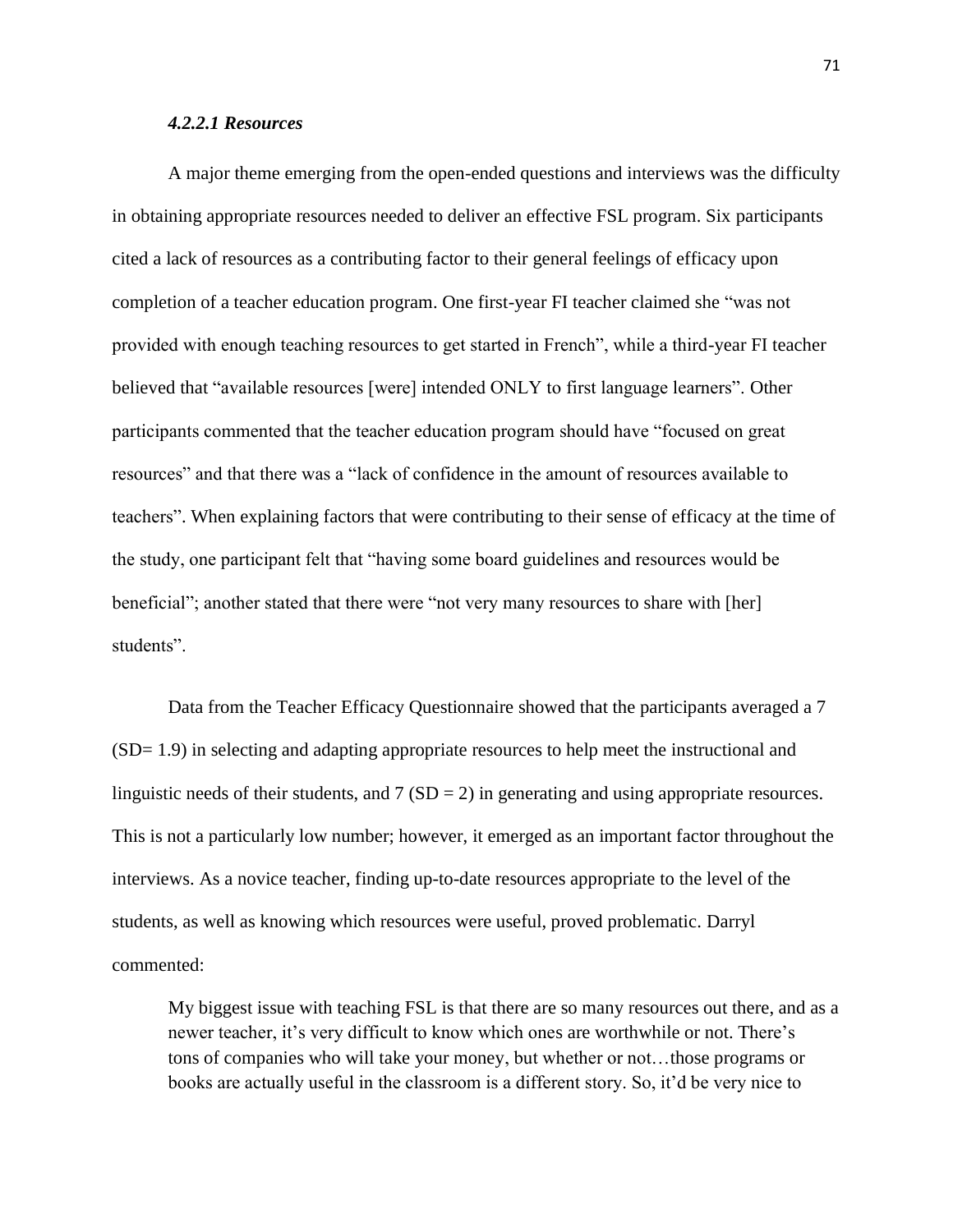## *4.2.2.1 Resources*

A major theme emerging from the open-ended questions and interviews was the difficulty in obtaining appropriate resources needed to deliver an effective FSL program. Six participants cited a lack of resources as a contributing factor to their general feelings of efficacy upon completion of a teacher education program. One first-year FI teacher claimed she "was not provided with enough teaching resources to get started in French", while a third-year FI teacher believed that "available resources [were] intended ONLY to first language learners". Other participants commented that the teacher education program should have "focused on great resources" and that there was a "lack of confidence in the amount of resources available to teachers". When explaining factors that were contributing to their sense of efficacy at the time of the study, one participant felt that "having some board guidelines and resources would be beneficial"; another stated that there were "not very many resources to share with [her] students".

Data from the Teacher Efficacy Questionnaire showed that the participants averaged a 7 (SD= 1.9) in selecting and adapting appropriate resources to help meet the instructional and linguistic needs of their students, and  $7 (SD = 2)$  in generating and using appropriate resources. This is not a particularly low number; however, it emerged as an important factor throughout the interviews. As a novice teacher, finding up-to-date resources appropriate to the level of the students, as well as knowing which resources were useful, proved problematic. Darryl commented:

My biggest issue with teaching FSL is that there are so many resources out there, and as a newer teacher, it's very difficult to know which ones are worthwhile or not. There's tons of companies who will take your money, but whether or not…those programs or books are actually useful in the classroom is a different story. So, it"d be very nice to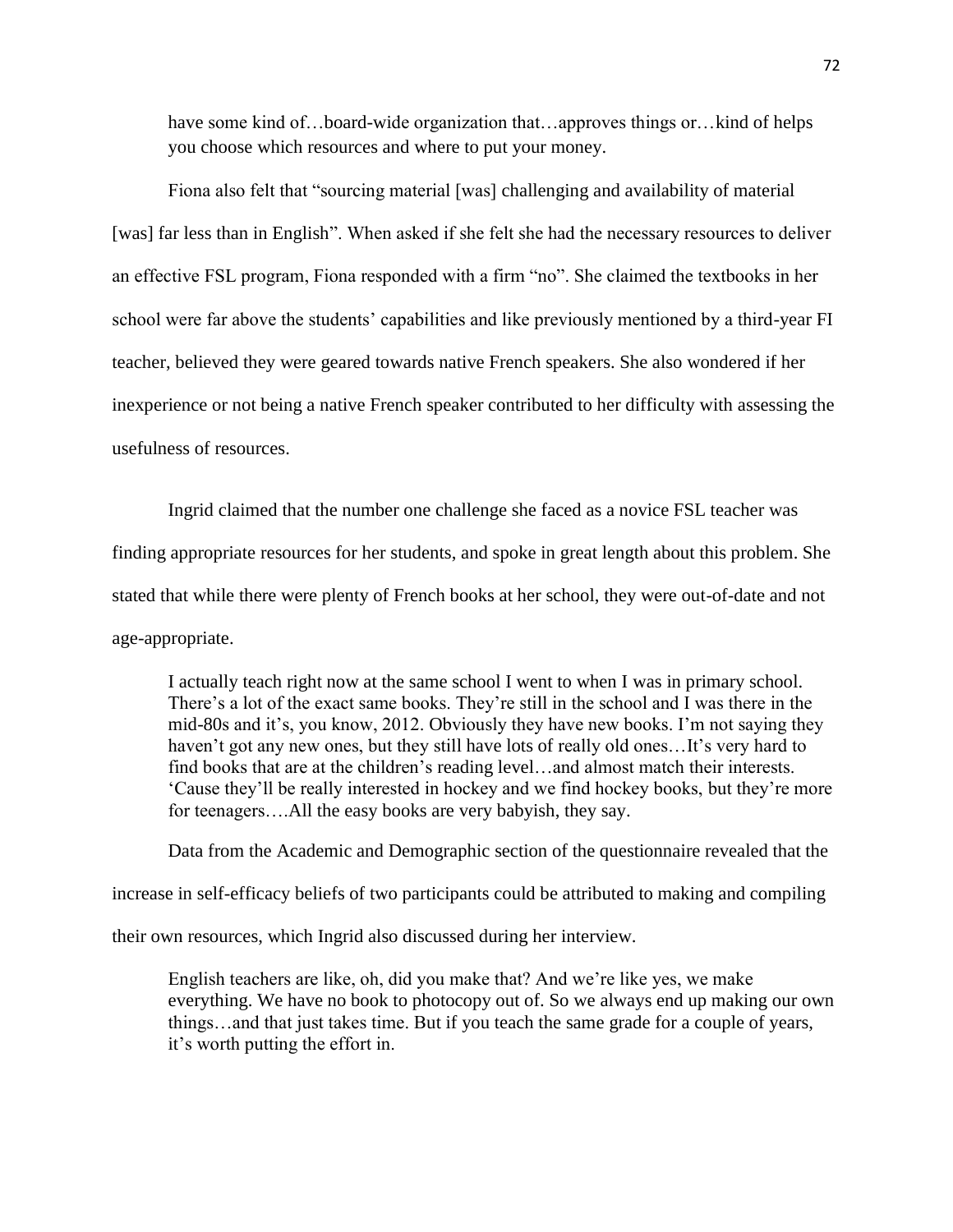have some kind of…board-wide organization that…approves things or…kind of helps you choose which resources and where to put your money.

Fiona also felt that "sourcing material [was] challenging and availability of material [was] far less than in English". When asked if she felt she had the necessary resources to deliver an effective FSL program, Fiona responded with a firm "no". She claimed the textbooks in her school were far above the students" capabilities and like previously mentioned by a third-year FI teacher, believed they were geared towards native French speakers. She also wondered if her inexperience or not being a native French speaker contributed to her difficulty with assessing the usefulness of resources.

Ingrid claimed that the number one challenge she faced as a novice FSL teacher was finding appropriate resources for her students, and spoke in great length about this problem. She stated that while there were plenty of French books at her school, they were out-of-date and not age-appropriate.

I actually teach right now at the same school I went to when I was in primary school. There's a lot of the exact same books. They're still in the school and I was there in the mid-80s and it's, you know, 2012. Obviously they have new books. I'm not saying they haven't got any new ones, but they still have lots of really old ones...It's very hard to find books that are at the children"s reading level…and almost match their interests. "Cause they"ll be really interested in hockey and we find hockey books, but they"re more for teenagers….All the easy books are very babyish, they say.

Data from the Academic and Demographic section of the questionnaire revealed that the

increase in self-efficacy beliefs of two participants could be attributed to making and compiling

their own resources, which Ingrid also discussed during her interview.

English teachers are like, oh, did you make that? And we"re like yes, we make everything. We have no book to photocopy out of. So we always end up making our own things…and that just takes time. But if you teach the same grade for a couple of years, it"s worth putting the effort in.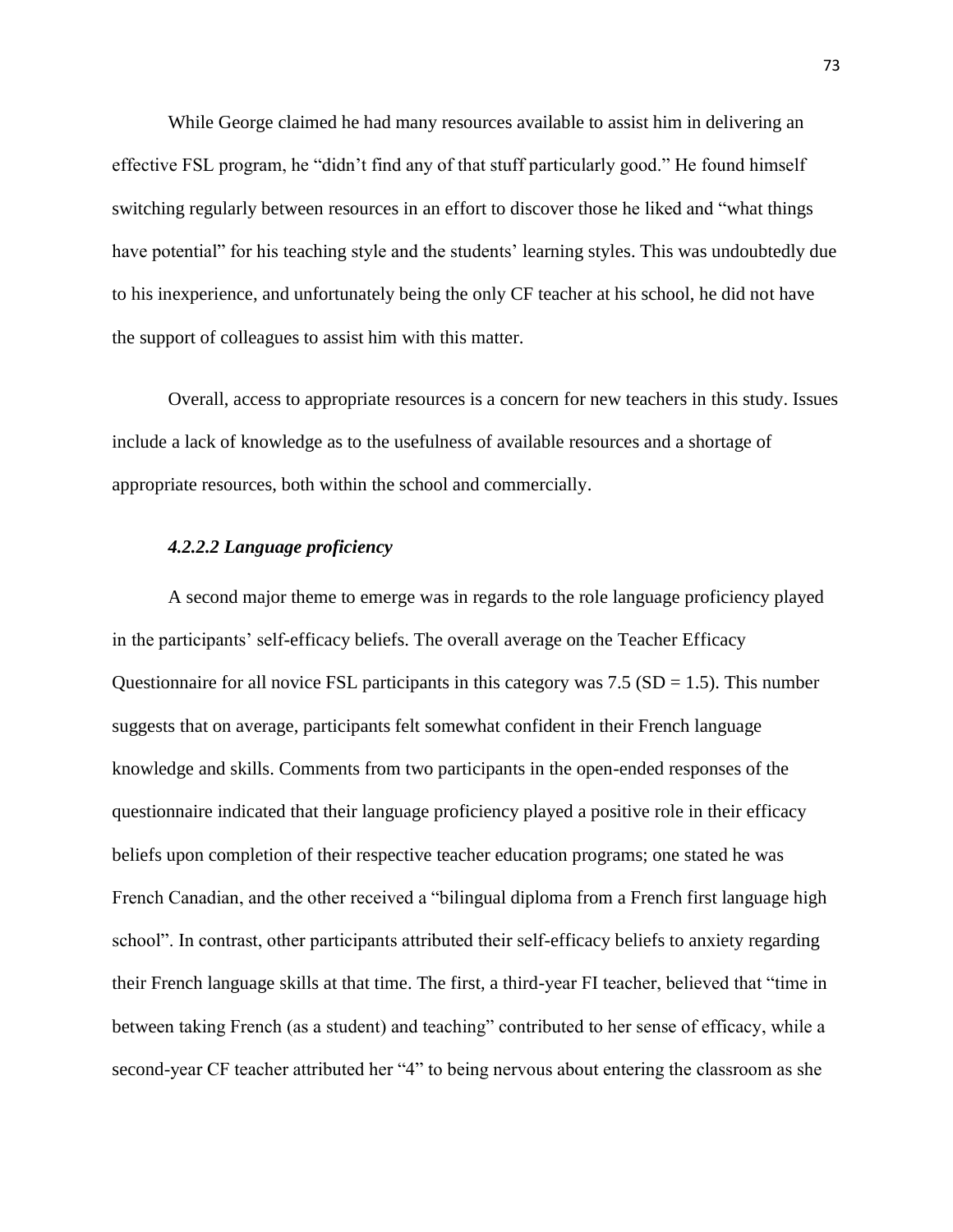While George claimed he had many resources available to assist him in delivering an effective FSL program, he "didn"t find any of that stuff particularly good." He found himself switching regularly between resources in an effort to discover those he liked and "what things have potential" for his teaching style and the students' learning styles. This was undoubtedly due to his inexperience, and unfortunately being the only CF teacher at his school, he did not have the support of colleagues to assist him with this matter.

Overall, access to appropriate resources is a concern for new teachers in this study. Issues include a lack of knowledge as to the usefulness of available resources and a shortage of appropriate resources, both within the school and commercially.

# *4.2.2.2 Language proficiency*

A second major theme to emerge was in regards to the role language proficiency played in the participants" self-efficacy beliefs. The overall average on the Teacher Efficacy Questionnaire for all novice FSL participants in this category was  $7.5$  (SD = 1.5). This number suggests that on average, participants felt somewhat confident in their French language knowledge and skills. Comments from two participants in the open-ended responses of the questionnaire indicated that their language proficiency played a positive role in their efficacy beliefs upon completion of their respective teacher education programs; one stated he was French Canadian, and the other received a "bilingual diploma from a French first language high school". In contrast, other participants attributed their self-efficacy beliefs to anxiety regarding their French language skills at that time. The first, a third-year FI teacher, believed that "time in between taking French (as a student) and teaching" contributed to her sense of efficacy, while a second-year CF teacher attributed her "4" to being nervous about entering the classroom as she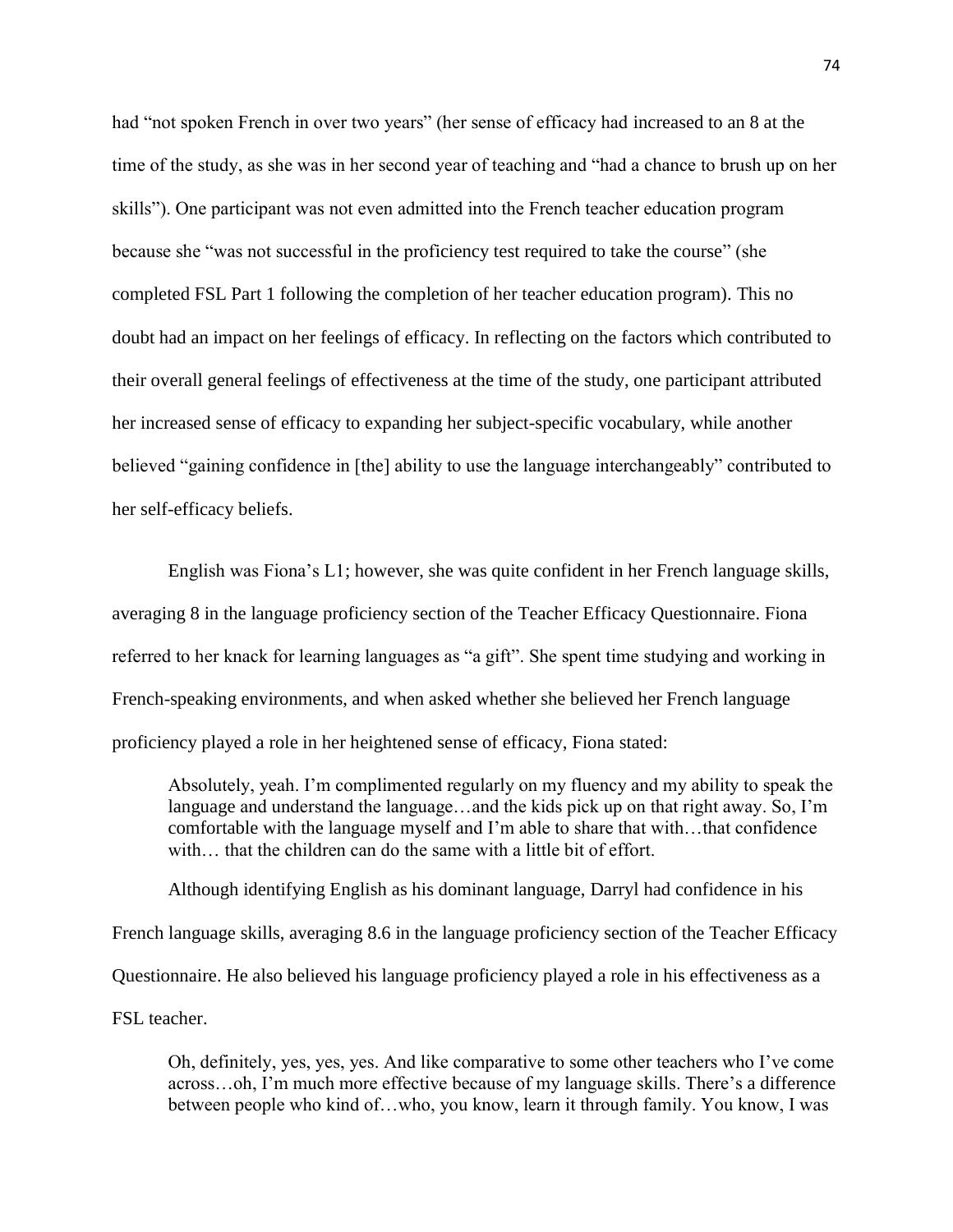had "not spoken French in over two years" (her sense of efficacy had increased to an 8 at the time of the study, as she was in her second year of teaching and "had a chance to brush up on her skills"). One participant was not even admitted into the French teacher education program because she "was not successful in the proficiency test required to take the course" (she completed FSL Part 1 following the completion of her teacher education program). This no doubt had an impact on her feelings of efficacy. In reflecting on the factors which contributed to their overall general feelings of effectiveness at the time of the study, one participant attributed her increased sense of efficacy to expanding her subject-specific vocabulary, while another believed "gaining confidence in [the] ability to use the language interchangeably" contributed to her self-efficacy beliefs.

English was Fiona"s L1; however, she was quite confident in her French language skills, averaging 8 in the language proficiency section of the Teacher Efficacy Questionnaire. Fiona referred to her knack for learning languages as "a gift". She spent time studying and working in French-speaking environments, and when asked whether she believed her French language proficiency played a role in her heightened sense of efficacy, Fiona stated:

Absolutely, yeah. I"m complimented regularly on my fluency and my ability to speak the language and understand the language...and the kids pick up on that right away. So, I'm comfortable with the language myself and I"m able to share that with…that confidence with... that the children can do the same with a little bit of effort.

Although identifying English as his dominant language, Darryl had confidence in his French language skills, averaging 8.6 in the language proficiency section of the Teacher Efficacy Questionnaire. He also believed his language proficiency played a role in his effectiveness as a FSL teacher.

Oh, definitely, yes, yes, yes. And like comparative to some other teachers who I"ve come across…oh, I"m much more effective because of my language skills. There"s a difference between people who kind of…who, you know, learn it through family. You know, I was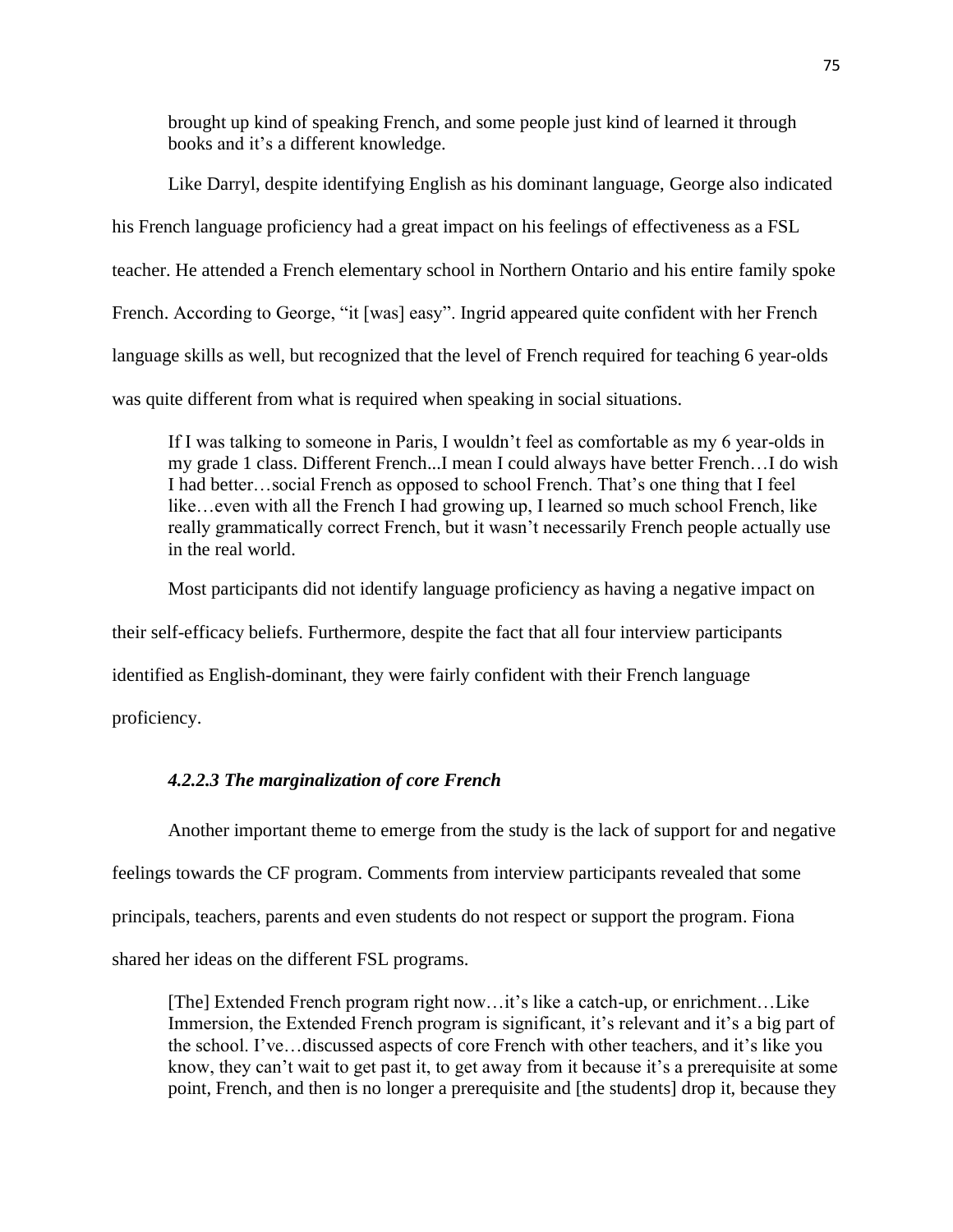brought up kind of speaking French, and some people just kind of learned it through books and it's a different knowledge.

Like Darryl, despite identifying English as his dominant language, George also indicated his French language proficiency had a great impact on his feelings of effectiveness as a FSL teacher. He attended a French elementary school in Northern Ontario and his entire family spoke French. According to George, "it [was] easy". Ingrid appeared quite confident with her French language skills as well, but recognized that the level of French required for teaching 6 year-olds was quite different from what is required when speaking in social situations.

If I was talking to someone in Paris, I wouldn"t feel as comfortable as my 6 year-olds in my grade 1 class. Different French...I mean I could always have better French…I do wish I had better…social French as opposed to school French. That"s one thing that I feel like…even with all the French I had growing up, I learned so much school French, like really grammatically correct French, but it wasn"t necessarily French people actually use in the real world.

Most participants did not identify language proficiency as having a negative impact on

their self-efficacy beliefs. Furthermore, despite the fact that all four interview participants

identified as English-dominant, they were fairly confident with their French language

proficiency.

# *4.2.2.3 The marginalization of core French*

Another important theme to emerge from the study is the lack of support for and negative feelings towards the CF program. Comments from interview participants revealed that some

principals, teachers, parents and even students do not respect or support the program. Fiona

shared her ideas on the different FSL programs.

[The] Extended French program right now... it's like a catch-up, or enrichment... Like Immersion, the Extended French program is significant, it's relevant and it's a big part of the school. I've... discussed aspects of core French with other teachers, and it's like you know, they can't wait to get past it, to get away from it because it's a prerequisite at some point, French, and then is no longer a prerequisite and [the students] drop it, because they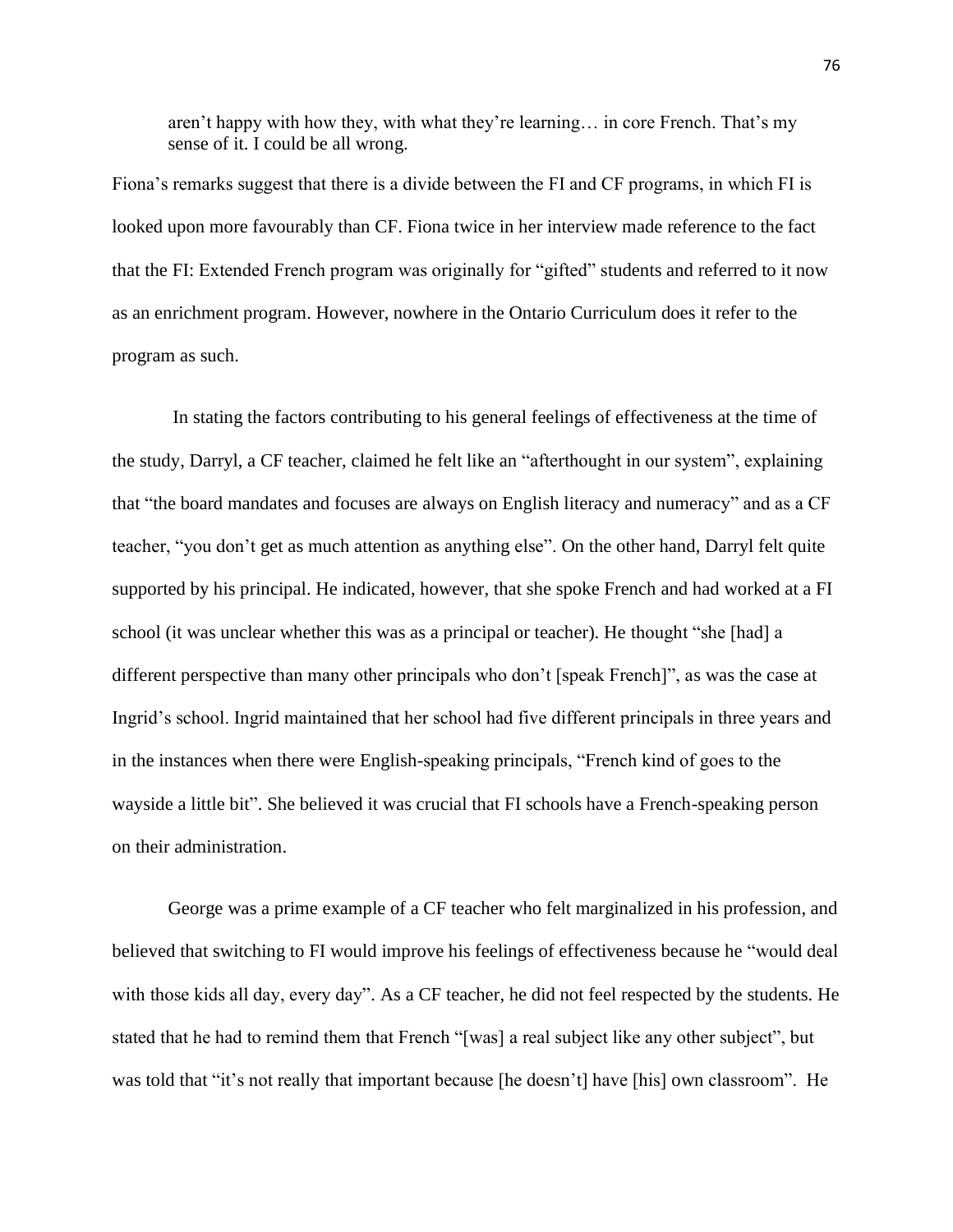aren't happy with how they, with what they're learning... in core French. That's my sense of it. I could be all wrong.

Fiona"s remarks suggest that there is a divide between the FI and CF programs, in which FI is looked upon more favourably than CF. Fiona twice in her interview made reference to the fact that the FI: Extended French program was originally for "gifted" students and referred to it now as an enrichment program. However, nowhere in the Ontario Curriculum does it refer to the program as such.

In stating the factors contributing to his general feelings of effectiveness at the time of the study, Darryl, a CF teacher, claimed he felt like an "afterthought in our system", explaining that "the board mandates and focuses are always on English literacy and numeracy" and as a CF teacher, "you don"t get as much attention as anything else". On the other hand, Darryl felt quite supported by his principal. He indicated, however, that she spoke French and had worked at a FI school (it was unclear whether this was as a principal or teacher). He thought "she [had] a different perspective than many other principals who don"t [speak French]", as was the case at Ingrid"s school. Ingrid maintained that her school had five different principals in three years and in the instances when there were English-speaking principals, "French kind of goes to the wayside a little bit". She believed it was crucial that FI schools have a French-speaking person on their administration.

George was a prime example of a CF teacher who felt marginalized in his profession, and believed that switching to FI would improve his feelings of effectiveness because he "would deal with those kids all day, every day". As a CF teacher, he did not feel respected by the students. He stated that he had to remind them that French "[was] a real subject like any other subject", but was told that "it's not really that important because [he doesn't] have [his] own classroom". He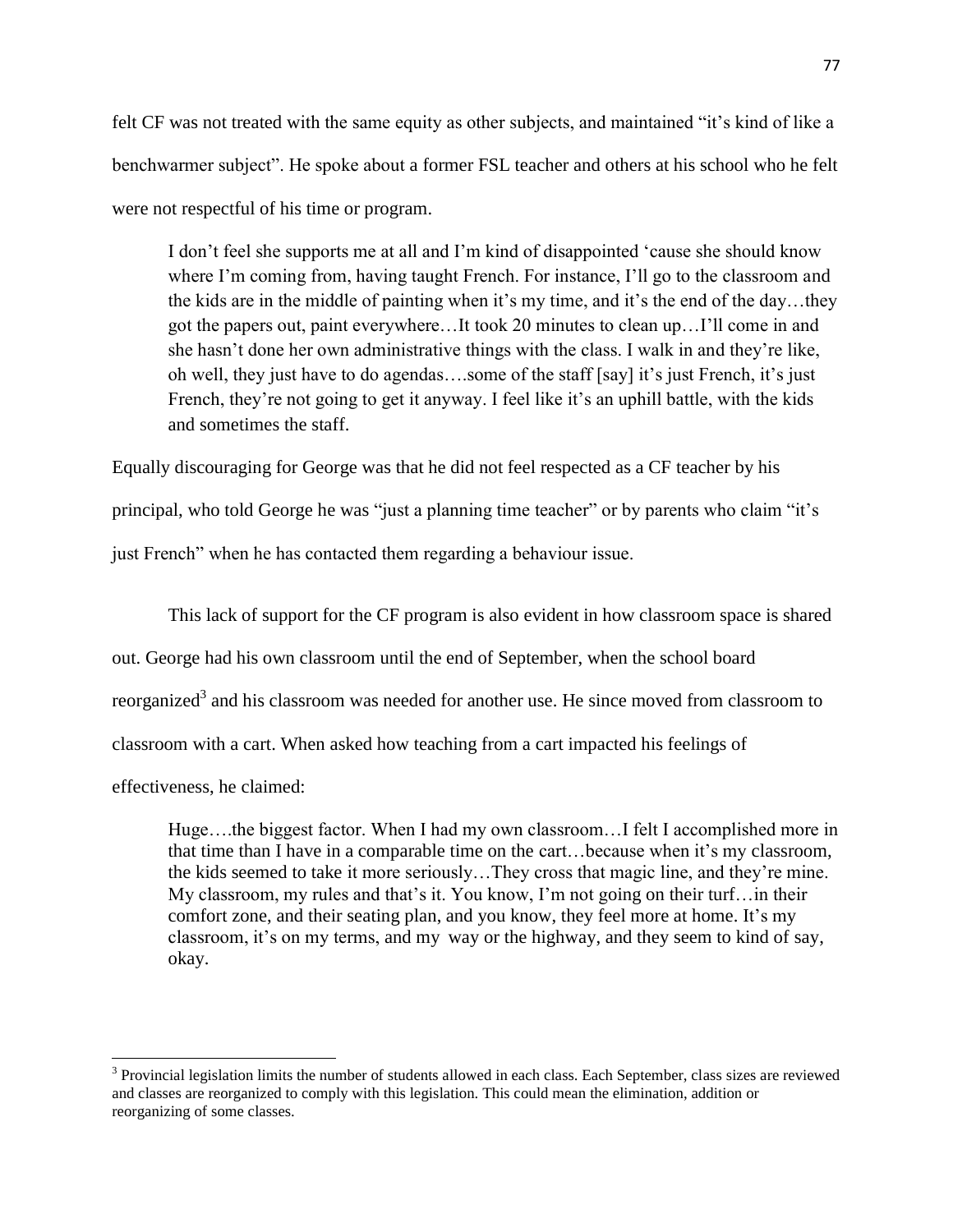felt CF was not treated with the same equity as other subjects, and maintained "it's kind of like a benchwarmer subject". He spoke about a former FSL teacher and others at his school who he felt were not respectful of his time or program.

I don"t feel she supports me at all and I"m kind of disappointed "cause she should know where I'm coming from, having taught French. For instance, I'll go to the classroom and the kids are in the middle of painting when it"s my time, and it"s the end of the day…they got the papers out, paint everywhere…It took 20 minutes to clean up…I"ll come in and she hasn"t done her own administrative things with the class. I walk in and they"re like, oh well, they just have to do agendas….some of the staff [say] it"s just French, it"s just French, they're not going to get it anyway. I feel like it's an uphill battle, with the kids and sometimes the staff.

Equally discouraging for George was that he did not feel respected as a CF teacher by his principal, who told George he was "just a planning time teacher" or by parents who claim "it's just French" when he has contacted them regarding a behaviour issue.

This lack of support for the CF program is also evident in how classroom space is shared out. George had his own classroom until the end of September, when the school board reorganized<sup>3</sup> and his classroom was needed for another use. He since moved from classroom to classroom with a cart. When asked how teaching from a cart impacted his feelings of

effectiveness, he claimed:

 $\overline{\phantom{a}}$ 

Huge….the biggest factor. When I had my own classroom…I felt I accomplished more in that time than I have in a comparable time on the cart…because when it"s my classroom, the kids seemed to take it more seriously…They cross that magic line, and they"re mine. My classroom, my rules and that's it. You know, I'm not going on their turf... in their comfort zone, and their seating plan, and you know, they feel more at home. It's my classroom, it's on my terms, and my way or the highway, and they seem to kind of say, okay.

 $3$  Provincial legislation limits the number of students allowed in each class. Each September, class sizes are reviewed and classes are reorganized to comply with this legislation. This could mean the elimination, addition or reorganizing of some classes.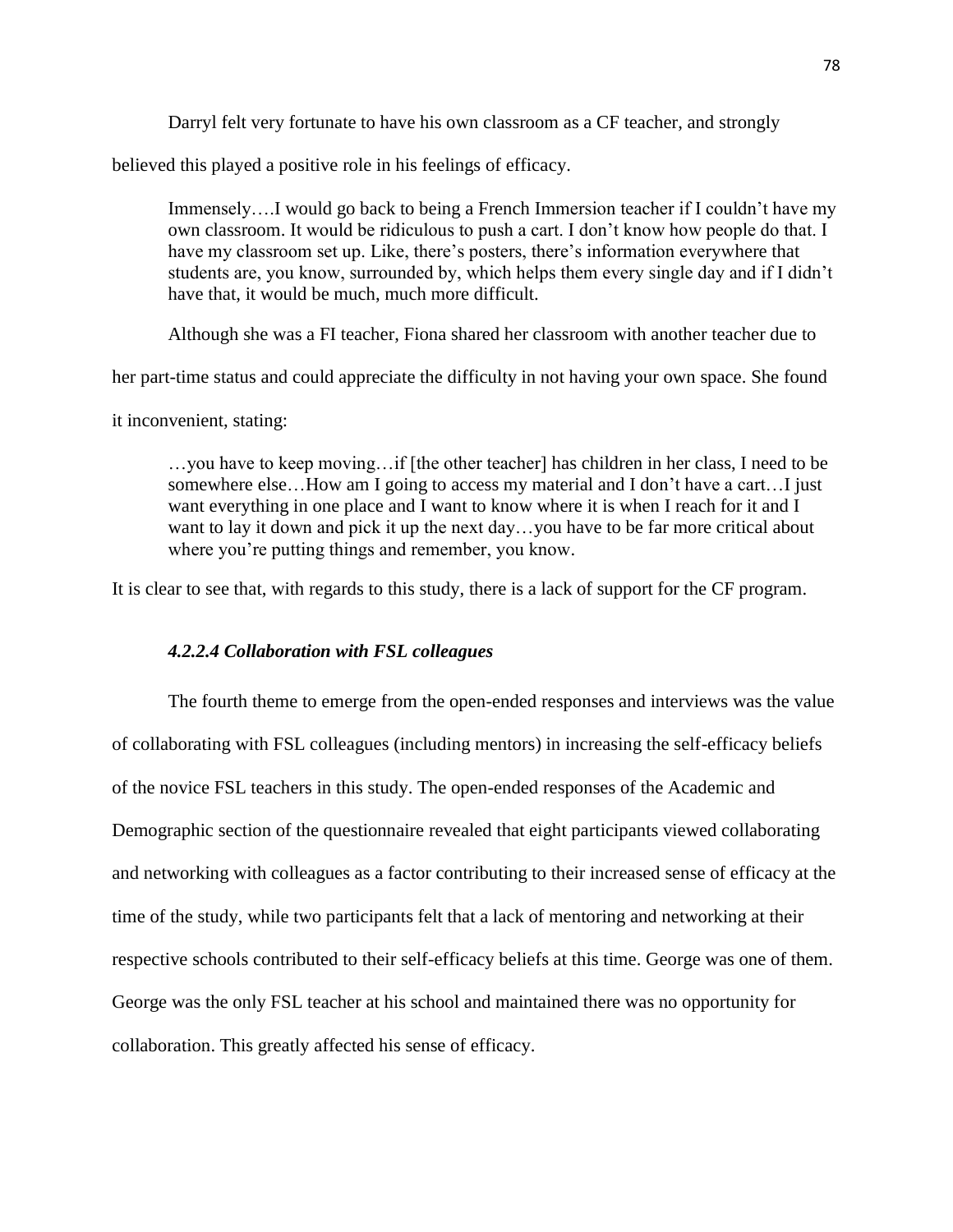Darryl felt very fortunate to have his own classroom as a CF teacher, and strongly

believed this played a positive role in his feelings of efficacy.

Immensely….I would go back to being a French Immersion teacher if I couldn"t have my own classroom. It would be ridiculous to push a cart. I don"t know how people do that. I have my classroom set up. Like, there's posters, there's information everywhere that students are, you know, surrounded by, which helps them every single day and if I didn"t have that, it would be much, much more difficult.

Although she was a FI teacher, Fiona shared her classroom with another teacher due to

her part-time status and could appreciate the difficulty in not having your own space. She found

it inconvenient, stating:

…you have to keep moving…if [the other teacher] has children in her class, I need to be somewhere else…How am I going to access my material and I don"t have a cart…I just want everything in one place and I want to know where it is when I reach for it and I want to lay it down and pick it up the next day…you have to be far more critical about where you're putting things and remember, you know.

It is clear to see that, with regards to this study, there is a lack of support for the CF program.

# *4.2.2.4 Collaboration with FSL colleagues*

The fourth theme to emerge from the open-ended responses and interviews was the value of collaborating with FSL colleagues (including mentors) in increasing the self-efficacy beliefs of the novice FSL teachers in this study. The open-ended responses of the Academic and Demographic section of the questionnaire revealed that eight participants viewed collaborating and networking with colleagues as a factor contributing to their increased sense of efficacy at the time of the study, while two participants felt that a lack of mentoring and networking at their respective schools contributed to their self-efficacy beliefs at this time. George was one of them. George was the only FSL teacher at his school and maintained there was no opportunity for collaboration. This greatly affected his sense of efficacy.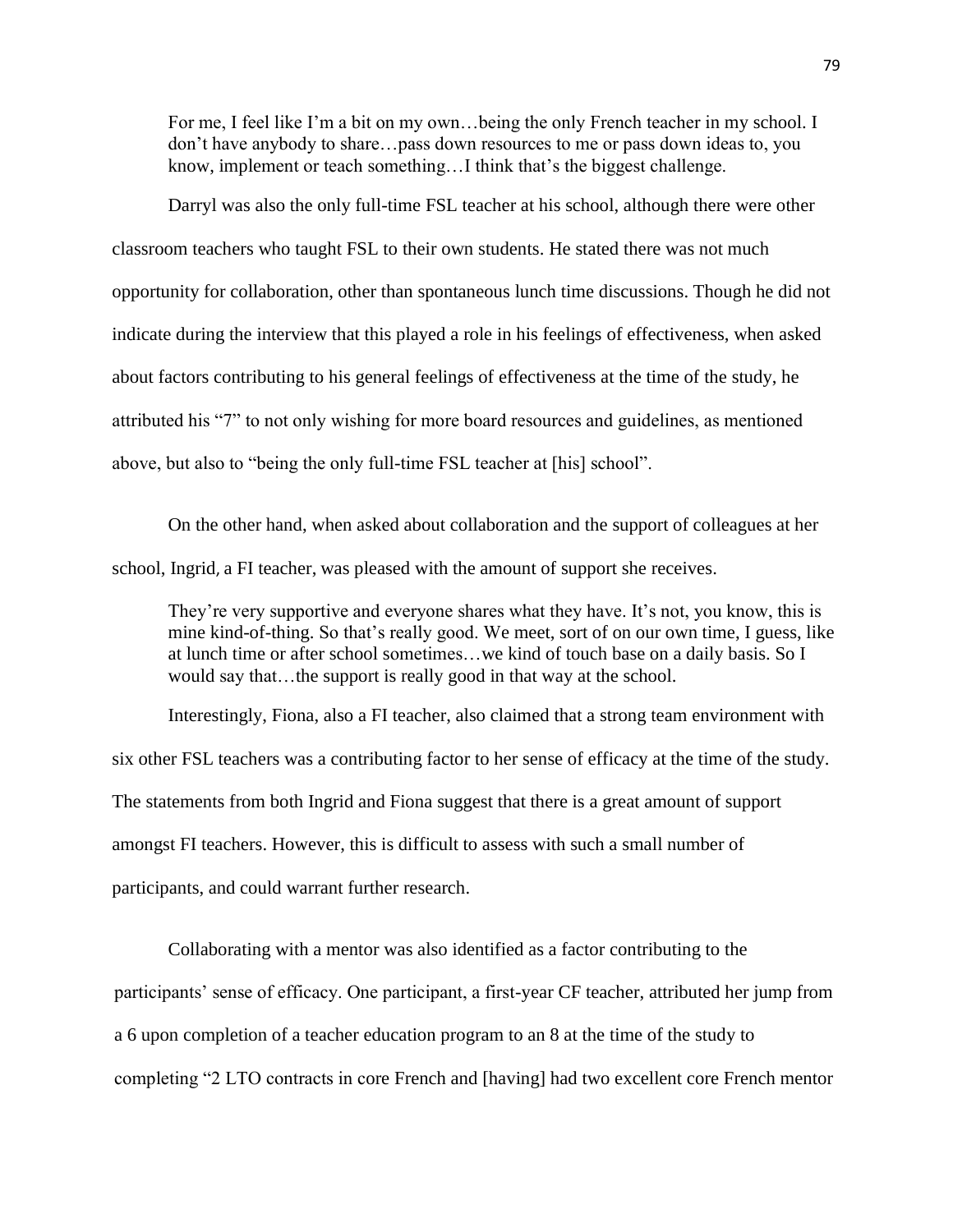For me, I feel like I"m a bit on my own…being the only French teacher in my school. I don"t have anybody to share…pass down resources to me or pass down ideas to, you know, implement or teach something...I think that's the biggest challenge.

Darryl was also the only full-time FSL teacher at his school, although there were other classroom teachers who taught FSL to their own students. He stated there was not much opportunity for collaboration, other than spontaneous lunch time discussions. Though he did not indicate during the interview that this played a role in his feelings of effectiveness, when asked about factors contributing to his general feelings of effectiveness at the time of the study, he attributed his "7" to not only wishing for more board resources and guidelines, as mentioned above, but also to "being the only full-time FSL teacher at [his] school".

On the other hand, when asked about collaboration and the support of colleagues at her school, Ingrid, a FI teacher, was pleased with the amount of support she receives.

They're very supportive and everyone shares what they have. It's not, you know, this is mine kind-of-thing. So that's really good. We meet, sort of on our own time, I guess, like at lunch time or after school sometimes…we kind of touch base on a daily basis. So I would say that…the support is really good in that way at the school.

Interestingly, Fiona, also a FI teacher, also claimed that a strong team environment with six other FSL teachers was a contributing factor to her sense of efficacy at the time of the study. The statements from both Ingrid and Fiona suggest that there is a great amount of support amongst FI teachers. However, this is difficult to assess with such a small number of participants, and could warrant further research.

Collaborating with a mentor was also identified as a factor contributing to the participants' sense of efficacy. One participant, a first-year CF teacher, attributed her jump from a 6 upon completion of a teacher education program to an 8 at the time of the study to completing "2 LTO contracts in core French and [having] had two excellent core French mentor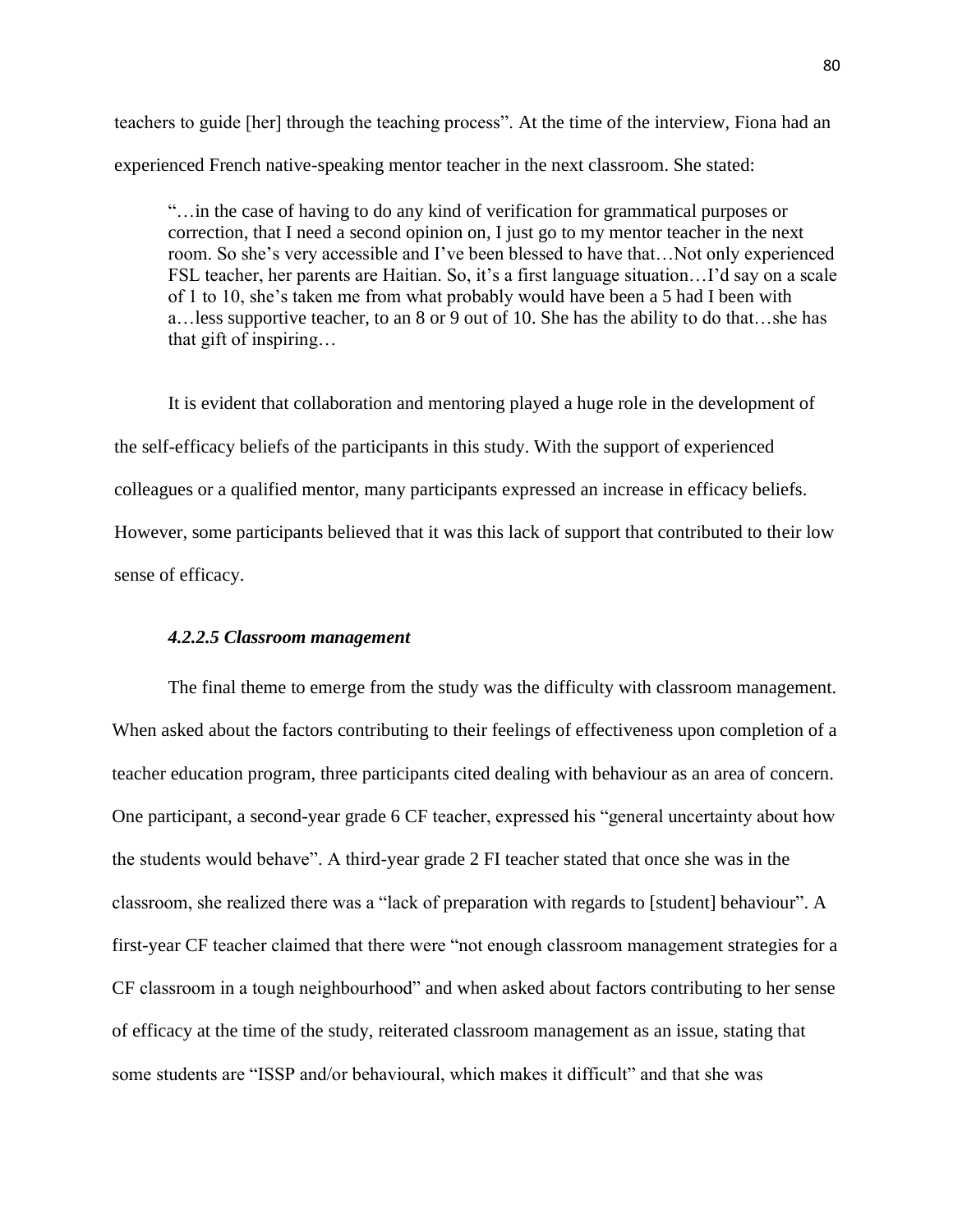teachers to guide [her] through the teaching process". At the time of the interview, Fiona had an experienced French native-speaking mentor teacher in the next classroom. She stated:

"…in the case of having to do any kind of verification for grammatical purposes or correction, that I need a second opinion on, I just go to my mentor teacher in the next room. So she's very accessible and I've been blessed to have that... Not only experienced FSL teacher, her parents are Haitian. So, it's a first language situation... I'd say on a scale of 1 to 10, she"s taken me from what probably would have been a 5 had I been with a…less supportive teacher, to an 8 or 9 out of 10. She has the ability to do that…she has that gift of inspiring…

It is evident that collaboration and mentoring played a huge role in the development of the self-efficacy beliefs of the participants in this study. With the support of experienced colleagues or a qualified mentor, many participants expressed an increase in efficacy beliefs. However, some participants believed that it was this lack of support that contributed to their low sense of efficacy.

## *4.2.2.5 Classroom management*

The final theme to emerge from the study was the difficulty with classroom management. When asked about the factors contributing to their feelings of effectiveness upon completion of a teacher education program, three participants cited dealing with behaviour as an area of concern. One participant, a second-year grade 6 CF teacher, expressed his "general uncertainty about how the students would behave". A third-year grade 2 FI teacher stated that once she was in the classroom, she realized there was a "lack of preparation with regards to [student] behaviour". A first-year CF teacher claimed that there were "not enough classroom management strategies for a CF classroom in a tough neighbourhood" and when asked about factors contributing to her sense of efficacy at the time of the study, reiterated classroom management as an issue, stating that some students are "ISSP and/or behavioural, which makes it difficult" and that she was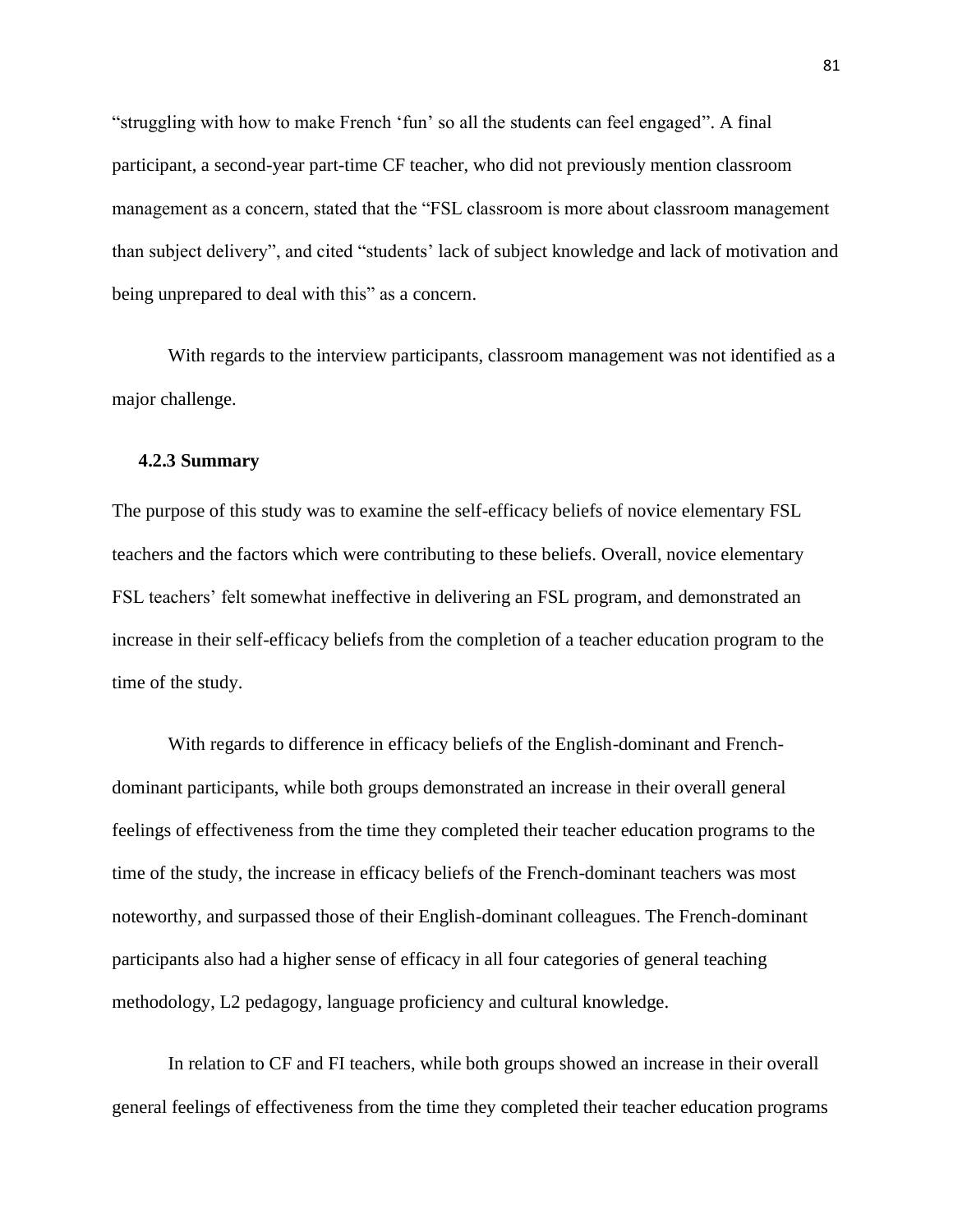"struggling with how to make French "fun" so all the students can feel engaged". A final participant, a second-year part-time CF teacher, who did not previously mention classroom management as a concern, stated that the "FSL classroom is more about classroom management than subject delivery", and cited "students" lack of subject knowledge and lack of motivation and being unprepared to deal with this" as a concern.

With regards to the interview participants, classroom management was not identified as a major challenge.

## **4.2.3 Summary**

The purpose of this study was to examine the self-efficacy beliefs of novice elementary FSL teachers and the factors which were contributing to these beliefs. Overall, novice elementary FSL teachers' felt somewhat ineffective in delivering an FSL program, and demonstrated an increase in their self-efficacy beliefs from the completion of a teacher education program to the time of the study.

With regards to difference in efficacy beliefs of the English-dominant and Frenchdominant participants, while both groups demonstrated an increase in their overall general feelings of effectiveness from the time they completed their teacher education programs to the time of the study, the increase in efficacy beliefs of the French-dominant teachers was most noteworthy, and surpassed those of their English-dominant colleagues. The French-dominant participants also had a higher sense of efficacy in all four categories of general teaching methodology, L2 pedagogy, language proficiency and cultural knowledge.

In relation to CF and FI teachers, while both groups showed an increase in their overall general feelings of effectiveness from the time they completed their teacher education programs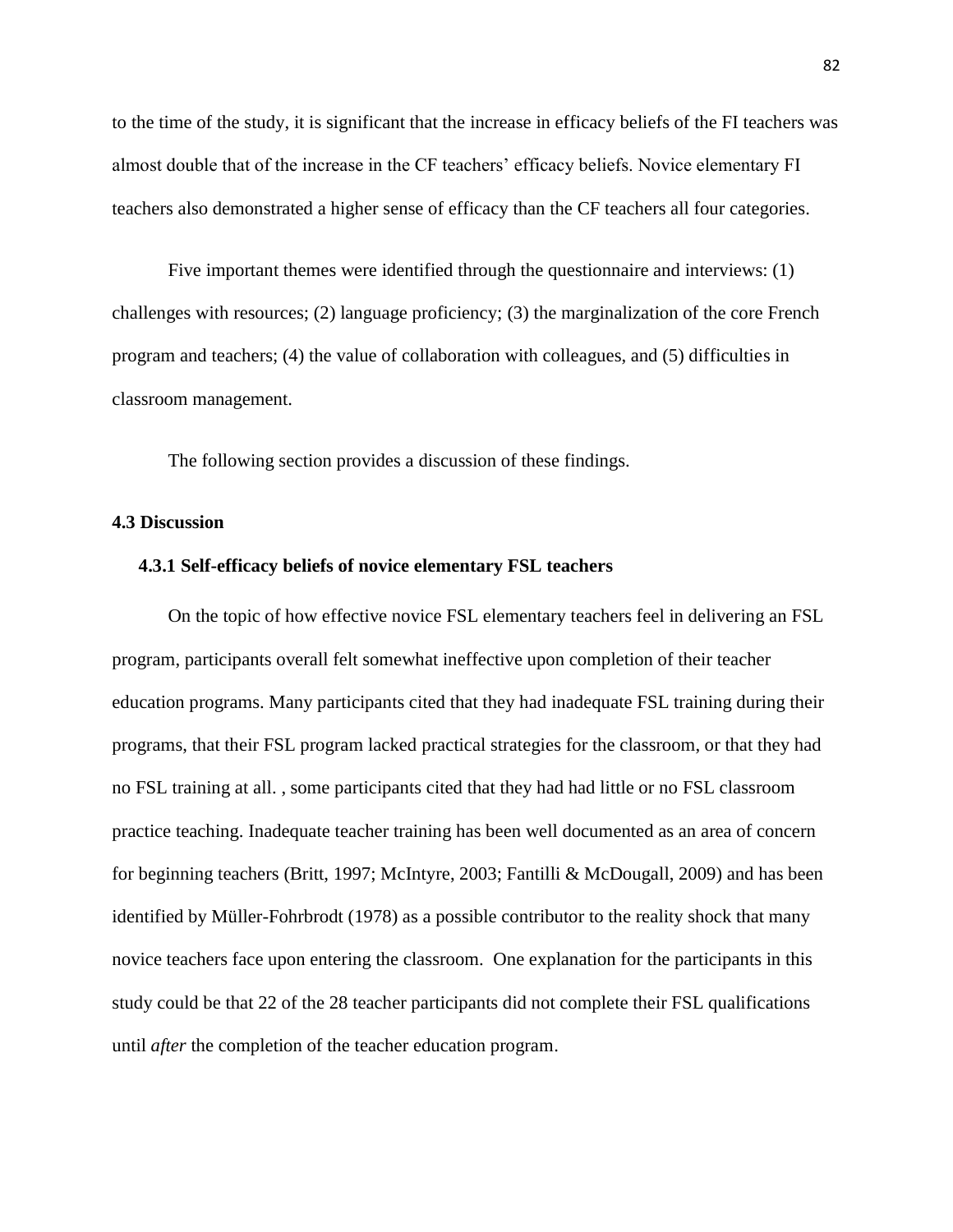to the time of the study, it is significant that the increase in efficacy beliefs of the FI teachers was almost double that of the increase in the CF teachers' efficacy beliefs. Novice elementary FI teachers also demonstrated a higher sense of efficacy than the CF teachers all four categories.

Five important themes were identified through the questionnaire and interviews: (1) challenges with resources; (2) language proficiency; (3) the marginalization of the core French program and teachers; (4) the value of collaboration with colleagues, and (5) difficulties in classroom management.

The following section provides a discussion of these findings.

#### **4.3 Discussion**

## **4.3.1 Self-efficacy beliefs of novice elementary FSL teachers**

On the topic of how effective novice FSL elementary teachers feel in delivering an FSL program, participants overall felt somewhat ineffective upon completion of their teacher education programs. Many participants cited that they had inadequate FSL training during their programs, that their FSL program lacked practical strategies for the classroom, or that they had no FSL training at all. , some participants cited that they had had little or no FSL classroom practice teaching. Inadequate teacher training has been well documented as an area of concern for beginning teachers (Britt, 1997; McIntyre, 2003; Fantilli & McDougall, 2009) and has been identified by Müller-Fohrbrodt (1978) as a possible contributor to the reality shock that many novice teachers face upon entering the classroom. One explanation for the participants in this study could be that 22 of the 28 teacher participants did not complete their FSL qualifications until *after* the completion of the teacher education program.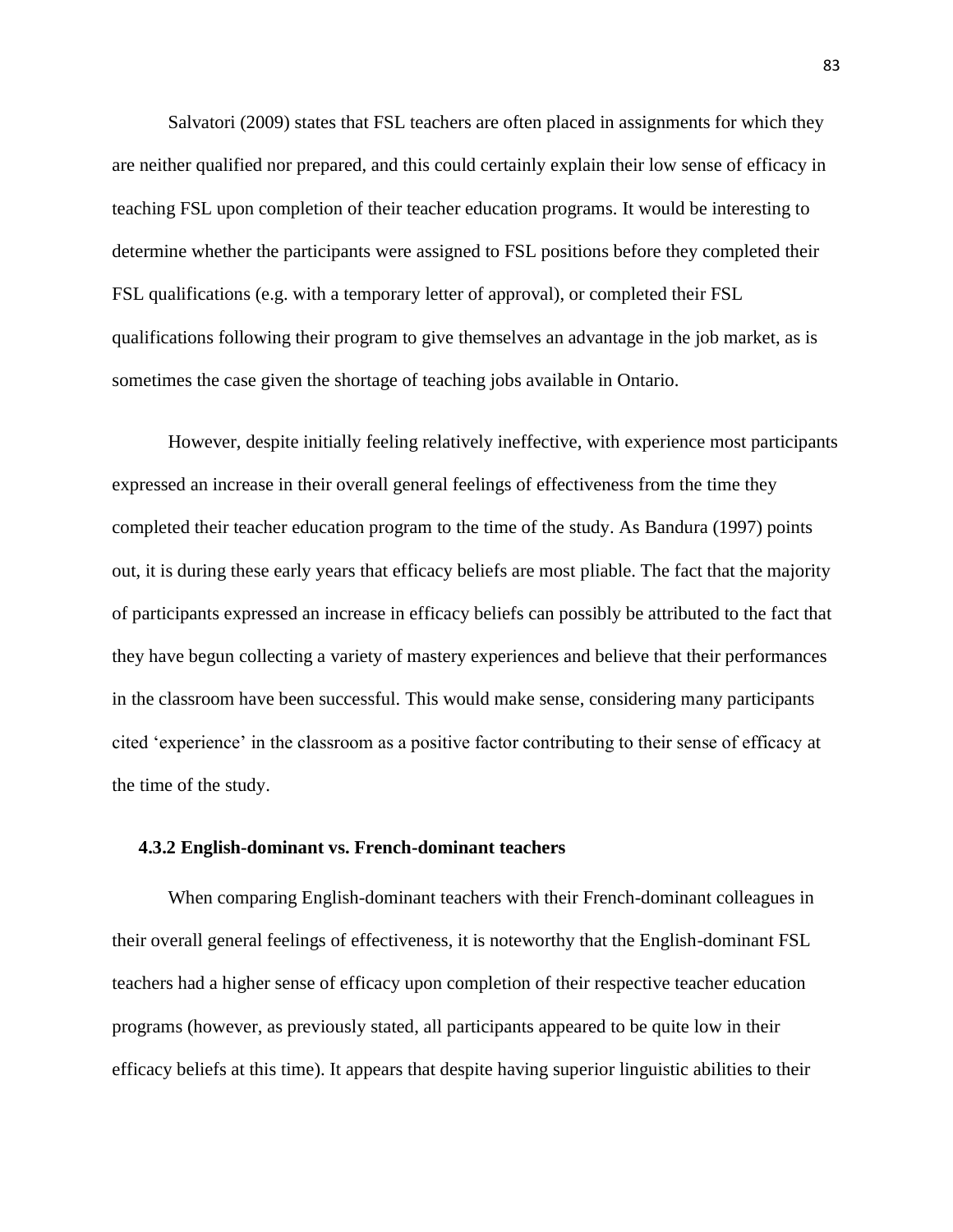Salvatori (2009) states that FSL teachers are often placed in assignments for which they are neither qualified nor prepared, and this could certainly explain their low sense of efficacy in teaching FSL upon completion of their teacher education programs. It would be interesting to determine whether the participants were assigned to FSL positions before they completed their FSL qualifications (e.g. with a temporary letter of approval), or completed their FSL qualifications following their program to give themselves an advantage in the job market, as is sometimes the case given the shortage of teaching jobs available in Ontario.

However, despite initially feeling relatively ineffective, with experience most participants expressed an increase in their overall general feelings of effectiveness from the time they completed their teacher education program to the time of the study. As Bandura (1997) points out, it is during these early years that efficacy beliefs are most pliable. The fact that the majority of participants expressed an increase in efficacy beliefs can possibly be attributed to the fact that they have begun collecting a variety of mastery experiences and believe that their performances in the classroom have been successful. This would make sense, considering many participants cited "experience" in the classroom as a positive factor contributing to their sense of efficacy at the time of the study.

## **4.3.2 English-dominant vs. French-dominant teachers**

When comparing English-dominant teachers with their French-dominant colleagues in their overall general feelings of effectiveness, it is noteworthy that the English-dominant FSL teachers had a higher sense of efficacy upon completion of their respective teacher education programs (however, as previously stated, all participants appeared to be quite low in their efficacy beliefs at this time). It appears that despite having superior linguistic abilities to their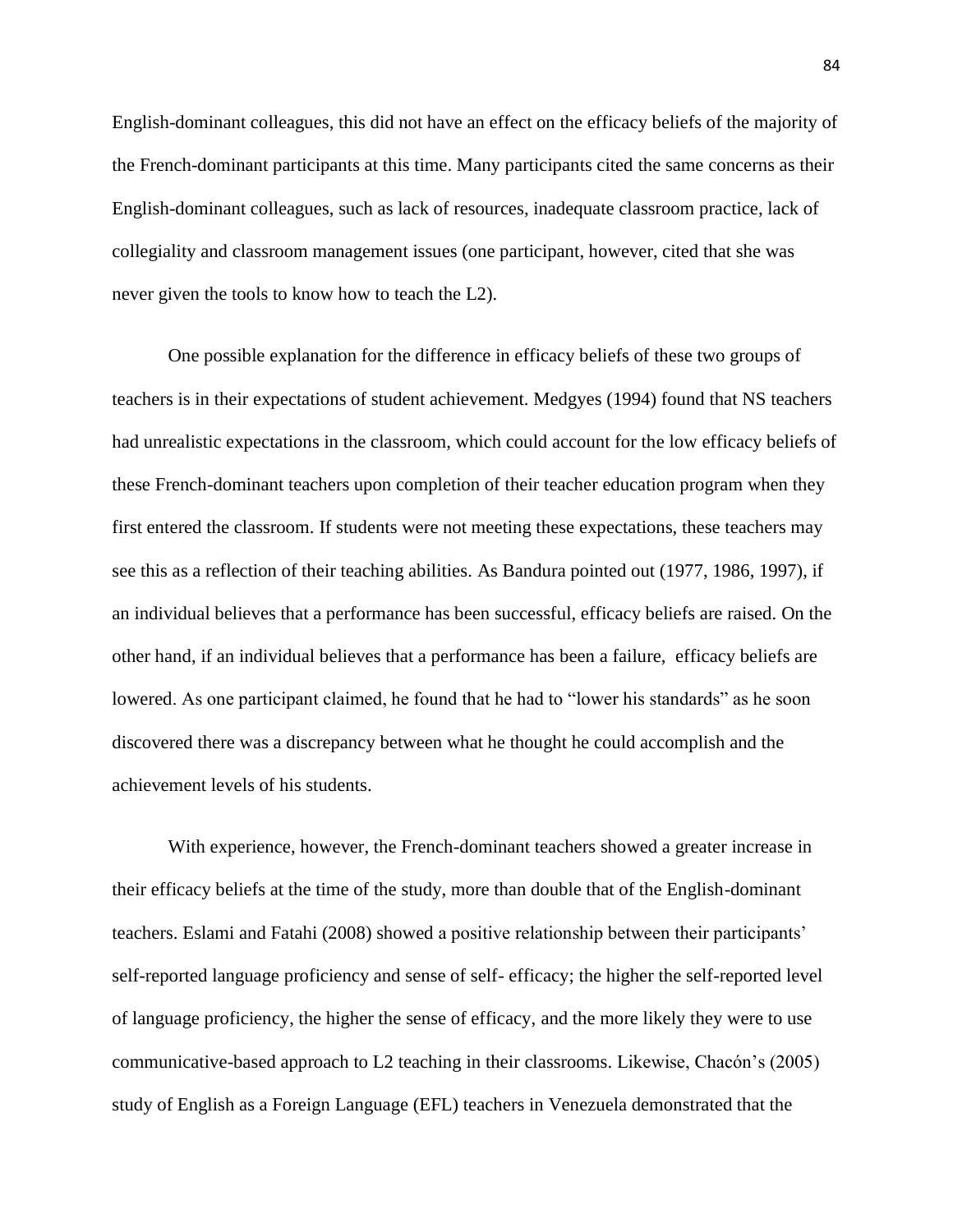English-dominant colleagues, this did not have an effect on the efficacy beliefs of the majority of the French-dominant participants at this time. Many participants cited the same concerns as their English-dominant colleagues, such as lack of resources, inadequate classroom practice, lack of collegiality and classroom management issues (one participant, however, cited that she was never given the tools to know how to teach the L2).

One possible explanation for the difference in efficacy beliefs of these two groups of teachers is in their expectations of student achievement. Medgyes (1994) found that NS teachers had unrealistic expectations in the classroom, which could account for the low efficacy beliefs of these French-dominant teachers upon completion of their teacher education program when they first entered the classroom. If students were not meeting these expectations, these teachers may see this as a reflection of their teaching abilities. As Bandura pointed out (1977, 1986, 1997), if an individual believes that a performance has been successful, efficacy beliefs are raised. On the other hand, if an individual believes that a performance has been a failure, efficacy beliefs are lowered. As one participant claimed, he found that he had to "lower his standards" as he soon discovered there was a discrepancy between what he thought he could accomplish and the achievement levels of his students.

With experience, however, the French-dominant teachers showed a greater increase in their efficacy beliefs at the time of the study, more than double that of the English-dominant teachers. Eslami and Fatahi (2008) showed a positive relationship between their participants" self-reported language proficiency and sense of self- efficacy; the higher the self-reported level of language proficiency, the higher the sense of efficacy, and the more likely they were to use communicative-based approach to L2 teaching in their classrooms. Likewise, Chacón"s (2005) study of English as a Foreign Language (EFL) teachers in Venezuela demonstrated that the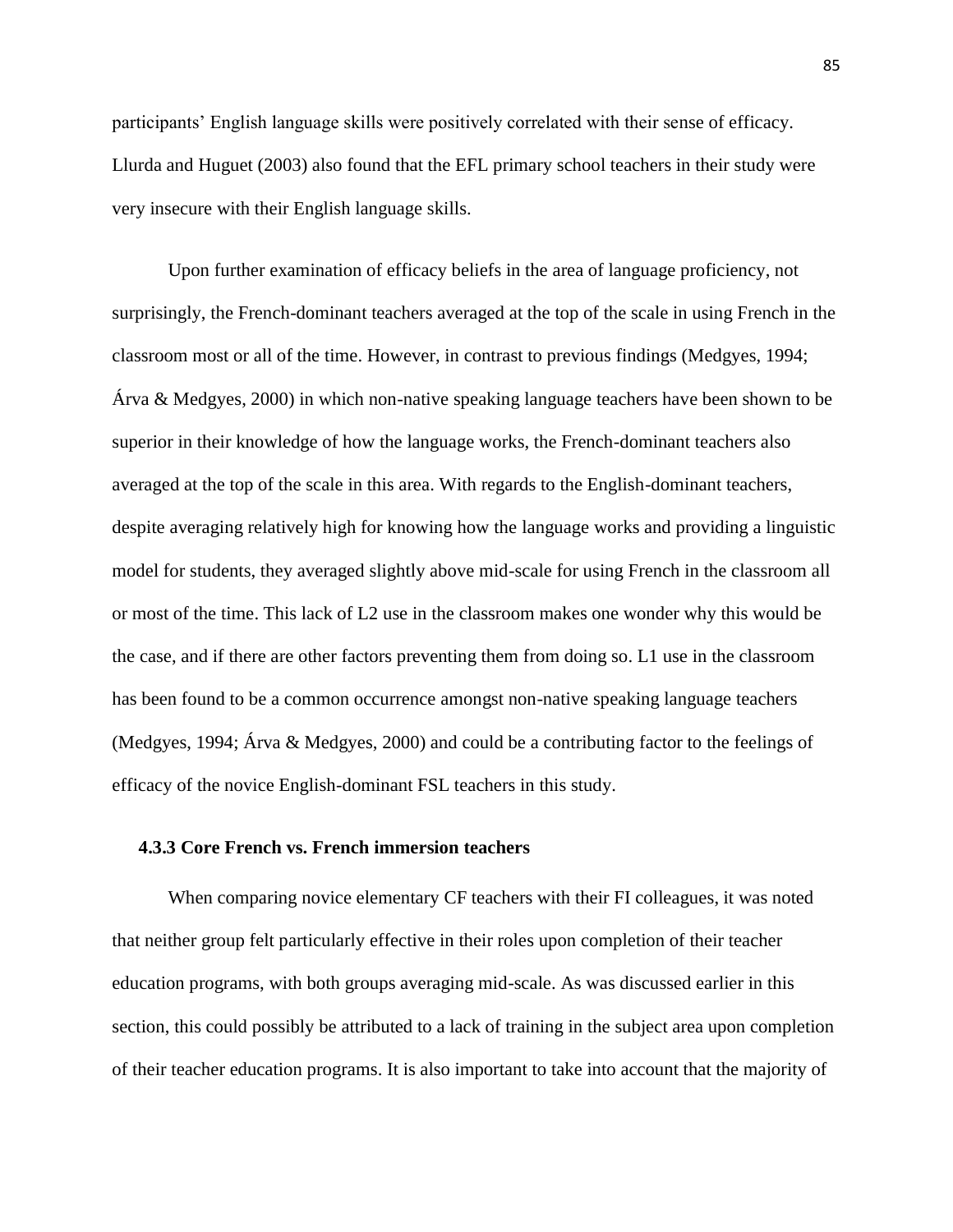participants" English language skills were positively correlated with their sense of efficacy. Llurda and Huguet (2003) also found that the EFL primary school teachers in their study were very insecure with their English language skills.

Upon further examination of efficacy beliefs in the area of language proficiency, not surprisingly, the French-dominant teachers averaged at the top of the scale in using French in the classroom most or all of the time. However, in contrast to previous findings (Medgyes, 1994; Árva & Medgyes, 2000) in which non-native speaking language teachers have been shown to be superior in their knowledge of how the language works, the French-dominant teachers also averaged at the top of the scale in this area. With regards to the English-dominant teachers, despite averaging relatively high for knowing how the language works and providing a linguistic model for students, they averaged slightly above mid-scale for using French in the classroom all or most of the time. This lack of L2 use in the classroom makes one wonder why this would be the case, and if there are other factors preventing them from doing so. L1 use in the classroom has been found to be a common occurrence amongst non-native speaking language teachers (Medgyes, 1994; Árva & Medgyes, 2000) and could be a contributing factor to the feelings of efficacy of the novice English-dominant FSL teachers in this study.

## **4.3.3 Core French vs. French immersion teachers**

When comparing novice elementary CF teachers with their FI colleagues, it was noted that neither group felt particularly effective in their roles upon completion of their teacher education programs, with both groups averaging mid-scale. As was discussed earlier in this section, this could possibly be attributed to a lack of training in the subject area upon completion of their teacher education programs. It is also important to take into account that the majority of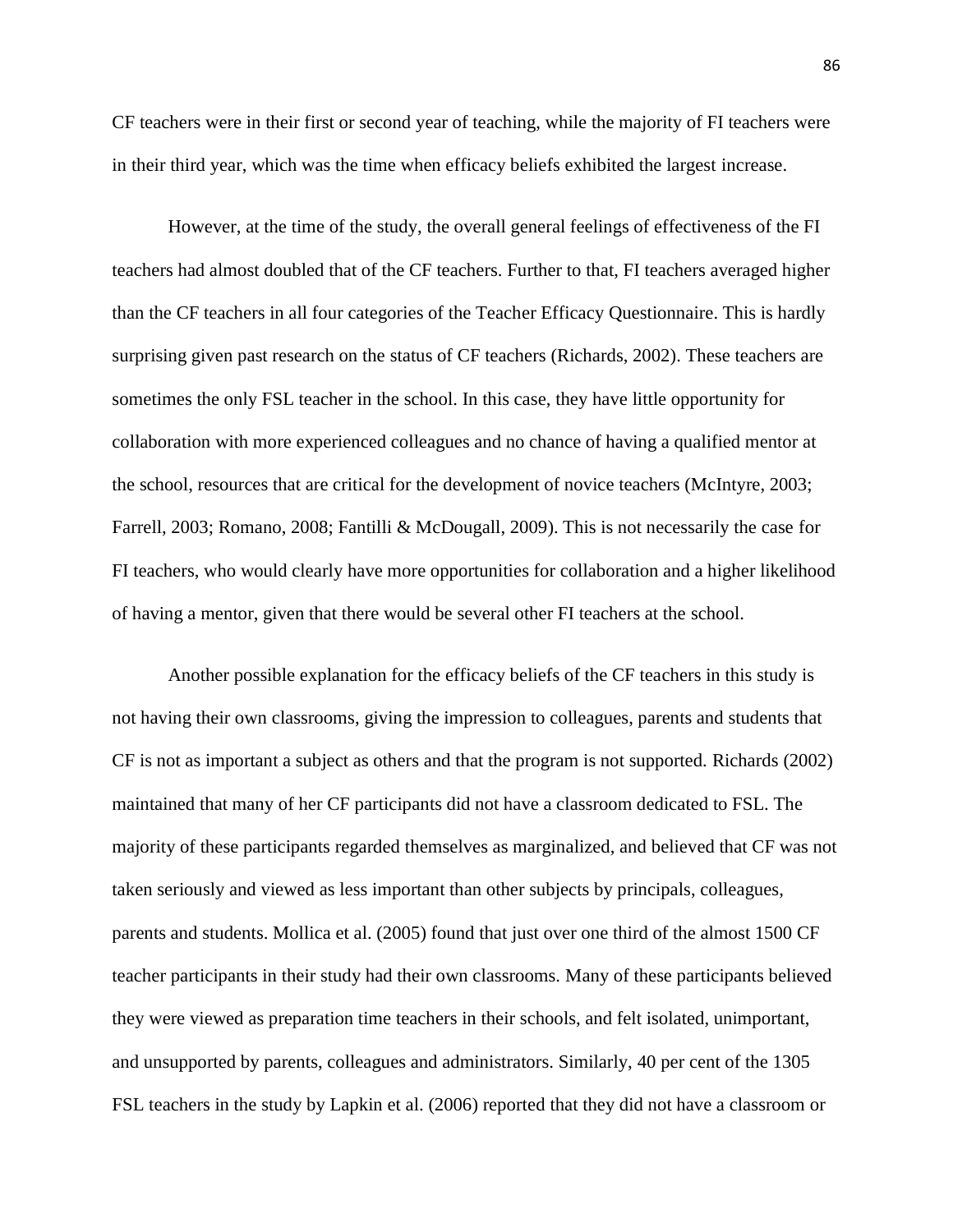CF teachers were in their first or second year of teaching, while the majority of FI teachers were in their third year, which was the time when efficacy beliefs exhibited the largest increase.

However, at the time of the study, the overall general feelings of effectiveness of the FI teachers had almost doubled that of the CF teachers. Further to that, FI teachers averaged higher than the CF teachers in all four categories of the Teacher Efficacy Questionnaire. This is hardly surprising given past research on the status of CF teachers (Richards, 2002). These teachers are sometimes the only FSL teacher in the school. In this case, they have little opportunity for collaboration with more experienced colleagues and no chance of having a qualified mentor at the school, resources that are critical for the development of novice teachers (McIntyre, 2003; Farrell, 2003; Romano, 2008; Fantilli & McDougall, 2009). This is not necessarily the case for FI teachers, who would clearly have more opportunities for collaboration and a higher likelihood of having a mentor, given that there would be several other FI teachers at the school.

Another possible explanation for the efficacy beliefs of the CF teachers in this study is not having their own classrooms, giving the impression to colleagues, parents and students that CF is not as important a subject as others and that the program is not supported*.* Richards (2002) maintained that many of her CF participants did not have a classroom dedicated to FSL. The majority of these participants regarded themselves as marginalized, and believed that CF was not taken seriously and viewed as less important than other subjects by principals, colleagues, parents and students. Mollica et al. (2005) found that just over one third of the almost 1500 CF teacher participants in their study had their own classrooms. Many of these participants believed they were viewed as preparation time teachers in their schools, and felt isolated, unimportant, and unsupported by parents, colleagues and administrators. Similarly, 40 per cent of the 1305 FSL teachers in the study by Lapkin et al. (2006) reported that they did not have a classroom or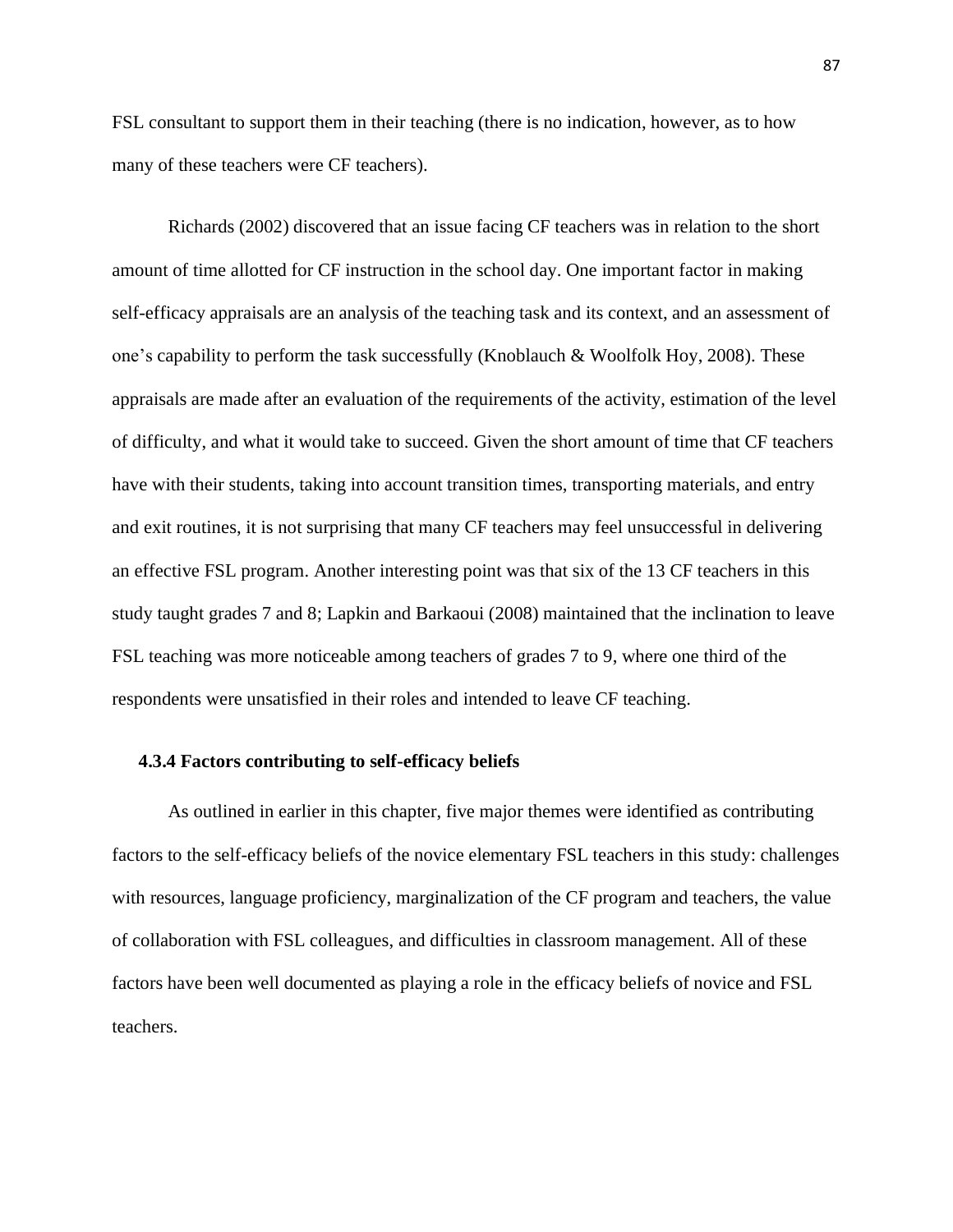FSL consultant to support them in their teaching (there is no indication, however, as to how many of these teachers were CF teachers).

Richards (2002) discovered that an issue facing CF teachers was in relation to the short amount of time allotted for CF instruction in the school day. One important factor in making self-efficacy appraisals are an analysis of the teaching task and its context, and an assessment of one's capability to perform the task successfully (Knoblauch & Woolfolk Hoy, 2008). These appraisals are made after an evaluation of the requirements of the activity, estimation of the level of difficulty, and what it would take to succeed. Given the short amount of time that CF teachers have with their students, taking into account transition times, transporting materials, and entry and exit routines, it is not surprising that many CF teachers may feel unsuccessful in delivering an effective FSL program. Another interesting point was that six of the 13 CF teachers in this study taught grades 7 and 8; Lapkin and Barkaoui (2008) maintained that the inclination to leave FSL teaching was more noticeable among teachers of grades 7 to 9, where one third of the respondents were unsatisfied in their roles and intended to leave CF teaching.

#### **4.3.4 Factors contributing to self-efficacy beliefs**

As outlined in earlier in this chapter, five major themes were identified as contributing factors to the self-efficacy beliefs of the novice elementary FSL teachers in this study: challenges with resources, language proficiency, marginalization of the CF program and teachers, the value of collaboration with FSL colleagues, and difficulties in classroom management. All of these factors have been well documented as playing a role in the efficacy beliefs of novice and FSL teachers.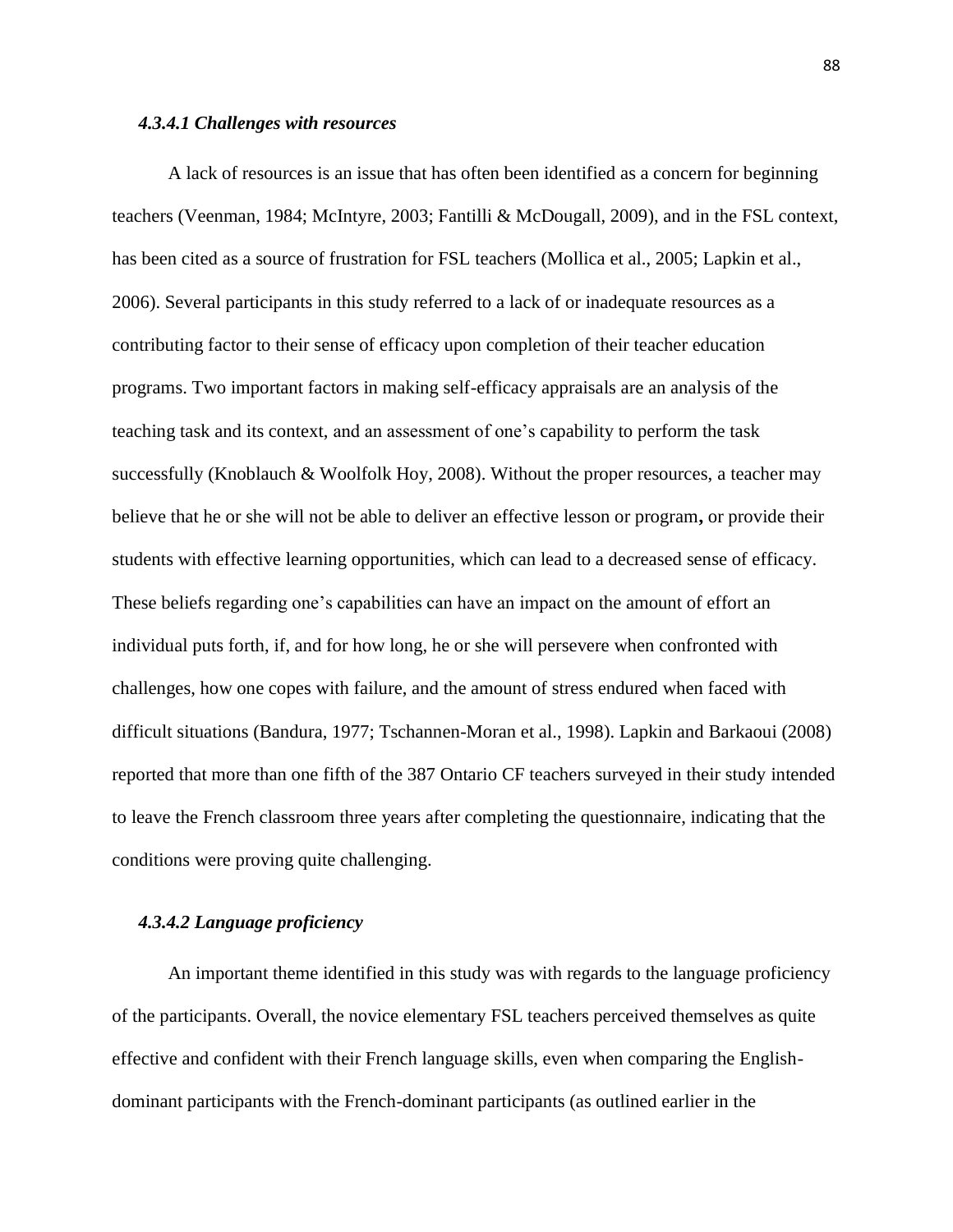#### *4.3.4.1 Challenges with resources*

A lack of resources is an issue that has often been identified as a concern for beginning teachers (Veenman, 1984; McIntyre, 2003; Fantilli & McDougall, 2009), and in the FSL context, has been cited as a source of frustration for FSL teachers (Mollica et al., 2005; Lapkin et al., 2006). Several participants in this study referred to a lack of or inadequate resources as a contributing factor to their sense of efficacy upon completion of their teacher education programs. Two important factors in making self-efficacy appraisals are an analysis of the teaching task and its context, and an assessment of one"s capability to perform the task successfully (Knoblauch & Woolfolk Hoy, 2008). Without the proper resources, a teacher may believe that he or she will not be able to deliver an effective lesson or program**,** or provide their students with effective learning opportunities, which can lead to a decreased sense of efficacy. These beliefs regarding one"s capabilities can have an impact on the amount of effort an individual puts forth, if, and for how long, he or she will persevere when confronted with challenges, how one copes with failure, and the amount of stress endured when faced with difficult situations (Bandura, 1977; Tschannen-Moran et al., 1998). Lapkin and Barkaoui (2008) reported that more than one fifth of the 387 Ontario CF teachers surveyed in their study intended to leave the French classroom three years after completing the questionnaire, indicating that the conditions were proving quite challenging.

## *4.3.4.2 Language proficiency*

An important theme identified in this study was with regards to the language proficiency of the participants. Overall, the novice elementary FSL teachers perceived themselves as quite effective and confident with their French language skills, even when comparing the Englishdominant participants with the French-dominant participants (as outlined earlier in the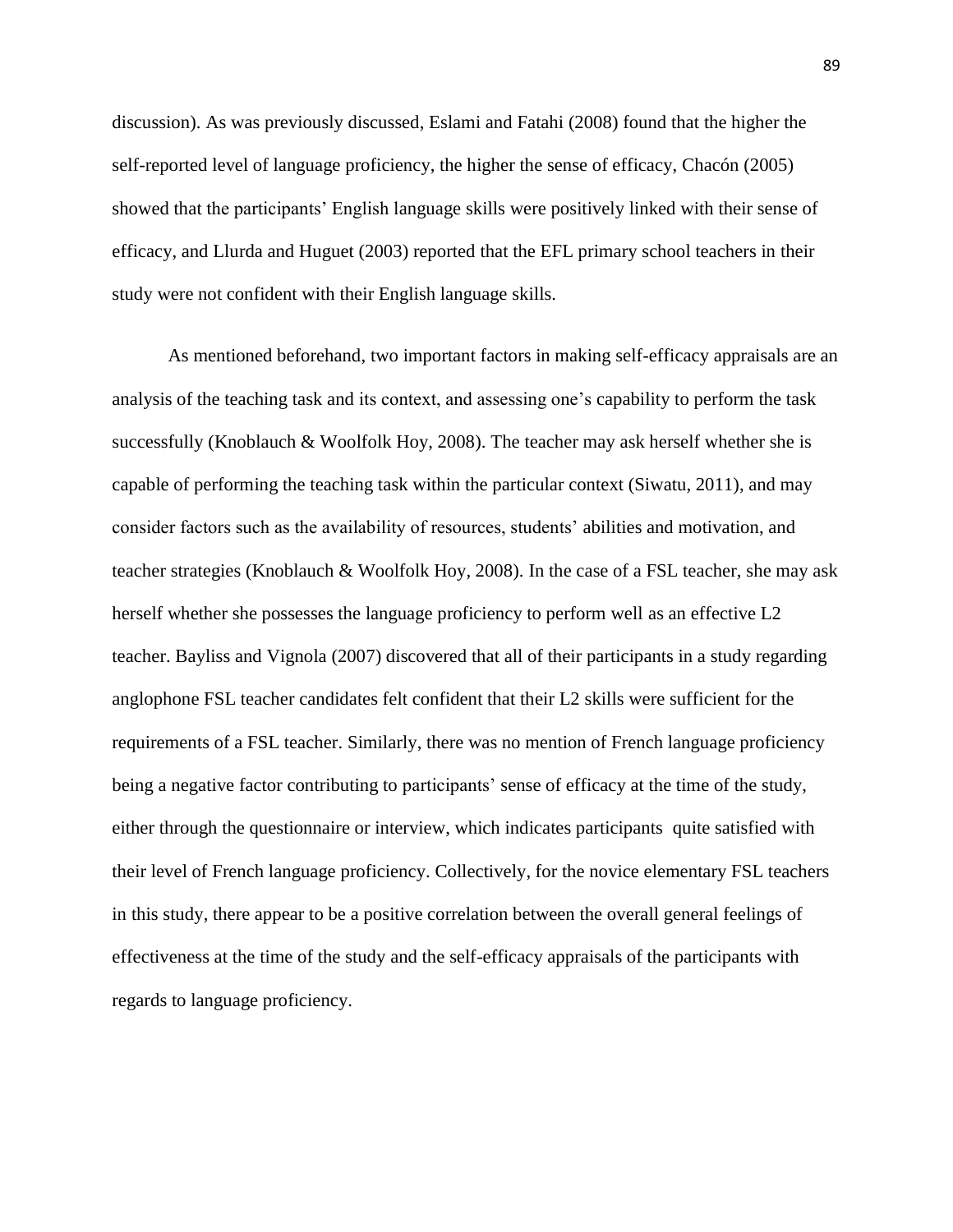discussion). As was previously discussed, Eslami and Fatahi (2008) found that the higher the self-reported level of language proficiency, the higher the sense of efficacy, Chacón (2005) showed that the participants" English language skills were positively linked with their sense of efficacy, and Llurda and Huguet (2003) reported that the EFL primary school teachers in their study were not confident with their English language skills.

As mentioned beforehand, two important factors in making self-efficacy appraisals are an analysis of the teaching task and its context, and assessing one"s capability to perform the task successfully (Knoblauch & Woolfolk Hoy, 2008). The teacher may ask herself whether she is capable of performing the teaching task within the particular context (Siwatu, 2011), and may consider factors such as the availability of resources, students" abilities and motivation, and teacher strategies (Knoblauch & Woolfolk Hoy, 2008). In the case of a FSL teacher, she may ask herself whether she possesses the language proficiency to perform well as an effective L2 teacher. Bayliss and Vignola (2007) discovered that all of their participants in a study regarding anglophone FSL teacher candidates felt confident that their L2 skills were sufficient for the requirements of a FSL teacher. Similarly, there was no mention of French language proficiency being a negative factor contributing to participants' sense of efficacy at the time of the study, either through the questionnaire or interview, which indicates participants quite satisfied with their level of French language proficiency. Collectively, for the novice elementary FSL teachers in this study, there appear to be a positive correlation between the overall general feelings of effectiveness at the time of the study and the self-efficacy appraisals of the participants with regards to language proficiency.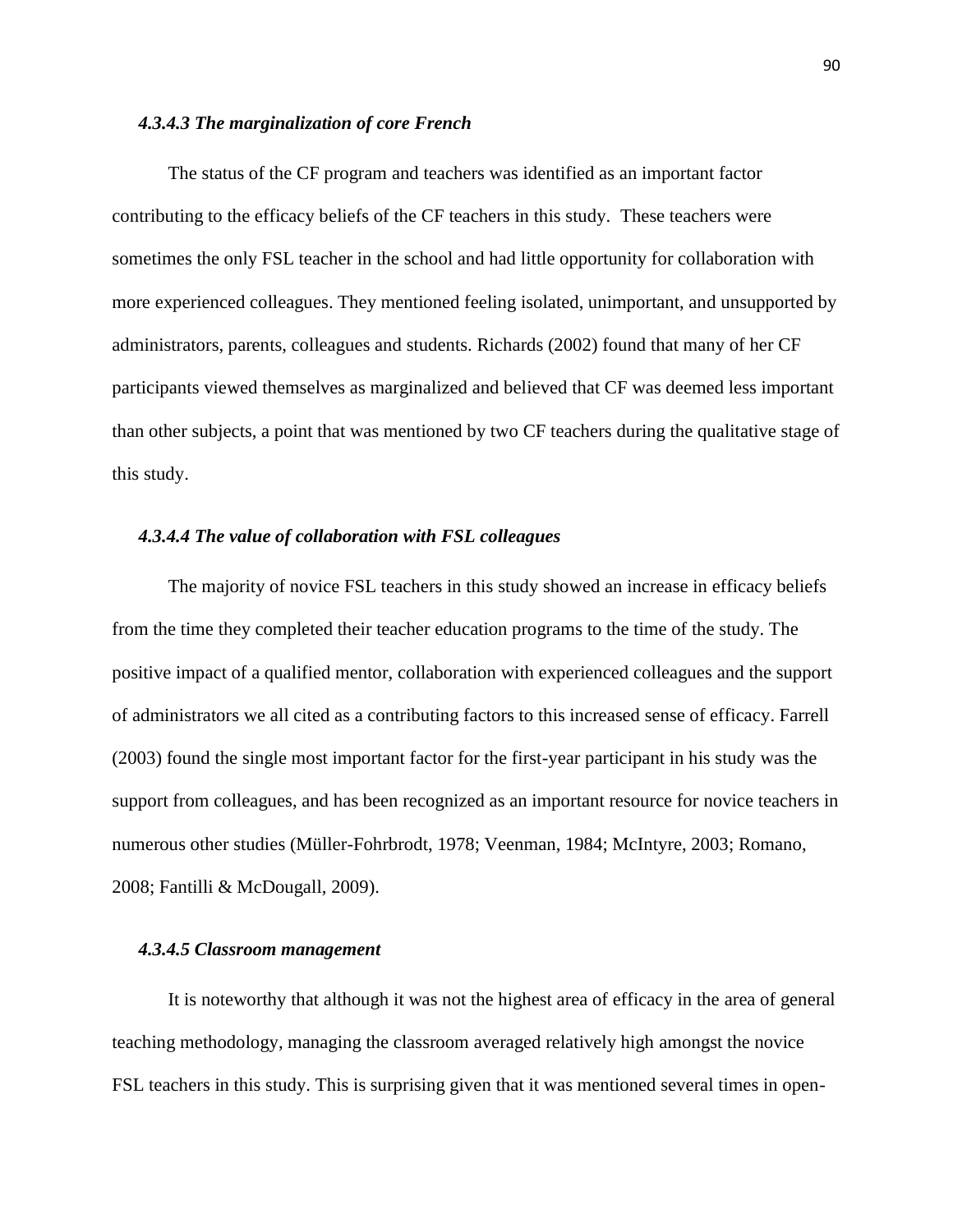## *4.3.4.3 The marginalization of core French*

The status of the CF program and teachers was identified as an important factor contributing to the efficacy beliefs of the CF teachers in this study. These teachers were sometimes the only FSL teacher in the school and had little opportunity for collaboration with more experienced colleagues. They mentioned feeling isolated, unimportant, and unsupported by administrators, parents, colleagues and students. Richards (2002) found that many of her CF participants viewed themselves as marginalized and believed that CF was deemed less important than other subjects, a point that was mentioned by two CF teachers during the qualitative stage of this study.

## *4.3.4.4 The value of collaboration with FSL colleagues*

The majority of novice FSL teachers in this study showed an increase in efficacy beliefs from the time they completed their teacher education programs to the time of the study. The positive impact of a qualified mentor, collaboration with experienced colleagues and the support of administrators we all cited as a contributing factors to this increased sense of efficacy. Farrell (2003) found the single most important factor for the first-year participant in his study was the support from colleagues, and has been recognized as an important resource for novice teachers in numerous other studies (Müller-Fohrbrodt, 1978; Veenman, 1984; McIntyre, 2003; Romano, 2008; Fantilli & McDougall, 2009).

## *4.3.4.5 Classroom management*

It is noteworthy that although it was not the highest area of efficacy in the area of general teaching methodology, managing the classroom averaged relatively high amongst the novice FSL teachers in this study. This is surprising given that it was mentioned several times in open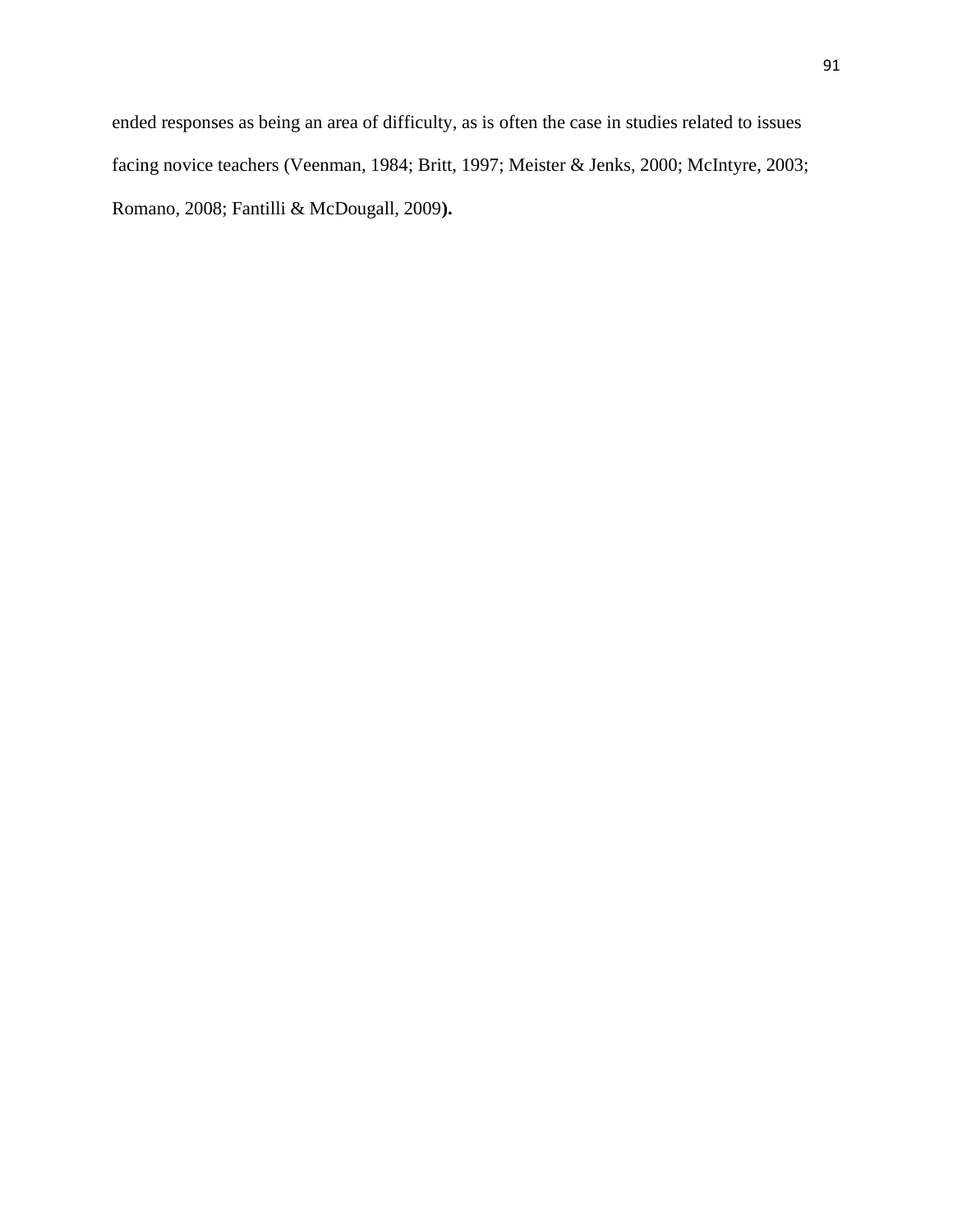ended responses as being an area of difficulty, as is often the case in studies related to issues facing novice teachers (Veenman, 1984; Britt, 1997; Meister & Jenks, 2000; McIntyre, 2003; Romano, 2008; Fantilli & McDougall, 2009**).**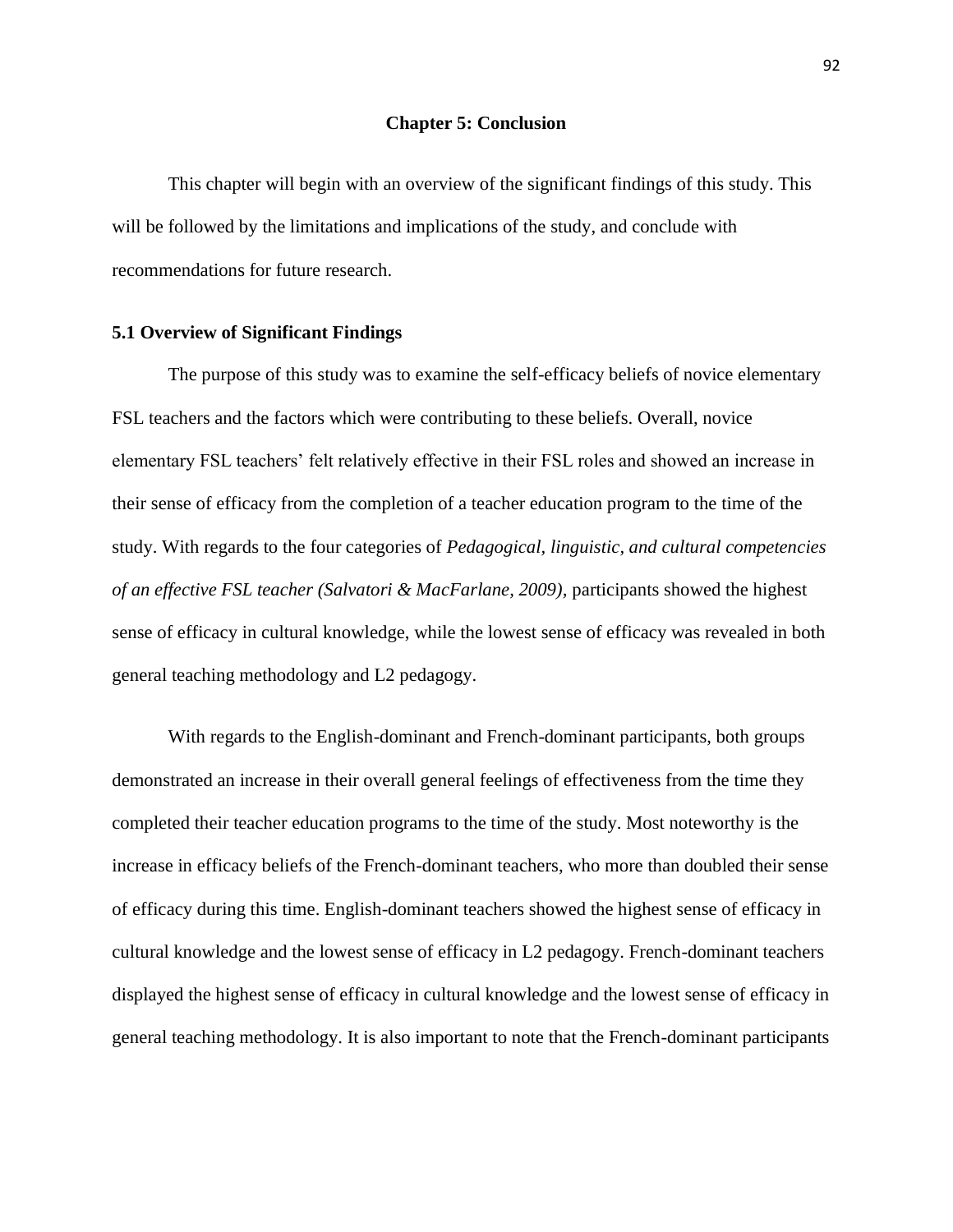#### **Chapter 5: Conclusion**

This chapter will begin with an overview of the significant findings of this study. This will be followed by the limitations and implications of the study, and conclude with recommendations for future research.

## **5.1 Overview of Significant Findings**

The purpose of this study was to examine the self-efficacy beliefs of novice elementary FSL teachers and the factors which were contributing to these beliefs. Overall, novice elementary FSL teachers' felt relatively effective in their FSL roles and showed an increase in their sense of efficacy from the completion of a teacher education program to the time of the study. With regards to the four categories of *Pedagogical, linguistic, and cultural competencies of an effective FSL teacher (Salvatori & MacFarlane, 2009),* participants showed the highest sense of efficacy in cultural knowledge, while the lowest sense of efficacy was revealed in both general teaching methodology and L2 pedagogy.

With regards to the English-dominant and French-dominant participants, both groups demonstrated an increase in their overall general feelings of effectiveness from the time they completed their teacher education programs to the time of the study. Most noteworthy is the increase in efficacy beliefs of the French-dominant teachers, who more than doubled their sense of efficacy during this time. English-dominant teachers showed the highest sense of efficacy in cultural knowledge and the lowest sense of efficacy in L2 pedagogy. French-dominant teachers displayed the highest sense of efficacy in cultural knowledge and the lowest sense of efficacy in general teaching methodology. It is also important to note that the French-dominant participants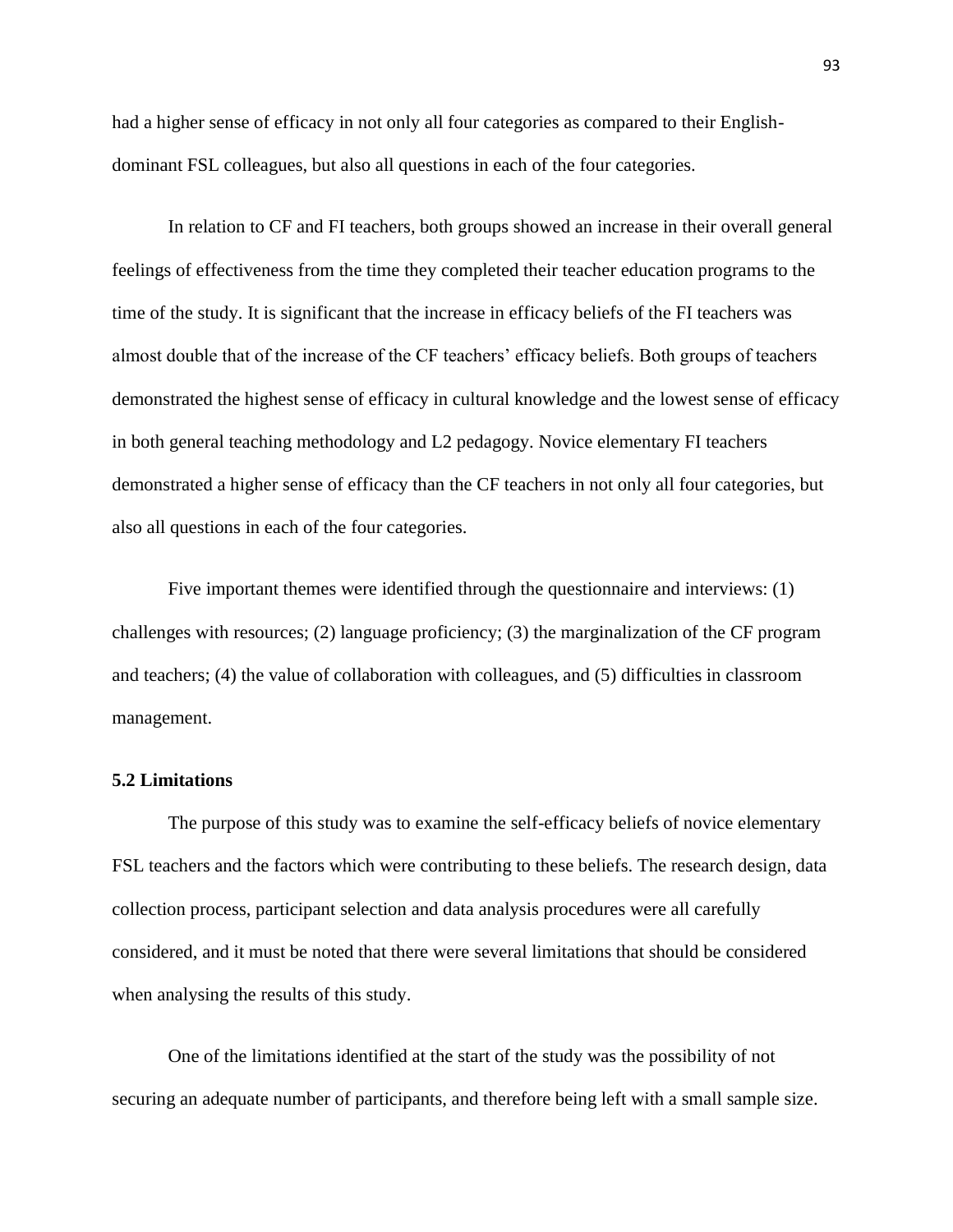had a higher sense of efficacy in not only all four categories as compared to their Englishdominant FSL colleagues, but also all questions in each of the four categories.

In relation to CF and FI teachers, both groups showed an increase in their overall general feelings of effectiveness from the time they completed their teacher education programs to the time of the study. It is significant that the increase in efficacy beliefs of the FI teachers was almost double that of the increase of the CF teachers' efficacy beliefs. Both groups of teachers demonstrated the highest sense of efficacy in cultural knowledge and the lowest sense of efficacy in both general teaching methodology and L2 pedagogy. Novice elementary FI teachers demonstrated a higher sense of efficacy than the CF teachers in not only all four categories, but also all questions in each of the four categories.

Five important themes were identified through the questionnaire and interviews: (1) challenges with resources; (2) language proficiency; (3) the marginalization of the CF program and teachers; (4) the value of collaboration with colleagues, and (5) difficulties in classroom management.

## **5.2 Limitations**

The purpose of this study was to examine the self-efficacy beliefs of novice elementary FSL teachers and the factors which were contributing to these beliefs. The research design, data collection process, participant selection and data analysis procedures were all carefully considered, and it must be noted that there were several limitations that should be considered when analysing the results of this study.

One of the limitations identified at the start of the study was the possibility of not securing an adequate number of participants, and therefore being left with a small sample size.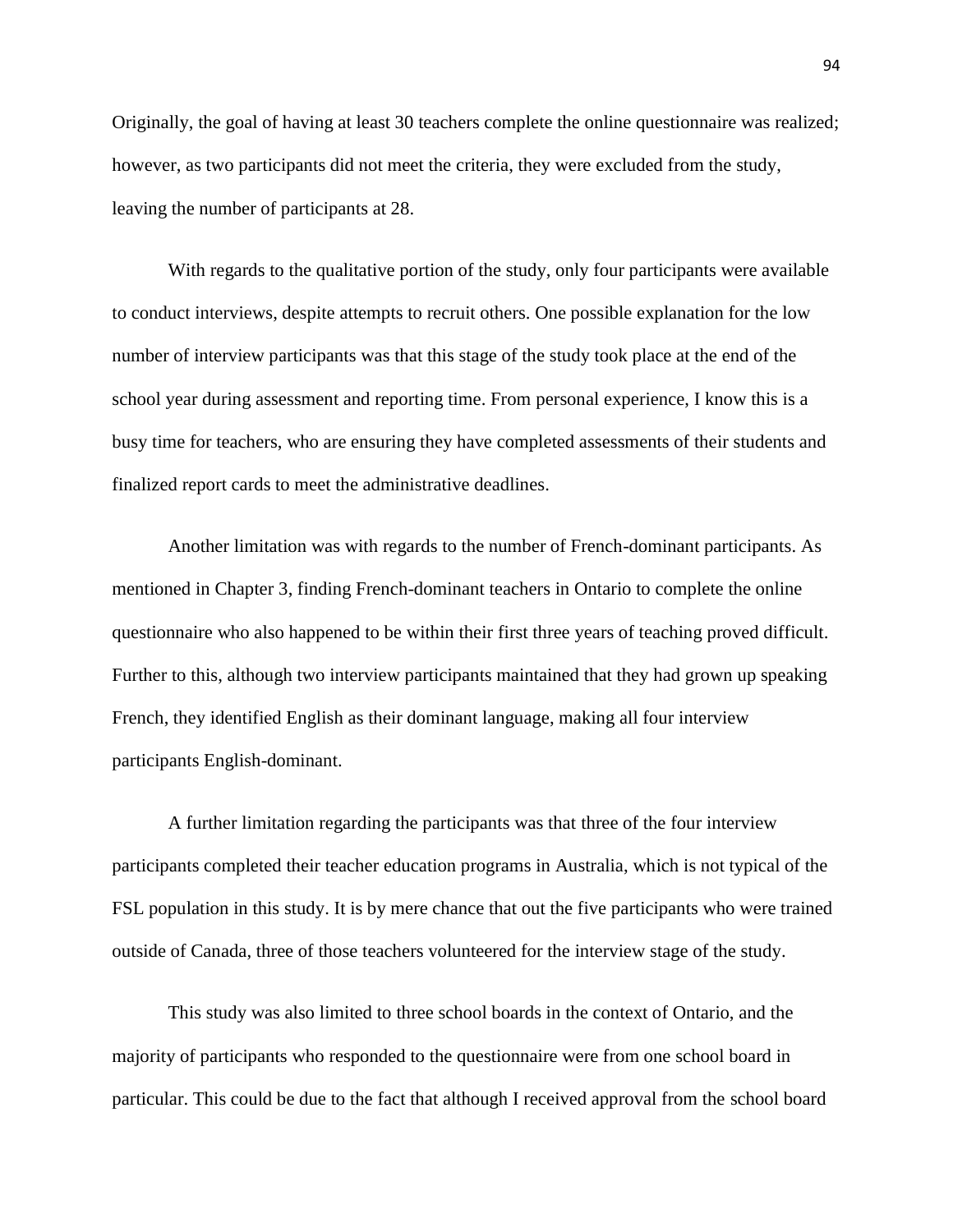Originally, the goal of having at least 30 teachers complete the online questionnaire was realized; however, as two participants did not meet the criteria, they were excluded from the study, leaving the number of participants at 28.

With regards to the qualitative portion of the study, only four participants were available to conduct interviews, despite attempts to recruit others. One possible explanation for the low number of interview participants was that this stage of the study took place at the end of the school year during assessment and reporting time. From personal experience, I know this is a busy time for teachers, who are ensuring they have completed assessments of their students and finalized report cards to meet the administrative deadlines.

Another limitation was with regards to the number of French-dominant participants. As mentioned in Chapter 3, finding French-dominant teachers in Ontario to complete the online questionnaire who also happened to be within their first three years of teaching proved difficult. Further to this, although two interview participants maintained that they had grown up speaking French, they identified English as their dominant language, making all four interview participants English-dominant.

A further limitation regarding the participants was that three of the four interview participants completed their teacher education programs in Australia, which is not typical of the FSL population in this study. It is by mere chance that out the five participants who were trained outside of Canada, three of those teachers volunteered for the interview stage of the study.

This study was also limited to three school boards in the context of Ontario, and the majority of participants who responded to the questionnaire were from one school board in particular. This could be due to the fact that although I received approval from the school board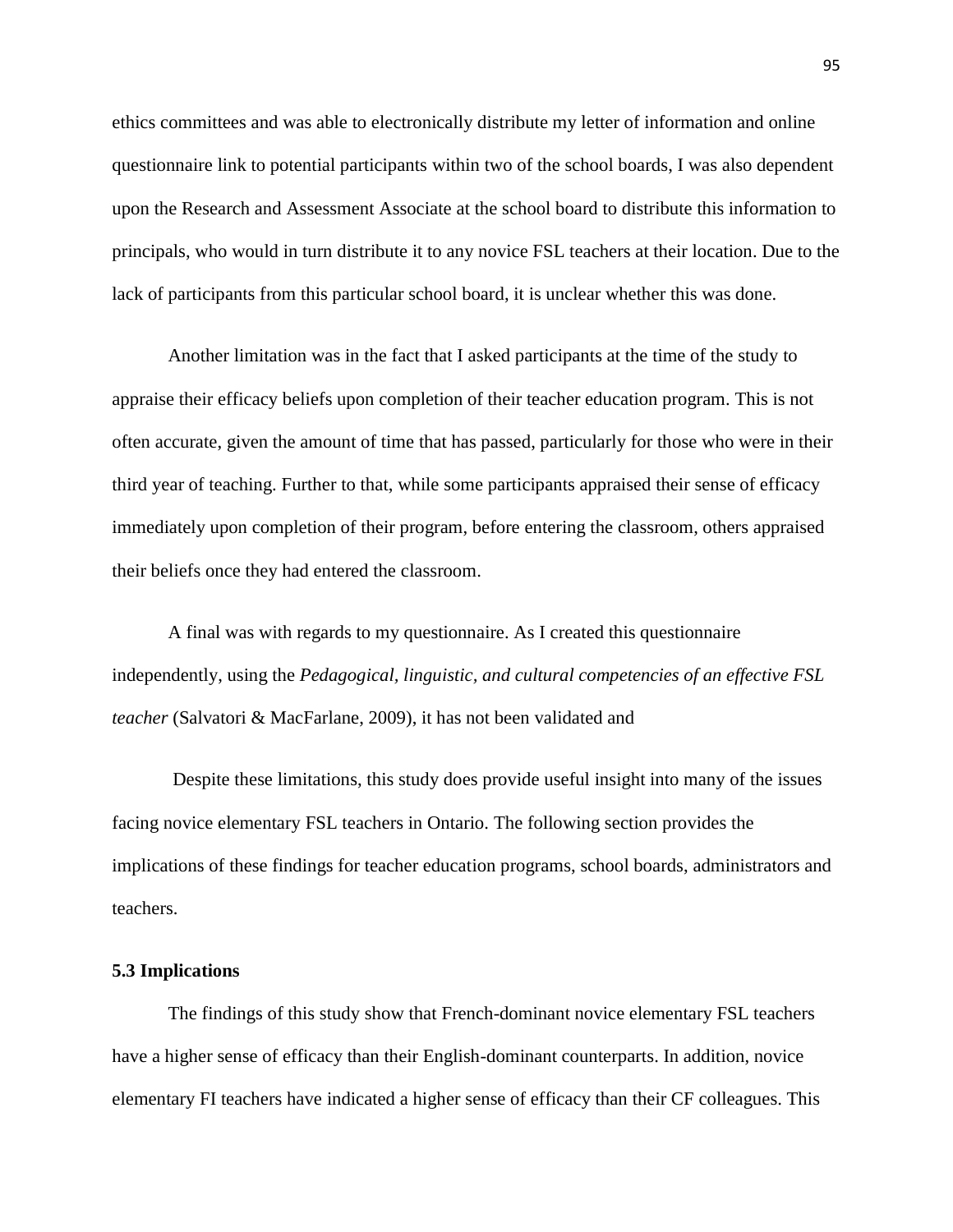ethics committees and was able to electronically distribute my letter of information and online questionnaire link to potential participants within two of the school boards, I was also dependent upon the Research and Assessment Associate at the school board to distribute this information to principals, who would in turn distribute it to any novice FSL teachers at their location. Due to the lack of participants from this particular school board, it is unclear whether this was done.

Another limitation was in the fact that I asked participants at the time of the study to appraise their efficacy beliefs upon completion of their teacher education program. This is not often accurate, given the amount of time that has passed, particularly for those who were in their third year of teaching. Further to that, while some participants appraised their sense of efficacy immediately upon completion of their program, before entering the classroom, others appraised their beliefs once they had entered the classroom.

A final was with regards to my questionnaire. As I created this questionnaire independently, using the *Pedagogical, linguistic, and cultural competencies of an effective FSL teacher* (Salvatori & MacFarlane, 2009), it has not been validated and

Despite these limitations, this study does provide useful insight into many of the issues facing novice elementary FSL teachers in Ontario. The following section provides the implications of these findings for teacher education programs, school boards, administrators and teachers.

## **5.3 Implications**

The findings of this study show that French-dominant novice elementary FSL teachers have a higher sense of efficacy than their English-dominant counterparts. In addition, novice elementary FI teachers have indicated a higher sense of efficacy than their CF colleagues. This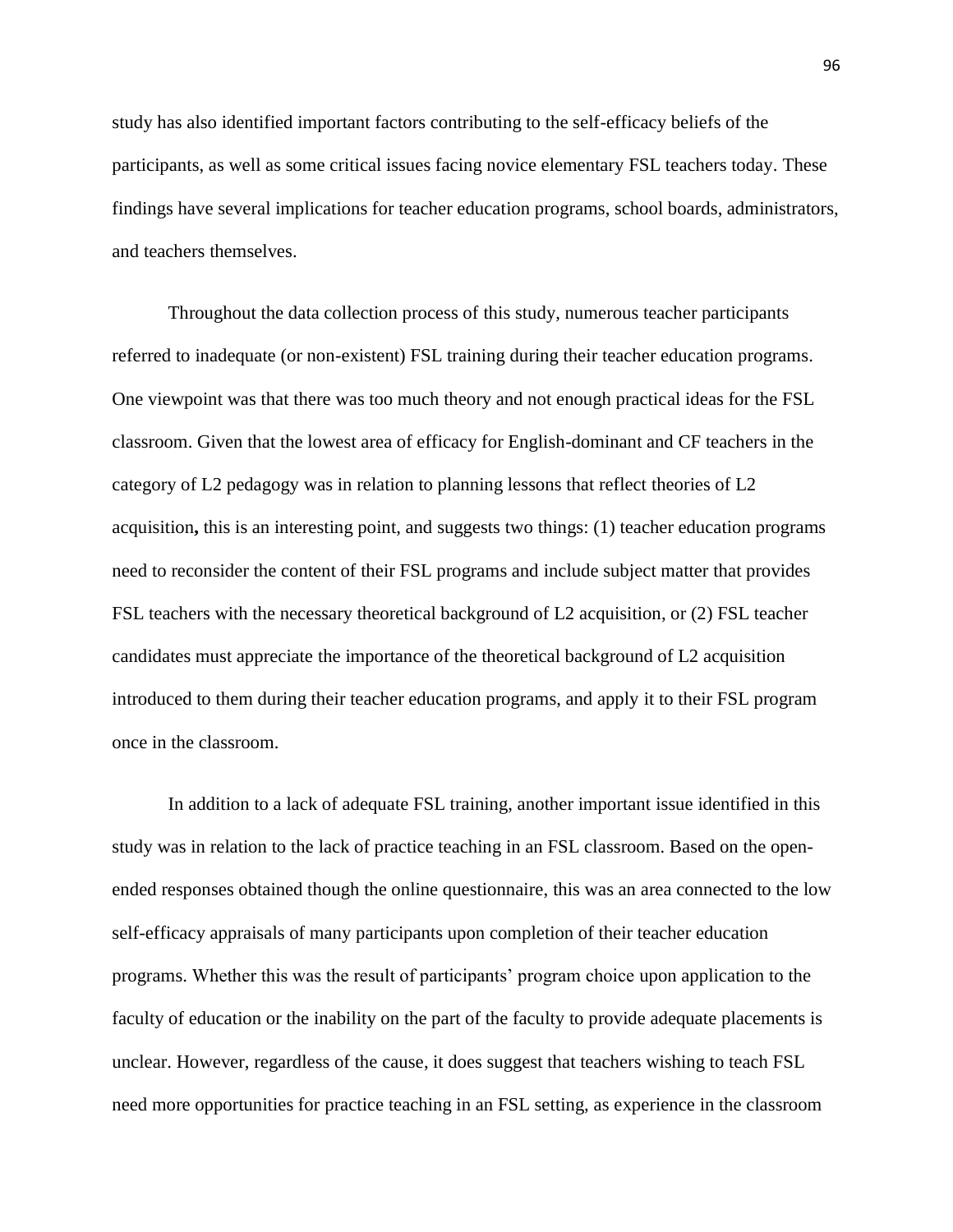study has also identified important factors contributing to the self-efficacy beliefs of the participants, as well as some critical issues facing novice elementary FSL teachers today. These findings have several implications for teacher education programs, school boards, administrators, and teachers themselves.

Throughout the data collection process of this study, numerous teacher participants referred to inadequate (or non-existent) FSL training during their teacher education programs. One viewpoint was that there was too much theory and not enough practical ideas for the FSL classroom. Given that the lowest area of efficacy for English-dominant and CF teachers in the category of L2 pedagogy was in relation to planning lessons that reflect theories of L2 acquisition**,** this is an interesting point, and suggests two things: (1) teacher education programs need to reconsider the content of their FSL programs and include subject matter that provides FSL teachers with the necessary theoretical background of L2 acquisition, or (2) FSL teacher candidates must appreciate the importance of the theoretical background of L2 acquisition introduced to them during their teacher education programs, and apply it to their FSL program once in the classroom.

In addition to a lack of adequate FSL training, another important issue identified in this study was in relation to the lack of practice teaching in an FSL classroom. Based on the openended responses obtained though the online questionnaire, this was an area connected to the low self-efficacy appraisals of many participants upon completion of their teacher education programs. Whether this was the result of participants" program choice upon application to the faculty of education or the inability on the part of the faculty to provide adequate placements is unclear. However, regardless of the cause, it does suggest that teachers wishing to teach FSL need more opportunities for practice teaching in an FSL setting, as experience in the classroom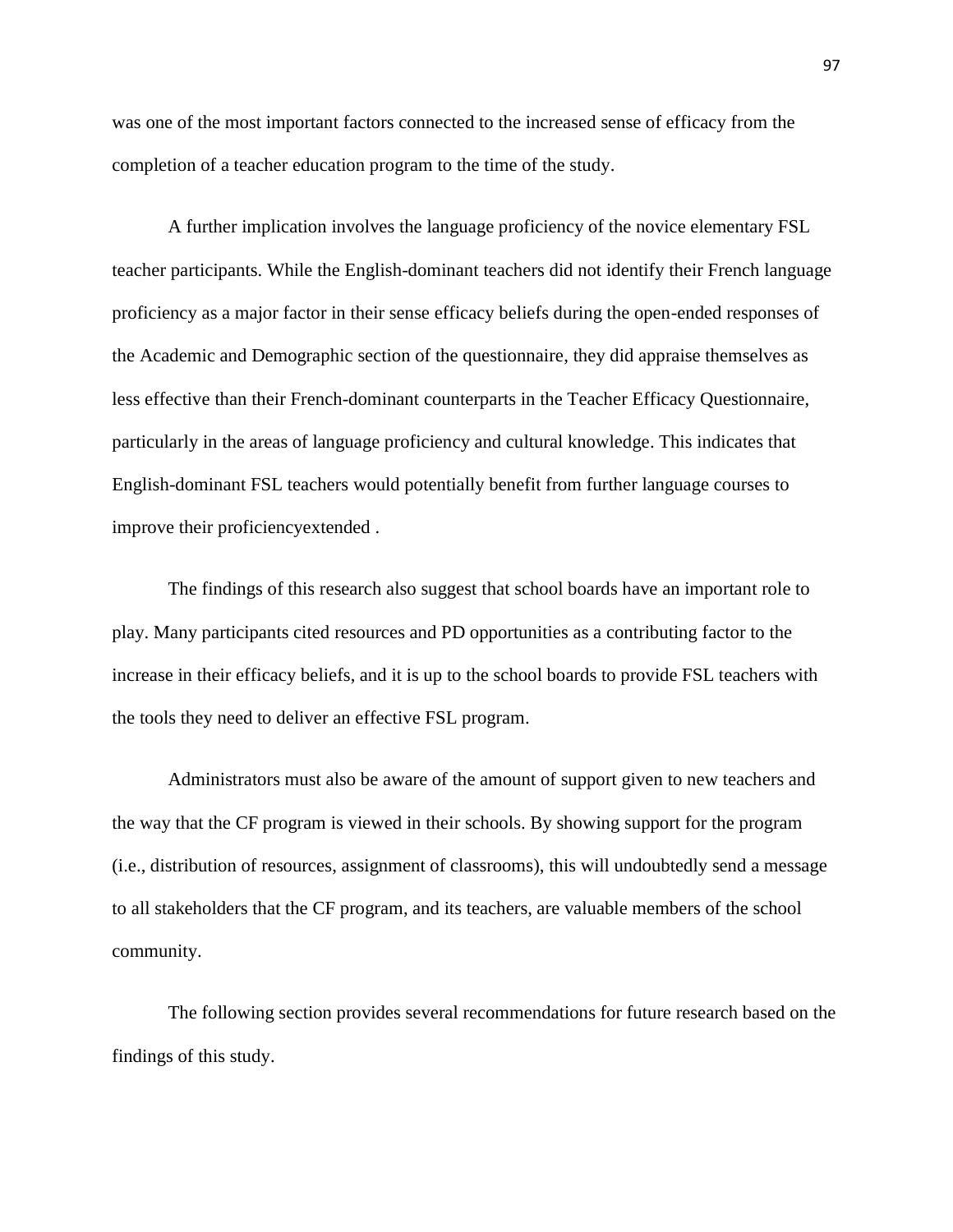was one of the most important factors connected to the increased sense of efficacy from the completion of a teacher education program to the time of the study.

A further implication involves the language proficiency of the novice elementary FSL teacher participants. While the English-dominant teachers did not identify their French language proficiency as a major factor in their sense efficacy beliefs during the open-ended responses of the Academic and Demographic section of the questionnaire, they did appraise themselves as less effective than their French-dominant counterparts in the Teacher Efficacy Questionnaire, particularly in the areas of language proficiency and cultural knowledge. This indicates that English-dominant FSL teachers would potentially benefit from further language courses to improve their proficiencyextended .

The findings of this research also suggest that school boards have an important role to play. Many participants cited resources and PD opportunities as a contributing factor to the increase in their efficacy beliefs, and it is up to the school boards to provide FSL teachers with the tools they need to deliver an effective FSL program.

Administrators must also be aware of the amount of support given to new teachers and the way that the CF program is viewed in their schools. By showing support for the program (i.e., distribution of resources, assignment of classrooms), this will undoubtedly send a message to all stakeholders that the CF program, and its teachers, are valuable members of the school community.

The following section provides several recommendations for future research based on the findings of this study.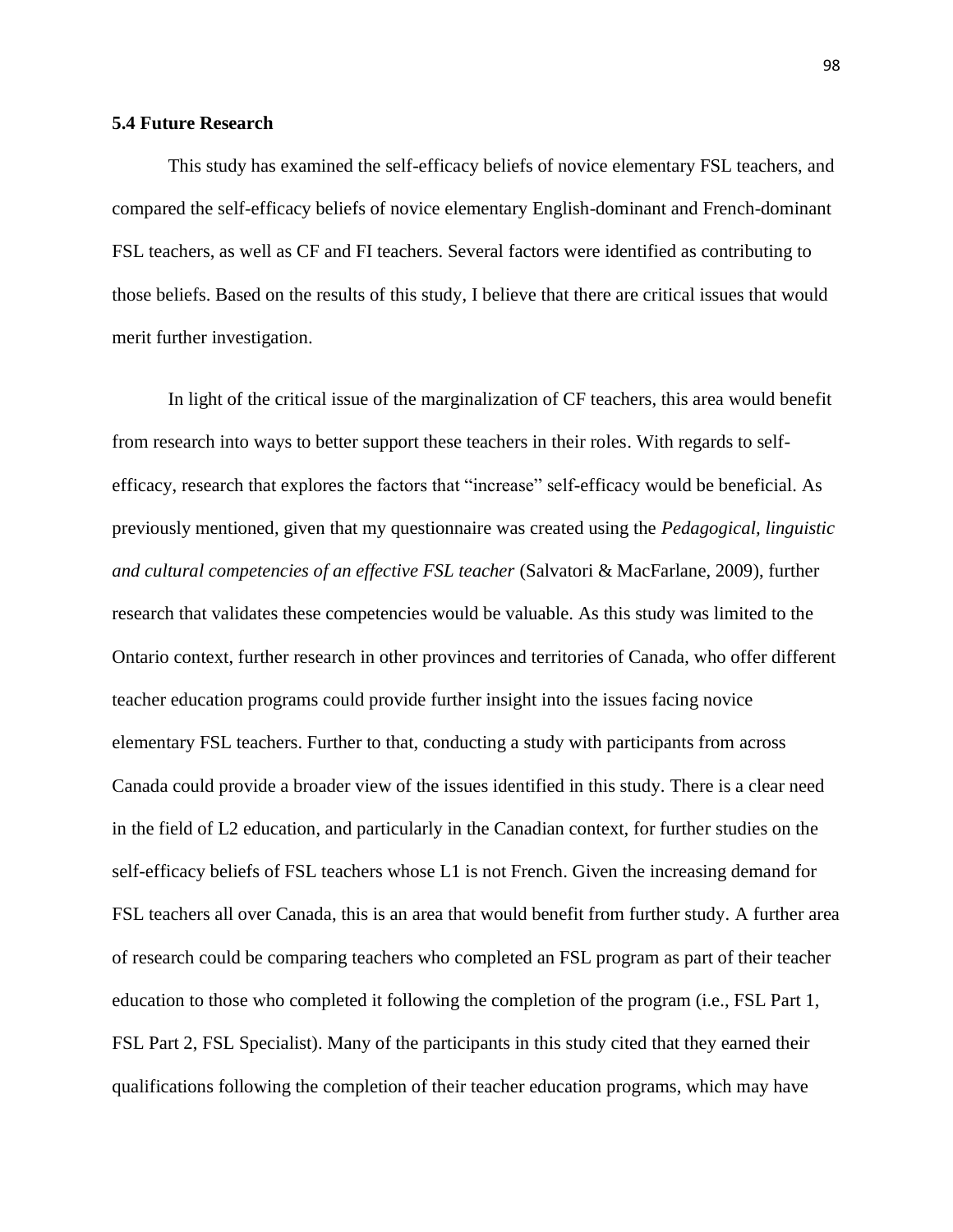## **5.4 Future Research**

This study has examined the self-efficacy beliefs of novice elementary FSL teachers, and compared the self-efficacy beliefs of novice elementary English-dominant and French-dominant FSL teachers, as well as CF and FI teachers. Several factors were identified as contributing to those beliefs. Based on the results of this study, I believe that there are critical issues that would merit further investigation.

In light of the critical issue of the marginalization of CF teachers, this area would benefit from research into ways to better support these teachers in their roles. With regards to selfefficacy, research that explores the factors that "increase" self-efficacy would be beneficial. As previously mentioned, given that my questionnaire was created using the *Pedagogical, linguistic and cultural competencies of an effective FSL teacher* (Salvatori & MacFarlane, 2009), further research that validates these competencies would be valuable. As this study was limited to the Ontario context, further research in other provinces and territories of Canada, who offer different teacher education programs could provide further insight into the issues facing novice elementary FSL teachers. Further to that, conducting a study with participants from across Canada could provide a broader view of the issues identified in this study. There is a clear need in the field of L2 education, and particularly in the Canadian context, for further studies on the self-efficacy beliefs of FSL teachers whose L1 is not French. Given the increasing demand for FSL teachers all over Canada, this is an area that would benefit from further study. A further area of research could be comparing teachers who completed an FSL program as part of their teacher education to those who completed it following the completion of the program (i.e., FSL Part 1, FSL Part 2, FSL Specialist). Many of the participants in this study cited that they earned their qualifications following the completion of their teacher education programs, which may have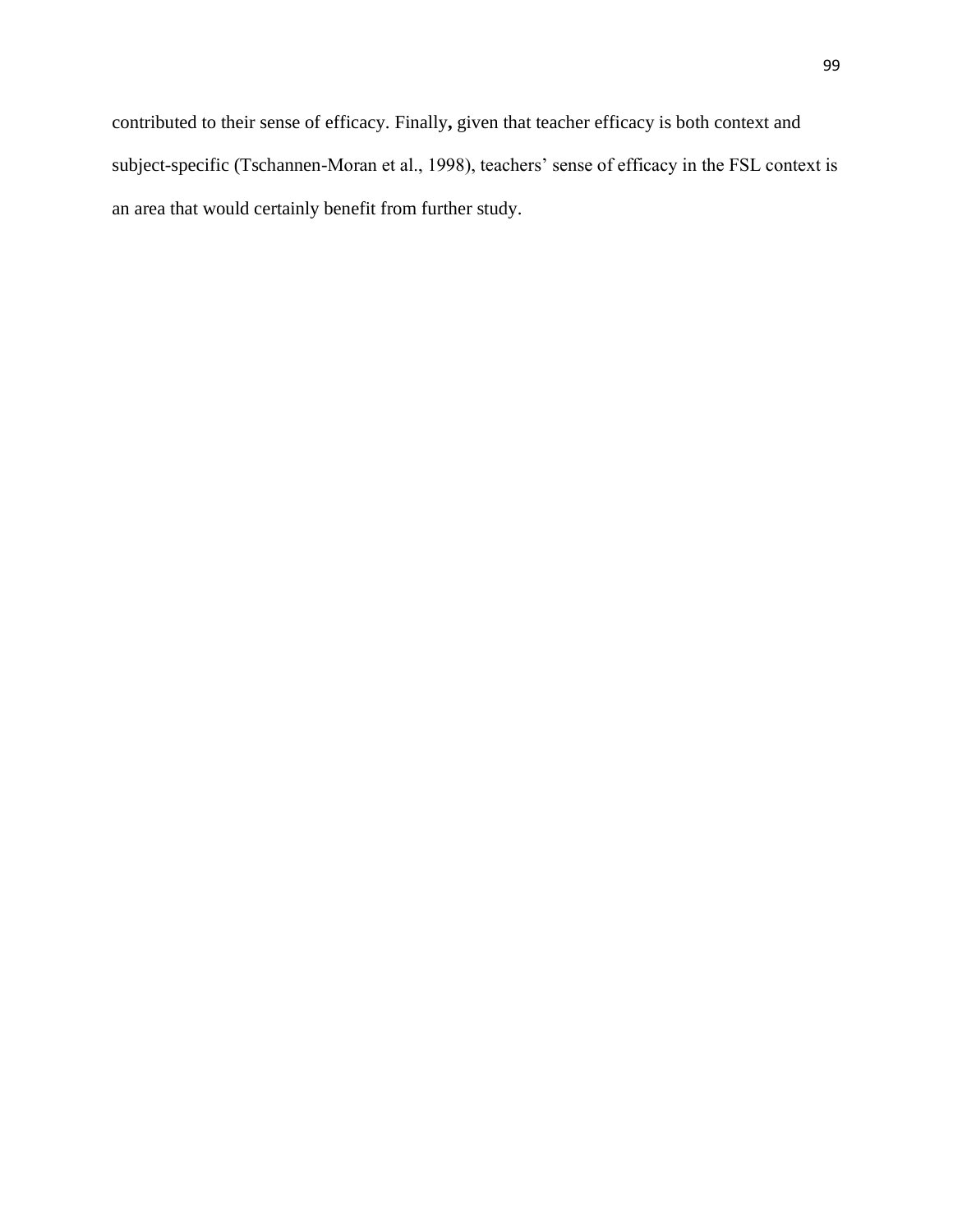contributed to their sense of efficacy. Finally**,** given that teacher efficacy is both context and subject-specific (Tschannen-Moran et al., 1998), teachers' sense of efficacy in the FSL context is an area that would certainly benefit from further study.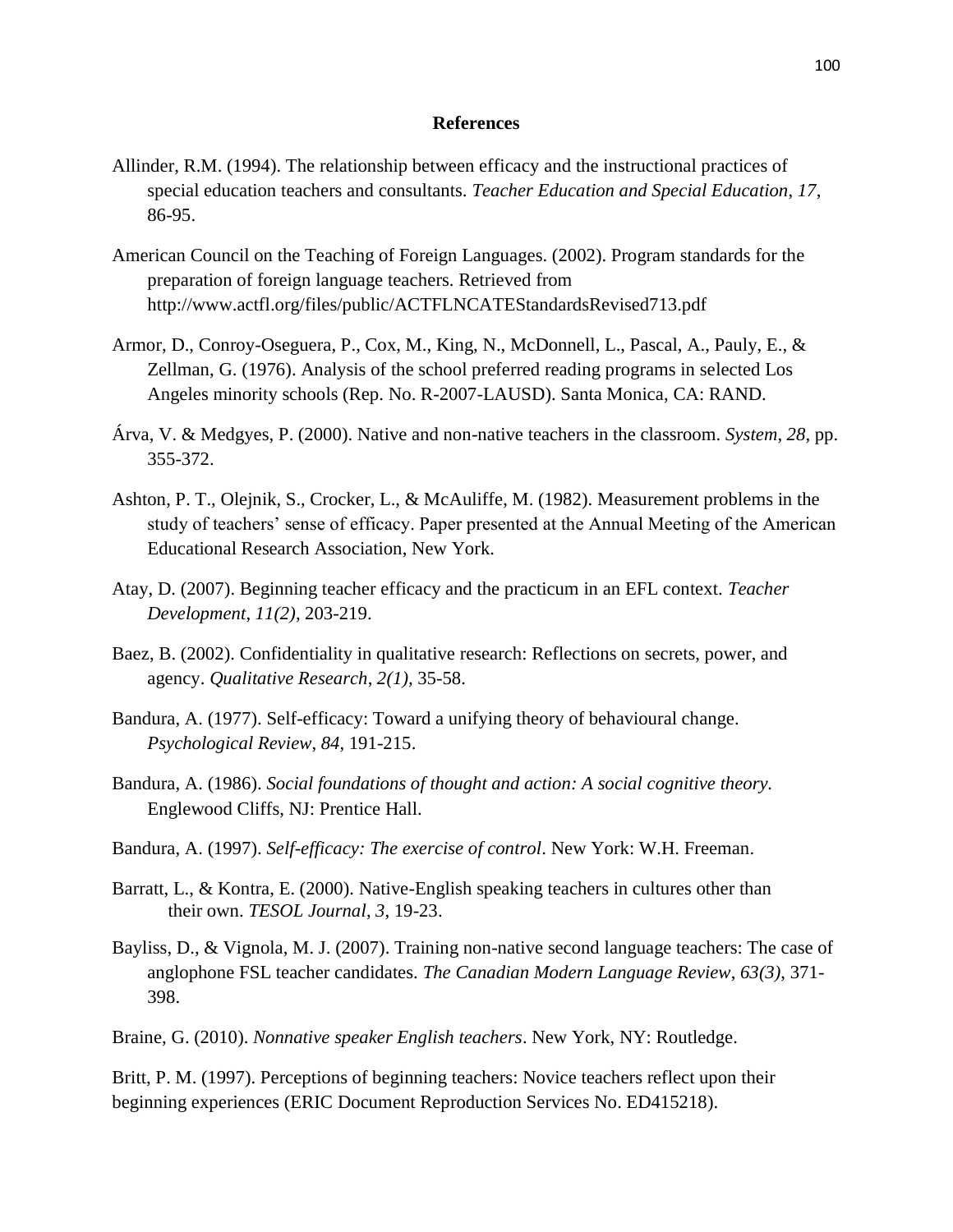#### **References**

- Allinder, R.M. (1994). The relationship between efficacy and the instructional practices of special education teachers and consultants. *Teacher Education and Special Education*, *17*, 86-95.
- American Council on the Teaching of Foreign Languages. (2002). Program standards for the preparation of foreign language teachers. Retrieved from http://www.actfl.org/files/public/ACTFLNCATEStandardsRevised713.pdf
- Armor, D., Conroy-Oseguera, P., Cox, M., King, N., McDonnell, L., Pascal, A., Pauly, E., & Zellman, G. (1976). Analysis of the school preferred reading programs in selected Los Angeles minority schools (Rep. No. R-2007-LAUSD). Santa Monica, CA: RAND.
- Árva, V. & Medgyes, P. (2000). Native and non-native teachers in the classroom. *System*, *28*, pp. 355-372.
- Ashton, P. T., Olejnik, S., Crocker, L., & McAuliffe, M. (1982). Measurement problems in the study of teachers" sense of efficacy. Paper presented at the Annual Meeting of the American Educational Research Association, New York.
- Atay, D. (2007). Beginning teacher efficacy and the practicum in an EFL context. *Teacher Development*, *11(2),* 203-219.
- Baez, B. (2002). Confidentiality in qualitative research: Reflections on secrets, power, and agency. *Qualitative Research*, *2(1),* 35-58.
- Bandura, A. (1977). Self-efficacy: Toward a unifying theory of behavioural change. *Psychological Review*, *84*, 191-215.
- Bandura, A. (1986). *Social foundations of thought and action: A social cognitive theory.* Englewood Cliffs, NJ: Prentice Hall.
- Bandura, A. (1997). *Self-efficacy: The exercise of control*. New York: W.H. Freeman.
- Barratt, L., & Kontra, E. (2000). Native-English speaking teachers in cultures other than their own. *TESOL Journal*, *3*, 19-23.
- Bayliss, D., & Vignola, M. J. (2007). Training non-native second language teachers: The case of anglophone FSL teacher candidates. *The Canadian Modern Language Review*, *63(3)*, 371- 398.
- Braine, G. (2010). *Nonnative speaker English teachers*. New York, NY: Routledge.

Britt, P. M. (1997). Perceptions of beginning teachers: Novice teachers reflect upon their beginning experiences (ERIC Document Reproduction Services No. ED415218).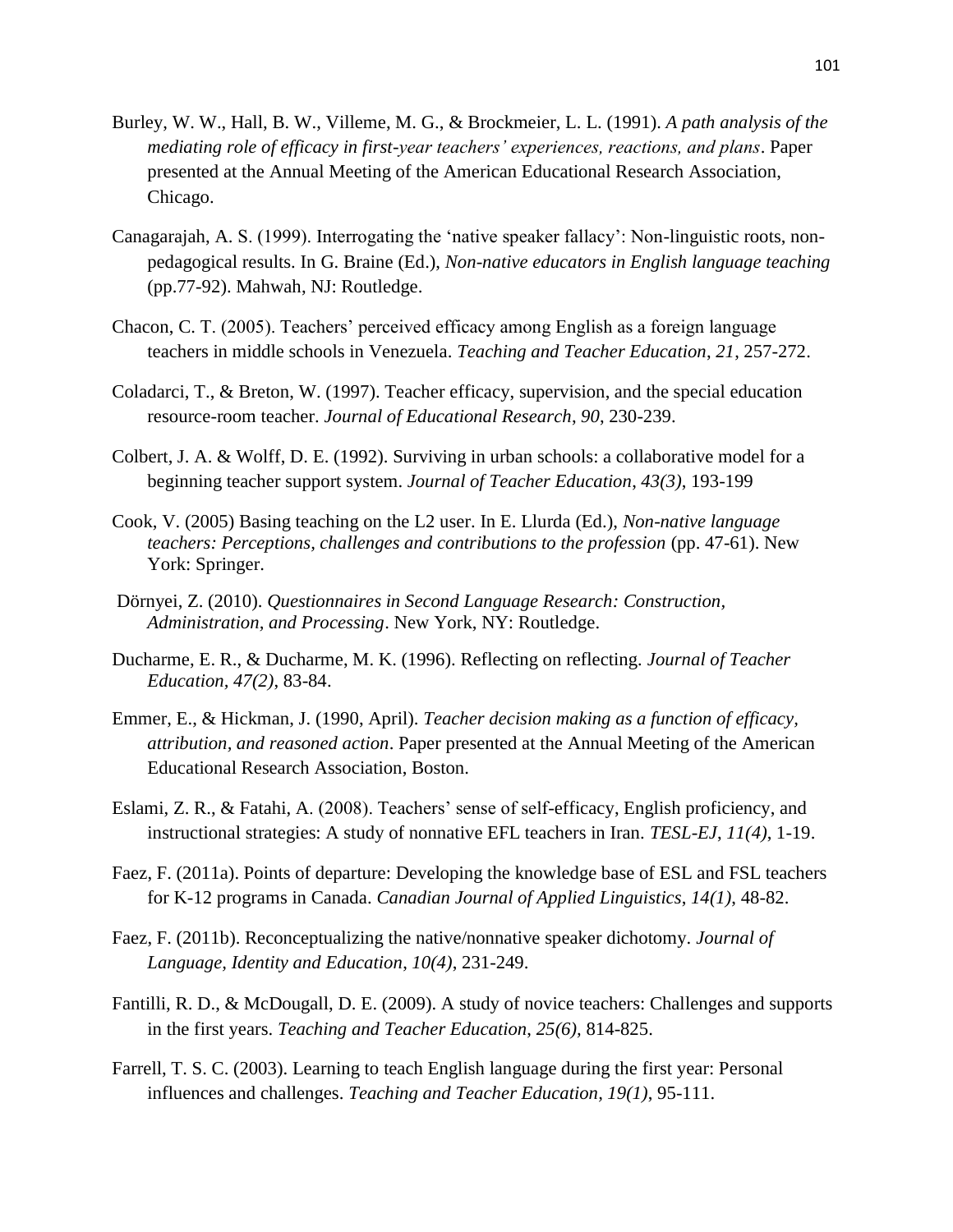- Burley, W. W., Hall, B. W., Villeme, M. G., & Brockmeier, L. L. (1991). *A path analysis of the mediating role of efficacy in first-year teachers' experiences, reactions, and plans*. Paper presented at the Annual Meeting of the American Educational Research Association, Chicago.
- Canagarajah, A. S. (1999). Interrogating the "native speaker fallacy": Non-linguistic roots, nonpedagogical results. In G. Braine (Ed.), *Non-native educators in English language teaching*  (pp.77-92). Mahwah, NJ: Routledge.
- Chacon, C. T. (2005). Teachers" perceived efficacy among English as a foreign language teachers in middle schools in Venezuela. *Teaching and Teacher Education*, *21*, 257-272.
- Coladarci, T., & Breton, W. (1997). Teacher efficacy, supervision, and the special education resource-room teacher. *Journal of Educational Research*, *90*, 230-239.
- Colbert, J. A. & Wolff, D. E. (1992). Surviving in urban schools: a collaborative model for a beginning teacher support system. *Journal of Teacher Education*, *43(3)*, 193-199
- Cook, V. (2005) Basing teaching on the L2 user. In E. Llurda (Ed.), *Non-native language teachers: Perceptions, challenges and contributions to the profession* (pp. 47-61). New York: Springer.
- Dörnyei, Z. (2010). *Questionnaires in Second Language Research: Construction, Administration, and Processing*. New York, NY: Routledge.
- Ducharme, E. R., & Ducharme, M. K. (1996). Reflecting on reflecting*. Journal of Teacher Education, 47(2)*, 83-84.
- Emmer, E., & Hickman, J. (1990, April). *Teacher decision making as a function of efficacy, attribution, and reasoned action*. Paper presented at the Annual Meeting of the American Educational Research Association, Boston.
- Eslami, Z. R., & Fatahi, A. (2008). Teachers" sense of self-efficacy, English proficiency, and instructional strategies: A study of nonnative EFL teachers in Iran. *TESL-EJ*, *11(4)*, 1-19.
- Faez, F. (2011a). Points of departure: Developing the knowledge base of ESL and FSL teachers for K-12 programs in Canada. *Canadian Journal of Applied Linguistics*, *14(1)*, 48-82.
- Faez, F. (2011b). Reconceptualizing the native/nonnative speaker dichotomy. *Journal of Language, Identity and Education*, *10(4)*, 231-249.
- Fantilli, R. D., & McDougall, D. E. (2009). A study of novice teachers: Challenges and supports in the first years. *Teaching and Teacher Education*, *25(6),* 814-825.
- Farrell, T. S. C. (2003). Learning to teach English language during the first year: Personal influences and challenges. *Teaching and Teacher Education, 19(1)*, 95-111.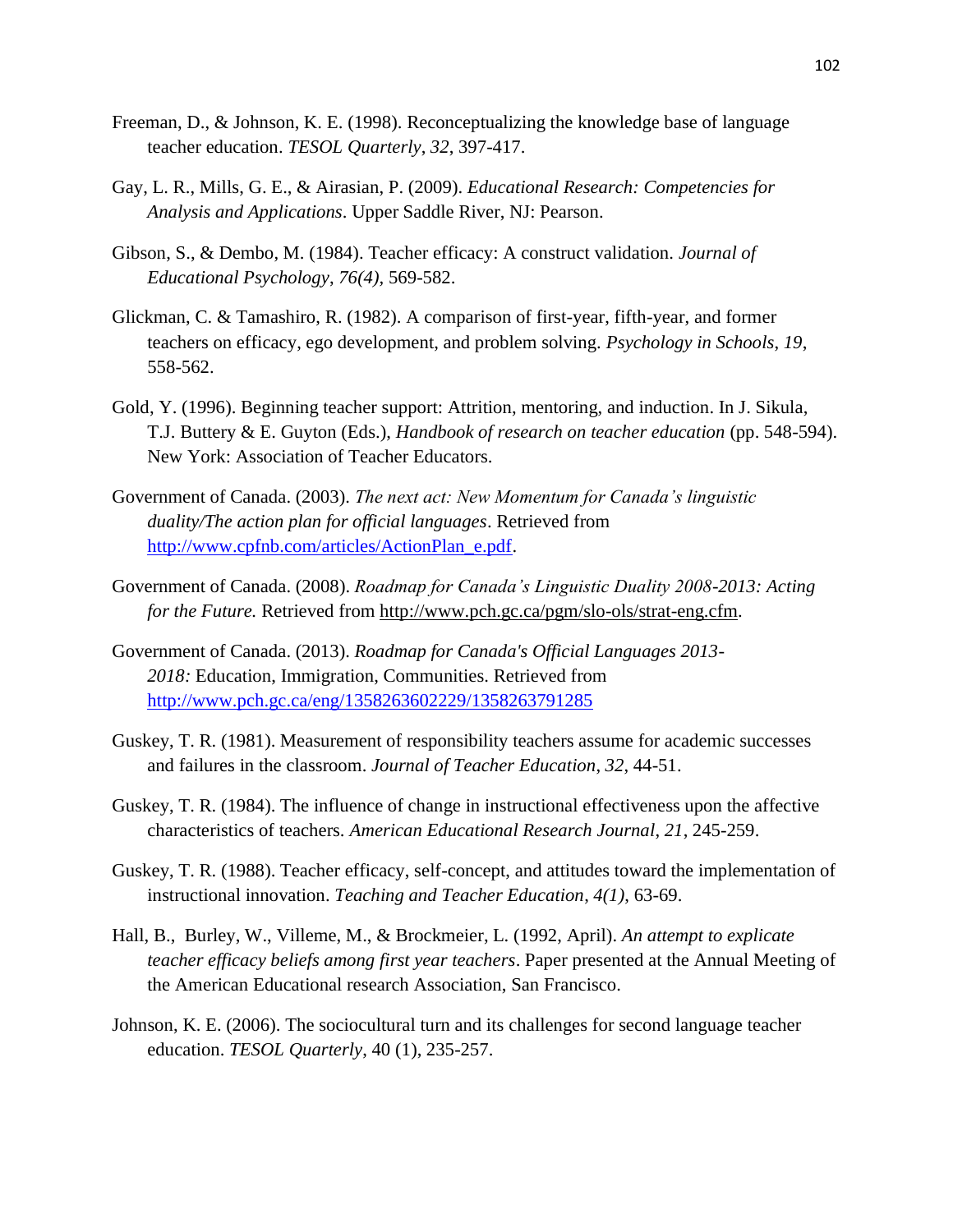- Freeman, D., & Johnson, K. E. (1998). Reconceptualizing the knowledge base of language teacher education. *TESOL Quarterly*, *32*, 397-417.
- Gay, L. R., Mills, G. E., & Airasian, P. (2009). *Educational Research: Competencies for Analysis and Applications*. Upper Saddle River, NJ: Pearson.
- Gibson, S., & Dembo, M. (1984). Teacher efficacy: A construct validation. *Journal of Educational Psychology*, *76(4),* 569-582.
- Glickman, C. & Tamashiro, R. (1982). A comparison of first-year, fifth-year, and former teachers on efficacy, ego development, and problem solving. *Psychology in Schools*, *19*, 558-562.
- Gold, Y. (1996). Beginning teacher support: Attrition, mentoring, and induction. In J. Sikula, T.J. Buttery & E. Guyton (Eds.), *Handbook of research on teacher education* (pp. 548-594). New York: Association of Teacher Educators.
- Government of Canada. (2003). *The next act: New Momentum for Canada's linguistic duality/The action plan for official languages*. Retrieved from [http://www.cpfnb.com/articles/ActionPlan\\_e.pdf.](http://www.cpfnb.com/articles/ActionPlan_e.pdf)
- Government of Canada. (2008). *Roadmap for Canada's Linguistic Duality 2008-2013: Acting for the Future.* Retrieved from [http://www.pch.gc.ca/pgm/slo-ols/strat-eng.cfm.](http://www.pch.gc.ca/pgm/slo-ols/strat-eng.cfm)
- Government of Canada. (2013). *Roadmap for Canada's Official Languages 2013- 2018:* Education, Immigration, Communities. Retrieved from <http://www.pch.gc.ca/eng/1358263602229/1358263791285>
- Guskey, T. R. (1981). Measurement of responsibility teachers assume for academic successes and failures in the classroom. *Journal of Teacher Education*, *32*, 44-51.
- Guskey, T. R. (1984). The influence of change in instructional effectiveness upon the affective characteristics of teachers. *American Educational Research Journal*, *21*, 245-259.
- Guskey, T. R. (1988). Teacher efficacy, self-concept, and attitudes toward the implementation of instructional innovation. *Teaching and Teacher Education*, *4(1)*, 63-69.
- Hall, B., Burley, W., Villeme, M., & Brockmeier, L. (1992, April). *An attempt to explicate teacher efficacy beliefs among first year teachers*. Paper presented at the Annual Meeting of the American Educational research Association, San Francisco.
- Johnson, K. E. (2006). The sociocultural turn and its challenges for second language teacher education. *TESOL Quarterly*, 40 (1), 235-257.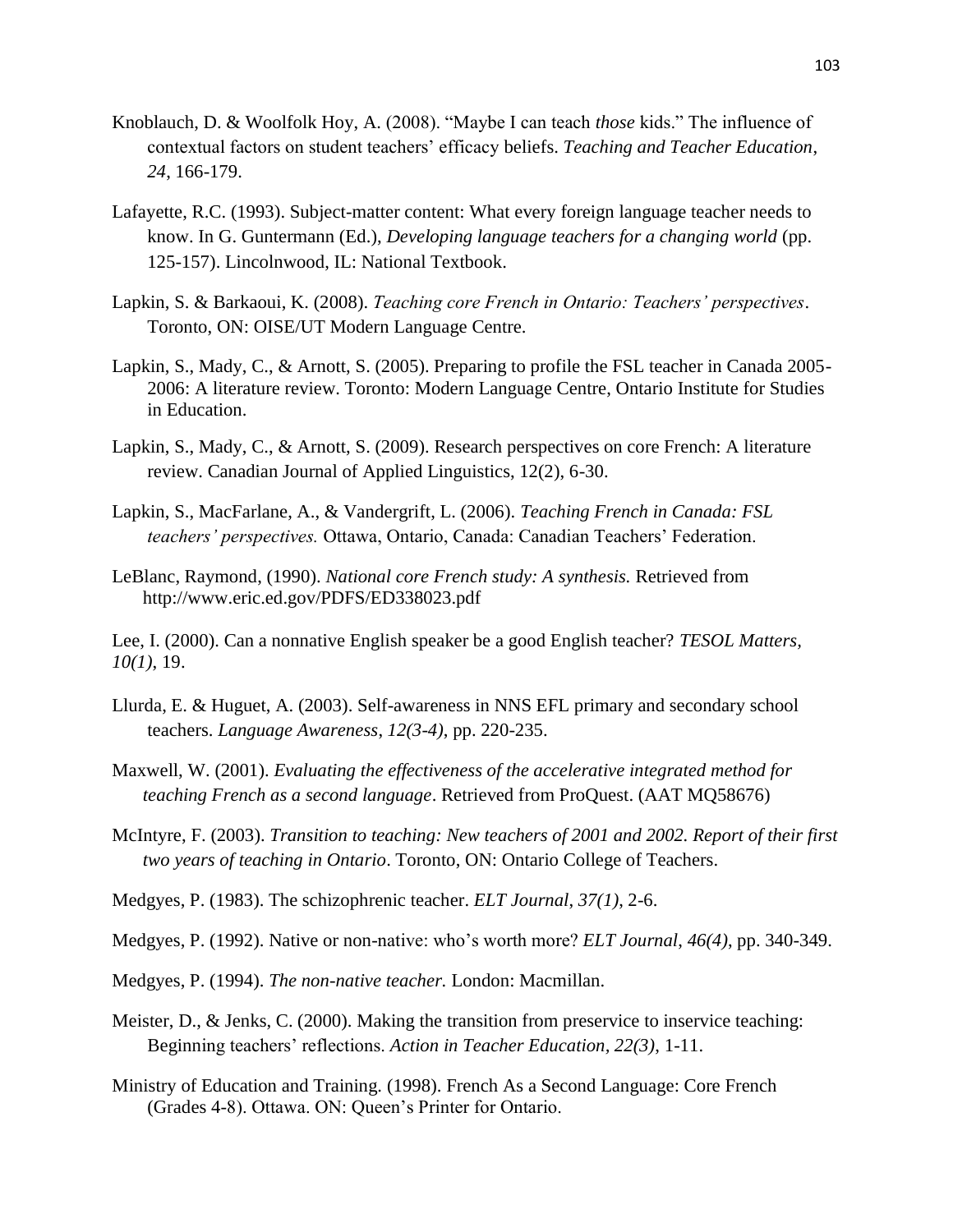- Knoblauch, D. & Woolfolk Hoy, A. (2008). "Maybe I can teach *those* kids." The influence of contextual factors on student teachers" efficacy beliefs. *Teaching and Teacher Education*, *24*, 166-179.
- Lafayette, R.C. (1993). Subject-matter content: What every foreign language teacher needs to know. In G. Guntermann (Ed.), *Developing language teachers for a changing world* (pp. 125-157). Lincolnwood, IL: National Textbook.
- Lapkin, S. & Barkaoui, K. (2008). *Teaching core French in Ontario: Teachers' perspectives*. Toronto, ON: OISE/UT Modern Language Centre.
- Lapkin, S., Mady, C., & Arnott, S. (2005). Preparing to profile the FSL teacher in Canada 2005- 2006: A literature review. Toronto: Modern Language Centre, Ontario Institute for Studies in Education.
- Lapkin, S., Mady, C., & Arnott, S. (2009). Research perspectives on core French: A literature review. Canadian Journal of Applied Linguistics, 12(2), 6-30.
- Lapkin, S., MacFarlane, A., & Vandergrift, L. (2006). *Teaching French in Canada: FSL teachers' perspectives.* Ottawa, Ontario, Canada: Canadian Teachers" Federation.
- LeBlanc, Raymond, (1990). *National core French study: A synthesis.* Retrieved from http://www.eric.ed.gov/PDFS/ED338023.pdf

Lee, I. (2000). Can a nonnative English speaker be a good English teacher? *TESOL Matters, 10(1)*, 19.

- Llurda, E. & Huguet, A. (2003). Self-awareness in NNS EFL primary and secondary school teachers. *Language Awareness*, *12(3-4)*, pp. 220-235.
- Maxwell, W. (2001). *Evaluating the effectiveness of the accelerative integrated method for teaching French as a second language*. Retrieved from ProQuest. (AAT MQ58676)
- McIntyre, F. (2003). *Transition to teaching: New teachers of 2001 and 2002. Report of their first two years of teaching in Ontario*. Toronto, ON: Ontario College of Teachers.
- Medgyes, P. (1983). The schizophrenic teacher. *ELT Journal*, *37(1)*, 2-6.

Medgyes, P. (1992). Native or non-native: who"s worth more? *ELT Journal*, *46(4)*, pp. 340-349.

- Medgyes, P. (1994). *The non-native teacher.* London: Macmillan.
- Meister, D., & Jenks, C. (2000). Making the transition from preservice to inservice teaching: Beginning teachers" reflections. *Action in Teacher Education, 22(3)*, 1-11.
- Ministry of Education and Training. (1998). French As a Second Language: Core French (Grades 4-8). Ottawa. ON: Queen"s Printer for Ontario.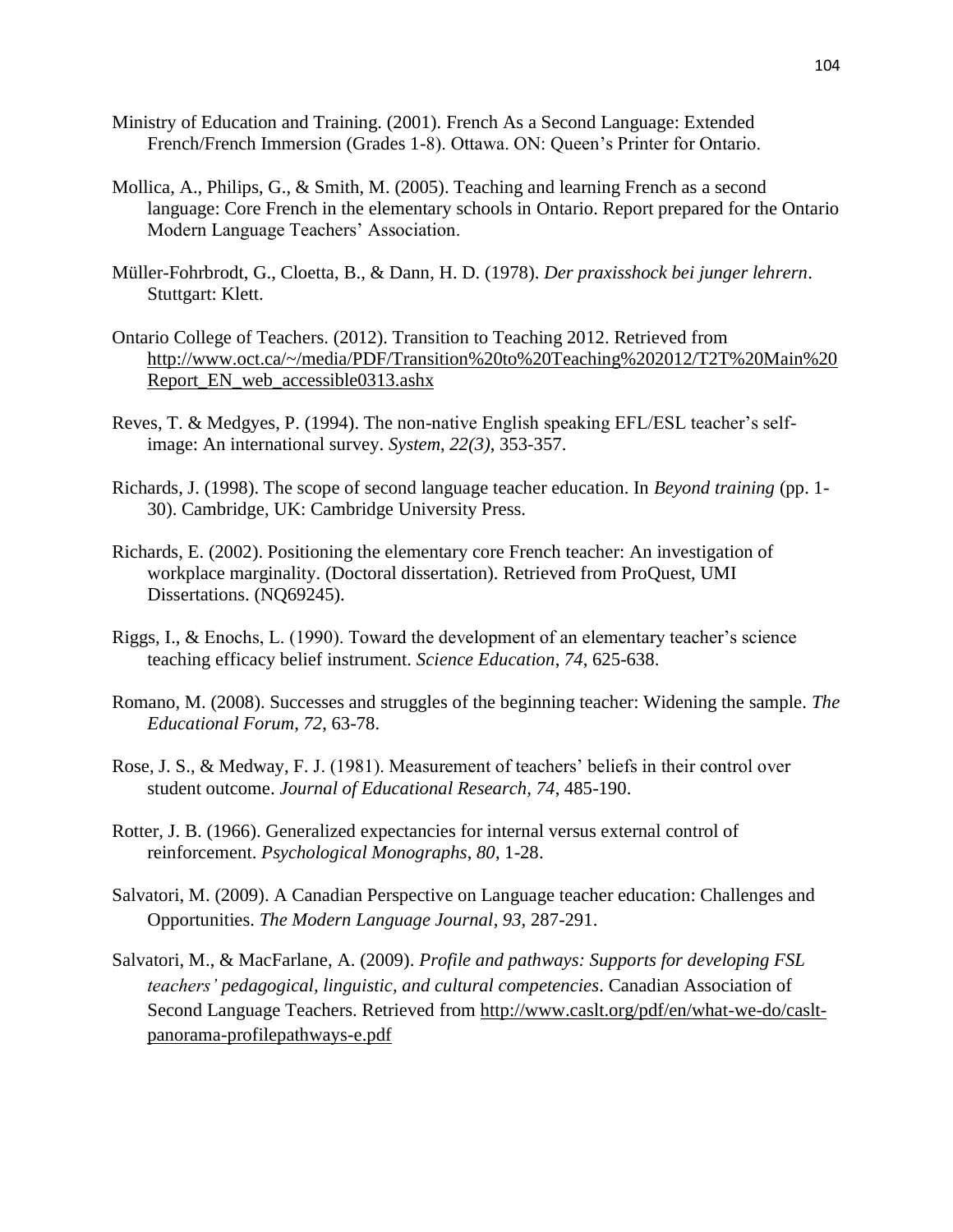- Ministry of Education and Training. (2001). French As a Second Language: Extended French/French Immersion (Grades 1-8). Ottawa. ON: Queen"s Printer for Ontario.
- Mollica, A., Philips, G., & Smith, M. (2005). Teaching and learning French as a second language: Core French in the elementary schools in Ontario. Report prepared for the Ontario Modern Language Teachers' Association.
- Müller-Fohrbrodt, G., Cloetta, B., & Dann, H. D. (1978). *Der praxisshock bei junger lehrern*. Stuttgart: Klett.
- Ontario College of Teachers. (2012). Transition to Teaching 2012. Retrieved from [http://www.oct.ca/~/media/PDF/Transition%20to%20Teaching%202012/T2T%20Main%20](http://www.oct.ca/~/media/PDF/Transition%20to%20Teaching%202012/T2T%20Main%20Report_EN_web_accessible0313.ashx) [Report\\_EN\\_web\\_accessible0313.ashx](http://www.oct.ca/~/media/PDF/Transition%20to%20Teaching%202012/T2T%20Main%20Report_EN_web_accessible0313.ashx)
- Reves, T. & Medgyes, P. (1994). The non-native English speaking EFL/ESL teacher"s selfimage: An international survey. *System*, *22(3)*, 353-357.
- Richards, J. (1998). The scope of second language teacher education. In *Beyond training* (pp. 1- 30). Cambridge, UK: Cambridge University Press.
- Richards, E. (2002). Positioning the elementary core French teacher: An investigation of workplace marginality. (Doctoral dissertation). Retrieved from ProQuest, UMI Dissertations. (NQ69245).
- Riggs, I., & Enochs, L. (1990). Toward the development of an elementary teacher"s science teaching efficacy belief instrument. *Science Education*, *74*, 625-638.
- Romano, M. (2008). Successes and struggles of the beginning teacher: Widening the sample. *The Educational Forum*, *72*, 63-78.
- Rose, J. S., & Medway, F. J. (1981). Measurement of teachers' beliefs in their control over student outcome. *Journal of Educational Research, 74*, 485-190.
- Rotter, J. B. (1966). Generalized expectancies for internal versus external control of reinforcement. *Psychological Monographs*, *80*, 1-28.
- Salvatori, M. (2009). A Canadian Perspective on Language teacher education: Challenges and Opportunities. *The Modern Language Journal*, *93*, 287-291.
- Salvatori, M., & MacFarlane, A. (2009). *Profile and pathways: Supports for developing FSL teachers' pedagogical, linguistic, and cultural competencies*. Canadian Association of Second Language Teachers. Retrieved from [http://www.caslt.org/pdf/en/what-we-do/caslt](http://www.caslt.org/pdf/en/what-we-do/caslt-panorama-profilepathways-e.pdf)[panorama-profilepathways-e.pdf](http://www.caslt.org/pdf/en/what-we-do/caslt-panorama-profilepathways-e.pdf)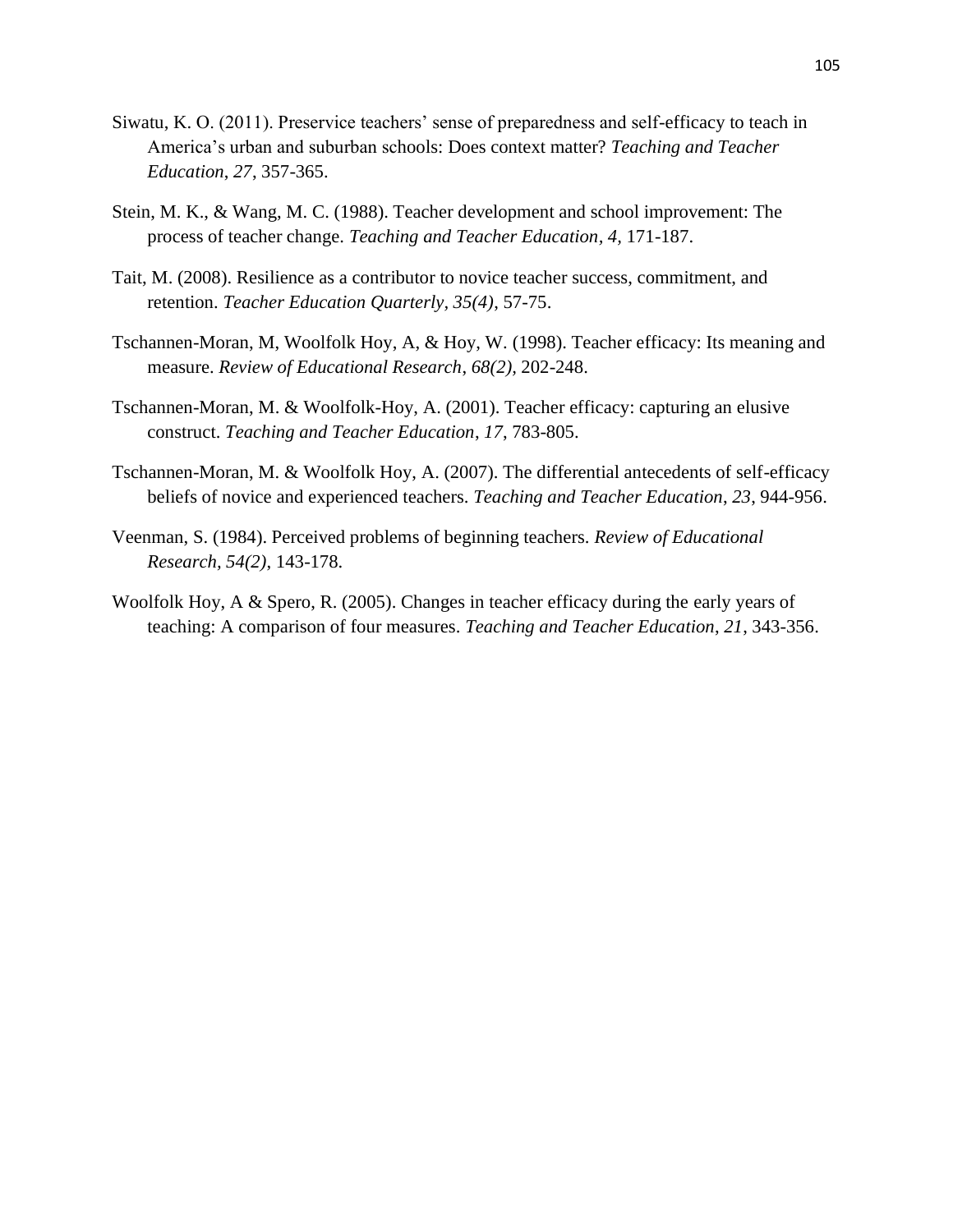- Siwatu, K. O. (2011). Preservice teachers' sense of preparedness and self-efficacy to teach in America"s urban and suburban schools: Does context matter? *Teaching and Teacher Education*, *27*, 357-365.
- Stein, M. K., & Wang, M. C. (1988). Teacher development and school improvement: The process of teacher change. *Teaching and Teacher Education, 4,* 171-187.
- Tait, M. (2008). Resilience as a contributor to novice teacher success, commitment, and retention. *Teacher Education Quarterly, 35(4)*, 57-75.
- Tschannen-Moran, M, Woolfolk Hoy, A, & Hoy, W. (1998). Teacher efficacy: Its meaning and measure. *Review of Educational Research*, *68(2),* 202-248.
- Tschannen-Moran, M. & Woolfolk-Hoy, A. (2001). Teacher efficacy: capturing an elusive construct. *Teaching and Teacher Education*, *17*, 783-805.
- Tschannen-Moran, M. & Woolfolk Hoy, A. (2007). The differential antecedents of self-efficacy beliefs of novice and experienced teachers. *Teaching and Teacher Education*, *23*, 944-956.
- Veenman, S. (1984). Perceived problems of beginning teachers. *Review of Educational Research, 54(2)*, 143-178.
- Woolfolk Hoy, A & Spero, R. (2005). Changes in teacher efficacy during the early years of teaching: A comparison of four measures. *Teaching and Teacher Education*, *21*, 343-356.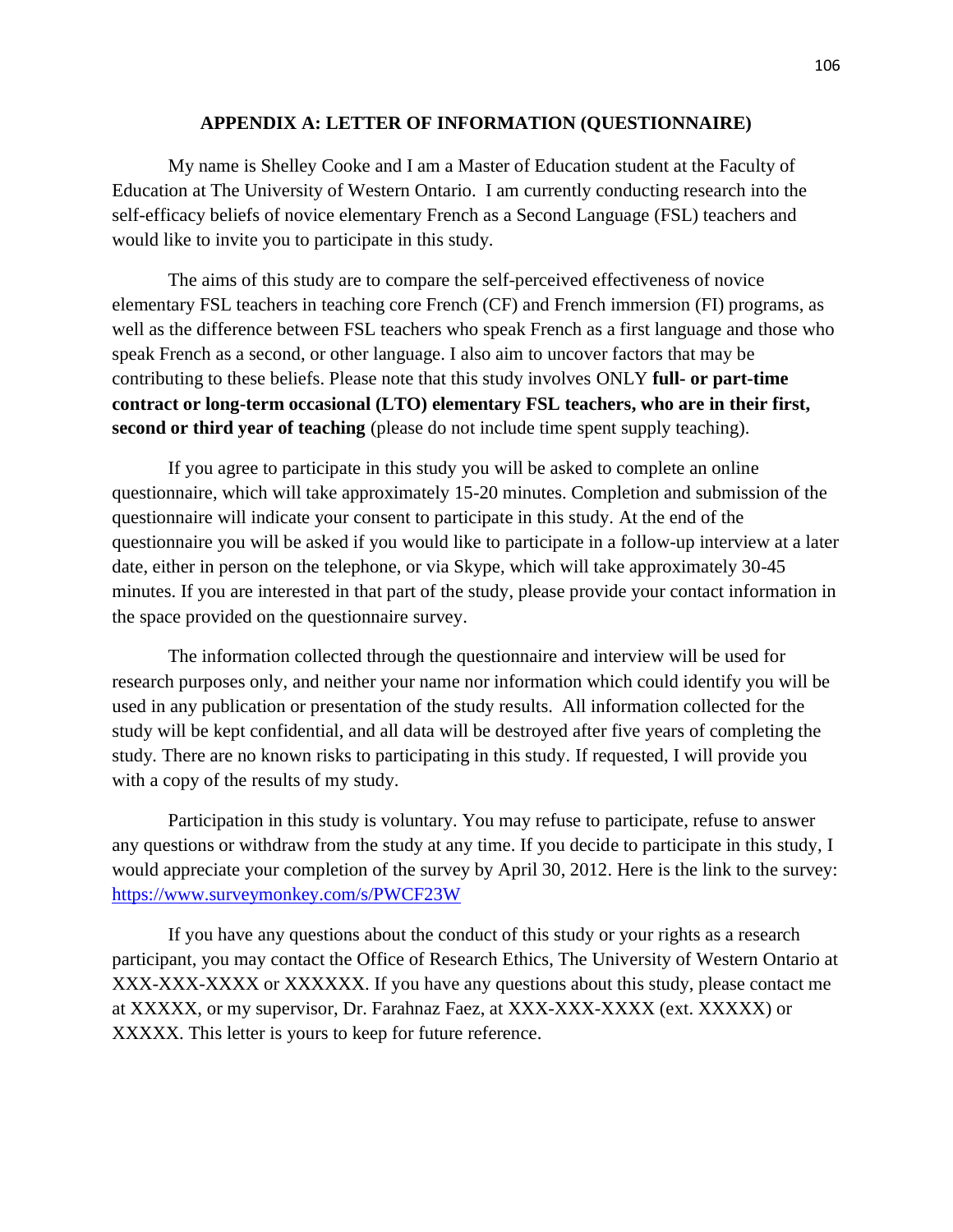#### **APPENDIX A: LETTER OF INFORMATION (QUESTIONNAIRE)**

My name is Shelley Cooke and I am a Master of Education student at the Faculty of Education at The University of Western Ontario. I am currently conducting research into the self-efficacy beliefs of novice elementary French as a Second Language (FSL) teachers and would like to invite you to participate in this study.

The aims of this study are to compare the self-perceived effectiveness of novice elementary FSL teachers in teaching core French (CF) and French immersion (FI) programs, as well as the difference between FSL teachers who speak French as a first language and those who speak French as a second, or other language. I also aim to uncover factors that may be contributing to these beliefs. Please note that this study involves ONLY **full- or part-time contract or long-term occasional (LTO) elementary FSL teachers, who are in their first, second or third year of teaching** (please do not include time spent supply teaching).

If you agree to participate in this study you will be asked to complete an online questionnaire, which will take approximately 15-20 minutes. Completion and submission of the questionnaire will indicate your consent to participate in this study. At the end of the questionnaire you will be asked if you would like to participate in a follow-up interview at a later date, either in person on the telephone, or via Skype, which will take approximately 30-45 minutes. If you are interested in that part of the study, please provide your contact information in the space provided on the questionnaire survey.

The information collected through the questionnaire and interview will be used for research purposes only, and neither your name nor information which could identify you will be used in any publication or presentation of the study results. All information collected for the study will be kept confidential, and all data will be destroyed after five years of completing the study*.* There are no known risks to participating in this study. If requested, I will provide you with a copy of the results of my study.

Participation in this study is voluntary. You may refuse to participate, refuse to answer any questions or withdraw from the study at any time. If you decide to participate in this study, I would appreciate your completion of the survey by April 30, 2012. Here is the link to the survey: <https://www.surveymonkey.com/s/PWCF23W>

If you have any questions about the conduct of this study or your rights as a research participant, you may contact the Office of Research Ethics, The University of Western Ontario at XXX-XXX-XXXX or XXXXXX. If you have any questions about this study, please contact me at XXXXX, or my supervisor, Dr. Farahnaz Faez, at XXX-XXX-XXXX (ext. XXXXX) or XXXXX. This letter is yours to keep for future reference.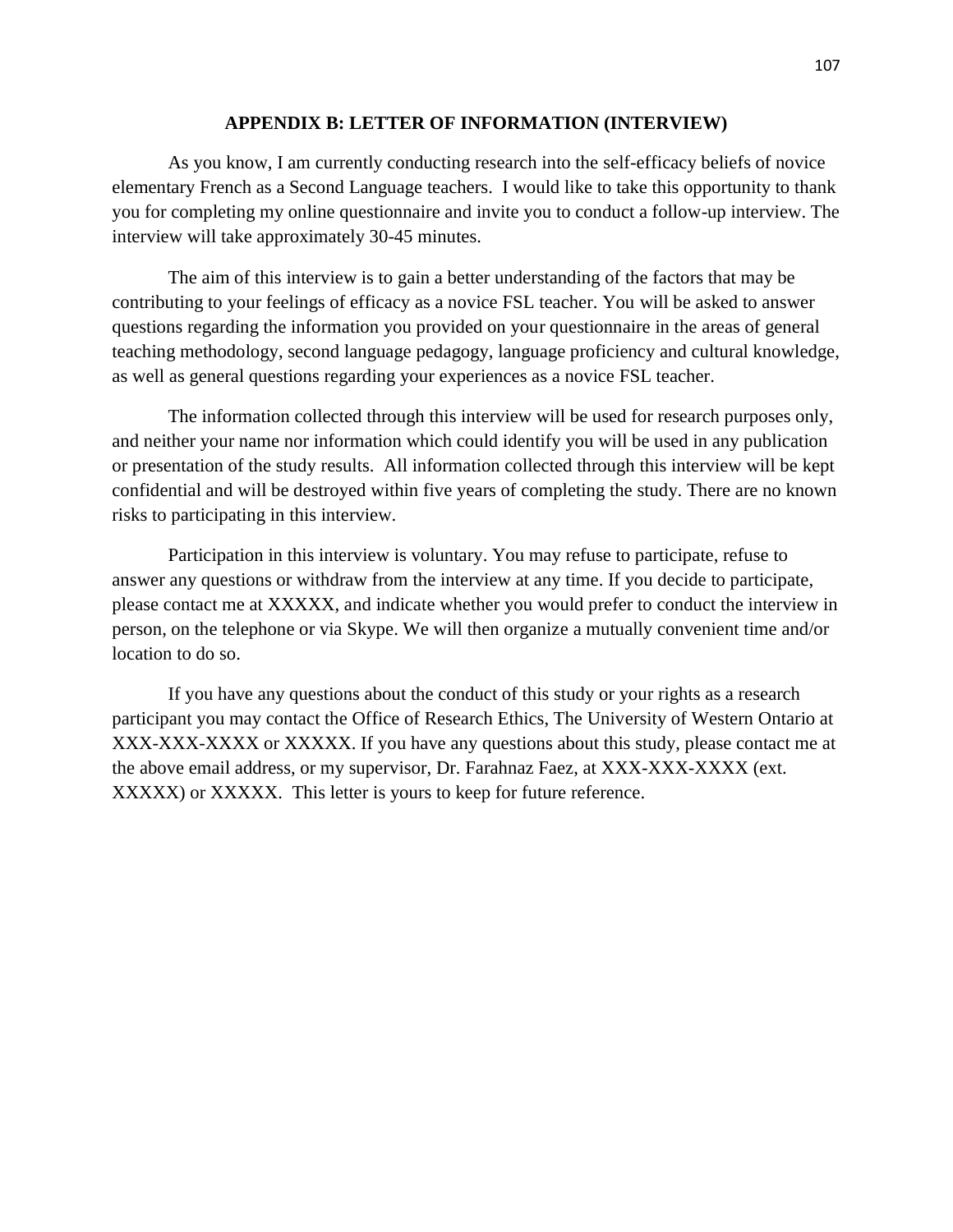#### **APPENDIX B: LETTER OF INFORMATION (INTERVIEW)**

As you know, I am currently conducting research into the self-efficacy beliefs of novice elementary French as a Second Language teachers. I would like to take this opportunity to thank you for completing my online questionnaire and invite you to conduct a follow-up interview. The interview will take approximately 30-45 minutes.

The aim of this interview is to gain a better understanding of the factors that may be contributing to your feelings of efficacy as a novice FSL teacher. You will be asked to answer questions regarding the information you provided on your questionnaire in the areas of general teaching methodology, second language pedagogy, language proficiency and cultural knowledge, as well as general questions regarding your experiences as a novice FSL teacher.

The information collected through this interview will be used for research purposes only, and neither your name nor information which could identify you will be used in any publication or presentation of the study results. All information collected through this interview will be kept confidential and will be destroyed within five years of completing the study. There are no known risks to participating in this interview.

Participation in this interview is voluntary. You may refuse to participate, refuse to answer any questions or withdraw from the interview at any time. If you decide to participate, please contact me at XXXXX, and indicate whether you would prefer to conduct the interview in person, on the telephone or via Skype. We will then organize a mutually convenient time and/or location to do so.

If you have any questions about the conduct of this study or your rights as a research participant you may contact the Office of Research Ethics, The University of Western Ontario at XXX-XXX-XXXX or XXXXX. If you have any questions about this study, please contact me at the above email address, or my supervisor, Dr. Farahnaz Faez, at XXX-XXX-XXXX (ext. XXXXX) or XXXXX. This letter is yours to keep for future reference.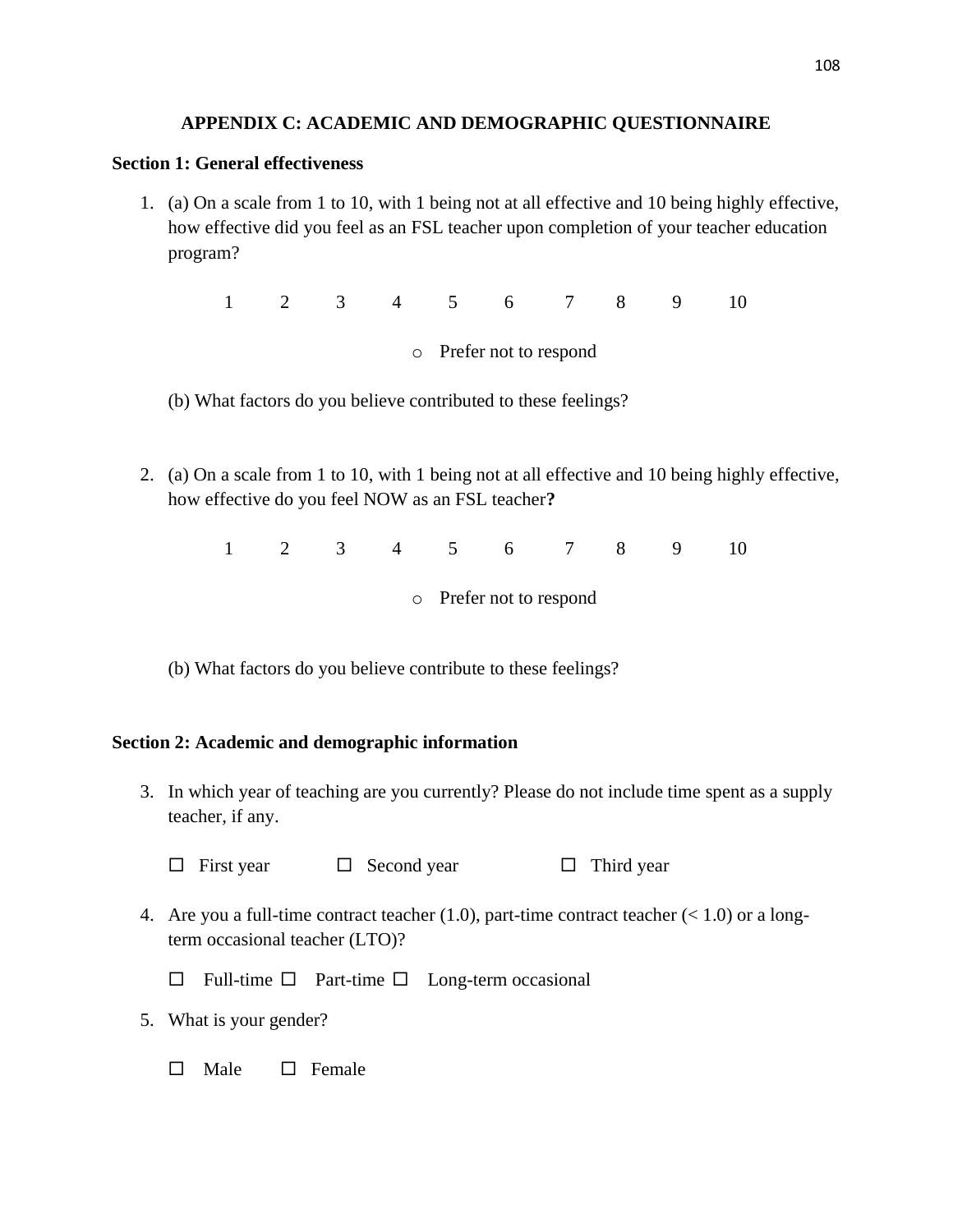### **APPENDIX C: ACADEMIC AND DEMOGRAPHIC QUESTIONNAIRE**

#### **Section 1: General effectiveness**

1. (a) On a scale from 1 to 10, with 1 being not at all effective and 10 being highly effective, how effective did you feel as an FSL teacher upon completion of your teacher education program?

1 2 3 4 5 6 7 8 9 10

o Prefer not to respond

- (b) What factors do you believe contributed to these feelings?
- 2. (a) On a scale from 1 to 10, with 1 being not at all effective and 10 being highly effective, how effective do you feel NOW as an FSL teacher**?**

1 2 3 4 5 6 7 8 9 10

o Prefer not to respond

(b) What factors do you believe contribute to these feelings?

## **Section 2: Academic and demographic information**

3. In which year of teaching are you currently? Please do not include time spent as a supply teacher, if any.

 $\Box$  First year  $\Box$  Second year  $\Box$  Third year

4. Are you a full-time contract teacher  $(1.0)$ , part-time contract teacher  $(< 1.0)$  or a longterm occasional teacher (LTO)?

 $\Box$  Full-time  $\Box$  Part-time  $\Box$  Long-term occasional

- 5. What is your gender?
	- $\Box$  Male  $\Box$  Female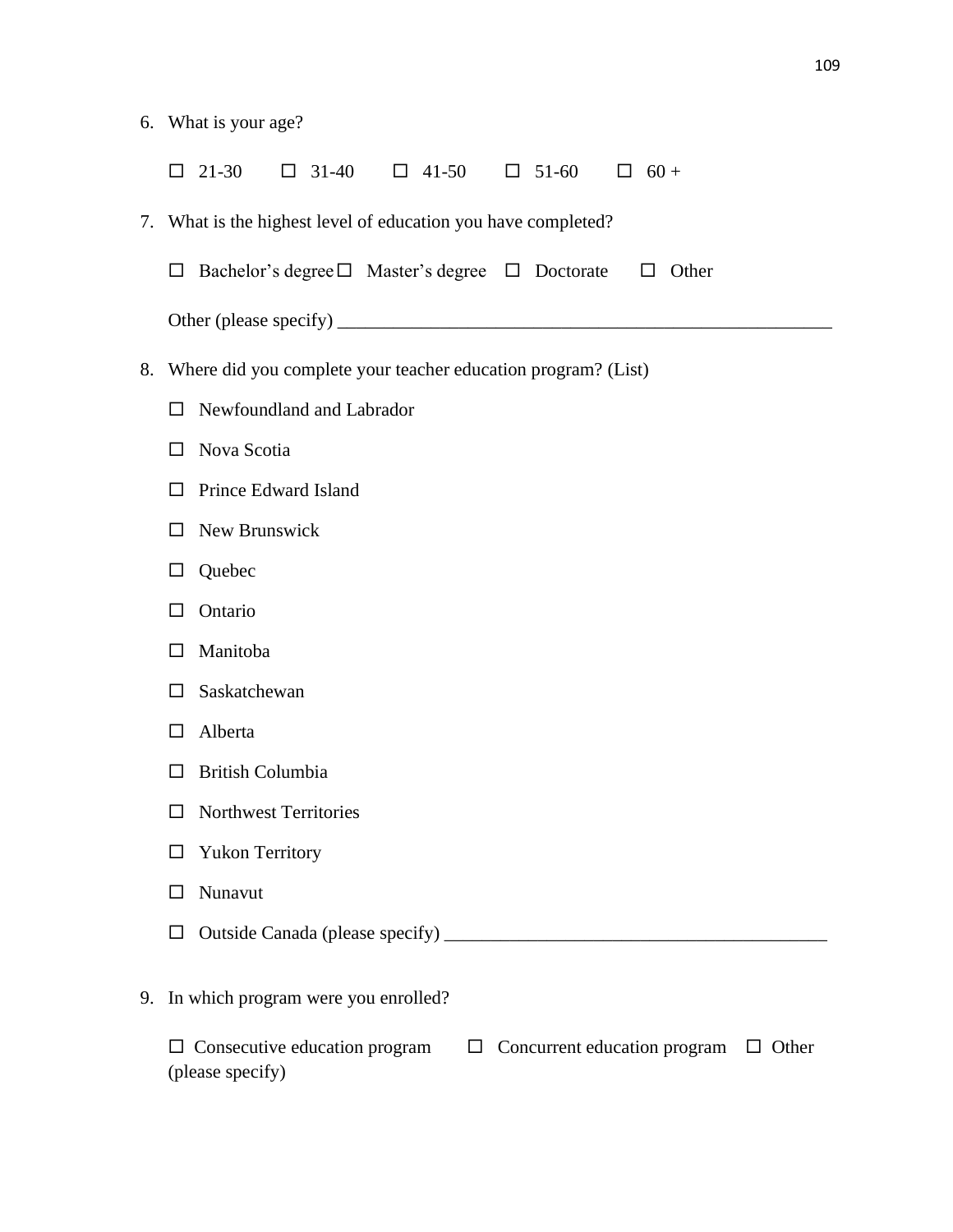- 6. What is your age?
	- $\Box$  21-30  $\Box$  31-40  $\Box$  41-50  $\Box$  51-60  $\Box$  60 +
- 7. What is the highest level of education you have completed?
	- $\Box$  Bachelor's degree  $\Box$  Master's degree  $\Box$  Doctorate  $\Box$  Other
	- Other (please specify) \_\_\_\_\_\_\_\_\_\_\_\_\_\_\_\_\_\_\_\_\_\_\_\_\_\_\_\_\_\_\_\_\_\_\_\_\_\_\_\_\_\_\_\_\_\_\_\_\_\_\_\_\_
- 8. Where did you complete your teacher education program? (List)
	- Newfoundland and Labrador
	- □ Nova Scotia
	- $\Box$  Prince Edward Island
	- $\Box$  New Brunswick
	- □ Quebec
	- $\Box$  Ontario
	- □ Manitoba
	- $\square$  Saskatchewan
	- □ Alberta
	- $\Box$  British Columbia
	- $\square$  Northwest Territories
	- Yukon Territory
	- □ Nunavut
	- Outside Canada (please specify) \_\_\_\_\_\_\_\_\_\_\_\_\_\_\_\_\_\_\_\_\_\_\_\_\_\_\_\_\_\_\_\_\_\_\_\_\_\_\_\_\_
- 9. In which program were you enrolled?

| $\Box$ Consecutive education program | $\Box$ Concurrent education program $\Box$ Other |  |
|--------------------------------------|--------------------------------------------------|--|
| (please specify)                     |                                                  |  |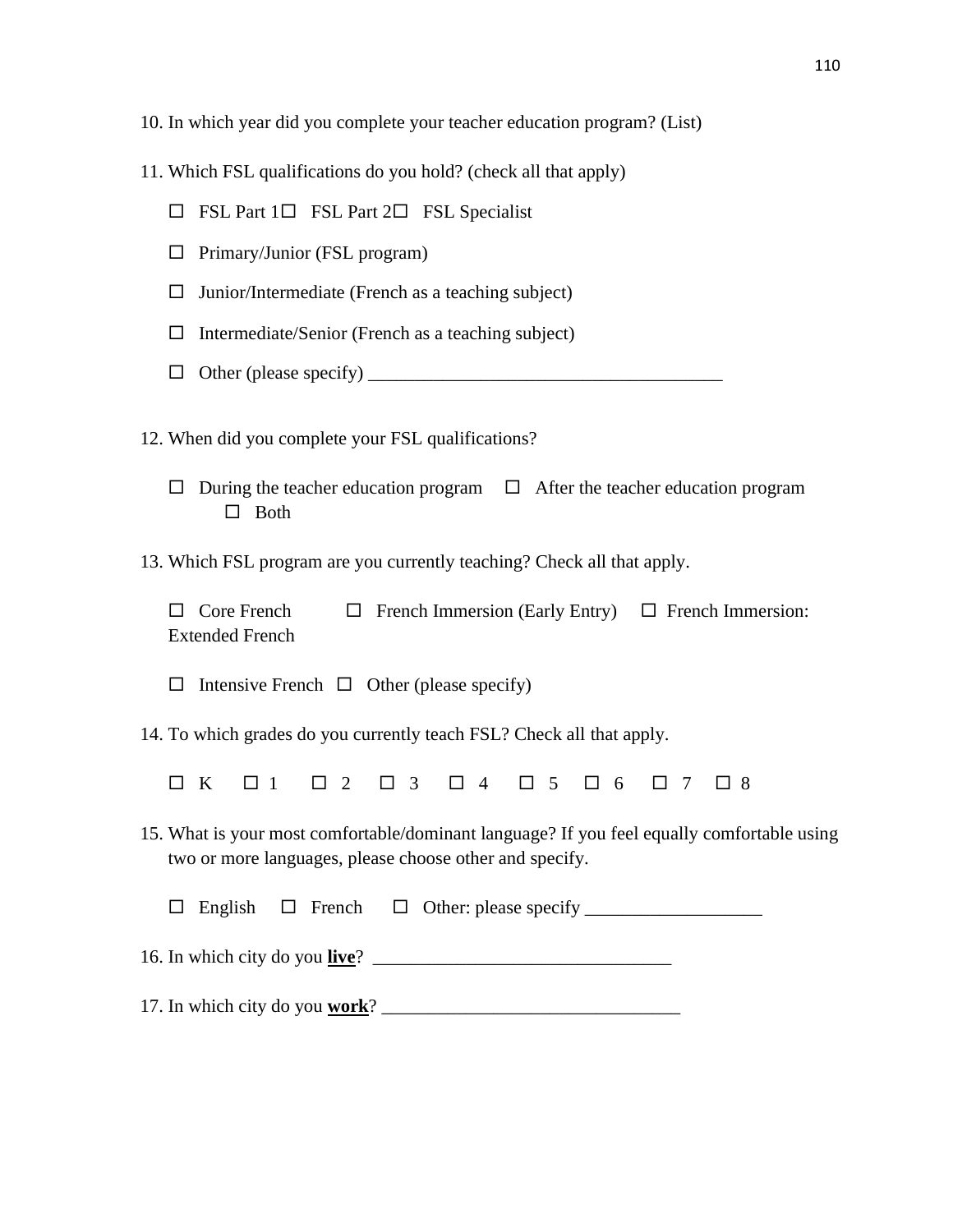- 10. In which year did you complete your teacher education program? (List)
- 11. Which FSL qualifications do you hold? (check all that apply)
	- $\Box$  FSL Part 1 $\Box$  FSL Part 2 $\Box$  FSL Specialist
	- $\Box$  Primary/Junior (FSL program)
	- $\Box$  Junior/Intermediate (French as a teaching subject)
	- $\Box$  Intermediate/Senior (French as a teaching subject)
	- Other (please specify) \_\_\_\_\_\_\_\_\_\_\_\_\_\_\_\_\_\_\_\_\_\_\_\_\_\_\_\_\_\_\_\_\_\_\_\_\_\_
- 12. When did you complete your FSL qualifications?
	- $\Box$  During the teacher education program  $\Box$  After the teacher education program  $\Box$  Both
- 13. Which FSL program are you currently teaching? Check all that apply.

 $\Box$  Core French  $\Box$  French Immersion (Early Entry)  $\Box$  French Immersion: Extended French

 $\Box$  Intensive French  $\Box$  Other (please specify)

14. To which grades do you currently teach FSL? Check all that apply.

OK 01 02 03 04 05 06 07 08

15. What is your most comfortable/dominant language? If you feel equally comfortable using two or more languages, please choose other and specify.

 $\Box$  English  $\Box$  French  $\Box$  Other: please specify

16. In which city do you **live**? \_\_\_\_\_\_\_\_\_\_\_\_\_\_\_\_\_\_\_\_\_\_\_\_\_\_\_\_\_\_\_\_

17. In which city do you **work**? \_\_\_\_\_\_\_\_\_\_\_\_\_\_\_\_\_\_\_\_\_\_\_\_\_\_\_\_\_\_\_\_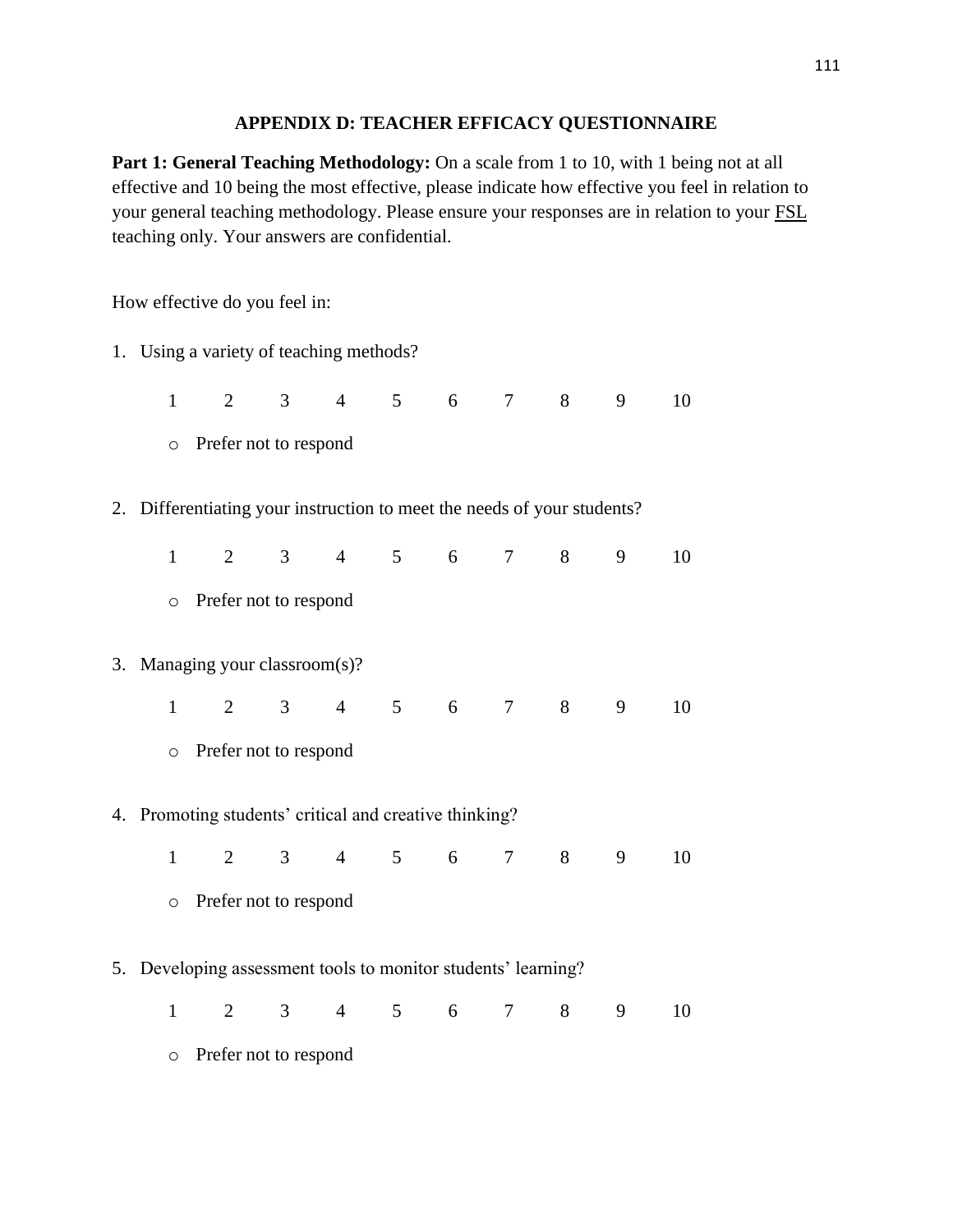#### **APPENDIX D: TEACHER EFFICACY QUESTIONNAIRE**

Part 1: General Teaching Methodology: On a scale from 1 to 10, with 1 being not at all effective and 10 being the most effective, please indicate how effective you feel in relation to your general teaching methodology. Please ensure your responses are in relation to your FSL teaching only. Your answers are confidential.

How effective do you feel in:

1. Using a variety of teaching methods? 1 2 3 4 5 6 7 8 9 10 o Prefer not to respond 2. Differentiating your instruction to meet the needs of your students? 1 2 3 4 5 6 7 8 9 10 o Prefer not to respond 3. Managing your classroom(s)? 1 2 3 4 5 6 7 8 9 10 o Prefer not to respond 4. Promoting students' critical and creative thinking? 1 2 3 4 5 6 7 8 9 10 o Prefer not to respond 5. Developing assessment tools to monitor students' learning? 1 2 3 4 5 6 7 8 9 10 o Prefer not to respond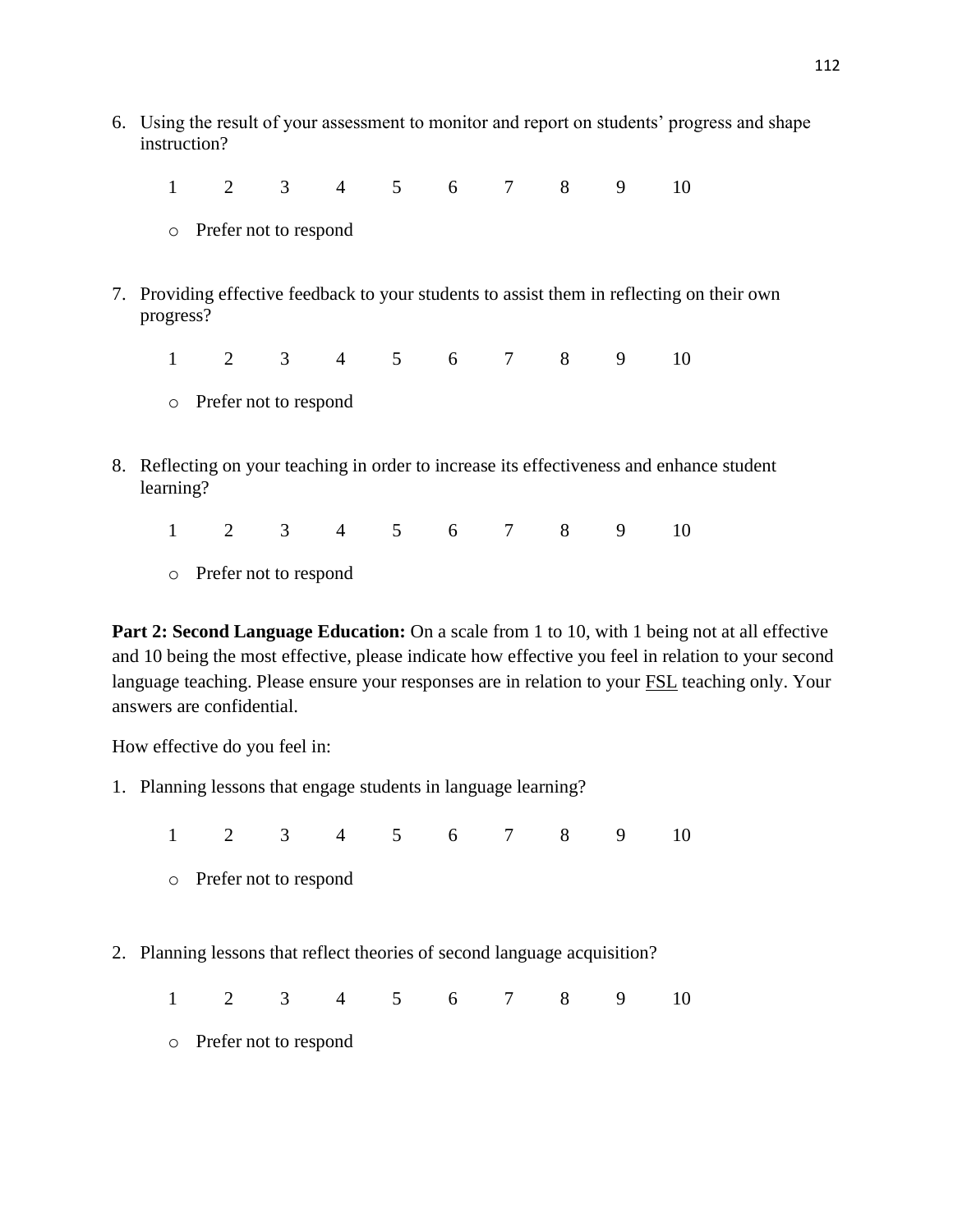6. Using the result of your assessment to monitor and report on students" progress and shape instruction?

1 2 3 4 5 6 7 8 9 10

- o Prefer not to respond
- 7. Providing effective feedback to your students to assist them in reflecting on their own progress?

1 2 3 4 5 6 7 8 9 10

- o Prefer not to respond
- 8. Reflecting on your teaching in order to increase its effectiveness and enhance student learning?

1 2 3 4 5 6 7 8 9 10

o Prefer not to respond

**Part 2: Second Language Education:** On a scale from 1 to 10, with 1 being not at all effective and 10 being the most effective, please indicate how effective you feel in relation to your second language teaching. Please ensure your responses are in relation to your FSL teaching only. Your answers are confidential.

How effective do you feel in:

1. Planning lessons that engage students in language learning?

1 2 3 4 5 6 7 8 9 10

- o Prefer not to respond
- 2. Planning lessons that reflect theories of second language acquisition?

1 2 3 4 5 6 7 8 9 10

o Prefer not to respond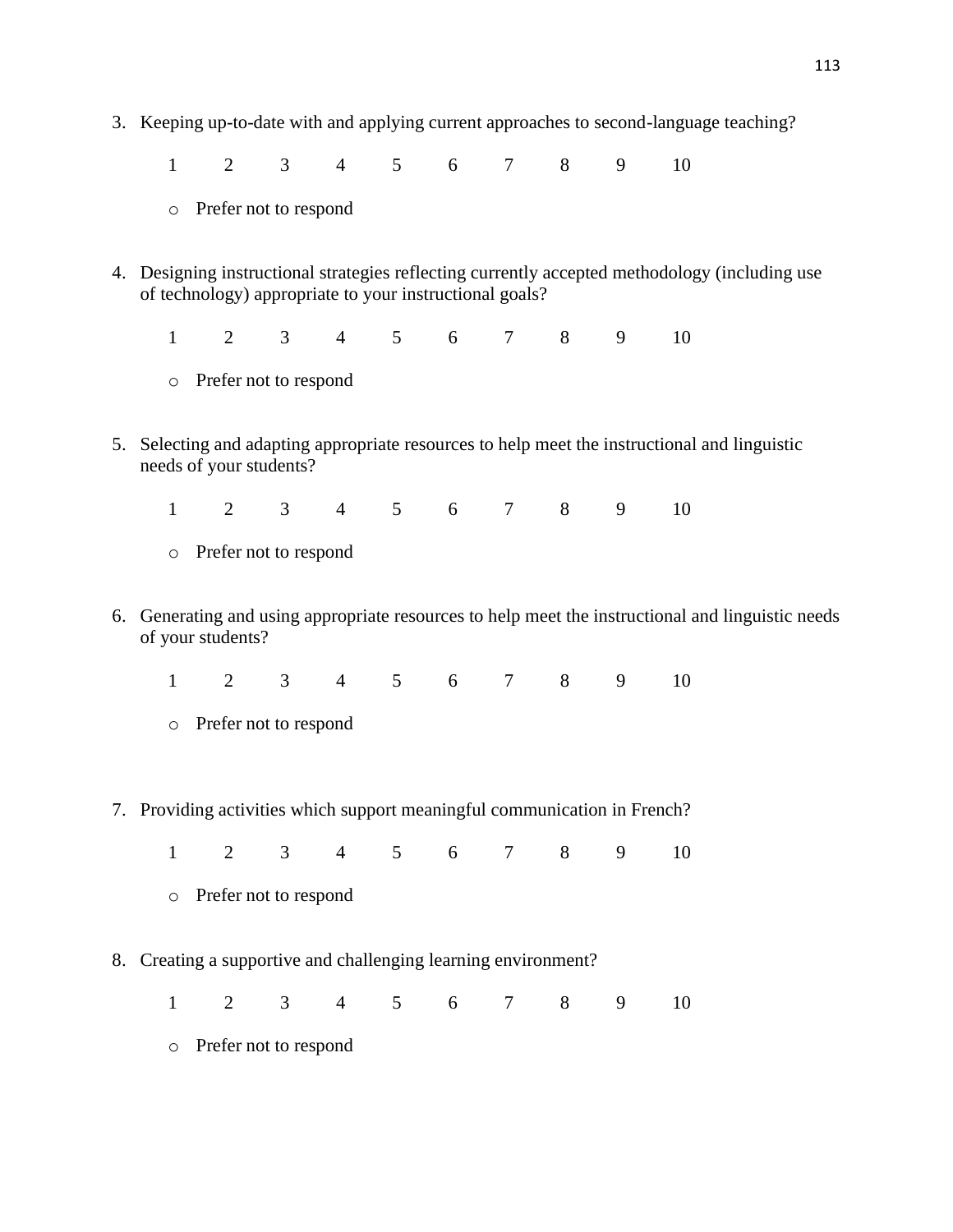3. Keeping up-to-date with and applying current approaches to second-language teaching?

1 2 3 4 5 6 7 8 9 10

- o Prefer not to respond
- 4. Designing instructional strategies reflecting currently accepted methodology (including use of technology) appropriate to your instructional goals?

1 2 3 4 5 6 7 8 9 10

- o Prefer not to respond
- 5. Selecting and adapting appropriate resources to help meet the instructional and linguistic needs of your students?

1 2 3 4 5 6 7 8 9 10

- o Prefer not to respond
- 6. Generating and using appropriate resources to help meet the instructional and linguistic needs of your students?

1 2 3 4 5 6 7 8 9 10

- o Prefer not to respond
- 7. Providing activities which support meaningful communication in French?

1 2 3 4 5 6 7 8 9 10

- o Prefer not to respond
- 8. Creating a supportive and challenging learning environment?

1 2 3 4 5 6 7 8 9 10

o Prefer not to respond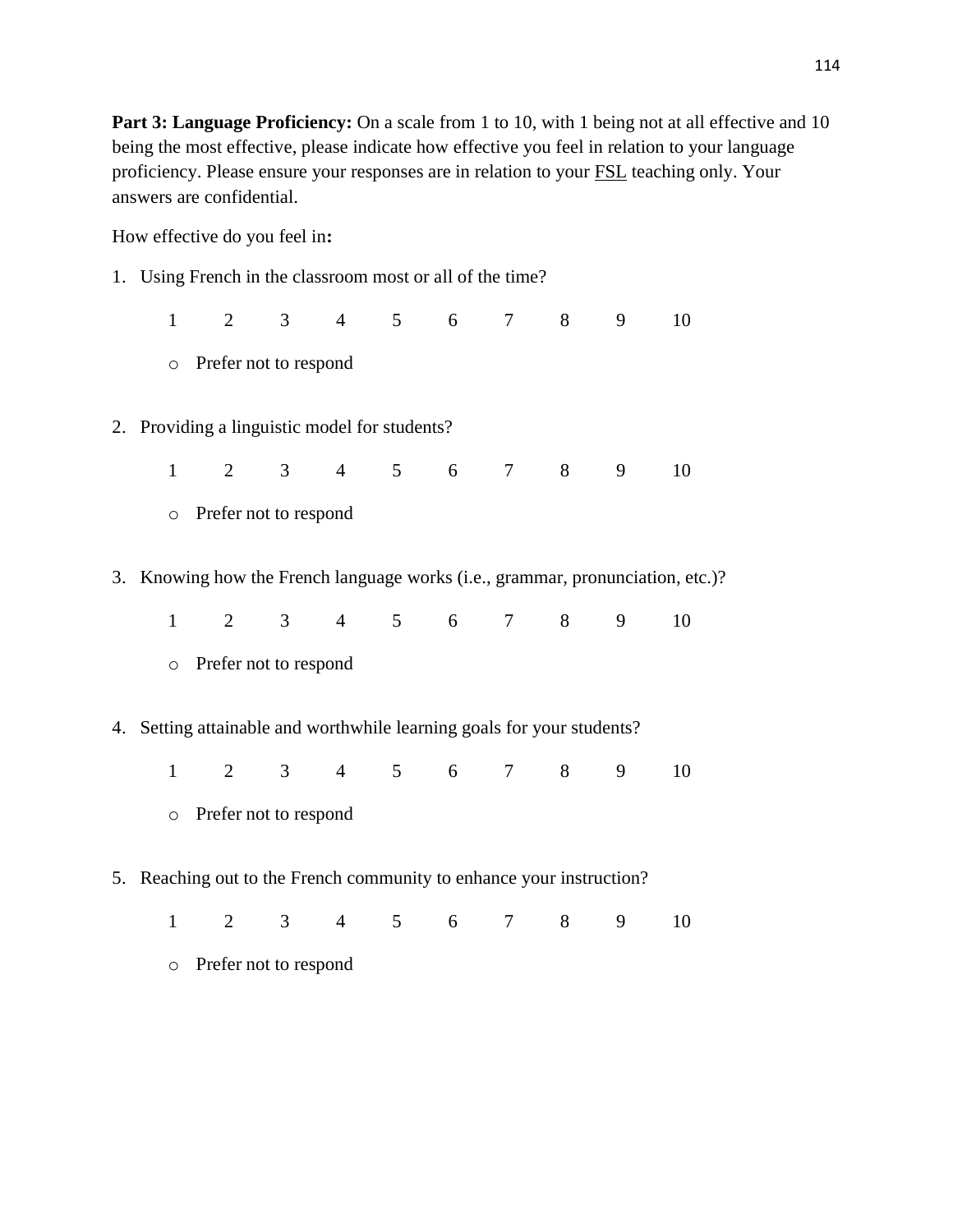**Part 3: Language Proficiency:** On a scale from 1 to 10, with 1 being not at all effective and 10 being the most effective, please indicate how effective you feel in relation to your language proficiency. Please ensure your responses are in relation to your FSL teaching only. Your answers are confidential.

How effective do you feel in**:**

- 1. Using French in the classroom most or all of the time?
	- 1 2 3 4 5 6 7 8 9 10 o Prefer not to respond
- 2. Providing a linguistic model for students?
	- 1 2 3 4 5 6 7 8 9 10
	- o Prefer not to respond
- 3. Knowing how the French language works (i.e., grammar, pronunciation, etc.)?
	- 1 2 3 4 5 6 7 8 9 10
	- o Prefer not to respond
- 4. Setting attainable and worthwhile learning goals for your students?
	- 1 2 3 4 5 6 7 8 9 10
	- o Prefer not to respond
- 5. Reaching out to the French community to enhance your instruction?
	- 1 2 3 4 5 6 7 8 9 10
	- o Prefer not to respond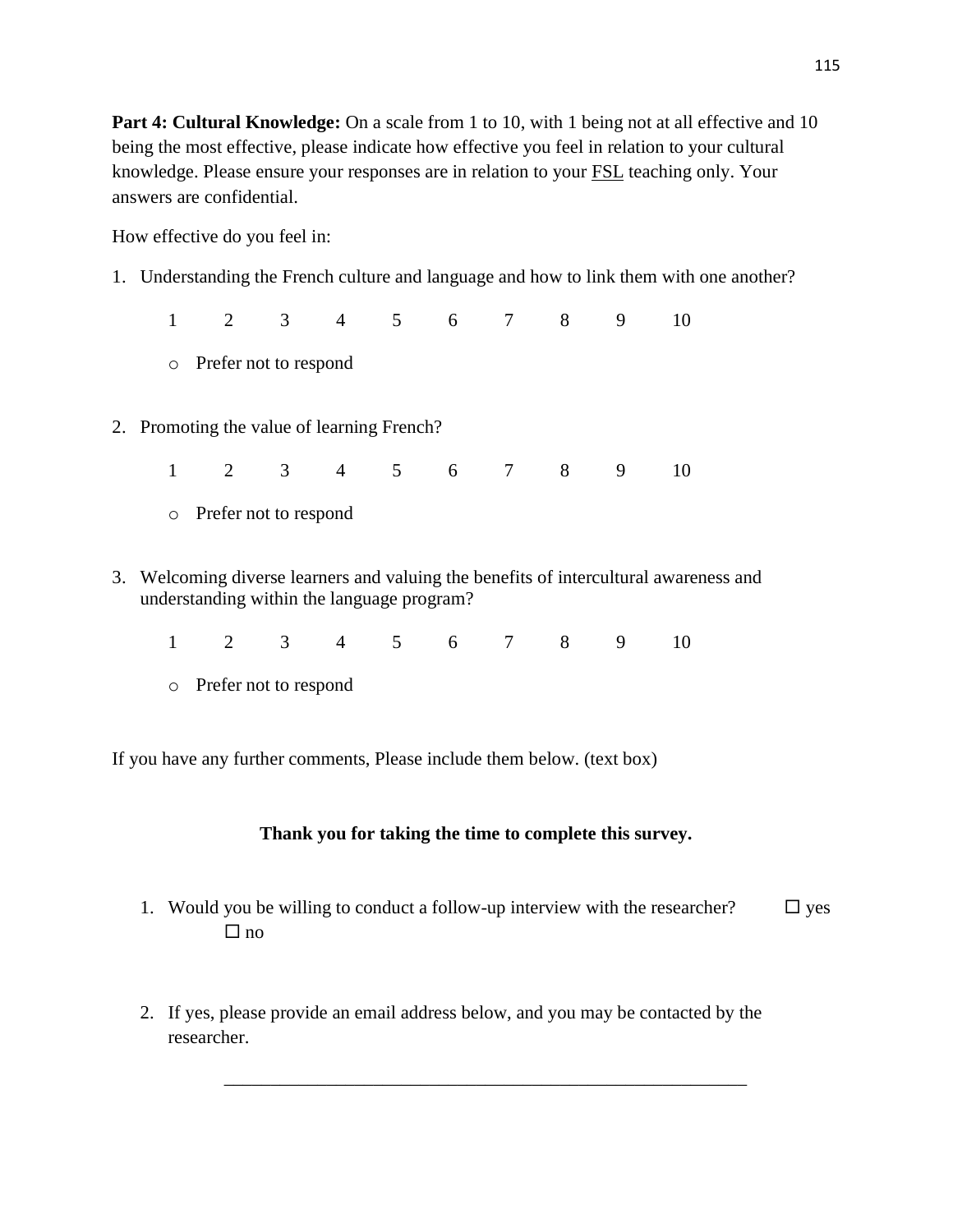**Part 4: Cultural Knowledge:** On a scale from 1 to 10, with 1 being not at all effective and 10 being the most effective, please indicate how effective you feel in relation to your cultural knowledge. Please ensure your responses are in relation to your FSL teaching only. Your answers are confidential.

How effective do you feel in:

1. Understanding the French culture and language and how to link them with one another?

1 2 3 4 5 6 7 8 9 10

- o Prefer not to respond
- 2. Promoting the value of learning French?
	- 1 2 3 4 5 6 7 8 9 10
	- o Prefer not to respond
- 3. Welcoming diverse learners and valuing the benefits of intercultural awareness and understanding within the language program?
	- 1 2 3 4 5 6 7 8 9 10
	- o Prefer not to respond

If you have any further comments, Please include them below. (text box)

## **Thank you for taking the time to complete this survey.**

1. Would you be willing to conduct a follow-up interview with the researcher?  $\square$  yes  $\Box$  no

\_\_\_\_\_\_\_\_\_\_\_\_\_\_\_\_\_\_\_\_\_\_\_\_\_\_\_\_\_\_\_\_\_\_\_\_\_\_\_\_\_\_\_\_\_\_\_\_\_\_\_\_\_\_\_\_

2. If yes, please provide an email address below, and you may be contacted by the researcher.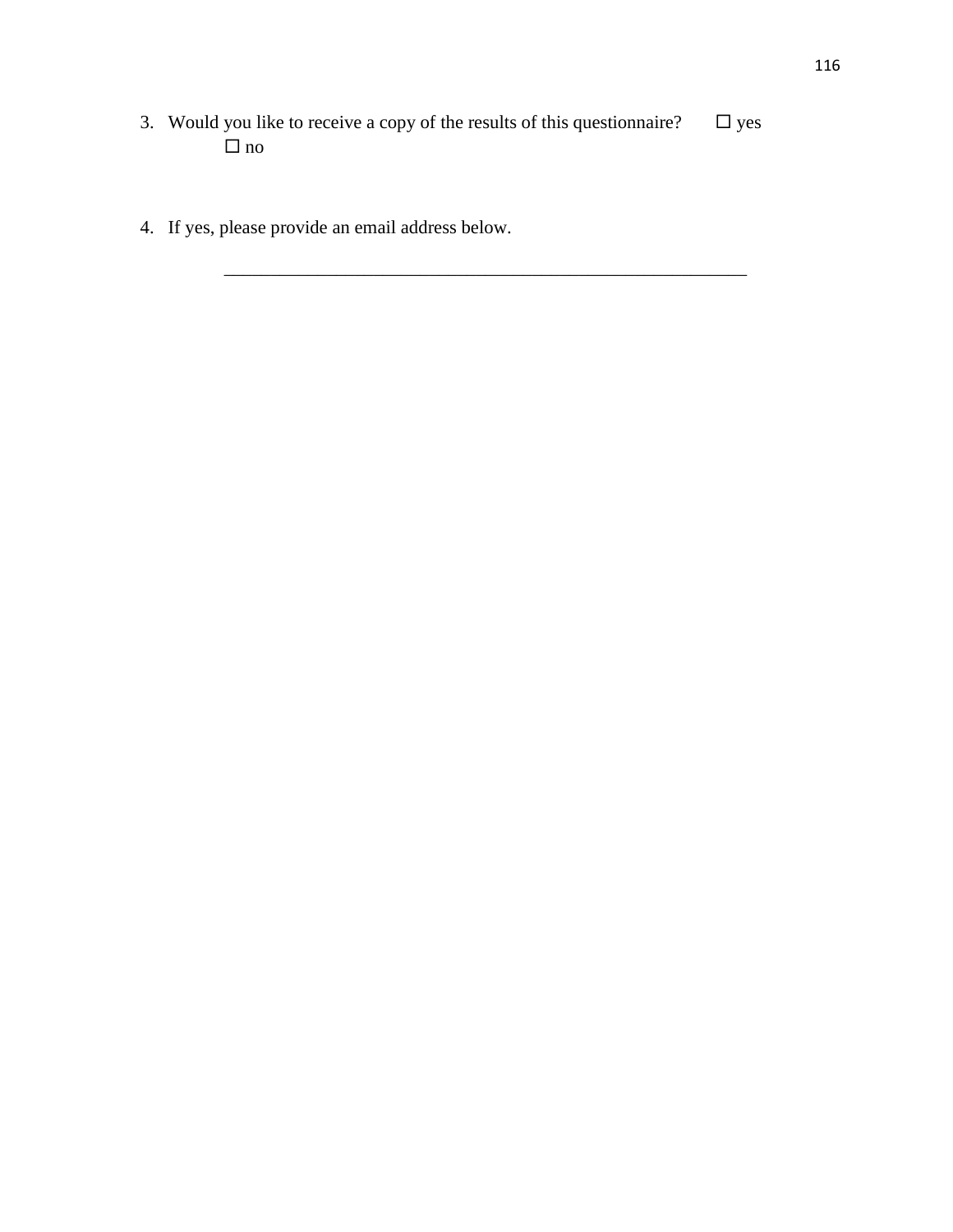3. Would you like to receive a copy of the results of this questionnaire?  $\Box$  yes  $\Box$ no

\_\_\_\_\_\_\_\_\_\_\_\_\_\_\_\_\_\_\_\_\_\_\_\_\_\_\_\_\_\_\_\_\_\_\_\_\_\_\_\_\_\_\_\_\_\_\_\_\_\_\_\_\_\_\_\_

4. If yes, please provide an email address below.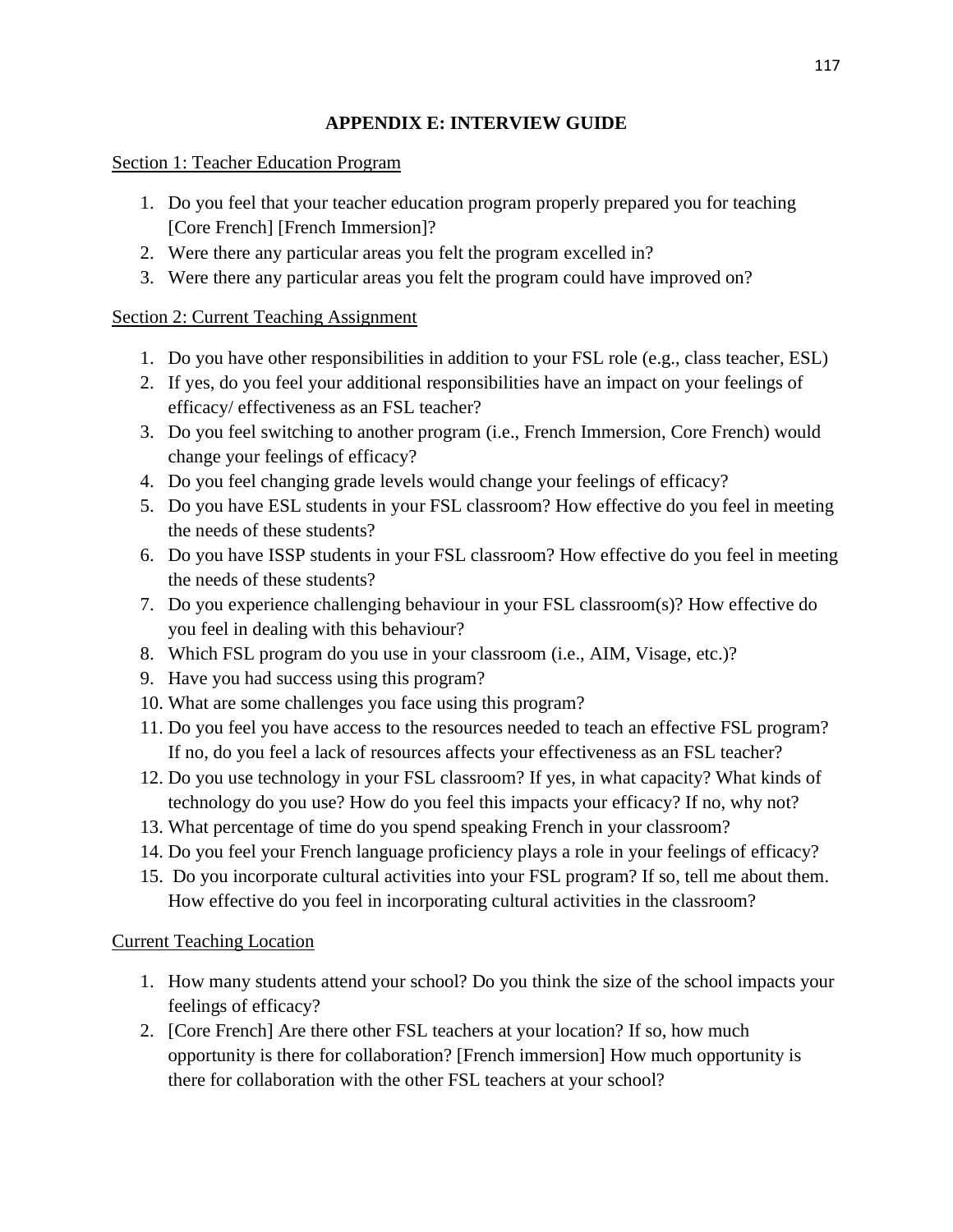## **APPENDIX E: INTERVIEW GUIDE**

## Section 1: Teacher Education Program

- 1. Do you feel that your teacher education program properly prepared you for teaching [Core French] [French Immersion]?
- 2. Were there any particular areas you felt the program excelled in?
- 3. Were there any particular areas you felt the program could have improved on?

# Section 2: Current Teaching Assignment

- 1. Do you have other responsibilities in addition to your FSL role (e.g., class teacher, ESL)
- 2. If yes, do you feel your additional responsibilities have an impact on your feelings of efficacy/ effectiveness as an FSL teacher?
- 3. Do you feel switching to another program (i.e., French Immersion, Core French) would change your feelings of efficacy?
- 4. Do you feel changing grade levels would change your feelings of efficacy?
- 5. Do you have ESL students in your FSL classroom? How effective do you feel in meeting the needs of these students?
- 6. Do you have ISSP students in your FSL classroom? How effective do you feel in meeting the needs of these students?
- 7. Do you experience challenging behaviour in your FSL classroom(s)? How effective do you feel in dealing with this behaviour?
- 8. Which FSL program do you use in your classroom (i.e., AIM, Visage, etc.)?
- 9. Have you had success using this program?
- 10. What are some challenges you face using this program?
- 11. Do you feel you have access to the resources needed to teach an effective FSL program? If no, do you feel a lack of resources affects your effectiveness as an FSL teacher?
- 12. Do you use technology in your FSL classroom? If yes, in what capacity? What kinds of technology do you use? How do you feel this impacts your efficacy? If no, why not?
- 13. What percentage of time do you spend speaking French in your classroom?
- 14. Do you feel your French language proficiency plays a role in your feelings of efficacy?
- 15. Do you incorporate cultural activities into your FSL program? If so, tell me about them. How effective do you feel in incorporating cultural activities in the classroom?

# Current Teaching Location

- 1. How many students attend your school? Do you think the size of the school impacts your feelings of efficacy?
- 2. [Core French] Are there other FSL teachers at your location? If so, how much opportunity is there for collaboration? [French immersion] How much opportunity is there for collaboration with the other FSL teachers at your school?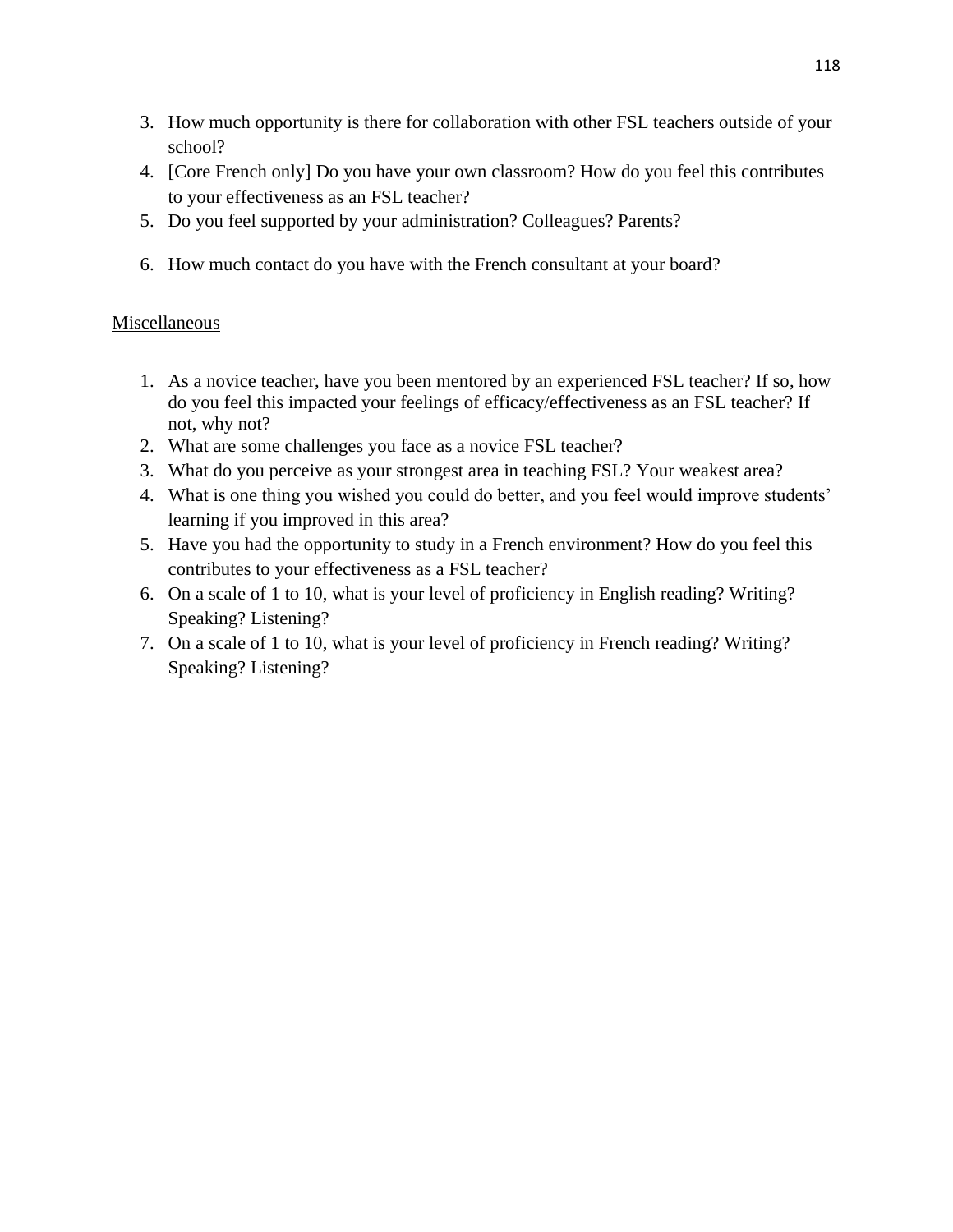- 3. How much opportunity is there for collaboration with other FSL teachers outside of your school?
- 4. [Core French only] Do you have your own classroom? How do you feel this contributes to your effectiveness as an FSL teacher?
- 5. Do you feel supported by your administration? Colleagues? Parents?
- 6. How much contact do you have with the French consultant at your board?

### **Miscellaneous**

- 1. As a novice teacher, have you been mentored by an experienced FSL teacher? If so, how do you feel this impacted your feelings of efficacy/effectiveness as an FSL teacher? If not, why not?
- 2. What are some challenges you face as a novice FSL teacher?
- 3. What do you perceive as your strongest area in teaching FSL? Your weakest area?
- 4. What is one thing you wished you could do better, and you feel would improve students' learning if you improved in this area?
- 5. Have you had the opportunity to study in a French environment? How do you feel this contributes to your effectiveness as a FSL teacher?
- 6. On a scale of 1 to 10, what is your level of proficiency in English reading? Writing? Speaking? Listening?
- 7. On a scale of 1 to 10, what is your level of proficiency in French reading? Writing? Speaking? Listening?